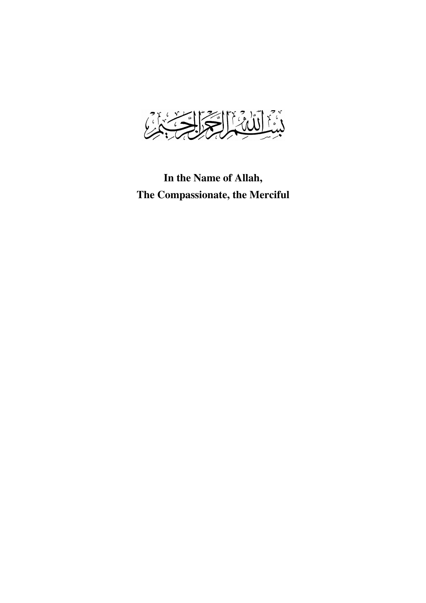

**In the Name of Allah, The Compassionate, the Merciful**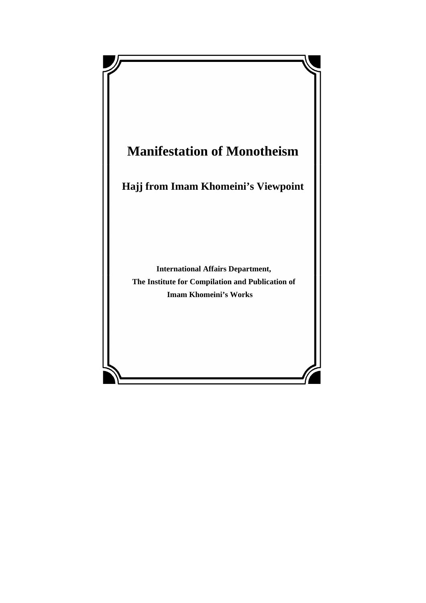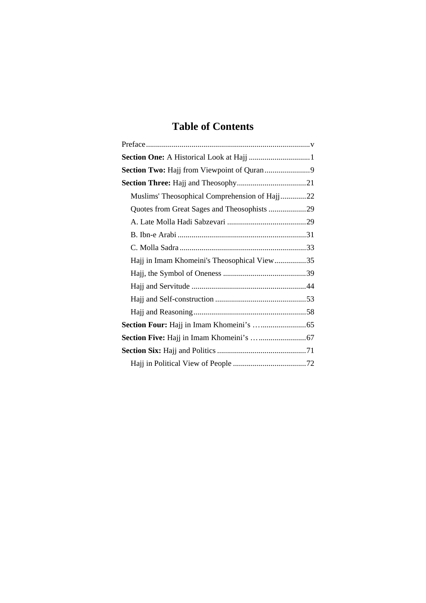# **Table of Contents**

| Muslims' Theosophical Comprehension of Hajj22 |
|-----------------------------------------------|
| Quotes from Great Sages and Theosophists 29   |
|                                               |
|                                               |
|                                               |
| Hajj in Imam Khomeini's Theosophical View35   |
|                                               |
|                                               |
|                                               |
|                                               |
|                                               |
|                                               |
|                                               |
|                                               |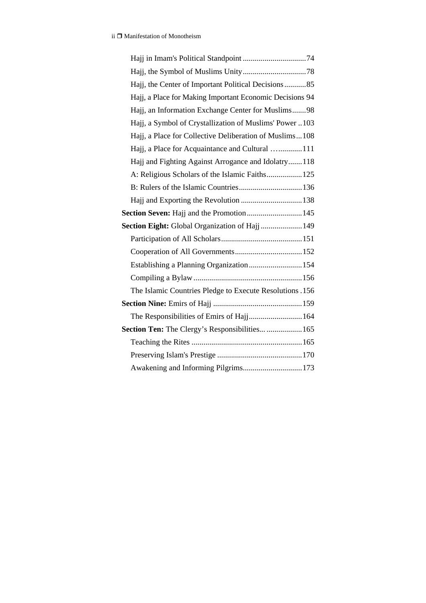| Hajj, the Center of Important Political Decisions85      |
|----------------------------------------------------------|
| Hajj, a Place for Making Important Economic Decisions 94 |
| Hajj, an Information Exchange Center for Muslims98       |
| Hajj, a Symbol of Crystallization of Muslims' Power 103  |
| Hajj, a Place for Collective Deliberation of Muslims108  |
| Hajj, a Place for Acquaintance and Cultural 111          |
| Hajj and Fighting Against Arrogance and Idolatry118      |
|                                                          |
|                                                          |
|                                                          |
|                                                          |
| Section Eight: Global Organization of Hajj 149           |
|                                                          |
|                                                          |
| Establishing a Planning Organization154                  |
|                                                          |
| The Islamic Countries Pledge to Execute Resolutions .156 |
|                                                          |
| The Responsibilities of Emirs of Hajj 164                |
| <b>Section Ten:</b> The Clergy's Responsibilities  165   |
|                                                          |
|                                                          |
| Awakening and Informing Pilgrims173                      |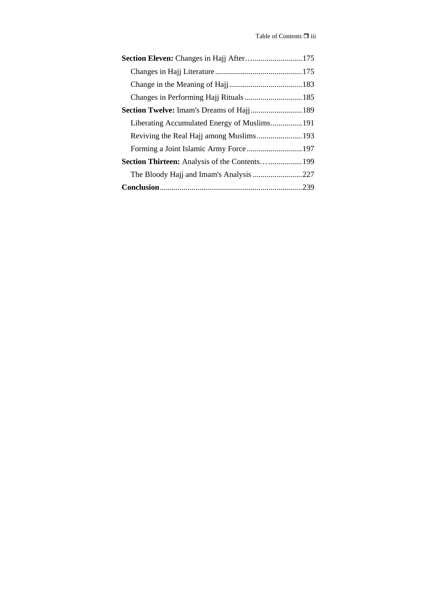| <b>Section Thirteen:</b> Analysis of the Contents  199 |  |
|--------------------------------------------------------|--|
|                                                        |  |
|                                                        |  |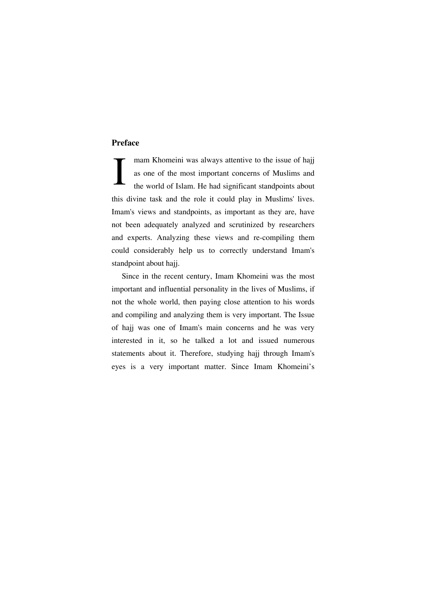#### **Preface**

mam Khomeini was always attentive to the issue of hajj as one of the most important concerns of Muslims and the world of Islam. He had significant standpoints about this divine task and the role it could play in Muslims' lives. Imam's views and standpoints, as important as they are, have not been adequately analyzed and scrutinized by researchers and experts. Analyzing these views and re-compiling them could considerably help us to correctly understand Imam's standpoint about hajj. I

Since in the recent century, Imam Khomeini was the most important and influential personality in the lives of Muslims, if not the whole world, then paying close attention to his words and compiling and analyzing them is very important. The Issue of hajj was one of Imam's main concerns and he was very interested in it, so he talked a lot and issued numerous statements about it. Therefore, studying hajj through Imam's eyes is a very important matter. Since Imam Khomeini's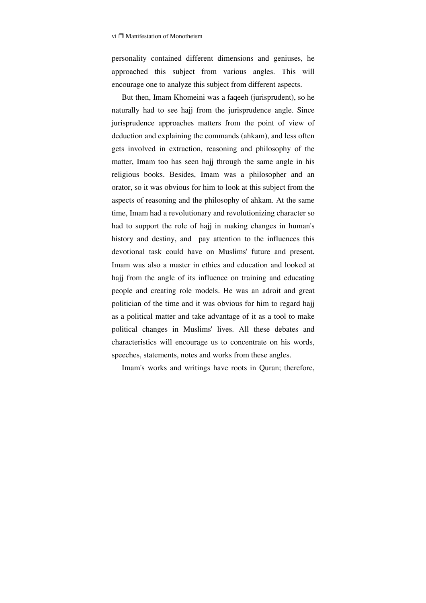personality contained different dimensions and geniuses, he approached this subject from various angles. This will encourage one to analyze this subject from different aspects.

But then, Imam Khomeini was a faqeeh (jurisprudent), so he naturally had to see hajj from the jurisprudence angle. Since jurisprudence approaches matters from the point of view of deduction and explaining the commands (ahkam), and less often gets involved in extraction, reasoning and philosophy of the matter, Imam too has seen hajj through the same angle in his religious books. Besides, Imam was a philosopher and an orator, so it was obvious for him to look at this subject from the aspects of reasoning and the philosophy of ahkam. At the same time, Imam had a revolutionary and revolutionizing character so had to support the role of hajj in making changes in human's history and destiny, and pay attention to the influences this devotional task could have on Muslims' future and present. Imam was also a master in ethics and education and looked at hajj from the angle of its influence on training and educating people and creating role models. He was an adroit and great politician of the time and it was obvious for him to regard hajj as a political matter and take advantage of it as a tool to make political changes in Muslims' lives. All these debates and characteristics will encourage us to concentrate on his words, speeches, statements, notes and works from these angles.

Imam's works and writings have roots in Quran; therefore,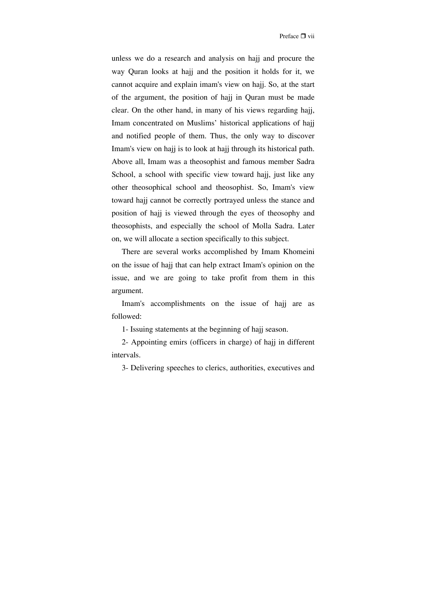unless we do a research and analysis on hajj and procure the way Quran looks at hajj and the position it holds for it, we cannot acquire and explain imam's view on hajj. So, at the start of the argument, the position of hajj in Quran must be made clear. On the other hand, in many of his views regarding hajj, Imam concentrated on Muslims' historical applications of hajj and notified people of them. Thus, the only way to discover Imam's view on hajj is to look at hajj through its historical path. Above all, Imam was a theosophist and famous member Sadra School, a school with specific view toward hajj, just like any other theosophical school and theosophist. So, Imam's view toward hajj cannot be correctly portrayed unless the stance and position of hajj is viewed through the eyes of theosophy and theosophists, and especially the school of Molla Sadra. Later on, we will allocate a section specifically to this subject.

There are several works accomplished by Imam Khomeini on the issue of hajj that can help extract Imam's opinion on the issue, and we are going to take profit from them in this argument.

Imam's accomplishments on the issue of hajj are as followed:

1- Issuing statements at the beginning of hajj season.

2- Appointing emirs (officers in charge) of hajj in different intervals.

3- Delivering speeches to clerics, authorities, executives and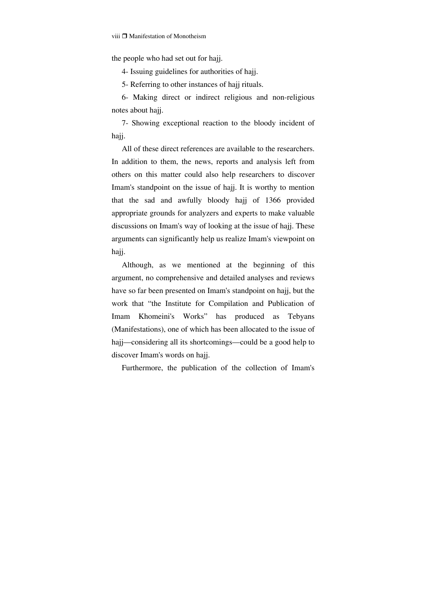the people who had set out for hajj.

4- Issuing guidelines for authorities of hajj.

5- Referring to other instances of hajj rituals.

6- Making direct or indirect religious and non-religious notes about hajj.

7- Showing exceptional reaction to the bloody incident of hajj.

All of these direct references are available to the researchers. In addition to them, the news, reports and analysis left from others on this matter could also help researchers to discover Imam's standpoint on the issue of hajj. It is worthy to mention that the sad and awfully bloody hajj of 1366 provided appropriate grounds for analyzers and experts to make valuable discussions on Imam's way of looking at the issue of hajj. These arguments can significantly help us realize Imam's viewpoint on hajj.

Although, as we mentioned at the beginning of this argument, no comprehensive and detailed analyses and reviews have so far been presented on Imam's standpoint on hajj, but the work that "the Institute for Compilation and Publication of Imam Khomeini's Works" has produced as Tebyans (Manifestations), one of which has been allocated to the issue of hajj—considering all its shortcomings—could be a good help to discover Imam's words on hajj.

Furthermore, the publication of the collection of Imam's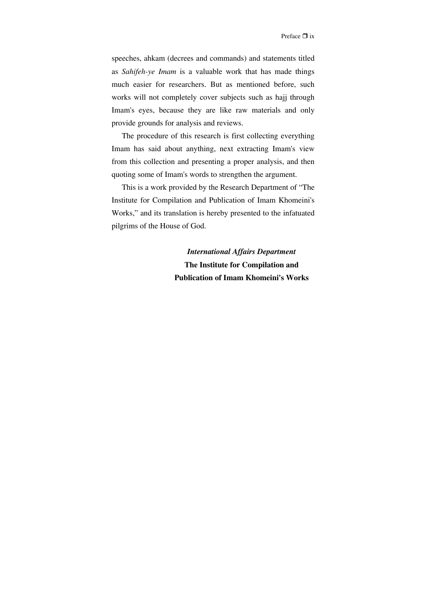speeches, ahkam (decrees and commands) and statements titled as *Sahifeh-ye Imam* is a valuable work that has made things much easier for researchers. But as mentioned before, such works will not completely cover subjects such as hajj through Imam's eyes, because they are like raw materials and only provide grounds for analysis and reviews.

The procedure of this research is first collecting everything Imam has said about anything, next extracting Imam's view from this collection and presenting a proper analysis, and then quoting some of Imam's words to strengthen the argument.

This is a work provided by the Research Department of "The Institute for Compilation and Publication of Imam Khomeini's Works," and its translation is hereby presented to the infatuated pilgrims of the House of God.

> *International Affairs Department*  **The Institute for Compilation and Publication of Imam Khomeini's Works**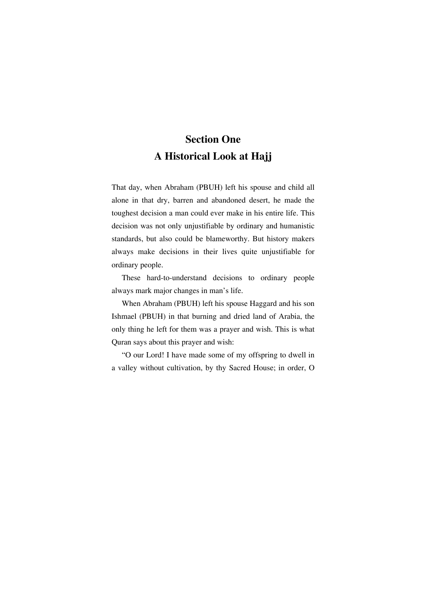## **Section One A Historical Look at Hajj**

That day, when Abraham (PBUH) left his spouse and child all alone in that dry, barren and abandoned desert, he made the toughest decision a man could ever make in his entire life. This decision was not only unjustifiable by ordinary and humanistic standards, but also could be blameworthy. But history makers always make decisions in their lives quite unjustifiable for ordinary people.

These hard-to-understand decisions to ordinary people always mark major changes in man's life.

When Abraham (PBUH) left his spouse Haggard and his son Ishmael (PBUH) in that burning and dried land of Arabia, the only thing he left for them was a prayer and wish. This is what Quran says about this prayer and wish:

"O our Lord! I have made some of my offspring to dwell in a valley without cultivation, by thy Sacred House; in order, O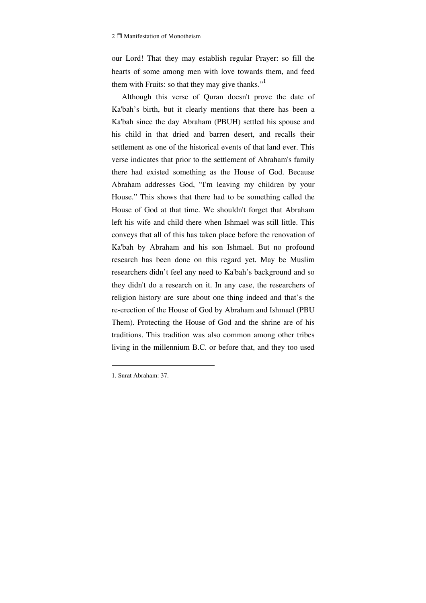our Lord! That they may establish regular Prayer: so fill the hearts of some among men with love towards them, and feed them with Fruits: so that they may give thanks."<sup>1</sup>

Although this verse of Quran doesn't prove the date of Ka'bah's birth, but it clearly mentions that there has been a Ka'bah since the day Abraham (PBUH) settled his spouse and his child in that dried and barren desert, and recalls their settlement as one of the historical events of that land ever. This verse indicates that prior to the settlement of Abraham's family there had existed something as the House of God. Because Abraham addresses God, "I'm leaving my children by your House." This shows that there had to be something called the House of God at that time. We shouldn't forget that Abraham left his wife and child there when Ishmael was still little. This conveys that all of this has taken place before the renovation of Ka'bah by Abraham and his son Ishmael. But no profound research has been done on this regard yet. May be Muslim researchers didn't feel any need to Ka'bah's background and so they didn't do a research on it. In any case, the researchers of religion history are sure about one thing indeed and that's the re-erection of the House of God by Abraham and Ishmael (PBU Them). Protecting the House of God and the shrine are of his traditions. This tradition was also common among other tribes living in the millennium B.C. or before that, and they too used

<sup>1.</sup> Surat Abraham: 37.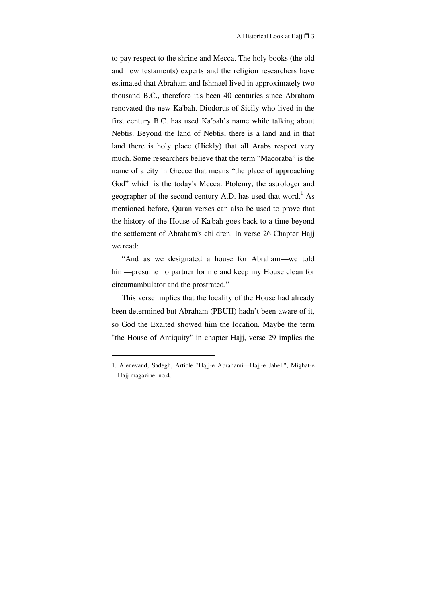to pay respect to the shrine and Mecca. The holy books (the old and new testaments) experts and the religion researchers have estimated that Abraham and Ishmael lived in approximately two thousand B.C., therefore it's been 40 centuries since Abraham renovated the new Ka'bah. Diodorus of Sicily who lived in the first century B.C. has used Ka'bah's name while talking about Nebtis. Beyond the land of Nebtis, there is a land and in that land there is holy place (Hickly) that all Arabs respect very much. Some researchers believe that the term "Macoraba" is the name of a city in Greece that means "the place of approaching God" which is the today's Mecca. Ptolemy, the astrologer and geographer of the second century A.D. has used that word.<sup>1</sup> As mentioned before, Quran verses can also be used to prove that the history of the House of Ka'bah goes back to a time beyond the settlement of Abraham's children. In verse 26 Chapter Hajj we read:

"And as we designated a house for Abraham—we told him—presume no partner for me and keep my House clean for circumambulator and the prostrated."

This verse implies that the locality of the House had already been determined but Abraham (PBUH) hadn't been aware of it, so God the Exalted showed him the location. Maybe the term "the House of Antiquity" in chapter Hajj, verse 29 implies the

<sup>1.</sup> Aienevand, Sadegh, Article "Hajj-e Abrahami—Hajj-e Jaheli", Mighat-e Hajj magazine, no.4.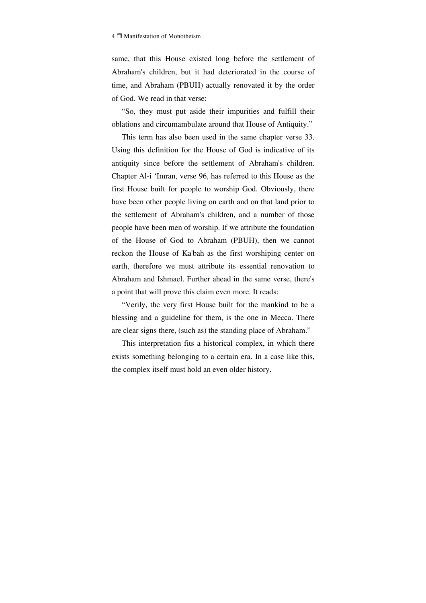same, that this House existed long before the settlement of Abraham's children, but it had deteriorated in the course of time, and Abraham (PBUH) actually renovated it by the order of God. We read in that verse:

"So, they must put aside their impurities and fulfill their oblations and circumambulate around that House of Antiquity."

This term has also been used in the same chapter verse 33. Using this definition for the House of God is indicative of its antiquity since before the settlement of Abraham's children. Chapter Al-i 'Imran, verse 96, has referred to this House as the first House built for people to worship God. Obviously, there have been other people living on earth and on that land prior to the settlement of Abraham's children, and a number of those people have been men of worship. If we attribute the foundation of the House of God to Abraham (PBUH), then we cannot reckon the House of Ka'bah as the first worshiping center on earth, therefore we must attribute its essential renovation to Abraham and Ishmael. Further ahead in the same verse, there's a point that will prove this claim even more. It reads:

"Verily, the very first House built for the mankind to be a blessing and a guideline for them, is the one in Mecca. There are clear signs there, (such as) the standing place of Abraham."

This interpretation fits a historical complex, in which there exists something belonging to a certain era. In a case like this, the complex itself must hold an even older history.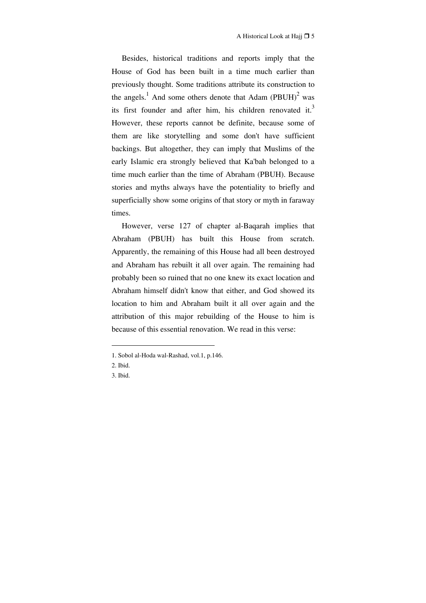Besides, historical traditions and reports imply that the House of God has been built in a time much earlier than previously thought. Some traditions attribute its construction to the angels.<sup>1</sup> And some others denote that Adam  $(PBUH)^2$  was its first founder and after him, his children renovated it.<sup>3</sup> However, these reports cannot be definite, because some of them are like storytelling and some don't have sufficient backings. But altogether, they can imply that Muslims of the early Islamic era strongly believed that Ka'bah belonged to a time much earlier than the time of Abraham (PBUH). Because stories and myths always have the potentiality to briefly and superficially show some origins of that story or myth in faraway times.

However, verse 127 of chapter al-Baqarah implies that Abraham (PBUH) has built this House from scratch. Apparently, the remaining of this House had all been destroyed and Abraham has rebuilt it all over again. The remaining had probably been so ruined that no one knew its exact location and Abraham himself didn't know that either, and God showed its location to him and Abraham built it all over again and the attribution of this major rebuilding of the House to him is because of this essential renovation. We read in this verse:

 $\overline{a}$ 

<sup>1.</sup> Sobol al-Hoda wal-Rashad, vol.1, p.146.

<sup>2.</sup> Ibid.

<sup>3.</sup> Ibid.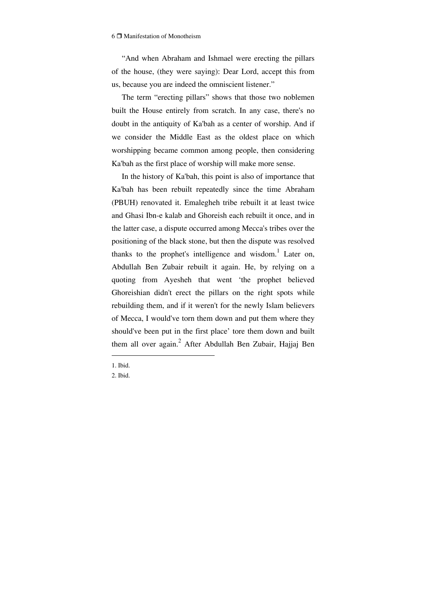"And when Abraham and Ishmael were erecting the pillars of the house, (they were saying): Dear Lord, accept this from us, because you are indeed the omniscient listener."

The term "erecting pillars" shows that those two noblemen built the House entirely from scratch. In any case, there's no doubt in the antiquity of Ka'bah as a center of worship. And if we consider the Middle East as the oldest place on which worshipping became common among people, then considering Ka'bah as the first place of worship will make more sense.

In the history of Ka'bah, this point is also of importance that Ka'bah has been rebuilt repeatedly since the time Abraham (PBUH) renovated it. Emalegheh tribe rebuilt it at least twice and Ghasi Ibn-e kalab and Ghoreish each rebuilt it once, and in the latter case, a dispute occurred among Mecca's tribes over the positioning of the black stone, but then the dispute was resolved thanks to the prophet's intelligence and wisdom.<sup>1</sup> Later on, Abdullah Ben Zubair rebuilt it again. He, by relying on a quoting from Ayesheh that went 'the prophet believed Ghoreishian didn't erect the pillars on the right spots while rebuilding them, and if it weren't for the newly Islam believers of Mecca, I would've torn them down and put them where they should've been put in the first place' tore them down and built them all over again.<sup>2</sup> After Abdullah Ben Zubair, Hajjaj Ben

<sup>1.</sup> Ibid.

<sup>2.</sup> Ibid.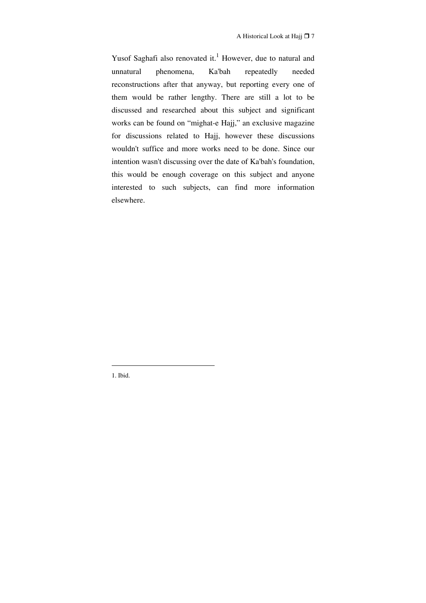Yusof Saghafi also renovated it.<sup>1</sup> However, due to natural and unnatural phenomena, Ka'bah repeatedly needed reconstructions after that anyway, but reporting every one of them would be rather lengthy. There are still a lot to be discussed and researched about this subject and significant works can be found on "mighat-e Hajj," an exclusive magazine for discussions related to Hajj, however these discussions wouldn't suffice and more works need to be done. Since our intention wasn't discussing over the date of Ka'bah's foundation, this would be enough coverage on this subject and anyone interested to such subjects, can find more information elsewhere.

1. Ibid.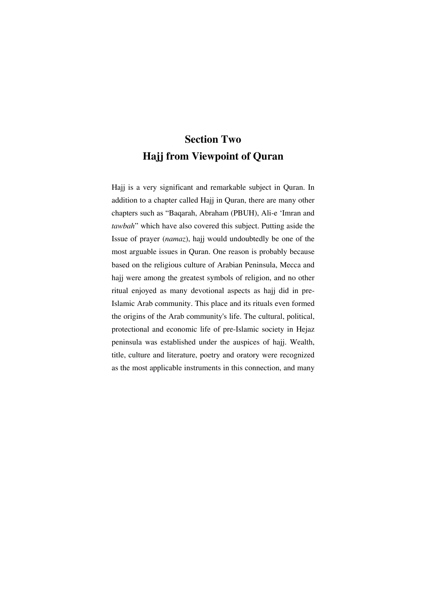## **Section Two Hajj from Viewpoint of Quran**

Hajj is a very significant and remarkable subject in Quran. In addition to a chapter called Hajj in Quran, there are many other chapters such as "Baqarah, Abraham (PBUH), Ali-e 'Imran and *tawbah*" which have also covered this subject. Putting aside the Issue of prayer (*namaz*), hajj would undoubtedly be one of the most arguable issues in Quran. One reason is probably because based on the religious culture of Arabian Peninsula, Mecca and hajj were among the greatest symbols of religion, and no other ritual enjoyed as many devotional aspects as hajj did in pre-Islamic Arab community. This place and its rituals even formed the origins of the Arab community's life. The cultural, political, protectional and economic life of pre-Islamic society in Hejaz peninsula was established under the auspices of hajj. Wealth, title, culture and literature, poetry and oratory were recognized as the most applicable instruments in this connection, and many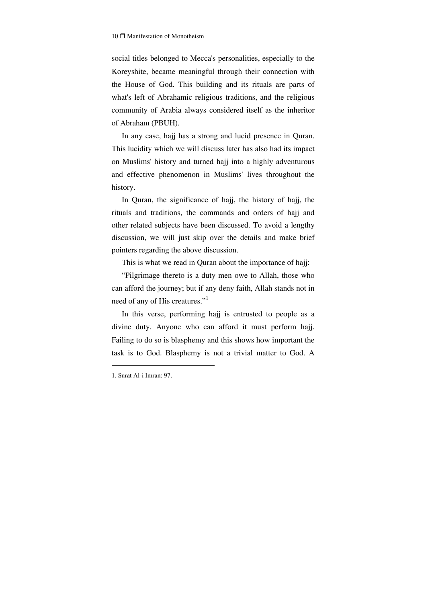social titles belonged to Mecca's personalities, especially to the Koreyshite, became meaningful through their connection with the House of God. This building and its rituals are parts of what's left of Abrahamic religious traditions, and the religious community of Arabia always considered itself as the inheritor of Abraham (PBUH).

In any case, hajj has a strong and lucid presence in Quran. This lucidity which we will discuss later has also had its impact on Muslims' history and turned hajj into a highly adventurous and effective phenomenon in Muslims' lives throughout the history.

In Quran, the significance of hajj, the history of hajj, the rituals and traditions, the commands and orders of hajj and other related subjects have been discussed. To avoid a lengthy discussion, we will just skip over the details and make brief pointers regarding the above discussion.

This is what we read in Quran about the importance of hajj:

"Pilgrimage thereto is a duty men owe to Allah, those who can afford the journey; but if any deny faith, Allah stands not in need of any of His creatures."<sup>1</sup>

In this verse, performing hajj is entrusted to people as a divine duty. Anyone who can afford it must perform hajj. Failing to do so is blasphemy and this shows how important the task is to God. Blasphemy is not a trivial matter to God. A

<sup>1.</sup> Surat Al-i Imran: 97.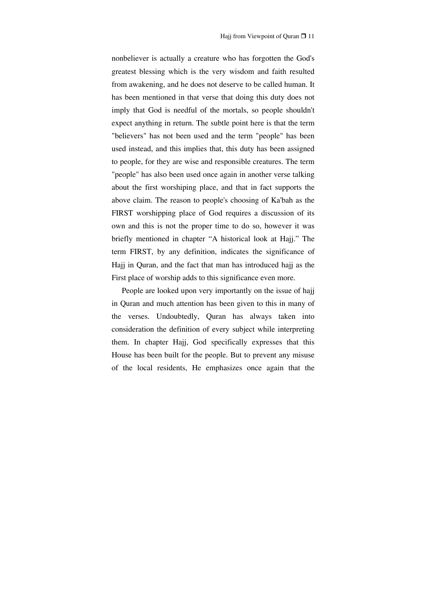nonbeliever is actually a creature who has forgotten the God's greatest blessing which is the very wisdom and faith resulted from awakening, and he does not deserve to be called human. It has been mentioned in that verse that doing this duty does not imply that God is needful of the mortals, so people shouldn't expect anything in return. The subtle point here is that the term "believers" has not been used and the term "people" has been used instead, and this implies that, this duty has been assigned to people, for they are wise and responsible creatures. The term "people" has also been used once again in another verse talking about the first worshiping place, and that in fact supports the above claim. The reason to people's choosing of Ka'bah as the FIRST worshipping place of God requires a discussion of its own and this is not the proper time to do so, however it was briefly mentioned in chapter "A historical look at Hajj." The term FIRST, by any definition, indicates the significance of Hajj in Quran, and the fact that man has introduced hajj as the First place of worship adds to this significance even more.

People are looked upon very importantly on the issue of hajj in Quran and much attention has been given to this in many of the verses. Undoubtedly, Quran has always taken into consideration the definition of every subject while interpreting them. In chapter Hajj, God specifically expresses that this House has been built for the people. But to prevent any misuse of the local residents, He emphasizes once again that the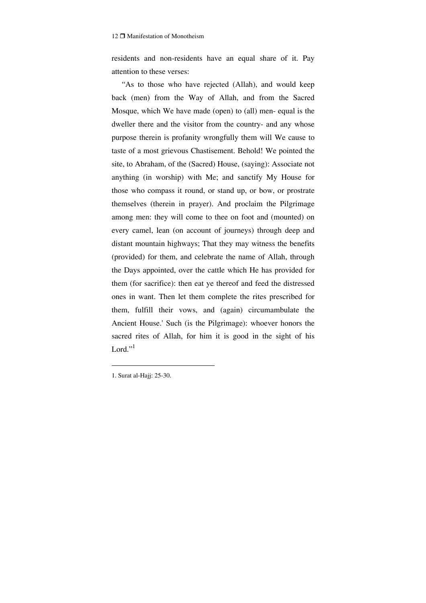residents and non-residents have an equal share of it. Pay attention to these verses:

"As to those who have rejected (Allah), and would keep back (men) from the Way of Allah, and from the Sacred Mosque, which We have made (open) to (all) men- equal is the dweller there and the visitor from the country- and any whose purpose therein is profanity wrongfully them will We cause to taste of a most grievous Chastisement. Behold! We pointed the site, to Abraham, of the (Sacred) House, (saying): Associate not anything (in worship) with Me; and sanctify My House for those who compass it round, or stand up, or bow, or prostrate themselves (therein in prayer). And proclaim the Pilgrimage among men: they will come to thee on foot and (mounted) on every camel, lean (on account of journeys) through deep and distant mountain highways; That they may witness the benefits (provided) for them, and celebrate the name of Allah, through the Days appointed, over the cattle which He has provided for them (for sacrifice): then eat ye thereof and feed the distressed ones in want. Then let them complete the rites prescribed for them, fulfill their vows, and (again) circumambulate the Ancient House.' Such (is the Pilgrimage): whoever honors the sacred rites of Allah, for him it is good in the sight of his Lord." $1$ 

1. Surat al-Hajj: 25-30.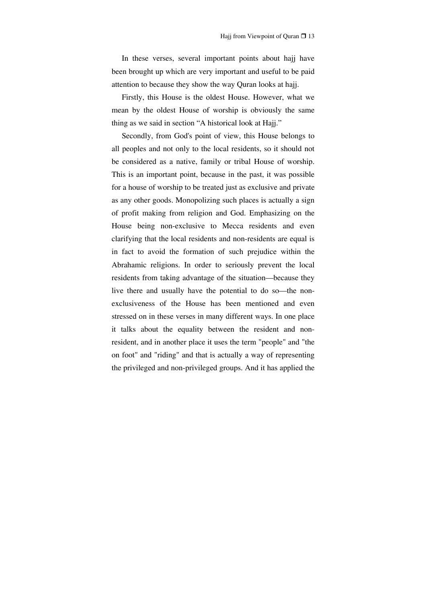In these verses, several important points about hajj have been brought up which are very important and useful to be paid attention to because they show the way Quran looks at hajj.

Firstly, this House is the oldest House. However, what we mean by the oldest House of worship is obviously the same thing as we said in section "A historical look at Hajj."

Secondly, from God's point of view, this House belongs to all peoples and not only to the local residents, so it should not be considered as a native, family or tribal House of worship. This is an important point, because in the past, it was possible for a house of worship to be treated just as exclusive and private as any other goods. Monopolizing such places is actually a sign of profit making from religion and God. Emphasizing on the House being non-exclusive to Mecca residents and even clarifying that the local residents and non-residents are equal is in fact to avoid the formation of such prejudice within the Abrahamic religions. In order to seriously prevent the local residents from taking advantage of the situation—because they live there and usually have the potential to do so—the nonexclusiveness of the House has been mentioned and even stressed on in these verses in many different ways. In one place it talks about the equality between the resident and nonresident, and in another place it uses the term "people" and "the on foot" and "riding" and that is actually a way of representing the privileged and non-privileged groups. And it has applied the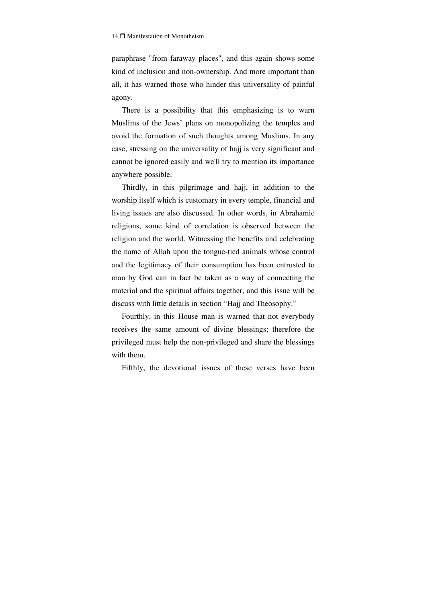paraphrase "from faraway places", and this again shows some kind of inclusion and non-ownership. And more important than all, it has warned those who hinder this universality of painful agony.

There is a possibility that this emphasizing is to warn Muslims of the Jews' plans on monopolizing the temples and avoid the formation of such thoughts among Muslims. In any case, stressing on the universality of hajj is very significant and cannot be ignored easily and we'll try to mention its importance anywhere possible.

Thirdly, in this pilgrimage and hajj, in addition to the worship itself which is customary in every temple, financial and living issues are also discussed. In other words, in Abrahamic religions, some kind of correlation is observed between the religion and the world. Witnessing the benefits and celebrating the name of Allah upon the tongue-tied animals whose control and the legitimacy of their consumption has been entrusted to man by God can in fact be taken as a way of connecting the material and the spiritual affairs together, and this issue will be discuss with little details in section "Hajj and Theosophy."

Fourthly, in this House man is warned that not everybody receives the same amount of divine blessings; therefore the privileged must help the non-privileged and share the blessings with them.

Fifthly, the devotional issues of these verses have been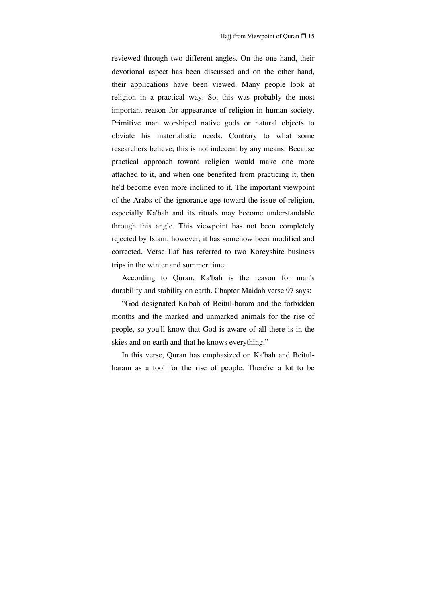reviewed through two different angles. On the one hand, their devotional aspect has been discussed and on the other hand, their applications have been viewed. Many people look at religion in a practical way. So, this was probably the most important reason for appearance of religion in human society. Primitive man worshiped native gods or natural objects to obviate his materialistic needs. Contrary to what some researchers believe, this is not indecent by any means. Because practical approach toward religion would make one more attached to it, and when one benefited from practicing it, then he'd become even more inclined to it. The important viewpoint of the Arabs of the ignorance age toward the issue of religion, especially Ka'bah and its rituals may become understandable through this angle. This viewpoint has not been completely rejected by Islam; however, it has somehow been modified and corrected. Verse Ilaf has referred to two Koreyshite business trips in the winter and summer time.

According to Quran, Ka'bah is the reason for man's durability and stability on earth. Chapter Maidah verse 97 says:

"God designated Ka'bah of Beitul-haram and the forbidden months and the marked and unmarked animals for the rise of people, so you'll know that God is aware of all there is in the skies and on earth and that he knows everything."

In this verse, Quran has emphasized on Ka'bah and Beitulharam as a tool for the rise of people. There're a lot to be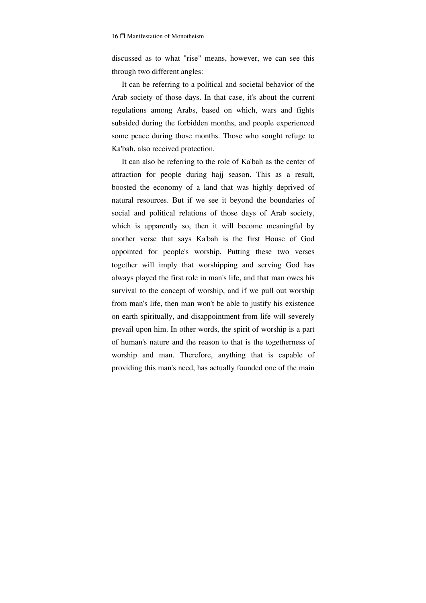discussed as to what "rise" means, however, we can see this through two different angles:

It can be referring to a political and societal behavior of the Arab society of those days. In that case, it's about the current regulations among Arabs, based on which, wars and fights subsided during the forbidden months, and people experienced some peace during those months. Those who sought refuge to Ka'bah, also received protection.

It can also be referring to the role of Ka'bah as the center of attraction for people during hajj season. This as a result, boosted the economy of a land that was highly deprived of natural resources. But if we see it beyond the boundaries of social and political relations of those days of Arab society, which is apparently so, then it will become meaningful by another verse that says Ka'bah is the first House of God appointed for people's worship. Putting these two verses together will imply that worshipping and serving God has always played the first role in man's life, and that man owes his survival to the concept of worship, and if we pull out worship from man's life, then man won't be able to justify his existence on earth spiritually, and disappointment from life will severely prevail upon him. In other words, the spirit of worship is a part of human's nature and the reason to that is the togetherness of worship and man. Therefore, anything that is capable of providing this man's need, has actually founded one of the main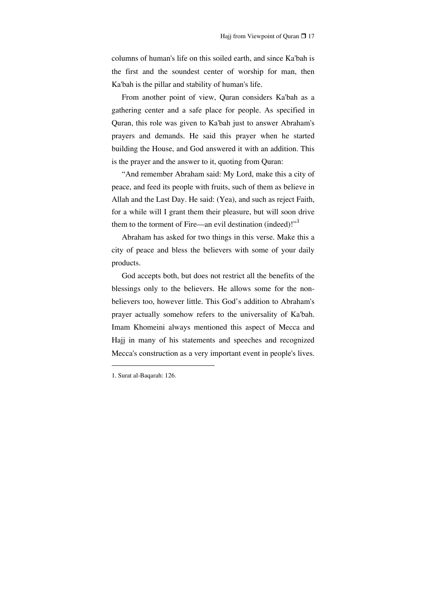columns of human's life on this soiled earth, and since Ka'bah is the first and the soundest center of worship for man, then Ka'bah is the pillar and stability of human's life.

From another point of view, Quran considers Ka'bah as a gathering center and a safe place for people. As specified in Quran, this role was given to Ka'bah just to answer Abraham's prayers and demands. He said this prayer when he started building the House, and God answered it with an addition. This is the prayer and the answer to it, quoting from Quran:

"And remember Abraham said: My Lord, make this a city of peace, and feed its people with fruits, such of them as believe in Allah and the Last Day. He said: (Yea), and such as reject Faith, for a while will I grant them their pleasure, but will soon drive them to the torment of Fire—an evil destination (indeed)!"<sup>1</sup>

Abraham has asked for two things in this verse. Make this a city of peace and bless the believers with some of your daily products.

God accepts both, but does not restrict all the benefits of the blessings only to the believers. He allows some for the nonbelievers too, however little. This God's addition to Abraham's prayer actually somehow refers to the universality of Ka'bah. Imam Khomeini always mentioned this aspect of Mecca and Hajj in many of his statements and speeches and recognized Mecca's construction as a very important event in people's lives.

<sup>1.</sup> Surat al-Baqarah: 126.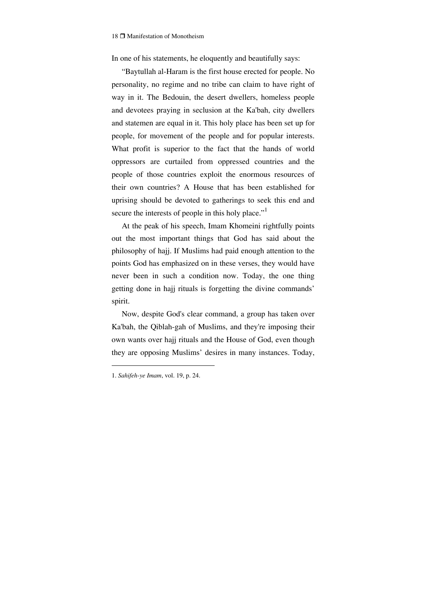In one of his statements, he eloquently and beautifully says:

"Baytullah al-Haram is the first house erected for people. No personality, no regime and no tribe can claim to have right of way in it. The Bedouin, the desert dwellers, homeless people and devotees praying in seclusion at the Ka'bah, city dwellers and statemen are equal in it. This holy place has been set up for people, for movement of the people and for popular interests. What profit is superior to the fact that the hands of world oppressors are curtailed from oppressed countries and the people of those countries exploit the enormous resources of their own countries? A House that has been established for uprising should be devoted to gatherings to seek this end and secure the interests of people in this holy place."<sup>1</sup>

At the peak of his speech, Imam Khomeini rightfully points out the most important things that God has said about the philosophy of hajj. If Muslims had paid enough attention to the points God has emphasized on in these verses, they would have never been in such a condition now. Today, the one thing getting done in hajj rituals is forgetting the divine commands' spirit.

Now, despite God's clear command, a group has taken over Ka'bah, the Qiblah-gah of Muslims, and they're imposing their own wants over hajj rituals and the House of God, even though they are opposing Muslims' desires in many instances. Today,

<sup>1.</sup> *Sahifeh-ye Imam*, vol. 19, p. 24.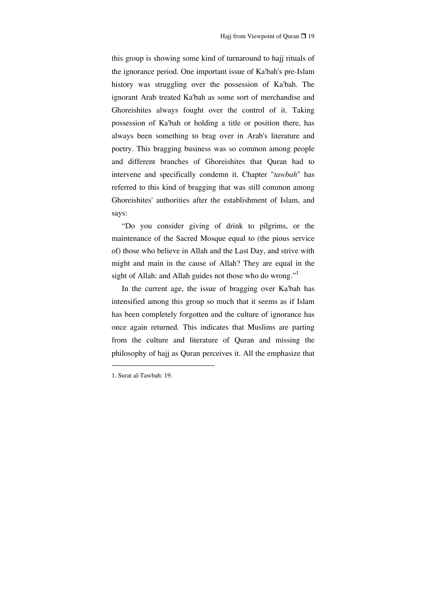this group is showing some kind of turnaround to hajj rituals of the ignorance period. One important issue of Ka'bah's pre-Islam history was struggling over the possession of Ka'bah. The ignorant Arab treated Ka'bah as some sort of merchandise and Ghoreishites always fought over the control of it. Taking possession of Ka'bah or holding a title or position there, has always been something to brag over in Arab's literature and poetry. This bragging business was so common among people and different branches of Ghoreishites that Quran had to intervene and specifically condemn it. Chapter "*tawbah*" has referred to this kind of bragging that was still common among Ghoreishites' authorities after the establishment of Islam, and says:

"Do you consider giving of drink to pilgrims, or the maintenance of the Sacred Mosque equal to (the pious service of) those who believe in Allah and the Last Day, and strive with might and main in the cause of Allah? They are equal in the sight of Allah: and Allah guides not those who do wrong."<sup>1</sup>

In the current age, the issue of bragging over Ka'bah has intensified among this group so much that it seems as if Islam has been completely forgotten and the culture of ignorance has once again returned. This indicates that Muslims are parting from the culture and literature of Quran and missing the philosophy of hajj as Quran perceives it. All the emphasize that

<sup>1.</sup> Surat al-Tawbah: 19.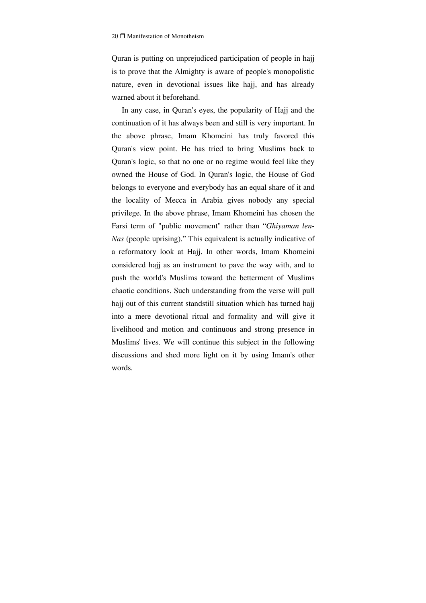Quran is putting on unprejudiced participation of people in hajj is to prove that the Almighty is aware of people's monopolistic nature, even in devotional issues like hajj, and has already warned about it beforehand.

In any case, in Quran's eyes, the popularity of Hajj and the continuation of it has always been and still is very important. In the above phrase, Imam Khomeini has truly favored this Quran's view point. He has tried to bring Muslims back to Quran's logic, so that no one or no regime would feel like they owned the House of God. In Quran's logic, the House of God belongs to everyone and everybody has an equal share of it and the locality of Mecca in Arabia gives nobody any special privilege. In the above phrase, Imam Khomeini has chosen the Farsi term of "public movement" rather than "*Ghiyaman len-Nas* (people uprising)." This equivalent is actually indicative of a reformatory look at Hajj. In other words, Imam Khomeini considered hajj as an instrument to pave the way with, and to push the world's Muslims toward the betterment of Muslims chaotic conditions. Such understanding from the verse will pull hajj out of this current standstill situation which has turned hajj into a mere devotional ritual and formality and will give it livelihood and motion and continuous and strong presence in Muslims' lives. We will continue this subject in the following discussions and shed more light on it by using Imam's other words.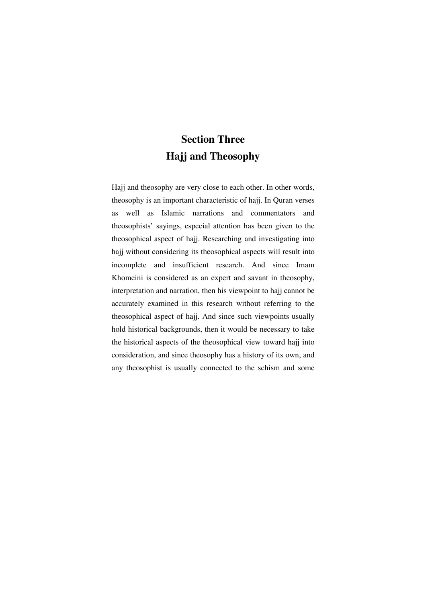### **Section Three Hajj and Theosophy**

Hajj and theosophy are very close to each other. In other words, theosophy is an important characteristic of hajj. In Quran verses as well as Islamic narrations and commentators and theosophists' sayings, especial attention has been given to the theosophical aspect of hajj. Researching and investigating into hajj without considering its theosophical aspects will result into incomplete and insufficient research. And since Imam Khomeini is considered as an expert and savant in theosophy, interpretation and narration, then his viewpoint to hajj cannot be accurately examined in this research without referring to the theosophical aspect of hajj. And since such viewpoints usually hold historical backgrounds, then it would be necessary to take the historical aspects of the theosophical view toward hajj into consideration, and since theosophy has a history of its own, and any theosophist is usually connected to the schism and some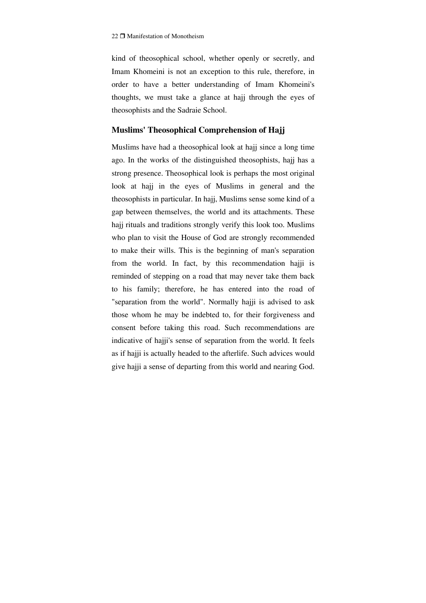kind of theosophical school, whether openly or secretly, and Imam Khomeini is not an exception to this rule, therefore, in order to have a better understanding of Imam Khomeini's thoughts, we must take a glance at hajj through the eyes of theosophists and the Sadraie School.

#### **Muslims' Theosophical Comprehension of Hajj**

Muslims have had a theosophical look at hajj since a long time ago. In the works of the distinguished theosophists, hajj has a strong presence. Theosophical look is perhaps the most original look at hajj in the eyes of Muslims in general and the theosophists in particular. In hajj, Muslims sense some kind of a gap between themselves, the world and its attachments. These hajj rituals and traditions strongly verify this look too. Muslims who plan to visit the House of God are strongly recommended to make their wills. This is the beginning of man's separation from the world. In fact, by this recommendation hajji is reminded of stepping on a road that may never take them back to his family; therefore, he has entered into the road of "separation from the world". Normally hajji is advised to ask those whom he may be indebted to, for their forgiveness and consent before taking this road. Such recommendations are indicative of hajji's sense of separation from the world. It feels as if hajji is actually headed to the afterlife. Such advices would give hajji a sense of departing from this world and nearing God.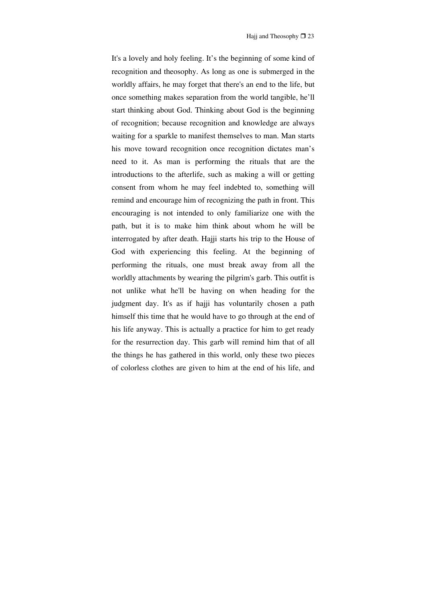It's a lovely and holy feeling. It's the beginning of some kind of recognition and theosophy. As long as one is submerged in the worldly affairs, he may forget that there's an end to the life, but once something makes separation from the world tangible, he'll start thinking about God. Thinking about God is the beginning of recognition; because recognition and knowledge are always waiting for a sparkle to manifest themselves to man. Man starts his move toward recognition once recognition dictates man's need to it. As man is performing the rituals that are the introductions to the afterlife, such as making a will or getting consent from whom he may feel indebted to, something will remind and encourage him of recognizing the path in front. This encouraging is not intended to only familiarize one with the path, but it is to make him think about whom he will be interrogated by after death. Hajji starts his trip to the House of God with experiencing this feeling. At the beginning of performing the rituals, one must break away from all the worldly attachments by wearing the pilgrim's garb. This outfit is not unlike what he'll be having on when heading for the judgment day. It's as if hajji has voluntarily chosen a path himself this time that he would have to go through at the end of his life anyway. This is actually a practice for him to get ready for the resurrection day. This garb will remind him that of all the things he has gathered in this world, only these two pieces of colorless clothes are given to him at the end of his life, and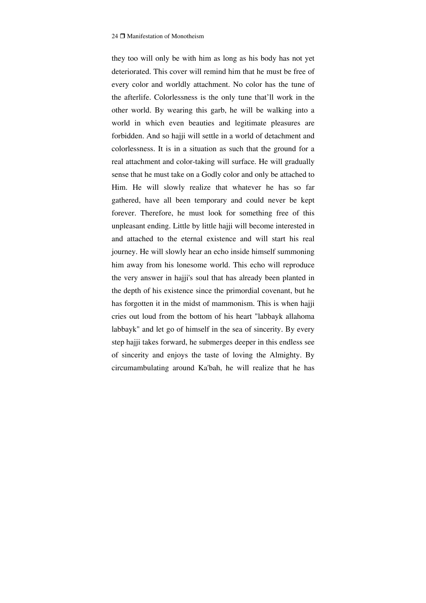they too will only be with him as long as his body has not yet deteriorated. This cover will remind him that he must be free of every color and worldly attachment. No color has the tune of the afterlife. Colorlessness is the only tune that'll work in the other world. By wearing this garb, he will be walking into a world in which even beauties and legitimate pleasures are forbidden. And so hajji will settle in a world of detachment and colorlessness. It is in a situation as such that the ground for a real attachment and color-taking will surface. He will gradually sense that he must take on a Godly color and only be attached to Him. He will slowly realize that whatever he has so far gathered, have all been temporary and could never be kept forever. Therefore, he must look for something free of this unpleasant ending. Little by little hajji will become interested in and attached to the eternal existence and will start his real journey. He will slowly hear an echo inside himself summoning him away from his lonesome world. This echo will reproduce the very answer in hajji's soul that has already been planted in the depth of his existence since the primordial covenant, but he has forgotten it in the midst of mammonism. This is when hajji cries out loud from the bottom of his heart "labbayk allahoma labbayk" and let go of himself in the sea of sincerity. By every step hajji takes forward, he submerges deeper in this endless see of sincerity and enjoys the taste of loving the Almighty. By circumambulating around Ka'bah, he will realize that he has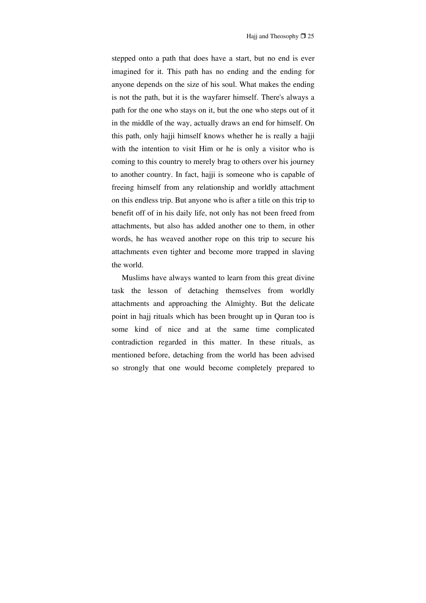stepped onto a path that does have a start, but no end is ever imagined for it. This path has no ending and the ending for anyone depends on the size of his soul. What makes the ending is not the path, but it is the wayfarer himself. There's always a path for the one who stays on it, but the one who steps out of it in the middle of the way, actually draws an end for himself. On this path, only hajji himself knows whether he is really a hajji with the intention to visit Him or he is only a visitor who is coming to this country to merely brag to others over his journey to another country. In fact, hajji is someone who is capable of freeing himself from any relationship and worldly attachment on this endless trip. But anyone who is after a title on this trip to benefit off of in his daily life, not only has not been freed from attachments, but also has added another one to them, in other words, he has weaved another rope on this trip to secure his attachments even tighter and become more trapped in slaving the world.

Muslims have always wanted to learn from this great divine task the lesson of detaching themselves from worldly attachments and approaching the Almighty. But the delicate point in hajj rituals which has been brought up in Quran too is some kind of nice and at the same time complicated contradiction regarded in this matter. In these rituals, as mentioned before, detaching from the world has been advised so strongly that one would become completely prepared to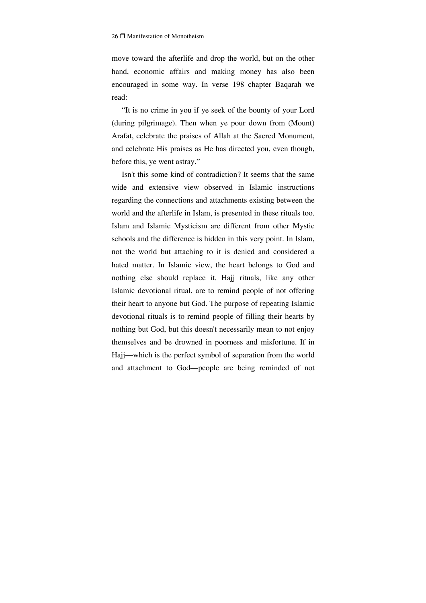move toward the afterlife and drop the world, but on the other hand, economic affairs and making money has also been encouraged in some way. In verse 198 chapter Baqarah we read:

"It is no crime in you if ye seek of the bounty of your Lord (during pilgrimage). Then when ye pour down from (Mount) Arafat, celebrate the praises of Allah at the Sacred Monument, and celebrate His praises as He has directed you, even though, before this, ye went astray."

Isn't this some kind of contradiction? It seems that the same wide and extensive view observed in Islamic instructions regarding the connections and attachments existing between the world and the afterlife in Islam, is presented in these rituals too. Islam and Islamic Mysticism are different from other Mystic schools and the difference is hidden in this very point. In Islam, not the world but attaching to it is denied and considered a hated matter. In Islamic view, the heart belongs to God and nothing else should replace it. Hajj rituals, like any other Islamic devotional ritual, are to remind people of not offering their heart to anyone but God. The purpose of repeating Islamic devotional rituals is to remind people of filling their hearts by nothing but God, but this doesn't necessarily mean to not enjoy themselves and be drowned in poorness and misfortune. If in Hajj—which is the perfect symbol of separation from the world and attachment to God—people are being reminded of not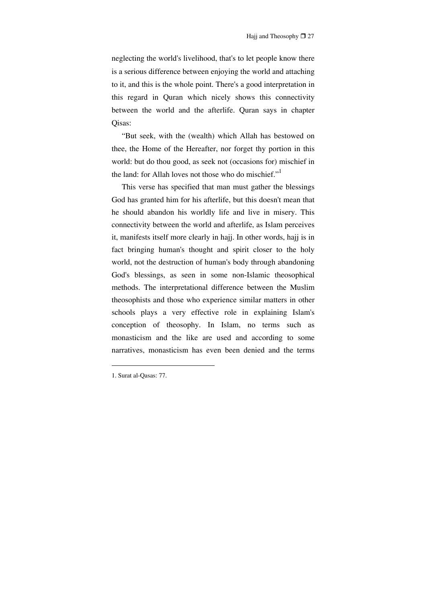neglecting the world's livelihood, that's to let people know there is a serious difference between enjoying the world and attaching to it, and this is the whole point. There's a good interpretation in this regard in Quran which nicely shows this connectivity between the world and the afterlife. Quran says in chapter Qisas:

"But seek, with the (wealth) which Allah has bestowed on thee, the Home of the Hereafter, nor forget thy portion in this world: but do thou good, as seek not (occasions for) mischief in the land: for Allah loves not those who do mischief."<sup>1</sup>

This verse has specified that man must gather the blessings God has granted him for his afterlife, but this doesn't mean that he should abandon his worldly life and live in misery. This connectivity between the world and afterlife, as Islam perceives it, manifests itself more clearly in hajj. In other words, hajj is in fact bringing human's thought and spirit closer to the holy world, not the destruction of human's body through abandoning God's blessings, as seen in some non-Islamic theosophical methods. The interpretational difference between the Muslim theosophists and those who experience similar matters in other schools plays a very effective role in explaining Islam's conception of theosophy. In Islam, no terms such as monasticism and the like are used and according to some narratives, monasticism has even been denied and the terms

<sup>1.</sup> Surat al-Qasas: 77.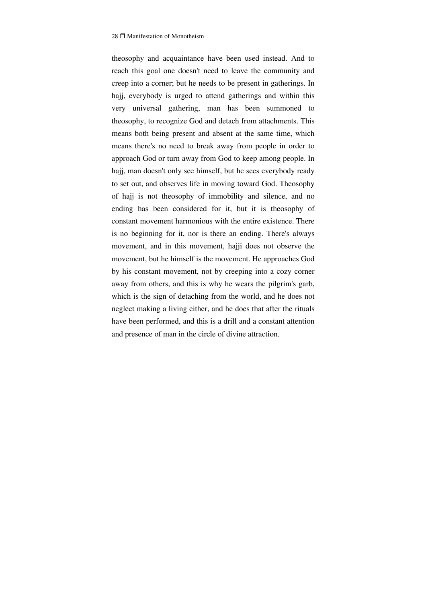theosophy and acquaintance have been used instead. And to reach this goal one doesn't need to leave the community and creep into a corner; but he needs to be present in gatherings. In hajj, everybody is urged to attend gatherings and within this very universal gathering, man has been summoned to theosophy, to recognize God and detach from attachments. This means both being present and absent at the same time, which means there's no need to break away from people in order to approach God or turn away from God to keep among people. In hajj, man doesn't only see himself, but he sees everybody ready to set out, and observes life in moving toward God. Theosophy of hajj is not theosophy of immobility and silence, and no ending has been considered for it, but it is theosophy of constant movement harmonious with the entire existence. There is no beginning for it, nor is there an ending. There's always movement, and in this movement, hajji does not observe the movement, but he himself is the movement. He approaches God by his constant movement, not by creeping into a cozy corner away from others, and this is why he wears the pilgrim's garb, which is the sign of detaching from the world, and he does not neglect making a living either, and he does that after the rituals have been performed, and this is a drill and a constant attention and presence of man in the circle of divine attraction.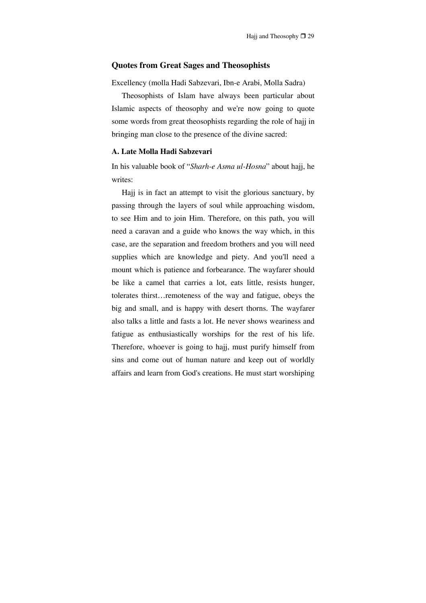#### **Quotes from Great Sages and Theosophists**

Excellency (molla Hadi Sabzevari, Ibn-e Arabi, Molla Sadra)

Theosophists of Islam have always been particular about Islamic aspects of theosophy and we're now going to quote some words from great theosophists regarding the role of hajj in bringing man close to the presence of the divine sacred:

# **A. Late Molla Hadi Sabzevari**

In his valuable book of "*Sharh-e Asma ul-Hosna*" about hajj, he writes:

Hajj is in fact an attempt to visit the glorious sanctuary, by passing through the layers of soul while approaching wisdom, to see Him and to join Him. Therefore, on this path, you will need a caravan and a guide who knows the way which, in this case, are the separation and freedom brothers and you will need supplies which are knowledge and piety. And you'll need a mount which is patience and forbearance. The wayfarer should be like a camel that carries a lot, eats little, resists hunger, tolerates thirst…remoteness of the way and fatigue, obeys the big and small, and is happy with desert thorns. The wayfarer also talks a little and fasts a lot. He never shows weariness and fatigue as enthusiastically worships for the rest of his life. Therefore, whoever is going to hajj, must purify himself from sins and come out of human nature and keep out of worldly affairs and learn from God's creations. He must start worshiping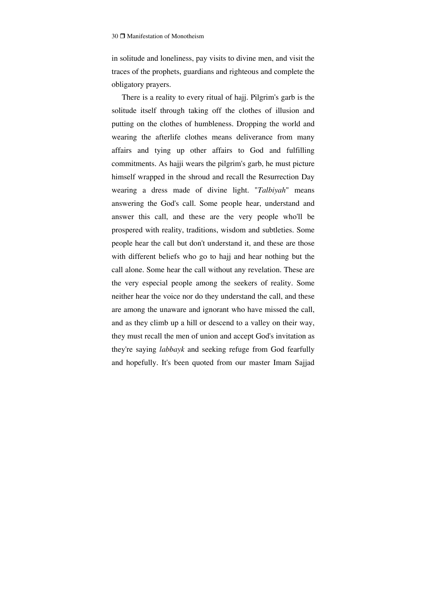in solitude and loneliness, pay visits to divine men, and visit the traces of the prophets, guardians and righteous and complete the obligatory prayers.

There is a reality to every ritual of hajj. Pilgrim's garb is the solitude itself through taking off the clothes of illusion and putting on the clothes of humbleness. Dropping the world and wearing the afterlife clothes means deliverance from many affairs and tying up other affairs to God and fulfilling commitments. As hajji wears the pilgrim's garb, he must picture himself wrapped in the shroud and recall the Resurrection Day wearing a dress made of divine light. "*Talbiyah*" means answering the God's call. Some people hear, understand and answer this call, and these are the very people who'll be prospered with reality, traditions, wisdom and subtleties. Some people hear the call but don't understand it, and these are those with different beliefs who go to hajj and hear nothing but the call alone. Some hear the call without any revelation. These are the very especial people among the seekers of reality. Some neither hear the voice nor do they understand the call, and these are among the unaware and ignorant who have missed the call, and as they climb up a hill or descend to a valley on their way, they must recall the men of union and accept God's invitation as they're saying *labbayk* and seeking refuge from God fearfully and hopefully. It's been quoted from our master Imam Sajjad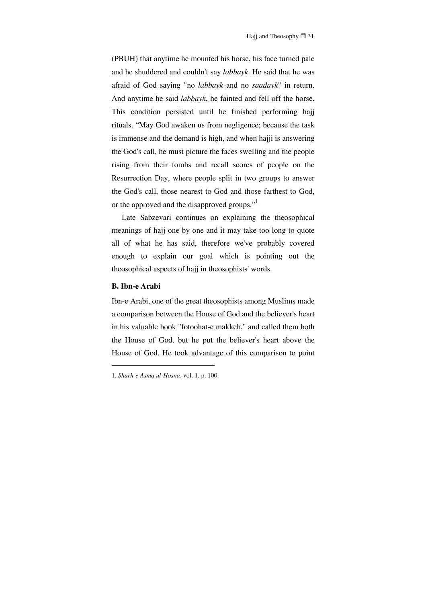(PBUH) that anytime he mounted his horse, his face turned pale and he shuddered and couldn't say *labbayk*. He said that he was afraid of God saying "no *labbayk* and no *saadayk*" in return. And anytime he said *labbayk*, he fainted and fell off the horse. This condition persisted until he finished performing hajj rituals. "May God awaken us from negligence; because the task is immense and the demand is high, and when hajji is answering the God's call, he must picture the faces swelling and the people rising from their tombs and recall scores of people on the Resurrection Day, where people split in two groups to answer the God's call, those nearest to God and those farthest to God, or the approved and the disapproved groups."<sup>1</sup>

Late Sabzevari continues on explaining the theosophical meanings of hajj one by one and it may take too long to quote all of what he has said, therefore we've probably covered enough to explain our goal which is pointing out the theosophical aspects of hajj in theosophists' words.

## **B. Ibn-e Arabi**

Ibn-e Arabi, one of the great theosophists among Muslims made a comparison between the House of God and the believer's heart in his valuable book "fotoohat-e makkeh," and called them both the House of God, but he put the believer's heart above the House of God. He took advantage of this comparison to point

<sup>1.</sup> *Sharh-e Asma ul-Hosna*, vol. 1, p. 100.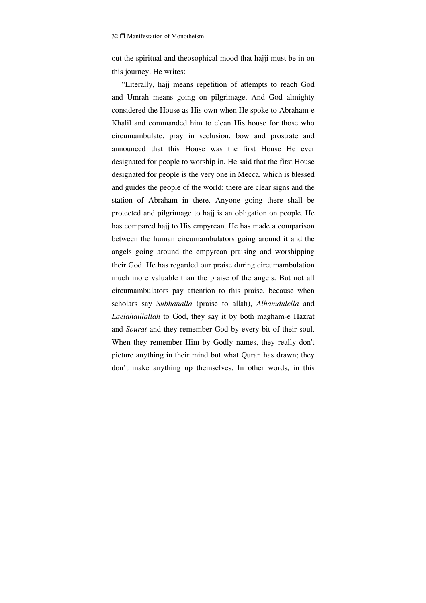out the spiritual and theosophical mood that hajji must be in on this journey. He writes:

"Literally, hajj means repetition of attempts to reach God and Umrah means going on pilgrimage. And God almighty considered the House as His own when He spoke to Abraham-e Khalil and commanded him to clean His house for those who circumambulate, pray in seclusion, bow and prostrate and announced that this House was the first House He ever designated for people to worship in. He said that the first House designated for people is the very one in Mecca, which is blessed and guides the people of the world; there are clear signs and the station of Abraham in there. Anyone going there shall be protected and pilgrimage to hajj is an obligation on people. He has compared hajj to His empyrean. He has made a comparison between the human circumambulators going around it and the angels going around the empyrean praising and worshipping their God. He has regarded our praise during circumambulation much more valuable than the praise of the angels. But not all circumambulators pay attention to this praise, because when scholars say *Subhanalla* (praise to allah), *Alhamdulella* and *Laelahaillallah* to God, they say it by both magham-e Hazrat and *Sourat* and they remember God by every bit of their soul. When they remember Him by Godly names, they really don't picture anything in their mind but what Quran has drawn; they don't make anything up themselves. In other words, in this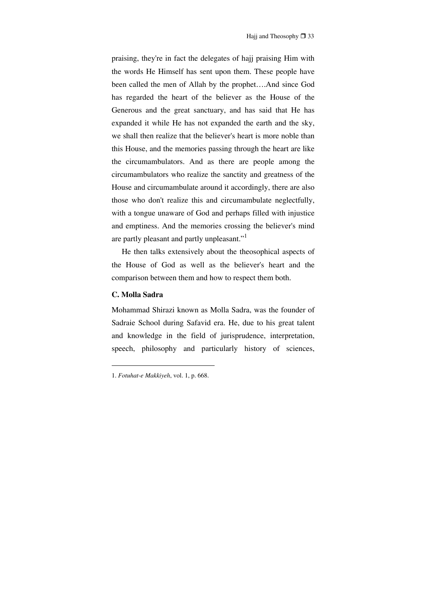praising, they're in fact the delegates of hajj praising Him with the words He Himself has sent upon them. These people have been called the men of Allah by the prophet….And since God has regarded the heart of the believer as the House of the Generous and the great sanctuary, and has said that He has expanded it while He has not expanded the earth and the sky, we shall then realize that the believer's heart is more noble than this House, and the memories passing through the heart are like the circumambulators. And as there are people among the circumambulators who realize the sanctity and greatness of the House and circumambulate around it accordingly, there are also those who don't realize this and circumambulate neglectfully, with a tongue unaware of God and perhaps filled with injustice and emptiness. And the memories crossing the believer's mind are partly pleasant and partly unpleasant."<sup>1</sup>

He then talks extensively about the theosophical aspects of the House of God as well as the believer's heart and the comparison between them and how to respect them both.

# **C. Molla Sadra**

Mohammad Shirazi known as Molla Sadra, was the founder of Sadraie School during Safavid era. He, due to his great talent and knowledge in the field of jurisprudence, interpretation, speech, philosophy and particularly history of sciences,

<sup>1.</sup> *Fotuhat-e Makkiyeh*, vol. 1, p. 668.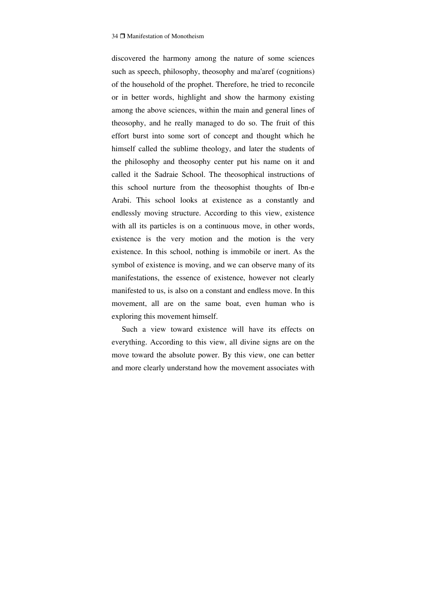discovered the harmony among the nature of some sciences such as speech, philosophy, theosophy and ma'aref (cognitions) of the household of the prophet. Therefore, he tried to reconcile or in better words, highlight and show the harmony existing among the above sciences, within the main and general lines of theosophy, and he really managed to do so. The fruit of this effort burst into some sort of concept and thought which he himself called the sublime theology, and later the students of the philosophy and theosophy center put his name on it and called it the Sadraie School. The theosophical instructions of this school nurture from the theosophist thoughts of Ibn-e Arabi. This school looks at existence as a constantly and endlessly moving structure. According to this view, existence with all its particles is on a continuous move, in other words, existence is the very motion and the motion is the very existence. In this school, nothing is immobile or inert. As the symbol of existence is moving, and we can observe many of its manifestations, the essence of existence, however not clearly manifested to us, is also on a constant and endless move. In this movement, all are on the same boat, even human who is exploring this movement himself.

Such a view toward existence will have its effects on everything. According to this view, all divine signs are on the move toward the absolute power. By this view, one can better and more clearly understand how the movement associates with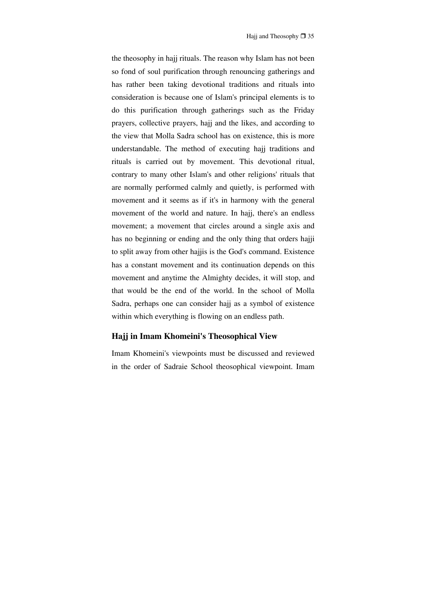the theosophy in hajj rituals. The reason why Islam has not been so fond of soul purification through renouncing gatherings and has rather been taking devotional traditions and rituals into consideration is because one of Islam's principal elements is to do this purification through gatherings such as the Friday prayers, collective prayers, hajj and the likes, and according to the view that Molla Sadra school has on existence, this is more understandable. The method of executing hajj traditions and rituals is carried out by movement. This devotional ritual, contrary to many other Islam's and other religions' rituals that are normally performed calmly and quietly, is performed with movement and it seems as if it's in harmony with the general movement of the world and nature. In hajj, there's an endless movement; a movement that circles around a single axis and has no beginning or ending and the only thing that orders hajji to split away from other hajjis is the God's command. Existence has a constant movement and its continuation depends on this movement and anytime the Almighty decides, it will stop, and that would be the end of the world. In the school of Molla Sadra, perhaps one can consider hajj as a symbol of existence within which everything is flowing on an endless path.

## **Hajj in Imam Khomeini's Theosophical View**

Imam Khomeini's viewpoints must be discussed and reviewed in the order of Sadraie School theosophical viewpoint. Imam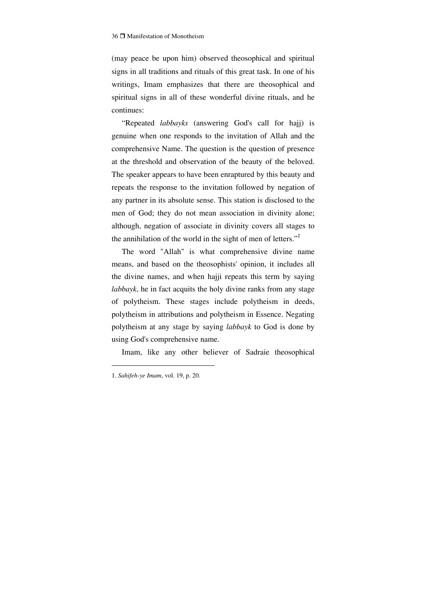(may peace be upon him) observed theosophical and spiritual signs in all traditions and rituals of this great task. In one of his writings, Imam emphasizes that there are theosophical and spiritual signs in all of these wonderful divine rituals, and he continues:

"Repeated *labbayks* (answering God's call for hajj) is genuine when one responds to the invitation of Allah and the comprehensive Name. The question is the question of presence at the threshold and observation of the beauty of the beloved. The speaker appears to have been enraptured by this beauty and repeats the response to the invitation followed by negation of any partner in its absolute sense. This station is disclosed to the men of God; they do not mean association in divinity alone; although, negation of associate in divinity covers all stages to the annihilation of the world in the sight of men of letters."

The word "Allah" is what comprehensive divine name means, and based on the theosophists' opinion, it includes all the divine names, and when hajji repeats this term by saying *labbayk*, he in fact acquits the holy divine ranks from any stage of polytheism. These stages include polytheism in deeds, polytheism in attributions and polytheism in Essence. Negating polytheism at any stage by saying *labbayk* to God is done by using God's comprehensive name.

Imam, like any other believer of Sadraie theosophical

<sup>1.</sup> *Sahifeh-ye Imam*, vol. 19, p. 20.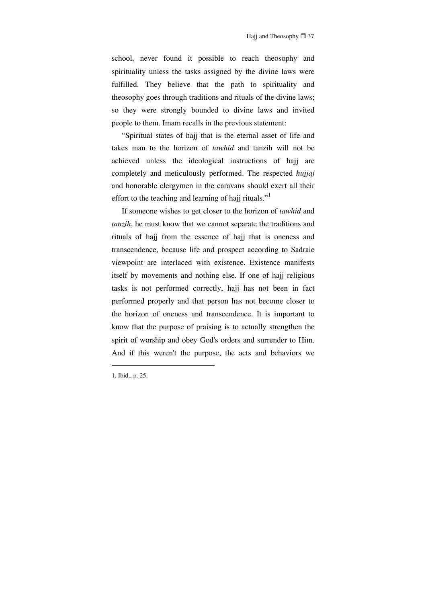school, never found it possible to reach theosophy and spirituality unless the tasks assigned by the divine laws were fulfilled. They believe that the path to spirituality and theosophy goes through traditions and rituals of the divine laws; so they were strongly bounded to divine laws and invited people to them. Imam recalls in the previous statement:

"Spiritual states of hajj that is the eternal asset of life and takes man to the horizon of *tawhid* and tanzih will not be achieved unless the ideological instructions of hajj are completely and meticulously performed. The respected *hujjaj* and honorable clergymen in the caravans should exert all their effort to the teaching and learning of hajj rituals."<sup>1</sup>

If someone wishes to get closer to the horizon of *tawhid* and *tanzih*, he must know that we cannot separate the traditions and rituals of hajj from the essence of hajj that is oneness and transcendence, because life and prospect according to Sadraie viewpoint are interlaced with existence. Existence manifests itself by movements and nothing else. If one of hajj religious tasks is not performed correctly, hajj has not been in fact performed properly and that person has not become closer to the horizon of oneness and transcendence. It is important to know that the purpose of praising is to actually strengthen the spirit of worship and obey God's orders and surrender to Him. And if this weren't the purpose, the acts and behaviors we

<sup>1.</sup> Ibid., p. 25.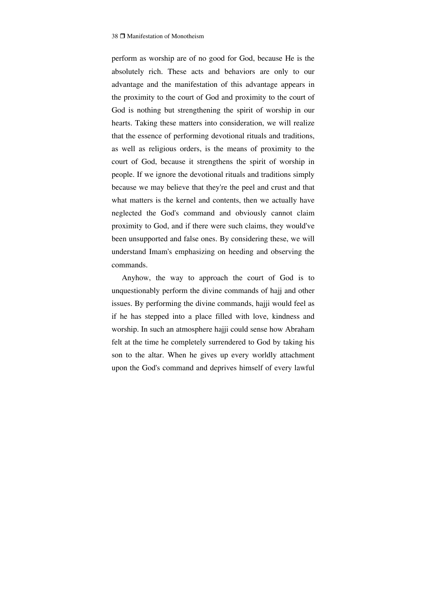perform as worship are of no good for God, because He is the absolutely rich. These acts and behaviors are only to our advantage and the manifestation of this advantage appears in the proximity to the court of God and proximity to the court of God is nothing but strengthening the spirit of worship in our hearts. Taking these matters into consideration, we will realize that the essence of performing devotional rituals and traditions, as well as religious orders, is the means of proximity to the court of God, because it strengthens the spirit of worship in people. If we ignore the devotional rituals and traditions simply because we may believe that they're the peel and crust and that what matters is the kernel and contents, then we actually have neglected the God's command and obviously cannot claim proximity to God, and if there were such claims, they would've been unsupported and false ones. By considering these, we will understand Imam's emphasizing on heeding and observing the commands.

Anyhow, the way to approach the court of God is to unquestionably perform the divine commands of hajj and other issues. By performing the divine commands, hajji would feel as if he has stepped into a place filled with love, kindness and worship. In such an atmosphere hajji could sense how Abraham felt at the time he completely surrendered to God by taking his son to the altar. When he gives up every worldly attachment upon the God's command and deprives himself of every lawful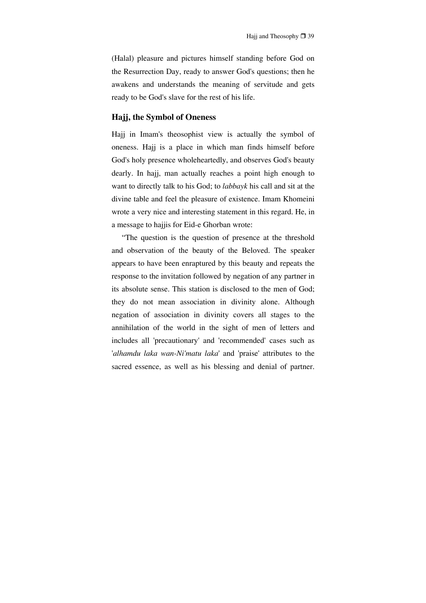(Halal) pleasure and pictures himself standing before God on the Resurrection Day, ready to answer God's questions; then he awakens and understands the meaning of servitude and gets ready to be God's slave for the rest of his life.

# **Hajj, the Symbol of Oneness**

Hajj in Imam's theosophist view is actually the symbol of oneness. Hajj is a place in which man finds himself before God's holy presence wholeheartedly, and observes God's beauty dearly. In hajj, man actually reaches a point high enough to want to directly talk to his God; to *labbayk* his call and sit at the divine table and feel the pleasure of existence. Imam Khomeini wrote a very nice and interesting statement in this regard. He, in a message to hajjis for Eid-e Ghorban wrote:

"The question is the question of presence at the threshold and observation of the beauty of the Beloved. The speaker appears to have been enraptured by this beauty and repeats the response to the invitation followed by negation of any partner in its absolute sense. This station is disclosed to the men of God; they do not mean association in divinity alone. Although negation of association in divinity covers all stages to the annihilation of the world in the sight of men of letters and includes all 'precautionary' and 'recommended' cases such as '*alhamdu laka wan-Ni'matu laka*' and 'praise' attributes to the sacred essence, as well as his blessing and denial of partner.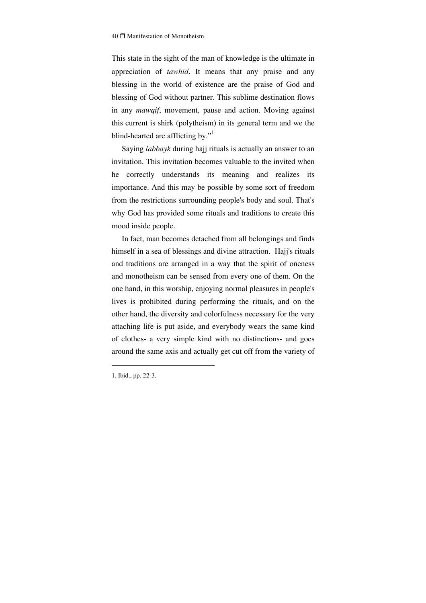This state in the sight of the man of knowledge is the ultimate in appreciation of *tawhid*. It means that any praise and any blessing in the world of existence are the praise of God and blessing of God without partner. This sublime destination flows in any *mawqif*, movement, pause and action. Moving against this current is shirk (polytheism) in its general term and we the blind-hearted are afflicting by."<sup>1</sup>

Saying *labbayk* during hajj rituals is actually an answer to an invitation. This invitation becomes valuable to the invited when he correctly understands its meaning and realizes its importance. And this may be possible by some sort of freedom from the restrictions surrounding people's body and soul. That's why God has provided some rituals and traditions to create this mood inside people.

In fact, man becomes detached from all belongings and finds himself in a sea of blessings and divine attraction. Hajj's rituals and traditions are arranged in a way that the spirit of oneness and monotheism can be sensed from every one of them. On the one hand, in this worship, enjoying normal pleasures in people's lives is prohibited during performing the rituals, and on the other hand, the diversity and colorfulness necessary for the very attaching life is put aside, and everybody wears the same kind of clothes- a very simple kind with no distinctions- and goes around the same axis and actually get cut off from the variety of

<sup>1.</sup> Ibid., pp. 22-3.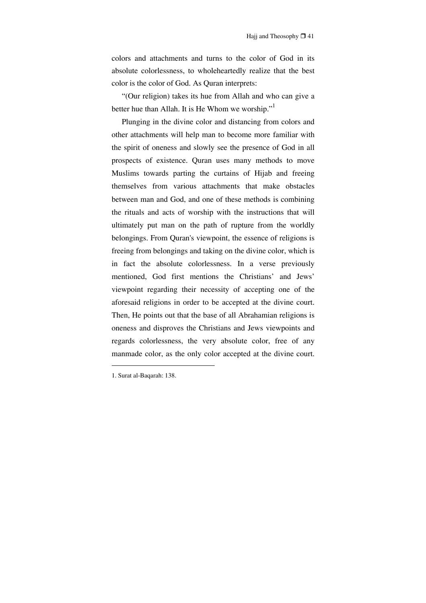colors and attachments and turns to the color of God in its absolute colorlessness, to wholeheartedly realize that the best color is the color of God. As Quran interprets:

"(Our religion) takes its hue from Allah and who can give a better hue than Allah. It is He Whom we worship."<sup>1</sup>

Plunging in the divine color and distancing from colors and other attachments will help man to become more familiar with the spirit of oneness and slowly see the presence of God in all prospects of existence. Quran uses many methods to move Muslims towards parting the curtains of Hijab and freeing themselves from various attachments that make obstacles between man and God, and one of these methods is combining the rituals and acts of worship with the instructions that will ultimately put man on the path of rupture from the worldly belongings. From Quran's viewpoint, the essence of religions is freeing from belongings and taking on the divine color, which is in fact the absolute colorlessness. In a verse previously mentioned, God first mentions the Christians' and Jews' viewpoint regarding their necessity of accepting one of the aforesaid religions in order to be accepted at the divine court. Then, He points out that the base of all Abrahamian religions is oneness and disproves the Christians and Jews viewpoints and regards colorlessness, the very absolute color, free of any manmade color, as the only color accepted at the divine court.

<sup>1.</sup> Surat al-Baqarah: 138.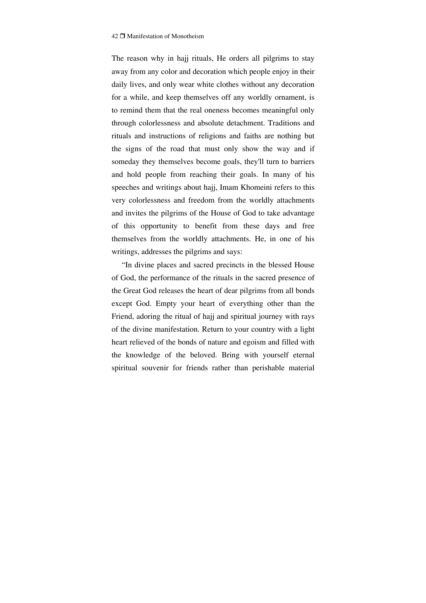The reason why in hajj rituals, He orders all pilgrims to stay away from any color and decoration which people enjoy in their daily lives, and only wear white clothes without any decoration for a while, and keep themselves off any worldly ornament, is to remind them that the real oneness becomes meaningful only through colorlessness and absolute detachment. Traditions and rituals and instructions of religions and faiths are nothing but the signs of the road that must only show the way and if someday they themselves become goals, they'll turn to barriers and hold people from reaching their goals. In many of his speeches and writings about hajj, Imam Khomeini refers to this very colorlessness and freedom from the worldly attachments and invites the pilgrims of the House of God to take advantage of this opportunity to benefit from these days and free themselves from the worldly attachments. He, in one of his writings, addresses the pilgrims and says:

"In divine places and sacred precincts in the blessed House of God, the performance of the rituals in the sacred presence of the Great God releases the heart of dear pilgrims from all bonds except God. Empty your heart of everything other than the Friend, adoring the ritual of hajj and spiritual journey with rays of the divine manifestation. Return to your country with a light heart relieved of the bonds of nature and egoism and filled with the knowledge of the beloved. Bring with yourself eternal spiritual souvenir for friends rather than perishable material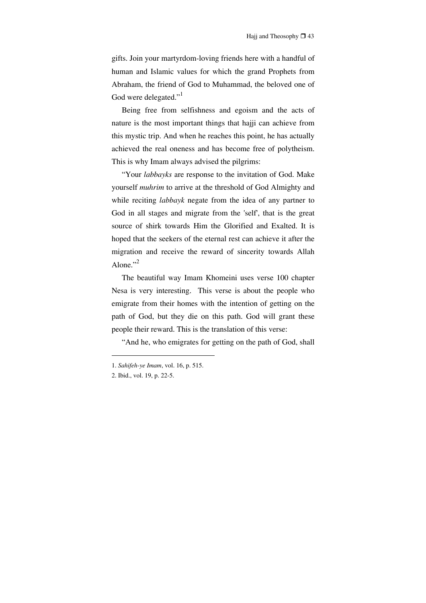gifts. Join your martyrdom-loving friends here with a handful of human and Islamic values for which the grand Prophets from Abraham, the friend of God to Muhammad, the beloved one of God were delegated."<sup>1</sup>

Being free from selfishness and egoism and the acts of nature is the most important things that hajji can achieve from this mystic trip. And when he reaches this point, he has actually achieved the real oneness and has become free of polytheism. This is why Imam always advised the pilgrims:

"Your *labbayks* are response to the invitation of God. Make yourself *muhrim* to arrive at the threshold of God Almighty and while reciting *labbayk* negate from the idea of any partner to God in all stages and migrate from the 'self', that is the great source of shirk towards Him the Glorified and Exalted. It is hoped that the seekers of the eternal rest can achieve it after the migration and receive the reward of sincerity towards Allah Alone." $^2$ 

The beautiful way Imam Khomeini uses verse 100 chapter Nesa is very interesting. This verse is about the people who emigrate from their homes with the intention of getting on the path of God, but they die on this path. God will grant these people their reward. This is the translation of this verse:

"And he, who emigrates for getting on the path of God, shall

<sup>1.</sup> *Sahifeh-ye Imam*, vol. 16, p. 515.

<sup>2.</sup> Ibid., vol. 19, p. 22-5.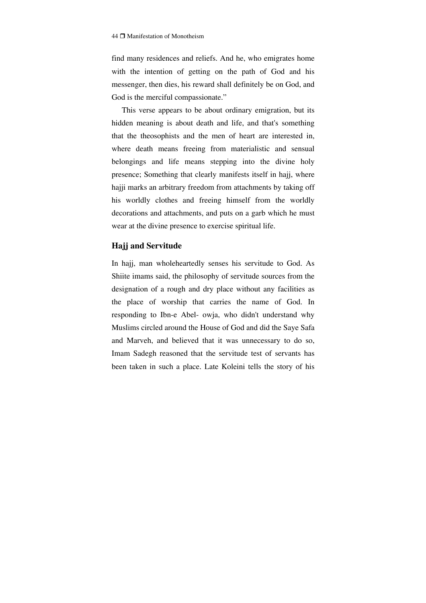find many residences and reliefs. And he, who emigrates home with the intention of getting on the path of God and his messenger, then dies, his reward shall definitely be on God, and God is the merciful compassionate."

This verse appears to be about ordinary emigration, but its hidden meaning is about death and life, and that's something that the theosophists and the men of heart are interested in, where death means freeing from materialistic and sensual belongings and life means stepping into the divine holy presence; Something that clearly manifests itself in hajj, where hajji marks an arbitrary freedom from attachments by taking off his worldly clothes and freeing himself from the worldly decorations and attachments, and puts on a garb which he must wear at the divine presence to exercise spiritual life.

# **Hajj and Servitude**

In hajj, man wholeheartedly senses his servitude to God. As Shiite imams said, the philosophy of servitude sources from the designation of a rough and dry place without any facilities as the place of worship that carries the name of God. In responding to Ibn-e Abel- owja, who didn't understand why Muslims circled around the House of God and did the Saye Safa and Marveh, and believed that it was unnecessary to do so, Imam Sadegh reasoned that the servitude test of servants has been taken in such a place. Late Koleini tells the story of his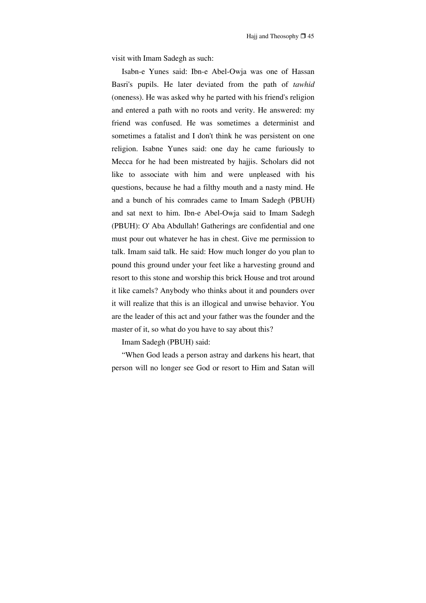visit with Imam Sadegh as such:

Isabn-e Yunes said: Ibn-e Abel-Owja was one of Hassan Basri's pupils. He later deviated from the path of *tawhid* (oneness). He was asked why he parted with his friend's religion and entered a path with no roots and verity. He answered: my friend was confused. He was sometimes a determinist and sometimes a fatalist and I don't think he was persistent on one religion. Isabne Yunes said: one day he came furiously to Mecca for he had been mistreated by hajjis. Scholars did not like to associate with him and were unpleased with his questions, because he had a filthy mouth and a nasty mind. He and a bunch of his comrades came to Imam Sadegh (PBUH) and sat next to him. Ibn-e Abel-Owja said to Imam Sadegh (PBUH): O' Aba Abdullah! Gatherings are confidential and one must pour out whatever he has in chest. Give me permission to talk. Imam said talk. He said: How much longer do you plan to pound this ground under your feet like a harvesting ground and resort to this stone and worship this brick House and trot around it like camels? Anybody who thinks about it and pounders over it will realize that this is an illogical and unwise behavior. You are the leader of this act and your father was the founder and the master of it, so what do you have to say about this?

Imam Sadegh (PBUH) said:

"When God leads a person astray and darkens his heart, that person will no longer see God or resort to Him and Satan will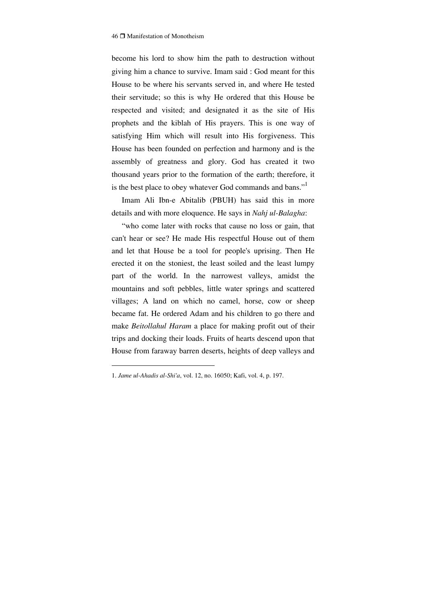become his lord to show him the path to destruction without giving him a chance to survive. Imam said : God meant for this House to be where his servants served in, and where He tested their servitude; so this is why He ordered that this House be respected and visited; and designated it as the site of His prophets and the kiblah of His prayers. This is one way of satisfying Him which will result into His forgiveness. This House has been founded on perfection and harmony and is the assembly of greatness and glory. God has created it two thousand years prior to the formation of the earth; therefore, it is the best place to obey whatever God commands and bans."<sup>1</sup>

Imam Ali Ibn-e Abitalib (PBUH) has said this in more details and with more eloquence. He says in *Nahj ul-Balagha*:

"who come later with rocks that cause no loss or gain, that can't hear or see? He made His respectful House out of them and let that House be a tool for people's uprising. Then He erected it on the stoniest, the least soiled and the least lumpy part of the world. In the narrowest valleys, amidst the mountains and soft pebbles, little water springs and scattered villages; A land on which no camel, horse, cow or sheep became fat. He ordered Adam and his children to go there and make *Beitollahul Haram* a place for making profit out of their trips and docking their loads. Fruits of hearts descend upon that House from faraway barren deserts, heights of deep valleys and

<sup>1.</sup> *Jame ul-Ahadis al-Shi'a*, vol. 12, no. 16050; Kafi, vol. 4, p. 197.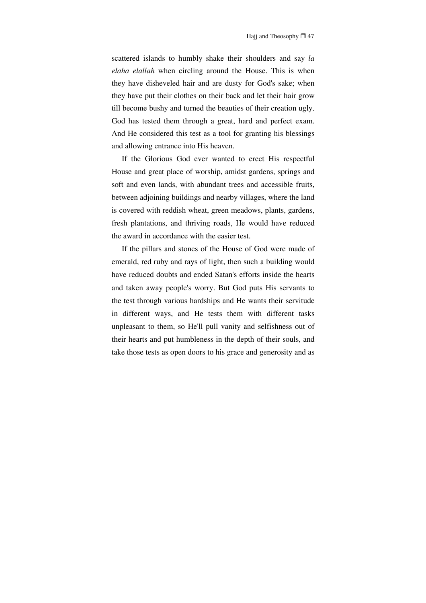scattered islands to humbly shake their shoulders and say *la elaha elallah* when circling around the House. This is when they have disheveled hair and are dusty for God's sake; when they have put their clothes on their back and let their hair grow till become bushy and turned the beauties of their creation ugly. God has tested them through a great, hard and perfect exam. And He considered this test as a tool for granting his blessings and allowing entrance into His heaven.

If the Glorious God ever wanted to erect His respectful House and great place of worship, amidst gardens, springs and soft and even lands, with abundant trees and accessible fruits, between adjoining buildings and nearby villages, where the land is covered with reddish wheat, green meadows, plants, gardens, fresh plantations, and thriving roads, He would have reduced the award in accordance with the easier test.

If the pillars and stones of the House of God were made of emerald, red ruby and rays of light, then such a building would have reduced doubts and ended Satan's efforts inside the hearts and taken away people's worry. But God puts His servants to the test through various hardships and He wants their servitude in different ways, and He tests them with different tasks unpleasant to them, so He'll pull vanity and selfishness out of their hearts and put humbleness in the depth of their souls, and take those tests as open doors to his grace and generosity and as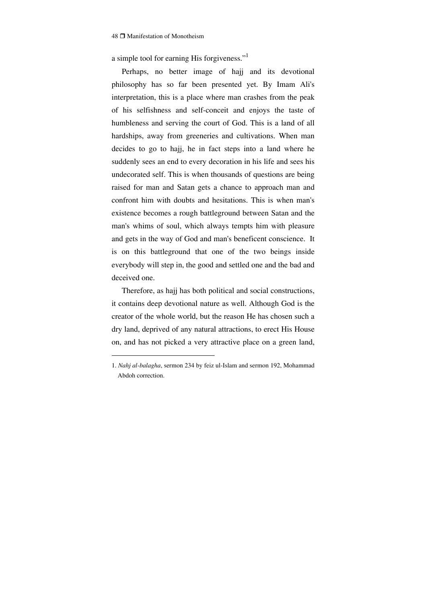a simple tool for earning His forgiveness."

Perhaps, no better image of hajj and its devotional philosophy has so far been presented yet. By Imam Ali's interpretation, this is a place where man crashes from the peak of his selfishness and self-conceit and enjoys the taste of humbleness and serving the court of God. This is a land of all hardships, away from greeneries and cultivations. When man decides to go to hajj, he in fact steps into a land where he suddenly sees an end to every decoration in his life and sees his undecorated self. This is when thousands of questions are being raised for man and Satan gets a chance to approach man and confront him with doubts and hesitations. This is when man's existence becomes a rough battleground between Satan and the man's whims of soul, which always tempts him with pleasure and gets in the way of God and man's beneficent conscience. It is on this battleground that one of the two beings inside everybody will step in, the good and settled one and the bad and deceived one.

Therefore, as hajj has both political and social constructions, it contains deep devotional nature as well. Although God is the creator of the whole world, but the reason He has chosen such a dry land, deprived of any natural attractions, to erect His House on, and has not picked a very attractive place on a green land,

<sup>1.</sup> *Nahj al-balagha*, sermon 234 by feiz ul-Islam and sermon 192, Mohammad Abdoh correction.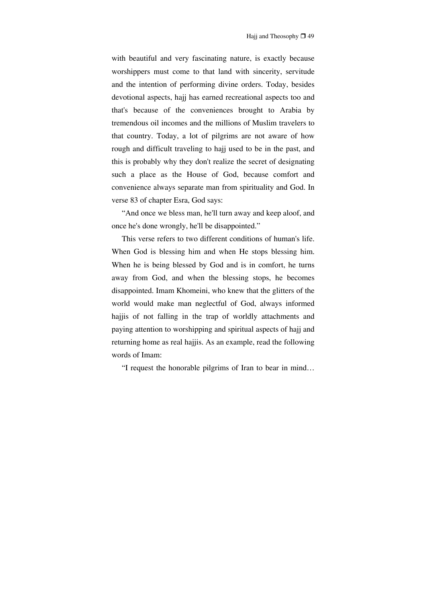with beautiful and very fascinating nature, is exactly because worshippers must come to that land with sincerity, servitude and the intention of performing divine orders. Today, besides devotional aspects, hajj has earned recreational aspects too and that's because of the conveniences brought to Arabia by tremendous oil incomes and the millions of Muslim travelers to that country. Today, a lot of pilgrims are not aware of how rough and difficult traveling to hajj used to be in the past, and this is probably why they don't realize the secret of designating such a place as the House of God, because comfort and convenience always separate man from spirituality and God. In verse 83 of chapter Esra, God says:

"And once we bless man, he'll turn away and keep aloof, and once he's done wrongly, he'll be disappointed."

This verse refers to two different conditions of human's life. When God is blessing him and when He stops blessing him. When he is being blessed by God and is in comfort, he turns away from God, and when the blessing stops, he becomes disappointed. Imam Khomeini, who knew that the glitters of the world would make man neglectful of God, always informed hajjis of not falling in the trap of worldly attachments and paying attention to worshipping and spiritual aspects of hajj and returning home as real hajjis. As an example, read the following words of Imam:

"I request the honorable pilgrims of Iran to bear in mind…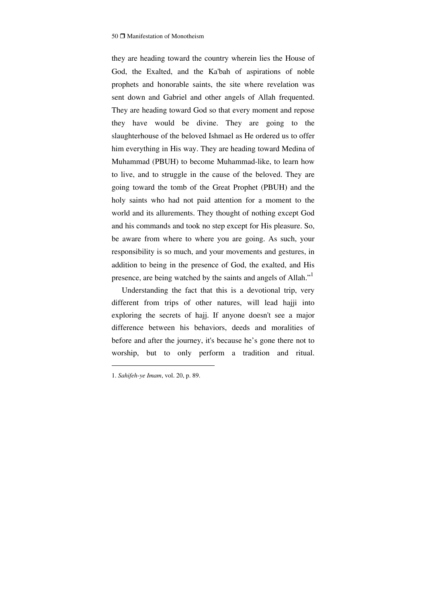they are heading toward the country wherein lies the House of God, the Exalted, and the Ka'bah of aspirations of noble prophets and honorable saints, the site where revelation was sent down and Gabriel and other angels of Allah frequented. They are heading toward God so that every moment and repose they have would be divine. They are going to the slaughterhouse of the beloved Ishmael as He ordered us to offer him everything in His way. They are heading toward Medina of Muhammad (PBUH) to become Muhammad-like, to learn how to live, and to struggle in the cause of the beloved. They are going toward the tomb of the Great Prophet (PBUH) and the holy saints who had not paid attention for a moment to the world and its allurements. They thought of nothing except God and his commands and took no step except for His pleasure. So, be aware from where to where you are going. As such, your responsibility is so much, and your movements and gestures, in addition to being in the presence of God, the exalted, and His presence, are being watched by the saints and angels of Allah."<sup>1</sup>

Understanding the fact that this is a devotional trip, very different from trips of other natures, will lead hajji into exploring the secrets of hajj. If anyone doesn't see a major difference between his behaviors, deeds and moralities of before and after the journey, it's because he's gone there not to worship, but to only perform a tradition and ritual.

<sup>1.</sup> *Sahifeh-ye Imam*, vol. 20, p. 89.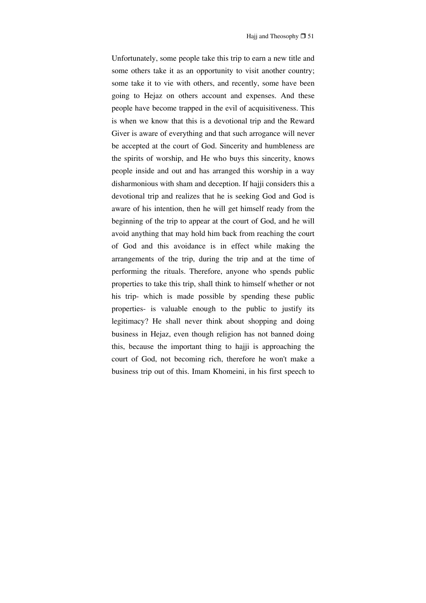Unfortunately, some people take this trip to earn a new title and some others take it as an opportunity to visit another country; some take it to vie with others, and recently, some have been going to Hejaz on others account and expenses. And these people have become trapped in the evil of acquisitiveness. This is when we know that this is a devotional trip and the Reward Giver is aware of everything and that such arrogance will never be accepted at the court of God. Sincerity and humbleness are the spirits of worship, and He who buys this sincerity, knows people inside and out and has arranged this worship in a way disharmonious with sham and deception. If hajji considers this a devotional trip and realizes that he is seeking God and God is aware of his intention, then he will get himself ready from the beginning of the trip to appear at the court of God, and he will avoid anything that may hold him back from reaching the court of God and this avoidance is in effect while making the arrangements of the trip, during the trip and at the time of performing the rituals. Therefore, anyone who spends public properties to take this trip, shall think to himself whether or not his trip- which is made possible by spending these public properties- is valuable enough to the public to justify its legitimacy? He shall never think about shopping and doing business in Hejaz, even though religion has not banned doing this, because the important thing to hajji is approaching the court of God, not becoming rich, therefore he won't make a business trip out of this. Imam Khomeini, in his first speech to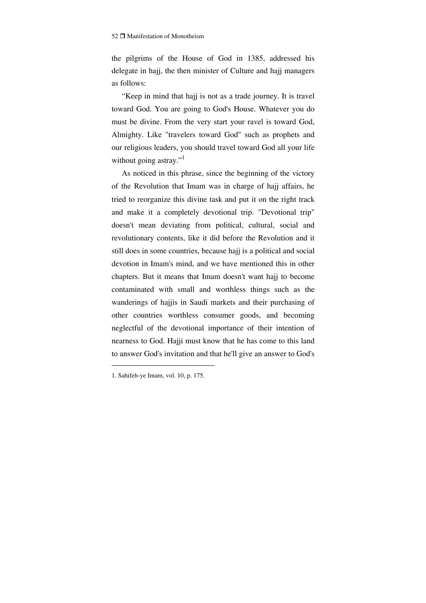the pilgrims of the House of God in 1385, addressed his delegate in hajj, the then minister of Culture and hajj managers as follows:

"Keep in mind that hajj is not as a trade journey. It is travel toward God. You are going to God's House. Whatever you do must be divine. From the very start your ravel is toward God, Almighty. Like "travelers toward God" such as prophets and our religious leaders, you should travel toward God all your life without going astray."<sup>1</sup>

As noticed in this phrase, since the beginning of the victory of the Revolution that Imam was in charge of hajj affairs, he tried to reorganize this divine task and put it on the right track and make it a completely devotional trip. "Devotional trip" doesn't mean deviating from political, cultural, social and revolutionary contents, like it did before the Revolution and it still does in some countries, because hajj is a political and social devotion in Imam's mind, and we have mentioned this in other chapters. But it means that Imam doesn't want hajj to become contaminated with small and worthless things such as the wanderings of hajjis in Saudi markets and their purchasing of other countries worthless consumer goods, and becoming neglectful of the devotional importance of their intention of nearness to God. Hajji must know that he has come to this land to answer God's invitation and that he'll give an answer to God's

<sup>1.</sup> Sahifeh-ye Imam, vol. 10, p. 175.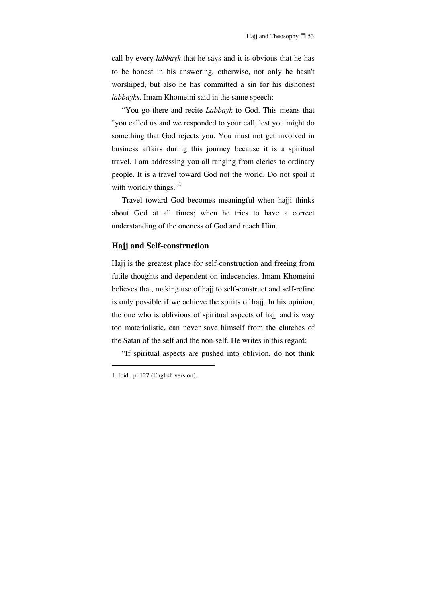call by every *labbayk* that he says and it is obvious that he has to be honest in his answering, otherwise, not only he hasn't worshiped, but also he has committed a sin for his dishonest *labbayks*. Imam Khomeini said in the same speech:

"You go there and recite *Labbayk* to God. This means that "you called us and we responded to your call, lest you might do something that God rejects you. You must not get involved in business affairs during this journey because it is a spiritual travel. I am addressing you all ranging from clerics to ordinary people. It is a travel toward God not the world. Do not spoil it with worldly things." $\cdot$ <sup>1</sup>

Travel toward God becomes meaningful when hajji thinks about God at all times; when he tries to have a correct understanding of the oneness of God and reach Him.

#### **Hajj and Self-construction**

Hajj is the greatest place for self-construction and freeing from futile thoughts and dependent on indecencies. Imam Khomeini believes that, making use of hajj to self-construct and self-refine is only possible if we achieve the spirits of hajj. In his opinion, the one who is oblivious of spiritual aspects of hajj and is way too materialistic, can never save himself from the clutches of the Satan of the self and the non-self. He writes in this regard:

"If spiritual aspects are pushed into oblivion, do not think

<sup>1.</sup> Ibid., p. 127 (English version).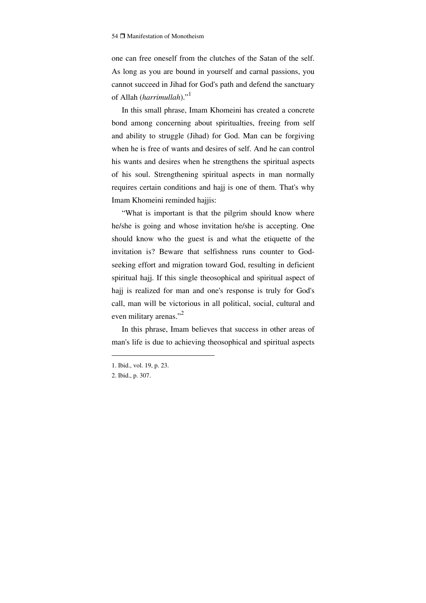one can free oneself from the clutches of the Satan of the self. As long as you are bound in yourself and carnal passions, you cannot succeed in Jihad for God's path and defend the sanctuary of Allah (harrimullah)."<sup>1</sup>

In this small phrase, Imam Khomeini has created a concrete bond among concerning about spiritualties, freeing from self and ability to struggle (Jihad) for God. Man can be forgiving when he is free of wants and desires of self. And he can control his wants and desires when he strengthens the spiritual aspects of his soul. Strengthening spiritual aspects in man normally requires certain conditions and hajj is one of them. That's why Imam Khomeini reminded hajjis:

"What is important is that the pilgrim should know where he/she is going and whose invitation he/she is accepting. One should know who the guest is and what the etiquette of the invitation is? Beware that selfishness runs counter to Godseeking effort and migration toward God, resulting in deficient spiritual hajj. If this single theosophical and spiritual aspect of hajj is realized for man and one's response is truly for God's call, man will be victorious in all political, social, cultural and even military arenas."<sup>2</sup>

In this phrase, Imam believes that success in other areas of man's life is due to achieving theosophical and spiritual aspects

<sup>1.</sup> Ibid., vol. 19, p. 23.

<sup>2.</sup> Ibid., p. 307.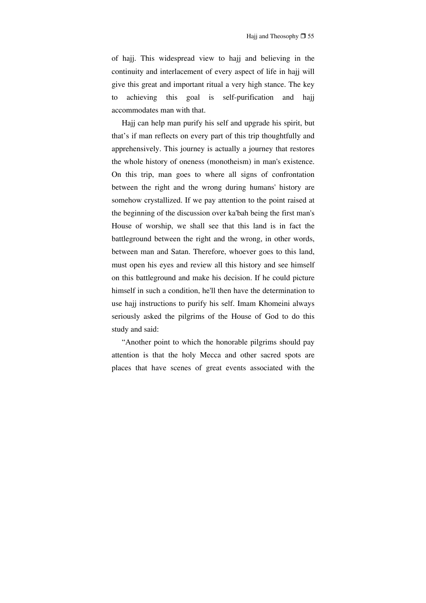of hajj. This widespread view to hajj and believing in the continuity and interlacement of every aspect of life in hajj will give this great and important ritual a very high stance. The key to achieving this goal is self-purification and hajj accommodates man with that.

Hajj can help man purify his self and upgrade his spirit, but that's if man reflects on every part of this trip thoughtfully and apprehensively. This journey is actually a journey that restores the whole history of oneness (monotheism) in man's existence. On this trip, man goes to where all signs of confrontation between the right and the wrong during humans' history are somehow crystallized. If we pay attention to the point raised at the beginning of the discussion over ka'bah being the first man's House of worship, we shall see that this land is in fact the battleground between the right and the wrong, in other words, between man and Satan. Therefore, whoever goes to this land, must open his eyes and review all this history and see himself on this battleground and make his decision. If he could picture himself in such a condition, he'll then have the determination to use hajj instructions to purify his self. Imam Khomeini always seriously asked the pilgrims of the House of God to do this study and said:

"Another point to which the honorable pilgrims should pay attention is that the holy Mecca and other sacred spots are places that have scenes of great events associated with the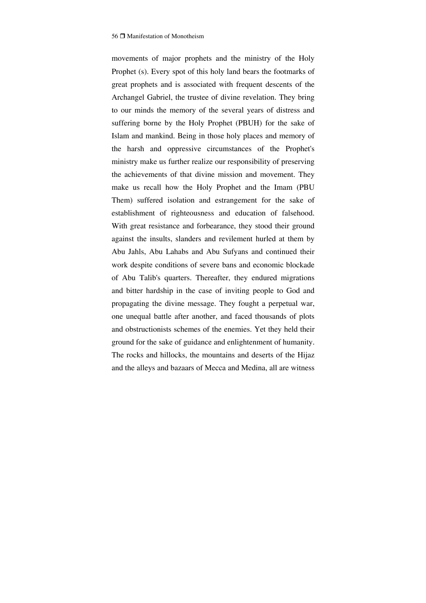movements of major prophets and the ministry of the Holy Prophet (s). Every spot of this holy land bears the footmarks of great prophets and is associated with frequent descents of the Archangel Gabriel, the trustee of divine revelation. They bring to our minds the memory of the several years of distress and suffering borne by the Holy Prophet (PBUH) for the sake of Islam and mankind. Being in those holy places and memory of the harsh and oppressive circumstances of the Prophet's ministry make us further realize our responsibility of preserving the achievements of that divine mission and movement. They make us recall how the Holy Prophet and the Imam (PBU Them) suffered isolation and estrangement for the sake of establishment of righteousness and education of falsehood. With great resistance and forbearance, they stood their ground against the insults, slanders and revilement hurled at them by Abu Jahls, Abu Lahabs and Abu Sufyans and continued their work despite conditions of severe bans and economic blockade of Abu Talib's quarters. Thereafter, they endured migrations and bitter hardship in the case of inviting people to God and propagating the divine message. They fought a perpetual war, one unequal battle after another, and faced thousands of plots and obstructionists schemes of the enemies. Yet they held their ground for the sake of guidance and enlightenment of humanity. The rocks and hillocks, the mountains and deserts of the Hijaz and the alleys and bazaars of Mecca and Medina, all are witness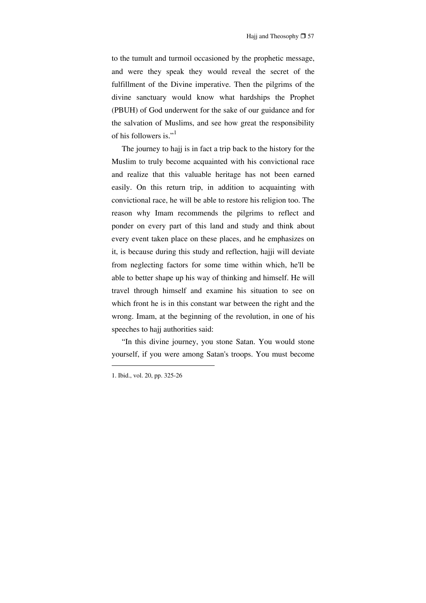to the tumult and turmoil occasioned by the prophetic message, and were they speak they would reveal the secret of the fulfillment of the Divine imperative. Then the pilgrims of the divine sanctuary would know what hardships the Prophet (PBUH) of God underwent for the sake of our guidance and for the salvation of Muslims, and see how great the responsibility of his followers is." $<sup>1</sup>$ </sup>

The journey to hajj is in fact a trip back to the history for the Muslim to truly become acquainted with his convictional race and realize that this valuable heritage has not been earned easily. On this return trip, in addition to acquainting with convictional race, he will be able to restore his religion too. The reason why Imam recommends the pilgrims to reflect and ponder on every part of this land and study and think about every event taken place on these places, and he emphasizes on it, is because during this study and reflection, hajji will deviate from neglecting factors for some time within which, he'll be able to better shape up his way of thinking and himself. He will travel through himself and examine his situation to see on which front he is in this constant war between the right and the wrong. Imam, at the beginning of the revolution, in one of his speeches to hajj authorities said:

"In this divine journey, you stone Satan. You would stone yourself, if you were among Satan's troops. You must become

<sup>1.</sup> Ibid., vol. 20, pp. 325-26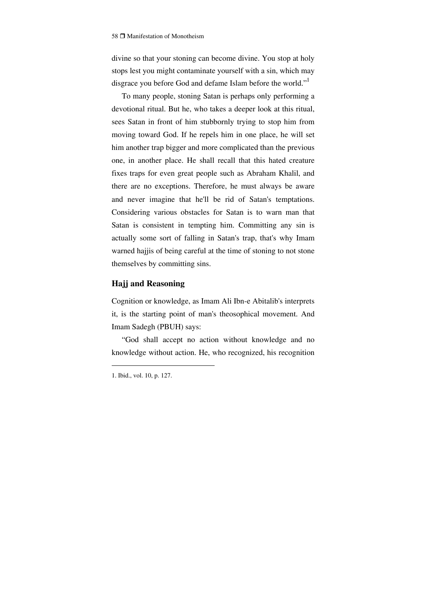divine so that your stoning can become divine. You stop at holy stops lest you might contaminate yourself with a sin, which may disgrace you before God and defame Islam before the world."<sup>1</sup>

To many people, stoning Satan is perhaps only performing a devotional ritual. But he, who takes a deeper look at this ritual, sees Satan in front of him stubbornly trying to stop him from moving toward God. If he repels him in one place, he will set him another trap bigger and more complicated than the previous one, in another place. He shall recall that this hated creature fixes traps for even great people such as Abraham Khalil, and there are no exceptions. Therefore, he must always be aware and never imagine that he'll be rid of Satan's temptations. Considering various obstacles for Satan is to warn man that Satan is consistent in tempting him. Committing any sin is actually some sort of falling in Satan's trap, that's why Imam warned hajjis of being careful at the time of stoning to not stone themselves by committing sins.

# **Hajj and Reasoning**

Cognition or knowledge, as Imam Ali Ibn-e Abitalib's interprets it, is the starting point of man's theosophical movement. And Imam Sadegh (PBUH) says:

"God shall accept no action without knowledge and no knowledge without action. He, who recognized, his recognition

<sup>1.</sup> Ibid., vol. 10, p. 127.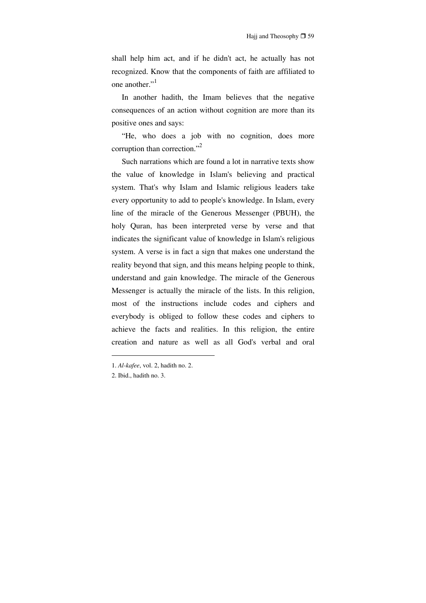shall help him act, and if he didn't act, he actually has not recognized. Know that the components of faith are affiliated to one another."<sup>1</sup>

In another hadith, the Imam believes that the negative consequences of an action without cognition are more than its positive ones and says:

"He, who does a job with no cognition, does more corruption than correction."<sup>2</sup>

Such narrations which are found a lot in narrative texts show the value of knowledge in Islam's believing and practical system. That's why Islam and Islamic religious leaders take every opportunity to add to people's knowledge. In Islam, every line of the miracle of the Generous Messenger (PBUH), the holy Quran, has been interpreted verse by verse and that indicates the significant value of knowledge in Islam's religious system. A verse is in fact a sign that makes one understand the reality beyond that sign, and this means helping people to think, understand and gain knowledge. The miracle of the Generous Messenger is actually the miracle of the lists. In this religion, most of the instructions include codes and ciphers and everybody is obliged to follow these codes and ciphers to achieve the facts and realities. In this religion, the entire creation and nature as well as all God's verbal and oral

<sup>1.</sup> *Al-kafee*, vol. 2, hadith no. 2.

<sup>2.</sup> Ibid., hadith no. 3.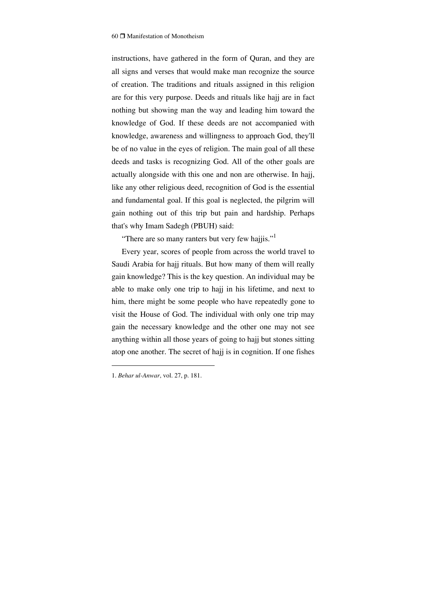instructions, have gathered in the form of Quran, and they are all signs and verses that would make man recognize the source of creation. The traditions and rituals assigned in this religion are for this very purpose. Deeds and rituals like hajj are in fact nothing but showing man the way and leading him toward the knowledge of God. If these deeds are not accompanied with knowledge, awareness and willingness to approach God, they'll be of no value in the eyes of religion. The main goal of all these deeds and tasks is recognizing God. All of the other goals are actually alongside with this one and non are otherwise. In hajj, like any other religious deed, recognition of God is the essential and fundamental goal. If this goal is neglected, the pilgrim will gain nothing out of this trip but pain and hardship. Perhaps that's why Imam Sadegh (PBUH) said:

"There are so many ranters but very few hajjis."<sup>1</sup>

Every year, scores of people from across the world travel to Saudi Arabia for hajj rituals. But how many of them will really gain knowledge? This is the key question. An individual may be able to make only one trip to hajj in his lifetime, and next to him, there might be some people who have repeatedly gone to visit the House of God. The individual with only one trip may gain the necessary knowledge and the other one may not see anything within all those years of going to hajj but stones sitting atop one another. The secret of hajj is in cognition. If one fishes

<sup>1.</sup> *Behar ul-Anwar*, vol. 27, p. 181.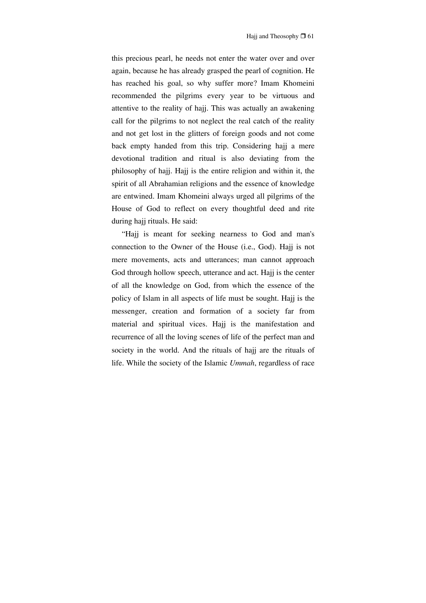this precious pearl, he needs not enter the water over and over again, because he has already grasped the pearl of cognition. He has reached his goal, so why suffer more? Imam Khomeini recommended the pilgrims every year to be virtuous and attentive to the reality of hajj. This was actually an awakening call for the pilgrims to not neglect the real catch of the reality and not get lost in the glitters of foreign goods and not come back empty handed from this trip. Considering hajj a mere devotional tradition and ritual is also deviating from the philosophy of hajj. Hajj is the entire religion and within it, the spirit of all Abrahamian religions and the essence of knowledge are entwined. Imam Khomeini always urged all pilgrims of the House of God to reflect on every thoughtful deed and rite during hajj rituals. He said:

"Hajj is meant for seeking nearness to God and man's connection to the Owner of the House (i.e., God). Hajj is not mere movements, acts and utterances; man cannot approach God through hollow speech, utterance and act. Hajj is the center of all the knowledge on God, from which the essence of the policy of Islam in all aspects of life must be sought. Hajj is the messenger, creation and formation of a society far from material and spiritual vices. Hajj is the manifestation and recurrence of all the loving scenes of life of the perfect man and society in the world. And the rituals of hajj are the rituals of life. While the society of the Islamic *Ummah*, regardless of race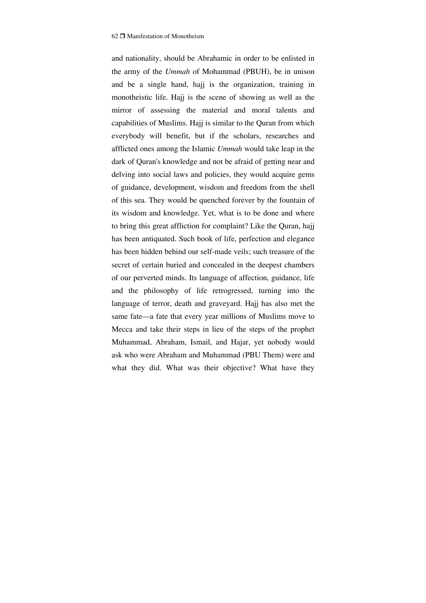and nationality, should be Abrahamic in order to be enlisted in the army of the *Ummah* of Mohammad (PBUH), be in unison and be a single hand, hajj is the organization, training in monotheistic life. Hajj is the scene of showing as well as the mirror of assessing the material and moral talents and capabilities of Muslims. Hajj is similar to the Quran from which everybody will benefit, but if the scholars, researches and afflicted ones among the Islamic *Ummah* would take leap in the dark of Quran's knowledge and not be afraid of getting near and delving into social laws and policies, they would acquire gems of guidance, development, wisdom and freedom from the shell of this sea. They would be quenched forever by the fountain of its wisdom and knowledge. Yet, what is to be done and where to bring this great affliction for complaint? Like the Quran, hajj has been antiquated. Such book of life, perfection and elegance has been hidden behind our self-made veils; such treasure of the secret of certain buried and concealed in the deepest chambers of our perverted minds. Its language of affection, guidance, life and the philosophy of life retrogressed, turning into the language of terror, death and graveyard. Hajj has also met the same fate—a fate that every year millions of Muslims move to Mecca and take their steps in lieu of the steps of the prophet Muhammad, Abraham, Ismail, and Hajar, yet nobody would ask who were Abraham and Muhammad (PBU Them) were and what they did. What was their objective? What have they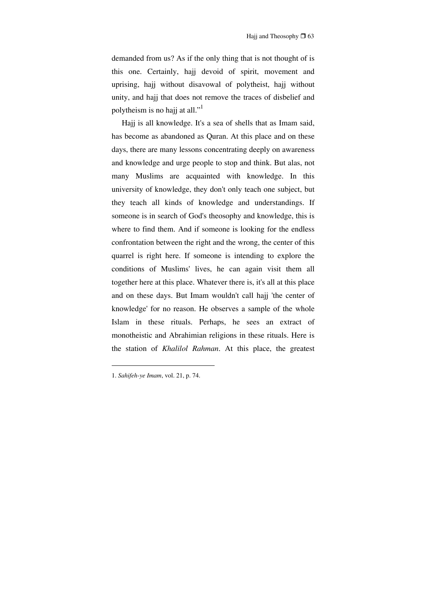demanded from us? As if the only thing that is not thought of is this one. Certainly, hajj devoid of spirit, movement and uprising, hajj without disavowal of polytheist, hajj without unity, and hajj that does not remove the traces of disbelief and polytheism is no hajj at all."<sup>1</sup>

Hajj is all knowledge. It's a sea of shells that as Imam said, has become as abandoned as Quran. At this place and on these days, there are many lessons concentrating deeply on awareness and knowledge and urge people to stop and think. But alas, not many Muslims are acquainted with knowledge. In this university of knowledge, they don't only teach one subject, but they teach all kinds of knowledge and understandings. If someone is in search of God's theosophy and knowledge, this is where to find them. And if someone is looking for the endless confrontation between the right and the wrong, the center of this quarrel is right here. If someone is intending to explore the conditions of Muslims' lives, he can again visit them all together here at this place. Whatever there is, it's all at this place and on these days. But Imam wouldn't call hajj 'the center of knowledge' for no reason. He observes a sample of the whole Islam in these rituals. Perhaps, he sees an extract of monotheistic and Abrahimian religions in these rituals. Here is the station of *Khalilol Rahman*. At this place, the greatest

<sup>1.</sup> *Sahifeh-ye Imam*, vol. 21, p. 74.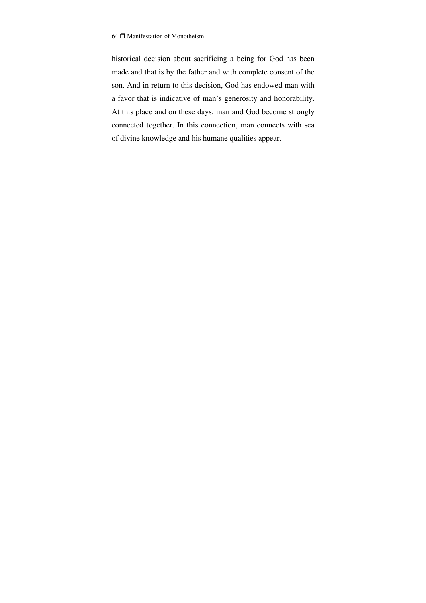historical decision about sacrificing a being for God has been made and that is by the father and with complete consent of the son. And in return to this decision, God has endowed man with a favor that is indicative of man's generosity and honorability. At this place and on these days, man and God become strongly connected together. In this connection, man connects with sea of divine knowledge and his humane qualities appear.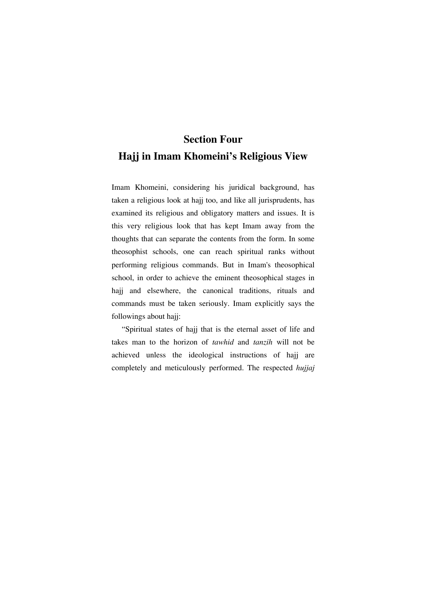# **Section Four Hajj in Imam Khomeini's Religious View**

Imam Khomeini, considering his juridical background, has taken a religious look at hajj too, and like all jurisprudents, has examined its religious and obligatory matters and issues. It is this very religious look that has kept Imam away from the thoughts that can separate the contents from the form. In some theosophist schools, one can reach spiritual ranks without performing religious commands. But in Imam's theosophical school, in order to achieve the eminent theosophical stages in hajj and elsewhere, the canonical traditions, rituals and commands must be taken seriously. Imam explicitly says the followings about hajj:

"Spiritual states of hajj that is the eternal asset of life and takes man to the horizon of *tawhid* and *tanzih* will not be achieved unless the ideological instructions of hajj are completely and meticulously performed. The respected *hujjaj*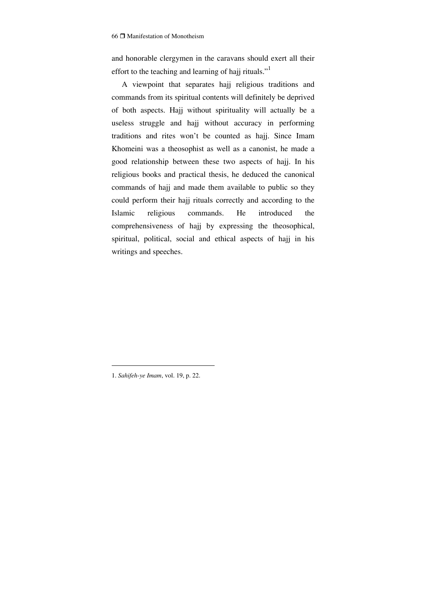and honorable clergymen in the caravans should exert all their effort to the teaching and learning of hajj rituals."<sup>1</sup>

A viewpoint that separates hajj religious traditions and commands from its spiritual contents will definitely be deprived of both aspects. Hajj without spirituality will actually be a useless struggle and hajj without accuracy in performing traditions and rites won't be counted as hajj. Since Imam Khomeini was a theosophist as well as a canonist, he made a good relationship between these two aspects of hajj. In his religious books and practical thesis, he deduced the canonical commands of hajj and made them available to public so they could perform their hajj rituals correctly and according to the Islamic religious commands. He introduced the comprehensiveness of hajj by expressing the theosophical, spiritual, political, social and ethical aspects of hajj in his writings and speeches.

<sup>1.</sup> *Sahifeh-ye Imam*, vol. 19, p. 22.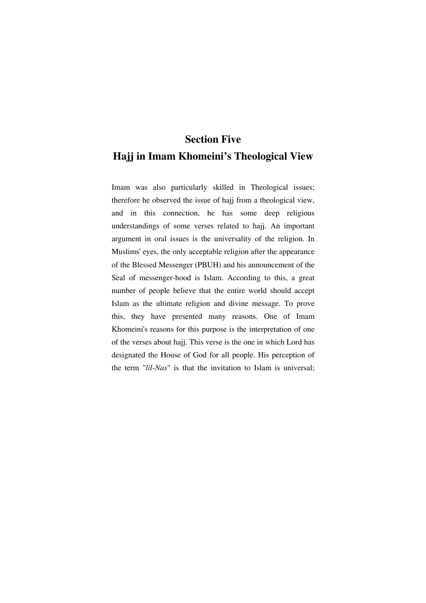# **Section Five Hajj in Imam Khomeini's Theological View**

Imam was also particularly skilled in Theological issues; therefore he observed the issue of hajj from a theological view, and in this connection, he has some deep religious understandings of some verses related to hajj. An important argument in oral issues is the universality of the religion. In Muslims' eyes, the only acceptable religion after the appearance of the Blessed Messenger (PBUH) and his announcement of the Seal of messenger-hood is Islam. According to this, a great number of people believe that the entire world should accept Islam as the ultimate religion and divine message. To prove this, they have presented many reasons. One of Imam Khomeini's reasons for this purpose is the interpretation of one of the verses about hajj. This verse is the one in which Lord has designated the House of God for all people. His perception of the term "*lil-Nas*" is that the invitation to Islam is universal;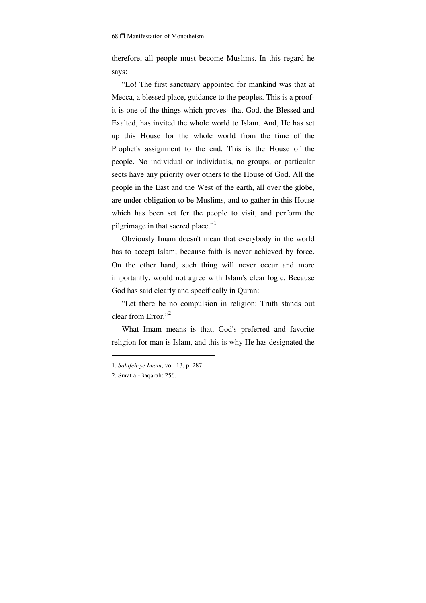therefore, all people must become Muslims. In this regard he says:

"Lo! The first sanctuary appointed for mankind was that at Mecca, a blessed place, guidance to the peoples. This is a proofit is one of the things which proves- that God, the Blessed and Exalted, has invited the whole world to Islam. And, He has set up this House for the whole world from the time of the Prophet's assignment to the end. This is the House of the people. No individual or individuals, no groups, or particular sects have any priority over others to the House of God. All the people in the East and the West of the earth, all over the globe, are under obligation to be Muslims, and to gather in this House which has been set for the people to visit, and perform the pilgrimage in that sacred place."<sup>1</sup>

Obviously Imam doesn't mean that everybody in the world has to accept Islam; because faith is never achieved by force. On the other hand, such thing will never occur and more importantly, would not agree with Islam's clear logic. Because God has said clearly and specifically in Quran:

"Let there be no compulsion in religion: Truth stands out clear from Error."<sup>2</sup>

What Imam means is that, God's preferred and favorite religion for man is Islam, and this is why He has designated the

<sup>1.</sup> *Sahifeh-ye Imam*, vol. 13, p. 287.

<sup>2.</sup> Surat al-Baqarah: 256.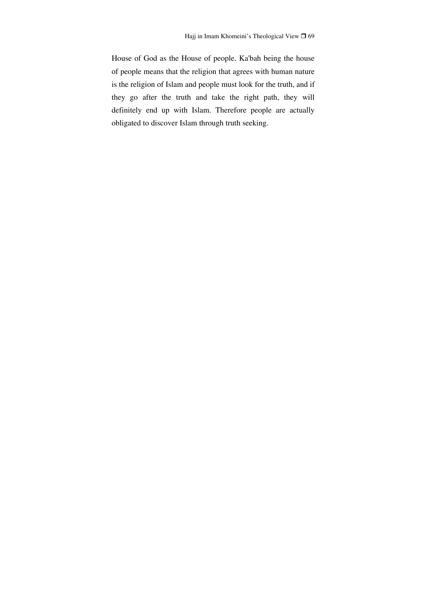House of God as the House of people. Ka'bah being the house of people means that the religion that agrees with human nature is the religion of Islam and people must look for the truth, and if they go after the truth and take the right path, they will definitely end up with Islam. Therefore people are actually obligated to discover Islam through truth seeking.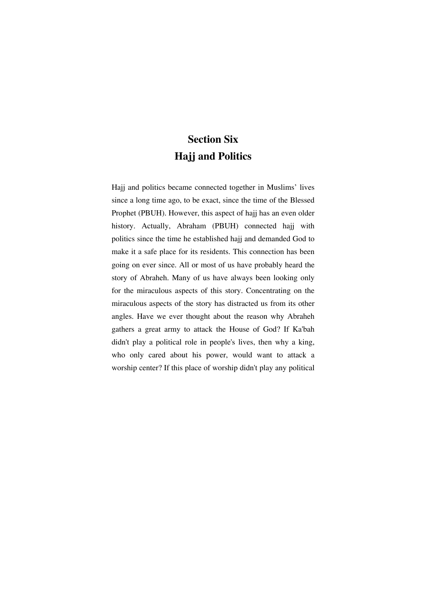### **Section Six Hajj and Politics**

Hajj and politics became connected together in Muslims' lives since a long time ago, to be exact, since the time of the Blessed Prophet (PBUH). However, this aspect of hajj has an even older history. Actually, Abraham (PBUH) connected hajj with politics since the time he established hajj and demanded God to make it a safe place for its residents. This connection has been going on ever since. All or most of us have probably heard the story of Abraheh. Many of us have always been looking only for the miraculous aspects of this story. Concentrating on the miraculous aspects of the story has distracted us from its other angles. Have we ever thought about the reason why Abraheh gathers a great army to attack the House of God? If Ka'bah didn't play a political role in people's lives, then why a king, who only cared about his power, would want to attack a worship center? If this place of worship didn't play any political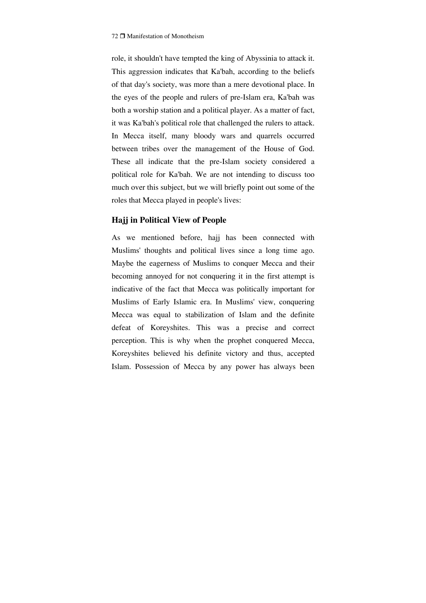role, it shouldn't have tempted the king of Abyssinia to attack it. This aggression indicates that Ka'bah, according to the beliefs of that day's society, was more than a mere devotional place. In the eyes of the people and rulers of pre-Islam era, Ka'bah was both a worship station and a political player. As a matter of fact, it was Ka'bah's political role that challenged the rulers to attack. In Mecca itself, many bloody wars and quarrels occurred between tribes over the management of the House of God. These all indicate that the pre-Islam society considered a political role for Ka'bah. We are not intending to discuss too much over this subject, but we will briefly point out some of the roles that Mecca played in people's lives:

#### **Hajj in Political View of People**

As we mentioned before, hajj has been connected with Muslims' thoughts and political lives since a long time ago. Maybe the eagerness of Muslims to conquer Mecca and their becoming annoyed for not conquering it in the first attempt is indicative of the fact that Mecca was politically important for Muslims of Early Islamic era. In Muslims' view, conquering Mecca was equal to stabilization of Islam and the definite defeat of Koreyshites. This was a precise and correct perception. This is why when the prophet conquered Mecca, Koreyshites believed his definite victory and thus, accepted Islam. Possession of Mecca by any power has always been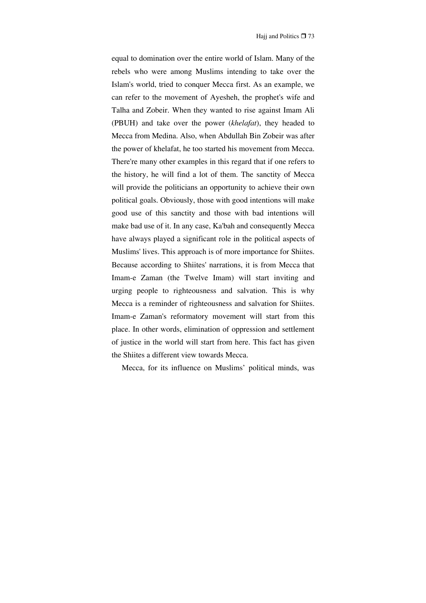equal to domination over the entire world of Islam. Many of the rebels who were among Muslims intending to take over the Islam's world, tried to conquer Mecca first. As an example, we can refer to the movement of Ayesheh, the prophet's wife and Talha and Zobeir. When they wanted to rise against Imam Ali (PBUH) and take over the power (*khelafat*), they headed to Mecca from Medina. Also, when Abdullah Bin Zobeir was after the power of khelafat, he too started his movement from Mecca. There're many other examples in this regard that if one refers to the history, he will find a lot of them. The sanctity of Mecca will provide the politicians an opportunity to achieve their own political goals. Obviously, those with good intentions will make good use of this sanctity and those with bad intentions will make bad use of it. In any case, Ka'bah and consequently Mecca have always played a significant role in the political aspects of Muslims' lives. This approach is of more importance for Shiites. Because according to Shiites' narrations, it is from Mecca that Imam-e Zaman (the Twelve Imam) will start inviting and urging people to righteousness and salvation. This is why Mecca is a reminder of righteousness and salvation for Shiites. Imam-e Zaman's reformatory movement will start from this place. In other words, elimination of oppression and settlement of justice in the world will start from here. This fact has given the Shiites a different view towards Mecca.

Mecca, for its influence on Muslims' political minds, was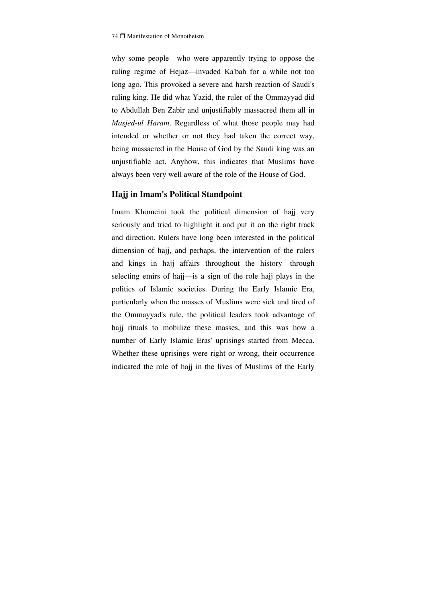why some people—who were apparently trying to oppose the ruling regime of Hejaz—invaded Ka'bah for a while not too long ago. This provoked a severe and harsh reaction of Saudi's ruling king. He did what Yazid, the ruler of the Ommayyad did to Abdullah Ben Zabir and unjustifiably massacred them all in *Masjed-ul Haram*. Regardless of what those people may had intended or whether or not they had taken the correct way, being massacred in the House of God by the Saudi king was an unjustifiable act. Anyhow, this indicates that Muslims have always been very well aware of the role of the House of God.

#### **Hajj in Imam's Political Standpoint**

Imam Khomeini took the political dimension of hajj very seriously and tried to highlight it and put it on the right track and direction. Rulers have long been interested in the political dimension of hajj, and perhaps, the intervention of the rulers and kings in hajj affairs throughout the history—through selecting emirs of hajj—is a sign of the role hajj plays in the politics of Islamic societies. During the Early Islamic Era, particularly when the masses of Muslims were sick and tired of the Ommayyad's rule, the political leaders took advantage of hajj rituals to mobilize these masses, and this was how a number of Early Islamic Eras' uprisings started from Mecca. Whether these uprisings were right or wrong, their occurrence indicated the role of hajj in the lives of Muslims of the Early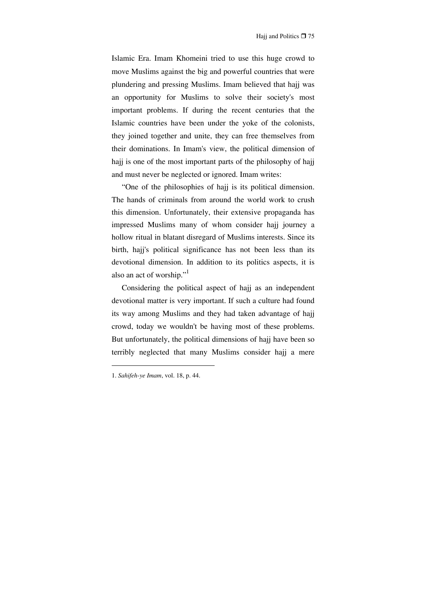Islamic Era. Imam Khomeini tried to use this huge crowd to move Muslims against the big and powerful countries that were plundering and pressing Muslims. Imam believed that hajj was an opportunity for Muslims to solve their society's most important problems. If during the recent centuries that the Islamic countries have been under the yoke of the colonists, they joined together and unite, they can free themselves from their dominations. In Imam's view, the political dimension of hajj is one of the most important parts of the philosophy of hajj and must never be neglected or ignored. Imam writes:

"One of the philosophies of haji is its political dimension. The hands of criminals from around the world work to crush this dimension. Unfortunately, their extensive propaganda has impressed Muslims many of whom consider hajj journey a hollow ritual in blatant disregard of Muslims interests. Since its birth, hajj's political significance has not been less than its devotional dimension. In addition to its politics aspects, it is also an act of worship."<sup>1</sup>

Considering the political aspect of hajj as an independent devotional matter is very important. If such a culture had found its way among Muslims and they had taken advantage of hajj crowd, today we wouldn't be having most of these problems. But unfortunately, the political dimensions of hajj have been so terribly neglected that many Muslims consider hajj a mere

<sup>1.</sup> *Sahifeh-ye Imam*, vol. 18, p. 44.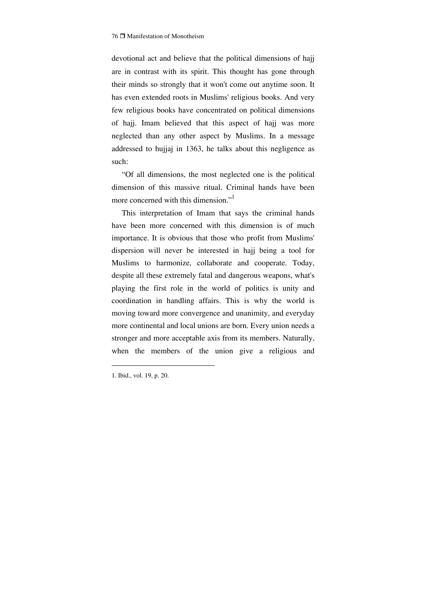devotional act and believe that the political dimensions of hajj are in contrast with its spirit. This thought has gone through their minds so strongly that it won't come out anytime soon. It has even extended roots in Muslims' religious books. And very few religious books have concentrated on political dimensions of hajj. Imam believed that this aspect of hajj was more neglected than any other aspect by Muslims. In a message addressed to hujjaj in 1363, he talks about this negligence as such:

"Of all dimensions, the most neglected one is the political dimension of this massive ritual. Criminal hands have been more concerned with this dimension."<sup>1</sup>

This interpretation of Imam that says the criminal hands have been more concerned with this dimension is of much importance. It is obvious that those who profit from Muslims' dispersion will never be interested in hajj being a tool for Muslims to harmonize, collaborate and cooperate. Today, despite all these extremely fatal and dangerous weapons, what's playing the first role in the world of politics is unity and coordination in handling affairs. This is why the world is moving toward more convergence and unanimity, and everyday more continental and local unions are born. Every union needs a stronger and more acceptable axis from its members. Naturally, when the members of the union give a religious and

<sup>1.</sup> Ibid., vol. 19, p. 20.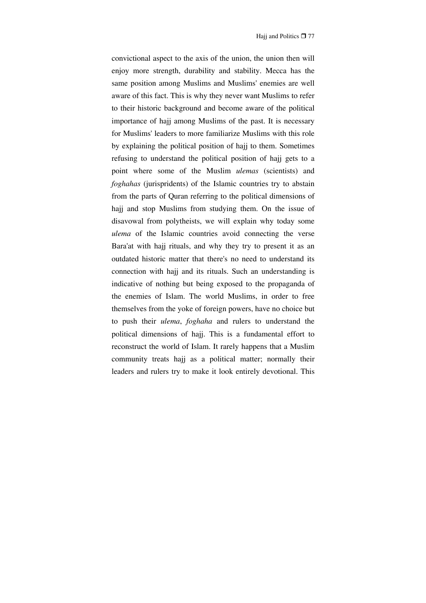convictional aspect to the axis of the union, the union then will enjoy more strength, durability and stability. Mecca has the same position among Muslims and Muslims' enemies are well aware of this fact. This is why they never want Muslims to refer to their historic background and become aware of the political importance of hajj among Muslims of the past. It is necessary for Muslims' leaders to more familiarize Muslims with this role by explaining the political position of hajj to them. Sometimes refusing to understand the political position of hajj gets to a point where some of the Muslim *ulemas* (scientists) and *foghahas* (jurispridents) of the Islamic countries try to abstain from the parts of Quran referring to the political dimensions of hajj and stop Muslims from studying them. On the issue of disavowal from polytheists, we will explain why today some *ulema* of the Islamic countries avoid connecting the verse Bara'at with hajj rituals, and why they try to present it as an outdated historic matter that there's no need to understand its connection with hajj and its rituals. Such an understanding is indicative of nothing but being exposed to the propaganda of the enemies of Islam. The world Muslims, in order to free themselves from the yoke of foreign powers, have no choice but to push their *ulema*, *foghaha* and rulers to understand the political dimensions of hajj. This is a fundamental effort to reconstruct the world of Islam. It rarely happens that a Muslim community treats hajj as a political matter; normally their leaders and rulers try to make it look entirely devotional. This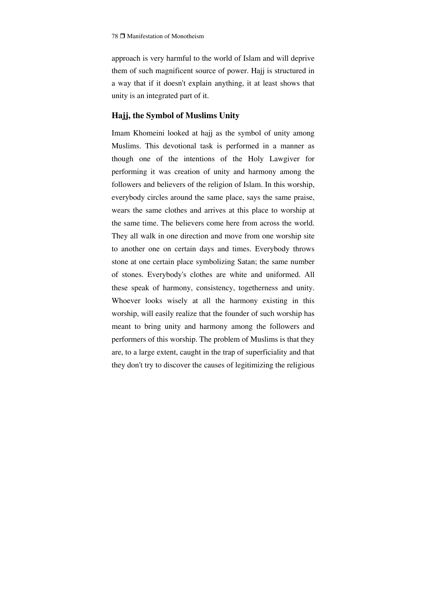approach is very harmful to the world of Islam and will deprive them of such magnificent source of power. Hajj is structured in a way that if it doesn't explain anything, it at least shows that unity is an integrated part of it.

### **Hajj, the Symbol of Muslims Unity**

Imam Khomeini looked at hajj as the symbol of unity among Muslims. This devotional task is performed in a manner as though one of the intentions of the Holy Lawgiver for performing it was creation of unity and harmony among the followers and believers of the religion of Islam. In this worship, everybody circles around the same place, says the same praise, wears the same clothes and arrives at this place to worship at the same time. The believers come here from across the world. They all walk in one direction and move from one worship site to another one on certain days and times. Everybody throws stone at one certain place symbolizing Satan; the same number of stones. Everybody's clothes are white and uniformed. All these speak of harmony, consistency, togetherness and unity. Whoever looks wisely at all the harmony existing in this worship, will easily realize that the founder of such worship has meant to bring unity and harmony among the followers and performers of this worship. The problem of Muslims is that they are, to a large extent, caught in the trap of superficiality and that they don't try to discover the causes of legitimizing the religious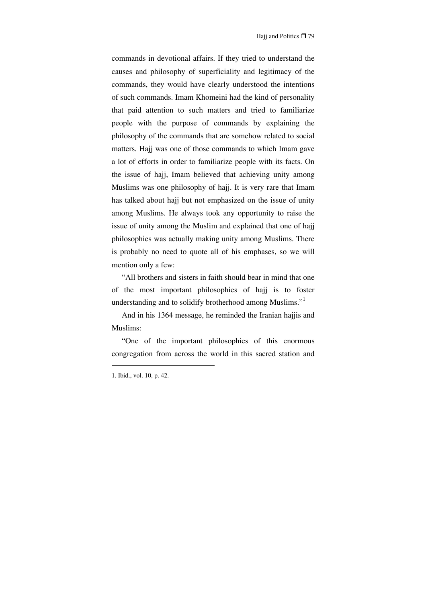commands in devotional affairs. If they tried to understand the causes and philosophy of superficiality and legitimacy of the commands, they would have clearly understood the intentions of such commands. Imam Khomeini had the kind of personality that paid attention to such matters and tried to familiarize people with the purpose of commands by explaining the philosophy of the commands that are somehow related to social matters. Hajj was one of those commands to which Imam gave a lot of efforts in order to familiarize people with its facts. On the issue of hajj, Imam believed that achieving unity among Muslims was one philosophy of hajj. It is very rare that Imam has talked about hajj but not emphasized on the issue of unity among Muslims. He always took any opportunity to raise the issue of unity among the Muslim and explained that one of hajj philosophies was actually making unity among Muslims. There is probably no need to quote all of his emphases, so we will mention only a few:

"All brothers and sisters in faith should bear in mind that one of the most important philosophies of hajj is to foster understanding and to solidify brotherhood among Muslims."<sup>1</sup>

And in his 1364 message, he reminded the Iranian hajjis and Muslims:

"One of the important philosophies of this enormous congregation from across the world in this sacred station and

<sup>1.</sup> Ibid., vol. 10, p. 42.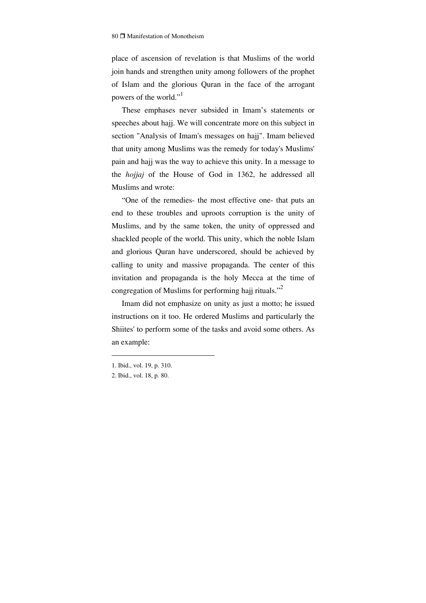place of ascension of revelation is that Muslims of the world join hands and strengthen unity among followers of the prophet of Islam and the glorious Quran in the face of the arrogant powers of the world."<sup>1</sup>

These emphases never subsided in Imam's statements or speeches about hajj. We will concentrate more on this subject in section "Analysis of Imam's messages on hajj". Imam believed that unity among Muslims was the remedy for today's Muslims' pain and hajj was the way to achieve this unity. In a message to the *hojjaj* of the House of God in 1362, he addressed all Muslims and wrote:

"One of the remedies- the most effective one- that puts an end to these troubles and uproots corruption is the unity of Muslims, and by the same token, the unity of oppressed and shackled people of the world. This unity, which the noble Islam and glorious Quran have underscored, should be achieved by calling to unity and massive propaganda. The center of this invitation and propaganda is the holy Mecca at the time of congregation of Muslims for performing hajj rituals."<sup>2</sup>

Imam did not emphasize on unity as just a motto; he issued instructions on it too. He ordered Muslims and particularly the Shiites' to perform some of the tasks and avoid some others. As an example:

<sup>1.</sup> Ibid., vol. 19, p. 310.

<sup>2.</sup> Ibid., vol. 18, p. 80.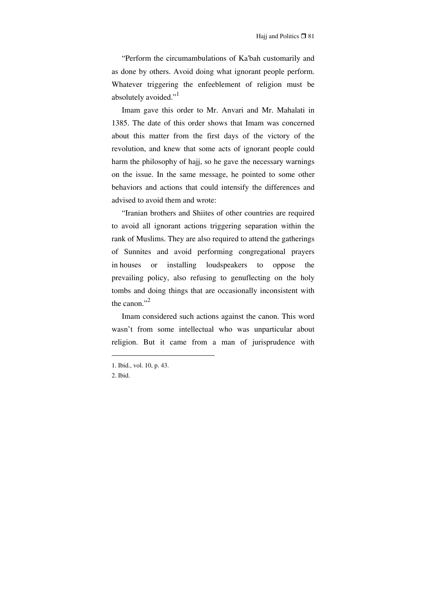"Perform the circumambulations of Ka'bah customarily and as done by others. Avoid doing what ignorant people perform. Whatever triggering the enfeeblement of religion must be absolutely avoided."<sup>1</sup>

Imam gave this order to Mr. Anvari and Mr. Mahalati in 1385. The date of this order shows that Imam was concerned about this matter from the first days of the victory of the revolution, and knew that some acts of ignorant people could harm the philosophy of hajj, so he gave the necessary warnings on the issue. In the same message, he pointed to some other behaviors and actions that could intensify the differences and advised to avoid them and wrote:

"Iranian brothers and Shiites of other countries are required to avoid all ignorant actions triggering separation within the rank of Muslims. They are also required to attend the gatherings of Sunnites and avoid performing congregational prayers in houses or installing loudspeakers to oppose the prevailing policy, also refusing to genuflecting on the holy tombs and doing things that are occasionally inconsistent with the canon."<sup>2</sup>

Imam considered such actions against the canon. This word wasn't from some intellectual who was unparticular about religion. But it came from a man of jurisprudence with

<sup>1.</sup> Ibid., vol. 10, p. 43.

<sup>2.</sup> Ibid.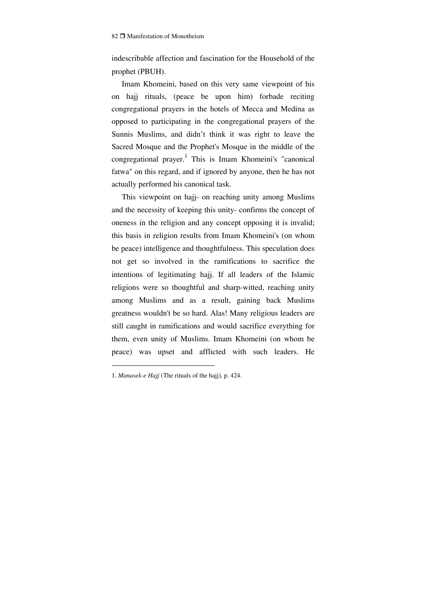indescribable affection and fascination for the Household of the prophet (PBUH).

Imam Khomeini, based on this very same viewpoint of his on hajj rituals, (peace be upon him) forbade reciting congregational prayers in the hotels of Mecca and Medina as opposed to participating in the congregational prayers of the Sunnis Muslims, and didn't think it was right to leave the Sacred Mosque and the Prophet's Mosque in the middle of the congregational prayer.<sup>1</sup> This is Imam Khomeini's "canonical fatwa" on this regard, and if ignored by anyone, then he has not actually performed his canonical task.

This viewpoint on hajj- on reaching unity among Muslims and the necessity of keeping this unity- confirms the concept of oneness in the religion and any concept opposing it is invalid; this basis in religion results from Imam Khomeini's (on whom be peace) intelligence and thoughtfulness. This speculation does not get so involved in the ramifications to sacrifice the intentions of legitimating hajj. If all leaders of the Islamic religions were so thoughtful and sharp-witted, reaching unity among Muslims and as a result, gaining back Muslims greatness wouldn't be so hard. Alas! Many religious leaders are still caught in ramifications and would sacrifice everything for them, even unity of Muslims. Imam Khomeini (on whom be peace) was upset and afflicted with such leaders. He

<sup>1.</sup> *Manasek-e Hajj* (The rituals of the hajj), p. 424.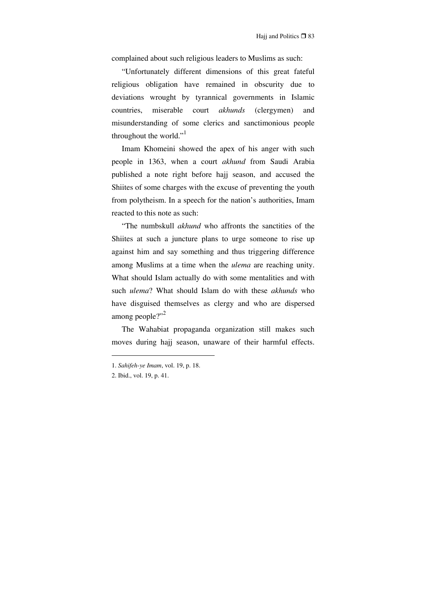complained about such religious leaders to Muslims as such:

"Unfortunately different dimensions of this great fateful religious obligation have remained in obscurity due to deviations wrought by tyrannical governments in Islamic countries, miserable court *akhunds* (clergymen) and misunderstanding of some clerics and sanctimonious people throughout the world."<sup>1</sup>

Imam Khomeini showed the apex of his anger with such people in 1363, when a court *akhund* from Saudi Arabia published a note right before hajj season, and accused the Shiites of some charges with the excuse of preventing the youth from polytheism. In a speech for the nation's authorities, Imam reacted to this note as such:

"The numbskull *akhund* who affronts the sanctities of the Shiites at such a juncture plans to urge someone to rise up against him and say something and thus triggering difference among Muslims at a time when the *ulema* are reaching unity. What should Islam actually do with some mentalities and with such *ulema*? What should Islam do with these *akhunds* who have disguised themselves as clergy and who are dispersed among people?"<sup>2</sup>

The Wahabiat propaganda organization still makes such moves during hajj season, unaware of their harmful effects.

<sup>1.</sup> *Sahifeh-ye Imam*, vol. 19, p. 18.

<sup>2.</sup> Ibid., vol. 19, p. 41.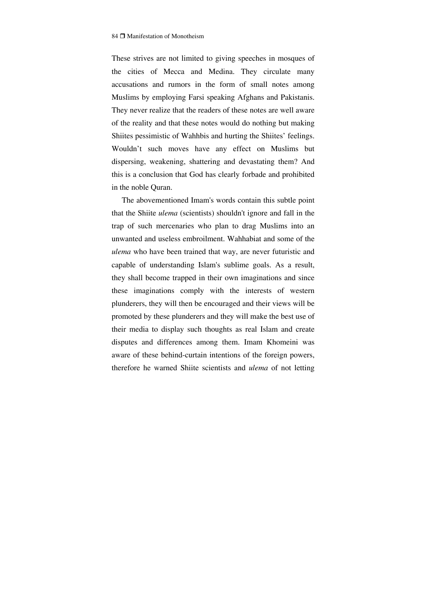These strives are not limited to giving speeches in mosques of the cities of Mecca and Medina. They circulate many accusations and rumors in the form of small notes among Muslims by employing Farsi speaking Afghans and Pakistanis. They never realize that the readers of these notes are well aware of the reality and that these notes would do nothing but making Shiites pessimistic of Wahhbis and hurting the Shiites' feelings. Wouldn't such moves have any effect on Muslims but dispersing, weakening, shattering and devastating them? And this is a conclusion that God has clearly forbade and prohibited in the noble Quran.

The abovementioned Imam's words contain this subtle point that the Shiite *ulema* (scientists) shouldn't ignore and fall in the trap of such mercenaries who plan to drag Muslims into an unwanted and useless embroilment. Wahhabiat and some of the *ulema* who have been trained that way, are never futuristic and capable of understanding Islam's sublime goals. As a result, they shall become trapped in their own imaginations and since these imaginations comply with the interests of western plunderers, they will then be encouraged and their views will be promoted by these plunderers and they will make the best use of their media to display such thoughts as real Islam and create disputes and differences among them. Imam Khomeini was aware of these behind-curtain intentions of the foreign powers, therefore he warned Shiite scientists and *ulema* of not letting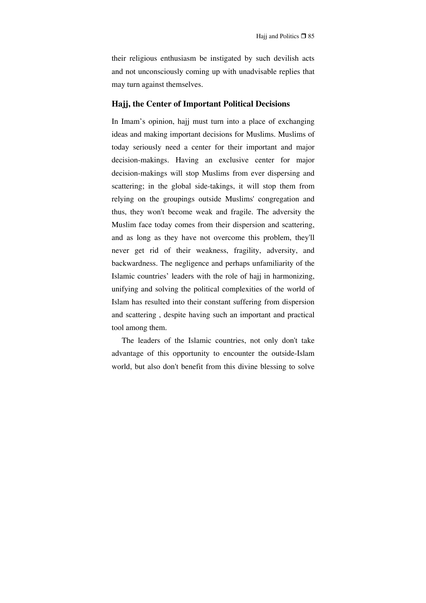their religious enthusiasm be instigated by such devilish acts and not unconsciously coming up with unadvisable replies that may turn against themselves.

#### **Hajj, the Center of Important Political Decisions**

In Imam's opinion, hajj must turn into a place of exchanging ideas and making important decisions for Muslims. Muslims of today seriously need a center for their important and major decision-makings. Having an exclusive center for major decision-makings will stop Muslims from ever dispersing and scattering; in the global side-takings, it will stop them from relying on the groupings outside Muslims' congregation and thus, they won't become weak and fragile. The adversity the Muslim face today comes from their dispersion and scattering, and as long as they have not overcome this problem, they'll never get rid of their weakness, fragility, adversity, and backwardness. The negligence and perhaps unfamiliarity of the Islamic countries' leaders with the role of hajj in harmonizing, unifying and solving the political complexities of the world of Islam has resulted into their constant suffering from dispersion and scattering , despite having such an important and practical tool among them.

The leaders of the Islamic countries, not only don't take advantage of this opportunity to encounter the outside-Islam world, but also don't benefit from this divine blessing to solve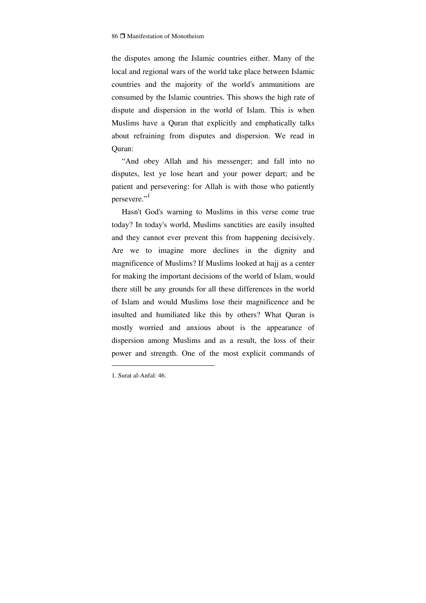the disputes among the Islamic countries either. Many of the local and regional wars of the world take place between Islamic countries and the majority of the world's ammunitions are consumed by the Islamic countries. This shows the high rate of dispute and dispersion in the world of Islam. This is when Muslims have a Quran that explicitly and emphatically talks about refraining from disputes and dispersion. We read in Quran:

"And obey Allah and his messenger; and fall into no disputes, lest ye lose heart and your power depart; and be patient and persevering: for Allah is with those who patiently persevere."

Hasn't God's warning to Muslims in this verse come true today? In today's world, Muslims sanctities are easily insulted and they cannot ever prevent this from happening decisively. Are we to imagine more declines in the dignity and magnificence of Muslims? If Muslims looked at hajj as a center for making the important decisions of the world of Islam, would there still be any grounds for all these differences in the world of Islam and would Muslims lose their magnificence and be insulted and humiliated like this by others? What Quran is mostly worried and anxious about is the appearance of dispersion among Muslims and as a result, the loss of their power and strength. One of the most explicit commands of

<sup>1.</sup> Surat al-Anfal: 46.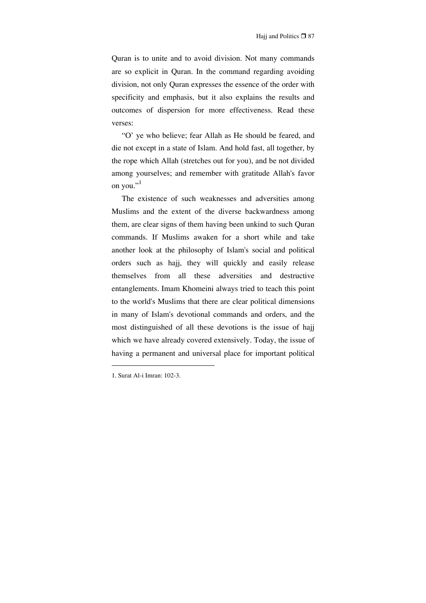Quran is to unite and to avoid division. Not many commands are so explicit in Quran. In the command regarding avoiding division, not only Quran expresses the essence of the order with specificity and emphasis, but it also explains the results and outcomes of dispersion for more effectiveness. Read these verses:

"O' ye who believe; fear Allah as He should be feared, and die not except in a state of Islam. And hold fast, all together, by the rope which Allah (stretches out for you), and be not divided among yourselves; and remember with gratitude Allah's favor on you." $^{\cdot,1}$ 

The existence of such weaknesses and adversities among Muslims and the extent of the diverse backwardness among them, are clear signs of them having been unkind to such Quran commands. If Muslims awaken for a short while and take another look at the philosophy of Islam's social and political orders such as hajj, they will quickly and easily release themselves from all these adversities and destructive entanglements. Imam Khomeini always tried to teach this point to the world's Muslims that there are clear political dimensions in many of Islam's devotional commands and orders, and the most distinguished of all these devotions is the issue of hajj which we have already covered extensively. Today, the issue of having a permanent and universal place for important political

<sup>1.</sup> Surat Al-i Imran: 102-3.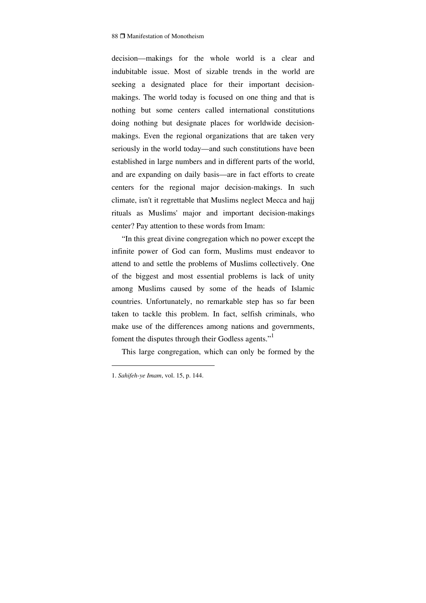decision—makings for the whole world is a clear and indubitable issue. Most of sizable trends in the world are seeking a designated place for their important decisionmakings. The world today is focused on one thing and that is nothing but some centers called international constitutions doing nothing but designate places for worldwide decisionmakings. Even the regional organizations that are taken very seriously in the world today—and such constitutions have been established in large numbers and in different parts of the world, and are expanding on daily basis—are in fact efforts to create centers for the regional major decision-makings. In such climate, isn't it regrettable that Muslims neglect Mecca and hajj rituals as Muslims' major and important decision-makings center? Pay attention to these words from Imam:

"In this great divine congregation which no power except the infinite power of God can form, Muslims must endeavor to attend to and settle the problems of Muslims collectively. One of the biggest and most essential problems is lack of unity among Muslims caused by some of the heads of Islamic countries. Unfortunately, no remarkable step has so far been taken to tackle this problem. In fact, selfish criminals, who make use of the differences among nations and governments, foment the disputes through their Godless agents."<sup>1</sup>

This large congregation, which can only be formed by the

<sup>1.</sup> *Sahifeh-ye Imam*, vol. 15, p. 144.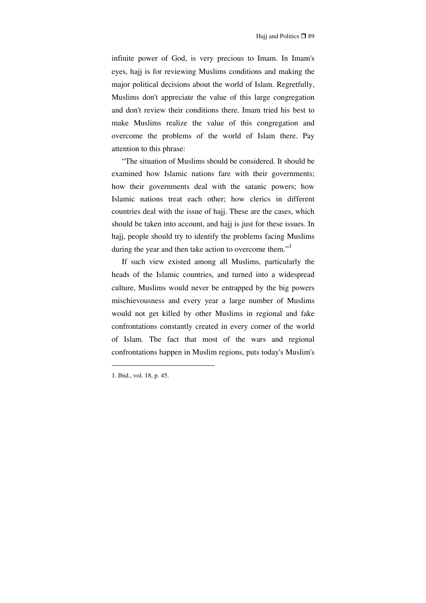infinite power of God, is very precious to Imam. In Imam's eyes, hajj is for reviewing Muslims conditions and making the major political decisions about the world of Islam. Regretfully, Muslims don't appreciate the value of this large congregation and don't review their conditions there. Imam tried his best to make Muslims realize the value of this congregation and overcome the problems of the world of Islam there. Pay attention to this phrase:

"The situation of Muslims should be considered. It should be examined how Islamic nations fare with their governments; how their governments deal with the satanic powers; how Islamic nations treat each other; how clerics in different countries deal with the issue of hajj. These are the cases, which should be taken into account, and hajj is just for these issues. In hajj, people should try to identify the problems facing Muslims during the year and then take action to overcome them."<sup>1</sup>

If such view existed among all Muslims, particularly the heads of the Islamic countries, and turned into a widespread culture, Muslims would never be entrapped by the big powers mischievousness and every year a large number of Muslims would not get killed by other Muslims in regional and fake confrontations constantly created in every corner of the world of Islam. The fact that most of the wars and regional confrontations happen in Muslim regions, puts today's Muslim's

<sup>1.</sup> Ibid., vol. 18, p. 45.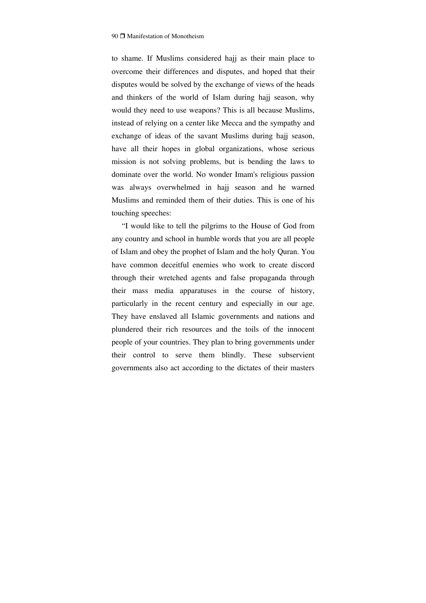to shame. If Muslims considered hajj as their main place to overcome their differences and disputes, and hoped that their disputes would be solved by the exchange of views of the heads and thinkers of the world of Islam during hajj season, why would they need to use weapons? This is all because Muslims, instead of relying on a center like Mecca and the sympathy and exchange of ideas of the savant Muslims during hajj season, have all their hopes in global organizations, whose serious mission is not solving problems, but is bending the laws to dominate over the world. No wonder Imam's religious passion was always overwhelmed in hajj season and he warned Muslims and reminded them of their duties. This is one of his touching speeches:

"I would like to tell the pilgrims to the House of God from any country and school in humble words that you are all people of Islam and obey the prophet of Islam and the holy Quran. You have common deceitful enemies who work to create discord through their wretched agents and false propaganda through their mass media apparatuses in the course of history, particularly in the recent century and especially in our age. They have enslaved all Islamic governments and nations and plundered their rich resources and the toils of the innocent people of your countries. They plan to bring governments under their control to serve them blindly. These subservient governments also act according to the dictates of their masters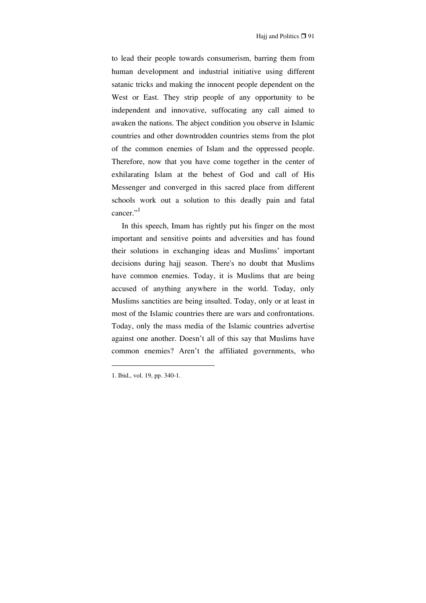to lead their people towards consumerism, barring them from human development and industrial initiative using different satanic tricks and making the innocent people dependent on the West or East. They strip people of any opportunity to be independent and innovative, suffocating any call aimed to awaken the nations. The abject condition you observe in Islamic countries and other downtrodden countries stems from the plot of the common enemies of Islam and the oppressed people. Therefore, now that you have come together in the center of exhilarating Islam at the behest of God and call of His Messenger and converged in this sacred place from different schools work out a solution to this deadly pain and fatal cancer." $^{1}$ 

In this speech, Imam has rightly put his finger on the most important and sensitive points and adversities and has found their solutions in exchanging ideas and Muslims' important decisions during hajj season. There's no doubt that Muslims have common enemies. Today, it is Muslims that are being accused of anything anywhere in the world. Today, only Muslims sanctities are being insulted. Today, only or at least in most of the Islamic countries there are wars and confrontations. Today, only the mass media of the Islamic countries advertise against one another. Doesn't all of this say that Muslims have common enemies? Aren't the affiliated governments, who

<sup>1.</sup> Ibid., vol. 19, pp. 340-1.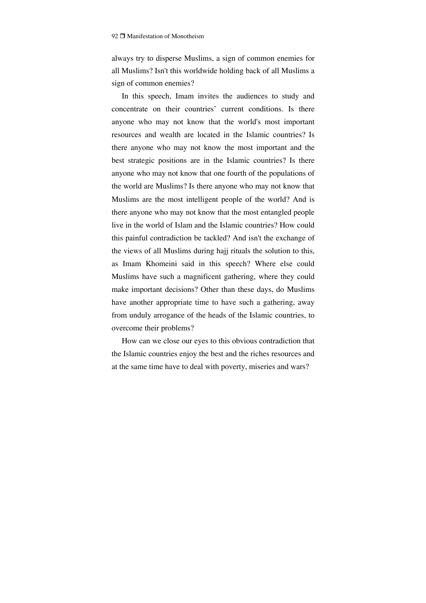always try to disperse Muslims, a sign of common enemies for all Muslims? Isn't this worldwide holding back of all Muslims a sign of common enemies?

In this speech, Imam invites the audiences to study and concentrate on their countries' current conditions. Is there anyone who may not know that the world's most important resources and wealth are located in the Islamic countries? Is there anyone who may not know the most important and the best strategic positions are in the Islamic countries? Is there anyone who may not know that one fourth of the populations of the world are Muslims? Is there anyone who may not know that Muslims are the most intelligent people of the world? And is there anyone who may not know that the most entangled people live in the world of Islam and the Islamic countries? How could this painful contradiction be tackled? And isn't the exchange of the views of all Muslims during hajj rituals the solution to this, as Imam Khomeini said in this speech? Where else could Muslims have such a magnificent gathering, where they could make important decisions? Other than these days, do Muslims have another appropriate time to have such a gathering, away from unduly arrogance of the heads of the Islamic countries, to overcome their problems?

How can we close our eyes to this obvious contradiction that the Islamic countries enjoy the best and the riches resources and at the same time have to deal with poverty, miseries and wars?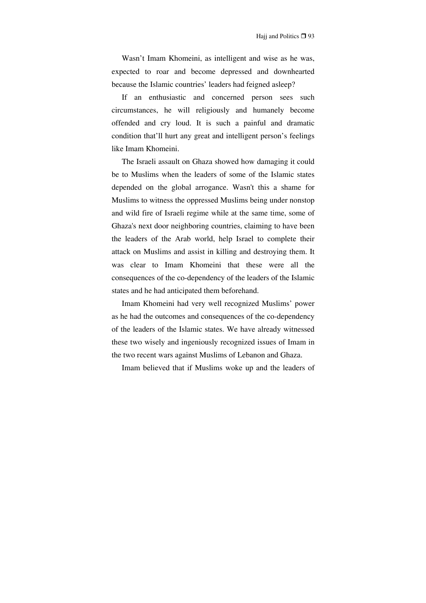Wasn't Imam Khomeini, as intelligent and wise as he was, expected to roar and become depressed and downhearted because the Islamic countries' leaders had feigned asleep?

If an enthusiastic and concerned person sees such circumstances, he will religiously and humanely become offended and cry loud. It is such a painful and dramatic condition that'll hurt any great and intelligent person's feelings like Imam Khomeini.

The Israeli assault on Ghaza showed how damaging it could be to Muslims when the leaders of some of the Islamic states depended on the global arrogance. Wasn't this a shame for Muslims to witness the oppressed Muslims being under nonstop and wild fire of Israeli regime while at the same time, some of Ghaza's next door neighboring countries, claiming to have been the leaders of the Arab world, help Israel to complete their attack on Muslims and assist in killing and destroying them. It was clear to Imam Khomeini that these were all the consequences of the co-dependency of the leaders of the Islamic states and he had anticipated them beforehand.

Imam Khomeini had very well recognized Muslims' power as he had the outcomes and consequences of the co-dependency of the leaders of the Islamic states. We have already witnessed these two wisely and ingeniously recognized issues of Imam in the two recent wars against Muslims of Lebanon and Ghaza.

Imam believed that if Muslims woke up and the leaders of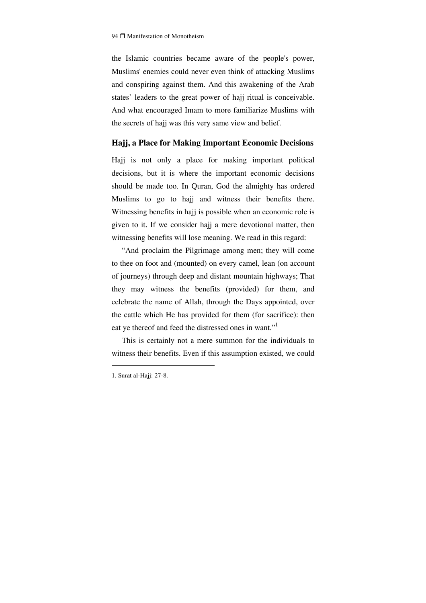the Islamic countries became aware of the people's power, Muslims' enemies could never even think of attacking Muslims and conspiring against them. And this awakening of the Arab states' leaders to the great power of hajj ritual is conceivable. And what encouraged Imam to more familiarize Muslims with the secrets of hajj was this very same view and belief.

#### **Hajj, a Place for Making Important Economic Decisions**

Hajj is not only a place for making important political decisions, but it is where the important economic decisions should be made too. In Quran, God the almighty has ordered Muslims to go to hajj and witness their benefits there. Witnessing benefits in hajj is possible when an economic role is given to it. If we consider hajj a mere devotional matter, then witnessing benefits will lose meaning. We read in this regard:

"And proclaim the Pilgrimage among men; they will come to thee on foot and (mounted) on every camel, lean (on account of journeys) through deep and distant mountain highways; That they may witness the benefits (provided) for them, and celebrate the name of Allah, through the Days appointed, over the cattle which He has provided for them (for sacrifice): then eat ye thereof and feed the distressed ones in want."<sup>1</sup>

This is certainly not a mere summon for the individuals to witness their benefits. Even if this assumption existed, we could

<sup>1.</sup> Surat al-Hajj: 27-8.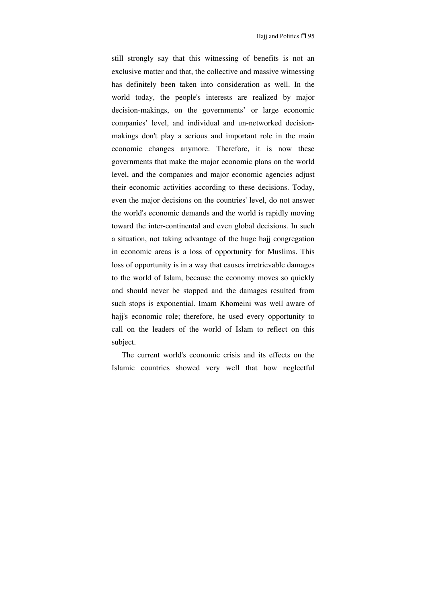still strongly say that this witnessing of benefits is not an exclusive matter and that, the collective and massive witnessing has definitely been taken into consideration as well. In the world today, the people's interests are realized by major decision-makings, on the governments' or large economic companies' level, and individual and un-networked decisionmakings don't play a serious and important role in the main economic changes anymore. Therefore, it is now these governments that make the major economic plans on the world level, and the companies and major economic agencies adjust their economic activities according to these decisions. Today, even the major decisions on the countries' level, do not answer the world's economic demands and the world is rapidly moving toward the inter-continental and even global decisions. In such a situation, not taking advantage of the huge hajj congregation in economic areas is a loss of opportunity for Muslims. This loss of opportunity is in a way that causes irretrievable damages to the world of Islam, because the economy moves so quickly and should never be stopped and the damages resulted from such stops is exponential. Imam Khomeini was well aware of hajj's economic role; therefore, he used every opportunity to call on the leaders of the world of Islam to reflect on this subject.

The current world's economic crisis and its effects on the Islamic countries showed very well that how neglectful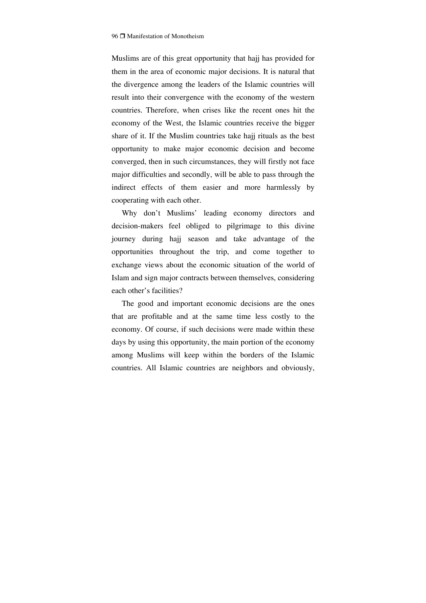Muslims are of this great opportunity that hajj has provided for them in the area of economic major decisions. It is natural that the divergence among the leaders of the Islamic countries will result into their convergence with the economy of the western countries. Therefore, when crises like the recent ones hit the economy of the West, the Islamic countries receive the bigger share of it. If the Muslim countries take hajj rituals as the best opportunity to make major economic decision and become converged, then in such circumstances, they will firstly not face major difficulties and secondly, will be able to pass through the indirect effects of them easier and more harmlessly by cooperating with each other.

Why don't Muslims' leading economy directors and decision-makers feel obliged to pilgrimage to this divine journey during hajj season and take advantage of the opportunities throughout the trip, and come together to exchange views about the economic situation of the world of Islam and sign major contracts between themselves, considering each other's facilities?

The good and important economic decisions are the ones that are profitable and at the same time less costly to the economy. Of course, if such decisions were made within these days by using this opportunity, the main portion of the economy among Muslims will keep within the borders of the Islamic countries. All Islamic countries are neighbors and obviously,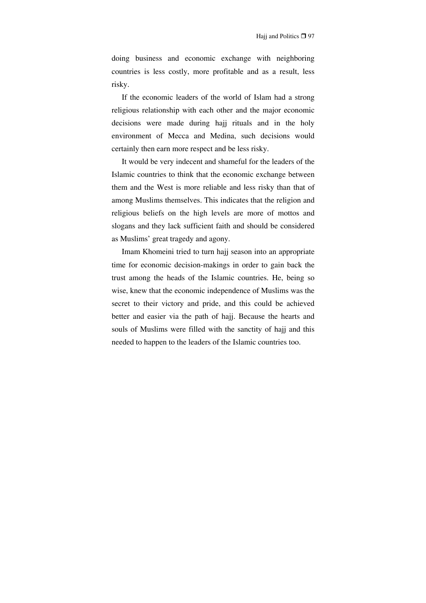doing business and economic exchange with neighboring countries is less costly, more profitable and as a result, less risky.

If the economic leaders of the world of Islam had a strong religious relationship with each other and the major economic decisions were made during hajj rituals and in the holy environment of Mecca and Medina, such decisions would certainly then earn more respect and be less risky.

It would be very indecent and shameful for the leaders of the Islamic countries to think that the economic exchange between them and the West is more reliable and less risky than that of among Muslims themselves. This indicates that the religion and religious beliefs on the high levels are more of mottos and slogans and they lack sufficient faith and should be considered as Muslims' great tragedy and agony.

Imam Khomeini tried to turn hajj season into an appropriate time for economic decision-makings in order to gain back the trust among the heads of the Islamic countries. He, being so wise, knew that the economic independence of Muslims was the secret to their victory and pride, and this could be achieved better and easier via the path of hajj. Because the hearts and souls of Muslims were filled with the sanctity of hajj and this needed to happen to the leaders of the Islamic countries too.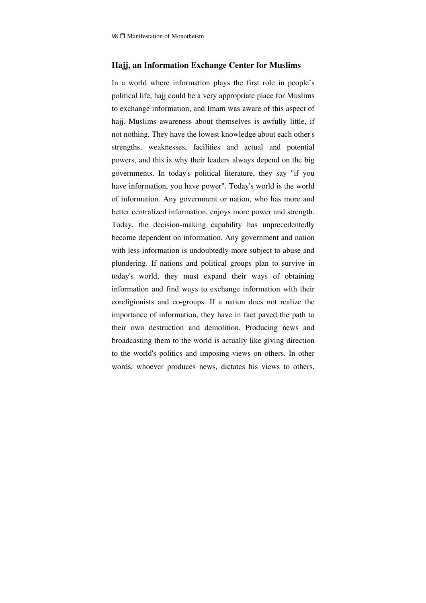### **Hajj, an Information Exchange Center for Muslims**

In a world where information plays the first role in people's political life, hajj could be a very appropriate place for Muslims to exchange information, and Imam was aware of this aspect of hajj. Muslims awareness about themselves is awfully little, if not nothing. They have the lowest knowledge about each other's strengths, weaknesses, facilities and actual and potential powers, and this is why their leaders always depend on the big governments. In today's political literature, they say "if you have information, you have power". Today's world is the world of information. Any government or nation, who has more and better centralized information, enjoys more power and strength. Today, the decision-making capability has unprecedentedly become dependent on information. Any government and nation with less information is undoubtedly more subject to abuse and plundering. If nations and political groups plan to survive in today's world, they must expand their ways of obtaining information and find ways to exchange information with their coreligionists and co-groups. If a nation does not realize the importance of information, they have in fact paved the path to their own destruction and demolition. Producing news and broadcasting them to the world is actually like giving direction to the world's politics and imposing views on others. In other words, whoever produces news, dictates his views to others.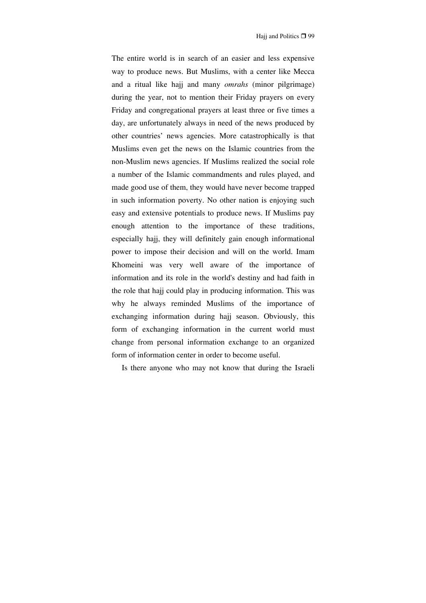The entire world is in search of an easier and less expensive way to produce news. But Muslims, with a center like Mecca and a ritual like hajj and many *omrahs* (minor pilgrimage) during the year, not to mention their Friday prayers on every Friday and congregational prayers at least three or five times a day, are unfortunately always in need of the news produced by other countries' news agencies. More catastrophically is that Muslims even get the news on the Islamic countries from the non-Muslim news agencies. If Muslims realized the social role a number of the Islamic commandments and rules played, and made good use of them, they would have never become trapped in such information poverty. No other nation is enjoying such easy and extensive potentials to produce news. If Muslims pay enough attention to the importance of these traditions, especially hajj, they will definitely gain enough informational power to impose their decision and will on the world. Imam Khomeini was very well aware of the importance of information and its role in the world's destiny and had faith in the role that hajj could play in producing information. This was why he always reminded Muslims of the importance of exchanging information during hajj season. Obviously, this form of exchanging information in the current world must change from personal information exchange to an organized form of information center in order to become useful.

Is there anyone who may not know that during the Israeli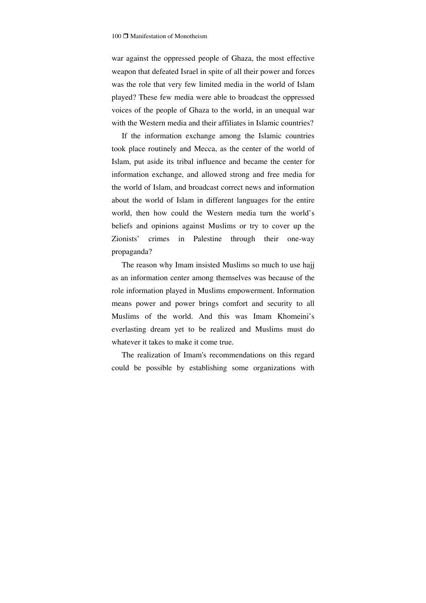war against the oppressed people of Ghaza, the most effective weapon that defeated Israel in spite of all their power and forces was the role that very few limited media in the world of Islam played? These few media were able to broadcast the oppressed voices of the people of Ghaza to the world, in an unequal war with the Western media and their affiliates in Islamic countries?

If the information exchange among the Islamic countries took place routinely and Mecca, as the center of the world of Islam, put aside its tribal influence and became the center for information exchange, and allowed strong and free media for the world of Islam, and broadcast correct news and information about the world of Islam in different languages for the entire world, then how could the Western media turn the world's beliefs and opinions against Muslims or try to cover up the Zionists' crimes in Palestine through their one-way propaganda?

The reason why Imam insisted Muslims so much to use hajj as an information center among themselves was because of the role information played in Muslims empowerment. Information means power and power brings comfort and security to all Muslims of the world. And this was Imam Khomeini's everlasting dream yet to be realized and Muslims must do whatever it takes to make it come true.

The realization of Imam's recommendations on this regard could be possible by establishing some organizations with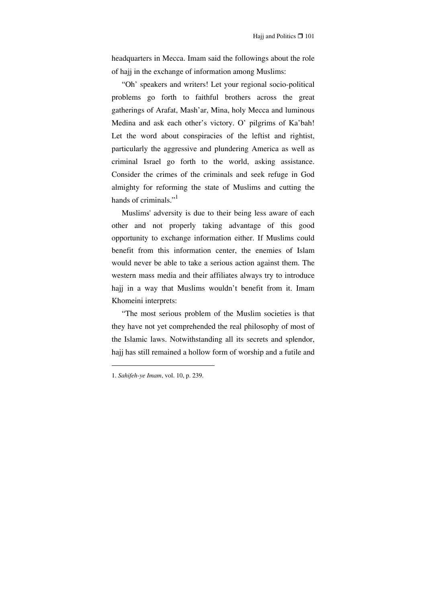headquarters in Mecca. Imam said the followings about the role of hajj in the exchange of information among Muslims:

"Oh' speakers and writers! Let your regional socio-political problems go forth to faithful brothers across the great gatherings of Arafat, Mash'ar, Mina, holy Mecca and luminous Medina and ask each other's victory. O' pilgrims of Ka'bah! Let the word about conspiracies of the leftist and rightist, particularly the aggressive and plundering America as well as criminal Israel go forth to the world, asking assistance. Consider the crimes of the criminals and seek refuge in God almighty for reforming the state of Muslims and cutting the hands of criminals."<sup>1</sup>

Muslims' adversity is due to their being less aware of each other and not properly taking advantage of this good opportunity to exchange information either. If Muslims could benefit from this information center, the enemies of Islam would never be able to take a serious action against them. The western mass media and their affiliates always try to introduce hajj in a way that Muslims wouldn't benefit from it. Imam Khomeini interprets:

"The most serious problem of the Muslim societies is that they have not yet comprehended the real philosophy of most of the Islamic laws. Notwithstanding all its secrets and splendor, hajj has still remained a hollow form of worship and a futile and

<sup>1.</sup> *Sahifeh-ye Imam*, vol. 10, p. 239.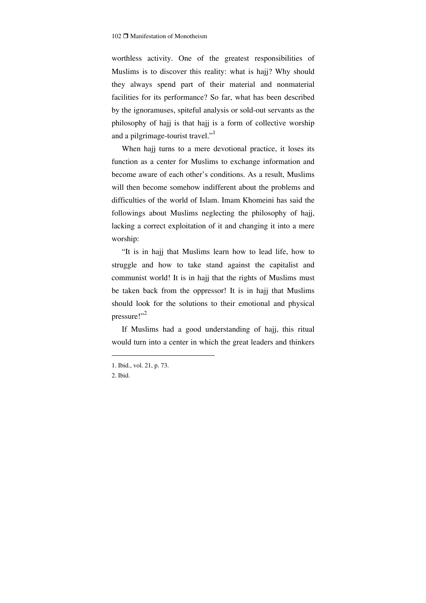worthless activity. One of the greatest responsibilities of Muslims is to discover this reality: what is hajj? Why should they always spend part of their material and nonmaterial facilities for its performance? So far, what has been described by the ignoramuses, spiteful analysis or sold-out servants as the philosophy of hajj is that hajj is a form of collective worship and a pilgrimage-tourist travel."

When hajj turns to a mere devotional practice, it loses its function as a center for Muslims to exchange information and become aware of each other's conditions. As a result, Muslims will then become somehow indifferent about the problems and difficulties of the world of Islam. Imam Khomeini has said the followings about Muslims neglecting the philosophy of hajj, lacking a correct exploitation of it and changing it into a mere worship:

"It is in hajj that Muslims learn how to lead life, how to struggle and how to take stand against the capitalist and communist world! It is in hajj that the rights of Muslims must be taken back from the oppressor! It is in hajj that Muslims should look for the solutions to their emotional and physical pressure!"<sup>2</sup>

If Muslims had a good understanding of hajj, this ritual would turn into a center in which the great leaders and thinkers

<sup>1.</sup> Ibid., vol. 21, p. 73.

<sup>2.</sup> Ibid.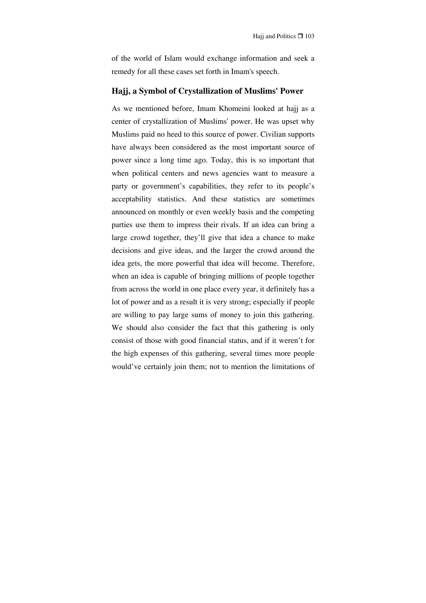of the world of Islam would exchange information and seek a remedy for all these cases set forth in Imam's speech.

## **Hajj, a Symbol of Crystallization of Muslims' Power**

As we mentioned before, Imam Khomeini looked at hajj as a center of crystallization of Muslims' power. He was upset why Muslims paid no heed to this source of power. Civilian supports have always been considered as the most important source of power since a long time ago. Today, this is so important that when political centers and news agencies want to measure a party or government's capabilities, they refer to its people's acceptability statistics. And these statistics are sometimes announced on monthly or even weekly basis and the competing parties use them to impress their rivals. If an idea can bring a large crowd together, they'll give that idea a chance to make decisions and give ideas, and the larger the crowd around the idea gets, the more powerful that idea will become. Therefore, when an idea is capable of bringing millions of people together from across the world in one place every year, it definitely has a lot of power and as a result it is very strong; especially if people are willing to pay large sums of money to join this gathering. We should also consider the fact that this gathering is only consist of those with good financial status, and if it weren't for the high expenses of this gathering, several times more people would've certainly join them; not to mention the limitations of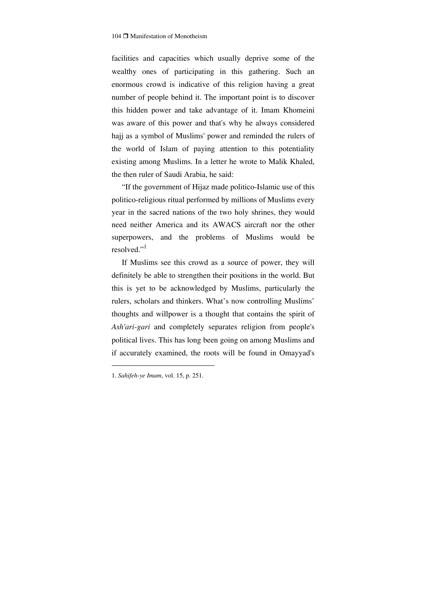facilities and capacities which usually deprive some of the wealthy ones of participating in this gathering. Such an enormous crowd is indicative of this religion having a great number of people behind it. The important point is to discover this hidden power and take advantage of it. Imam Khomeini was aware of this power and that's why he always considered hajj as a symbol of Muslims' power and reminded the rulers of the world of Islam of paying attention to this potentiality existing among Muslims. In a letter he wrote to Malik Khaled, the then ruler of Saudi Arabia, he said:

"If the government of Hijaz made politico-Islamic use of this politico-religious ritual performed by millions of Muslims every year in the sacred nations of the two holy shrines, they would need neither America and its AWACS aircraft nor the other superpowers, and the problems of Muslims would be resolved."<sup>1</sup>

If Muslims see this crowd as a source of power, they will definitely be able to strengthen their positions in the world. But this is yet to be acknowledged by Muslims, particularly the rulers, scholars and thinkers. What's now controlling Muslims' thoughts and willpower is a thought that contains the spirit of *Ash'ari-gari* and completely separates religion from people's political lives. This has long been going on among Muslims and if accurately examined, the roots will be found in Omayyad's

<sup>1.</sup> *Sahifeh-ye Imam*, vol. 15, p. 251.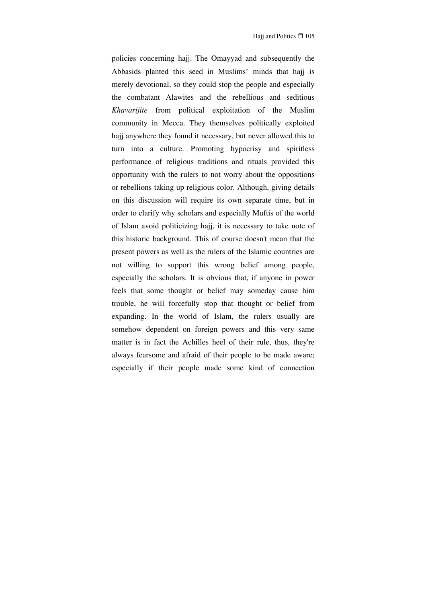policies concerning hajj. The Omayyad and subsequently the Abbasids planted this seed in Muslims' minds that hajj is merely devotional, so they could stop the people and especially the combatant Alawites and the rebellious and seditious *Khavarijite* from political exploitation of the Muslim community in Mecca. They themselves politically exploited hajj anywhere they found it necessary, but never allowed this to turn into a culture. Promoting hypocrisy and spiritless performance of religious traditions and rituals provided this opportunity with the rulers to not worry about the oppositions or rebellions taking up religious color. Although, giving details on this discussion will require its own separate time, but in order to clarify why scholars and especially Muftis of the world of Islam avoid politicizing hajj, it is necessary to take note of this historic background. This of course doesn't mean that the present powers as well as the rulers of the Islamic countries are not willing to support this wrong belief among people, especially the scholars. It is obvious that, if anyone in power feels that some thought or belief may someday cause him trouble, he will forcefully stop that thought or belief from expanding. In the world of Islam, the rulers usually are somehow dependent on foreign powers and this very same matter is in fact the Achilles heel of their rule, thus, they're always fearsome and afraid of their people to be made aware; especially if their people made some kind of connection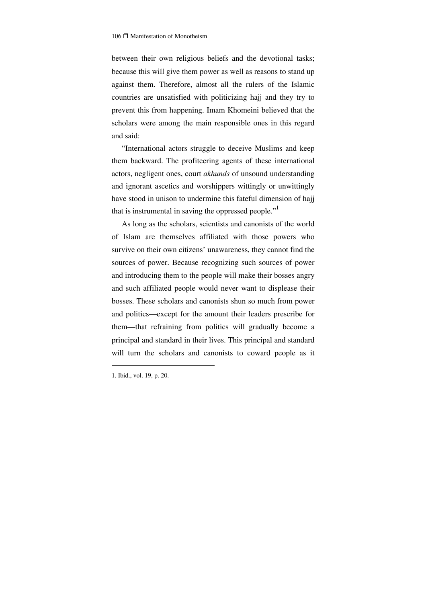between their own religious beliefs and the devotional tasks; because this will give them power as well as reasons to stand up against them. Therefore, almost all the rulers of the Islamic countries are unsatisfied with politicizing hajj and they try to prevent this from happening. Imam Khomeini believed that the scholars were among the main responsible ones in this regard and said:

"International actors struggle to deceive Muslims and keep them backward. The profiteering agents of these international actors, negligent ones, court *akhunds* of unsound understanding and ignorant ascetics and worshippers wittingly or unwittingly have stood in unison to undermine this fateful dimension of hajj that is instrumental in saving the oppressed people."<sup>1</sup>

As long as the scholars, scientists and canonists of the world of Islam are themselves affiliated with those powers who survive on their own citizens' unawareness, they cannot find the sources of power. Because recognizing such sources of power and introducing them to the people will make their bosses angry and such affiliated people would never want to displease their bosses. These scholars and canonists shun so much from power and politics—except for the amount their leaders prescribe for them—that refraining from politics will gradually become a principal and standard in their lives. This principal and standard will turn the scholars and canonists to coward people as it

<sup>1.</sup> Ibid., vol. 19, p. 20.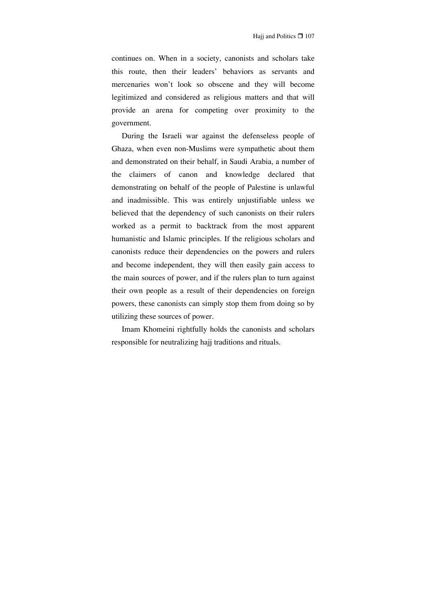continues on. When in a society, canonists and scholars take this route, then their leaders' behaviors as servants and mercenaries won't look so obscene and they will become legitimized and considered as religious matters and that will provide an arena for competing over proximity to the government.

During the Israeli war against the defenseless people of Ghaza, when even non-Muslims were sympathetic about them and demonstrated on their behalf, in Saudi Arabia, a number of the claimers of canon and knowledge declared that demonstrating on behalf of the people of Palestine is unlawful and inadmissible. This was entirely unjustifiable unless we believed that the dependency of such canonists on their rulers worked as a permit to backtrack from the most apparent humanistic and Islamic principles. If the religious scholars and canonists reduce their dependencies on the powers and rulers and become independent, they will then easily gain access to the main sources of power, and if the rulers plan to turn against their own people as a result of their dependencies on foreign powers, these canonists can simply stop them from doing so by utilizing these sources of power.

Imam Khomeini rightfully holds the canonists and scholars responsible for neutralizing hajj traditions and rituals.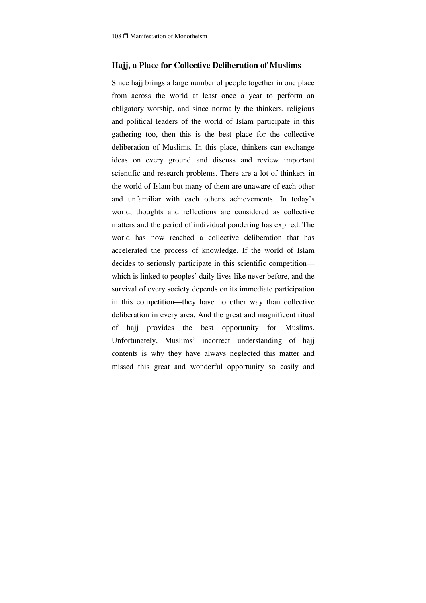### **Hajj, a Place for Collective Deliberation of Muslims**

Since hajj brings a large number of people together in one place from across the world at least once a year to perform an obligatory worship, and since normally the thinkers, religious and political leaders of the world of Islam participate in this gathering too, then this is the best place for the collective deliberation of Muslims. In this place, thinkers can exchange ideas on every ground and discuss and review important scientific and research problems. There are a lot of thinkers in the world of Islam but many of them are unaware of each other and unfamiliar with each other's achievements. In today's world, thoughts and reflections are considered as collective matters and the period of individual pondering has expired. The world has now reached a collective deliberation that has accelerated the process of knowledge. If the world of Islam decides to seriously participate in this scientific competition which is linked to peoples' daily lives like never before, and the survival of every society depends on its immediate participation in this competition—they have no other way than collective deliberation in every area. And the great and magnificent ritual of hajj provides the best opportunity for Muslims. Unfortunately, Muslims' incorrect understanding of hajj contents is why they have always neglected this matter and missed this great and wonderful opportunity so easily and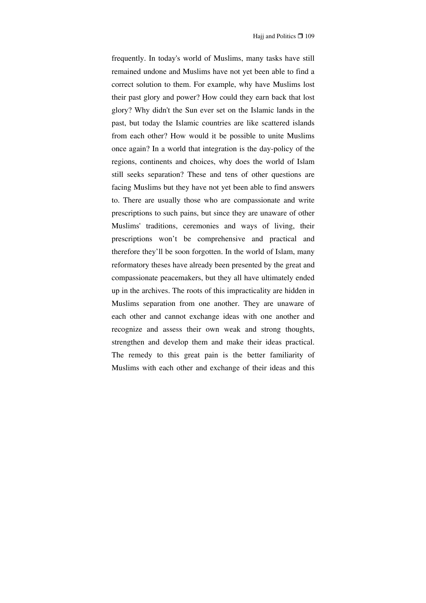frequently. In today's world of Muslims, many tasks have still remained undone and Muslims have not yet been able to find a correct solution to them. For example, why have Muslims lost their past glory and power? How could they earn back that lost glory? Why didn't the Sun ever set on the Islamic lands in the past, but today the Islamic countries are like scattered islands from each other? How would it be possible to unite Muslims once again? In a world that integration is the day-policy of the regions, continents and choices, why does the world of Islam still seeks separation? These and tens of other questions are facing Muslims but they have not yet been able to find answers to. There are usually those who are compassionate and write prescriptions to such pains, but since they are unaware of other Muslims' traditions, ceremonies and ways of living, their prescriptions won't be comprehensive and practical and therefore they'll be soon forgotten. In the world of Islam, many reformatory theses have already been presented by the great and compassionate peacemakers, but they all have ultimately ended up in the archives. The roots of this impracticality are hidden in Muslims separation from one another. They are unaware of each other and cannot exchange ideas with one another and recognize and assess their own weak and strong thoughts, strengthen and develop them and make their ideas practical. The remedy to this great pain is the better familiarity of Muslims with each other and exchange of their ideas and this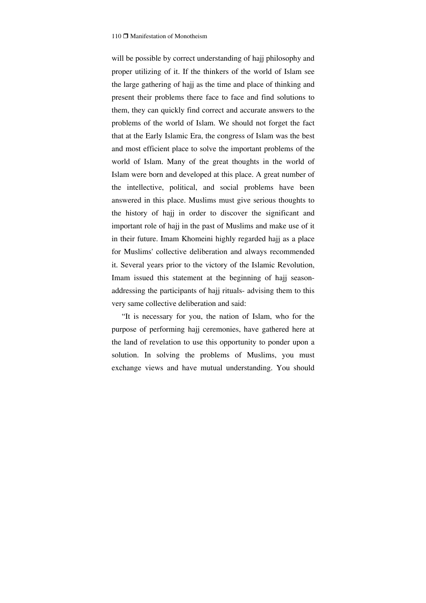will be possible by correct understanding of hajj philosophy and proper utilizing of it. If the thinkers of the world of Islam see the large gathering of hajj as the time and place of thinking and present their problems there face to face and find solutions to them, they can quickly find correct and accurate answers to the problems of the world of Islam. We should not forget the fact that at the Early Islamic Era, the congress of Islam was the best and most efficient place to solve the important problems of the world of Islam. Many of the great thoughts in the world of Islam were born and developed at this place. A great number of the intellective, political, and social problems have been answered in this place. Muslims must give serious thoughts to the history of hajj in order to discover the significant and important role of hajj in the past of Muslims and make use of it in their future. Imam Khomeini highly regarded hajj as a place for Muslims' collective deliberation and always recommended it. Several years prior to the victory of the Islamic Revolution, Imam issued this statement at the beginning of hajj seasonaddressing the participants of hajj rituals- advising them to this very same collective deliberation and said:

"It is necessary for you, the nation of Islam, who for the purpose of performing hajj ceremonies, have gathered here at the land of revelation to use this opportunity to ponder upon a solution. In solving the problems of Muslims, you must exchange views and have mutual understanding. You should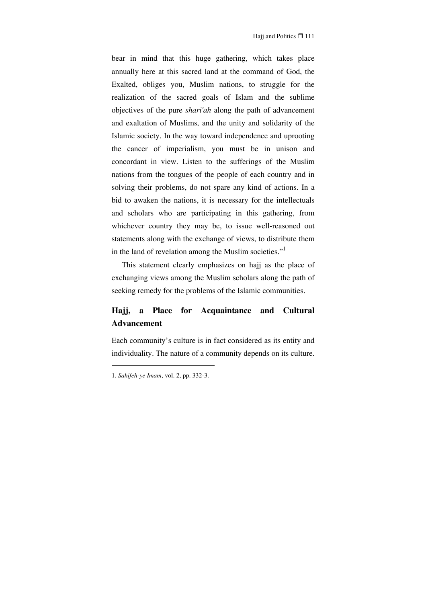bear in mind that this huge gathering, which takes place annually here at this sacred land at the command of God, the Exalted, obliges you, Muslim nations, to struggle for the realization of the sacred goals of Islam and the sublime objectives of the pure *shari'ah* along the path of advancement and exaltation of Muslims, and the unity and solidarity of the Islamic society. In the way toward independence and uprooting the cancer of imperialism, you must be in unison and concordant in view. Listen to the sufferings of the Muslim nations from the tongues of the people of each country and in solving their problems, do not spare any kind of actions. In a bid to awaken the nations, it is necessary for the intellectuals and scholars who are participating in this gathering, from whichever country they may be, to issue well-reasoned out statements along with the exchange of views, to distribute them in the land of revelation among the Muslim societies."

This statement clearly emphasizes on hajj as the place of exchanging views among the Muslim scholars along the path of seeking remedy for the problems of the Islamic communities.

# **Hajj, a Place for Acquaintance and Cultural Advancement**

Each community's culture is in fact considered as its entity and individuality. The nature of a community depends on its culture.

<sup>1.</sup> *Sahifeh-ye Imam*, vol. 2, pp. 332-3.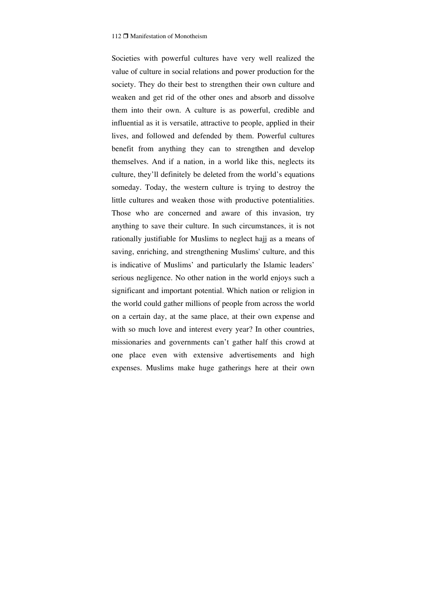Societies with powerful cultures have very well realized the value of culture in social relations and power production for the society. They do their best to strengthen their own culture and weaken and get rid of the other ones and absorb and dissolve them into their own. A culture is as powerful, credible and influential as it is versatile, attractive to people, applied in their lives, and followed and defended by them. Powerful cultures benefit from anything they can to strengthen and develop themselves. And if a nation, in a world like this, neglects its culture, they'll definitely be deleted from the world's equations someday. Today, the western culture is trying to destroy the little cultures and weaken those with productive potentialities. Those who are concerned and aware of this invasion, try anything to save their culture. In such circumstances, it is not rationally justifiable for Muslims to neglect hajj as a means of saving, enriching, and strengthening Muslims' culture, and this is indicative of Muslims' and particularly the Islamic leaders' serious negligence. No other nation in the world enjoys such a significant and important potential. Which nation or religion in the world could gather millions of people from across the world on a certain day, at the same place, at their own expense and with so much love and interest every year? In other countries, missionaries and governments can't gather half this crowd at one place even with extensive advertisements and high expenses. Muslims make huge gatherings here at their own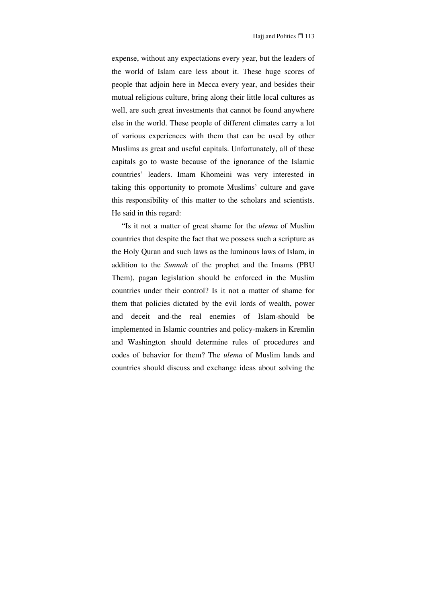expense, without any expectations every year, but the leaders of the world of Islam care less about it. These huge scores of people that adjoin here in Mecca every year, and besides their mutual religious culture, bring along their little local cultures as well, are such great investments that cannot be found anywhere else in the world. These people of different climates carry a lot of various experiences with them that can be used by other Muslims as great and useful capitals. Unfortunately, all of these capitals go to waste because of the ignorance of the Islamic countries' leaders. Imam Khomeini was very interested in taking this opportunity to promote Muslims' culture and gave this responsibility of this matter to the scholars and scientists. He said in this regard:

"Is it not a matter of great shame for the *ulema* of Muslim countries that despite the fact that we possess such a scripture as the Holy Quran and such laws as the luminous laws of Islam, in addition to the *Sunnah* of the prophet and the Imams (PBU Them), pagan legislation should be enforced in the Muslim countries under their control? Is it not a matter of shame for them that policies dictated by the evil lords of wealth, power and deceit and-the real enemies of Islam-should be implemented in Islamic countries and policy-makers in Kremlin and Washington should determine rules of procedures and codes of behavior for them? The *ulema* of Muslim lands and countries should discuss and exchange ideas about solving the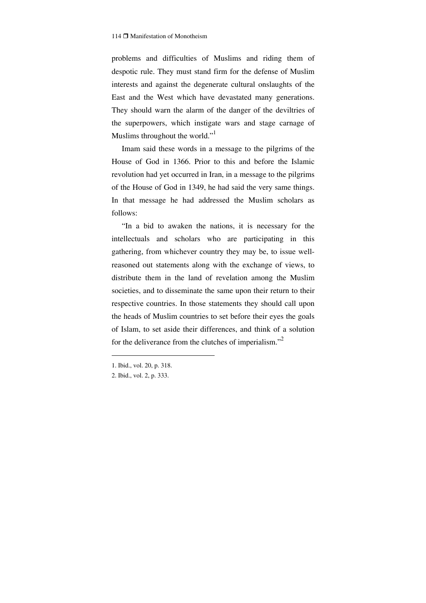problems and difficulties of Muslims and riding them of despotic rule. They must stand firm for the defense of Muslim interests and against the degenerate cultural onslaughts of the East and the West which have devastated many generations. They should warn the alarm of the danger of the deviltries of the superpowers, which instigate wars and stage carnage of Muslims throughout the world."

Imam said these words in a message to the pilgrims of the House of God in 1366. Prior to this and before the Islamic revolution had yet occurred in Iran, in a message to the pilgrims of the House of God in 1349, he had said the very same things. In that message he had addressed the Muslim scholars as follows:

"In a bid to awaken the nations, it is necessary for the intellectuals and scholars who are participating in this gathering, from whichever country they may be, to issue wellreasoned out statements along with the exchange of views, to distribute them in the land of revelation among the Muslim societies, and to disseminate the same upon their return to their respective countries. In those statements they should call upon the heads of Muslim countries to set before their eyes the goals of Islam, to set aside their differences, and think of a solution for the deliverance from the clutches of imperialism."<sup>2</sup>

<sup>1.</sup> Ibid., vol. 20, p. 318.

<sup>2.</sup> Ibid., vol. 2, p. 333.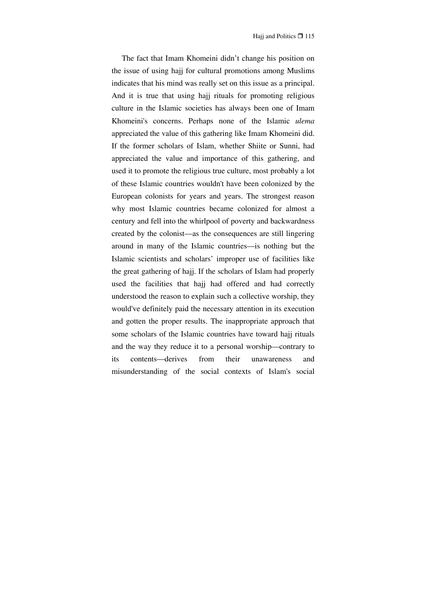The fact that Imam Khomeini didn't change his position on the issue of using hajj for cultural promotions among Muslims indicates that his mind was really set on this issue as a principal. And it is true that using hajj rituals for promoting religious culture in the Islamic societies has always been one of Imam Khomeini's concerns. Perhaps none of the Islamic *ulema* appreciated the value of this gathering like Imam Khomeini did. If the former scholars of Islam, whether Shiite or Sunni, had appreciated the value and importance of this gathering, and used it to promote the religious true culture, most probably a lot of these Islamic countries wouldn't have been colonized by the European colonists for years and years. The strongest reason why most Islamic countries became colonized for almost a century and fell into the whirlpool of poverty and backwardness created by the colonist—as the consequences are still lingering around in many of the Islamic countries—is nothing but the Islamic scientists and scholars' improper use of facilities like the great gathering of hajj. If the scholars of Islam had properly used the facilities that hajj had offered and had correctly understood the reason to explain such a collective worship, they would've definitely paid the necessary attention in its execution and gotten the proper results. The inappropriate approach that some scholars of the Islamic countries have toward hajj rituals and the way they reduce it to a personal worship—contrary to its contents—derives from their unawareness and misunderstanding of the social contexts of Islam's social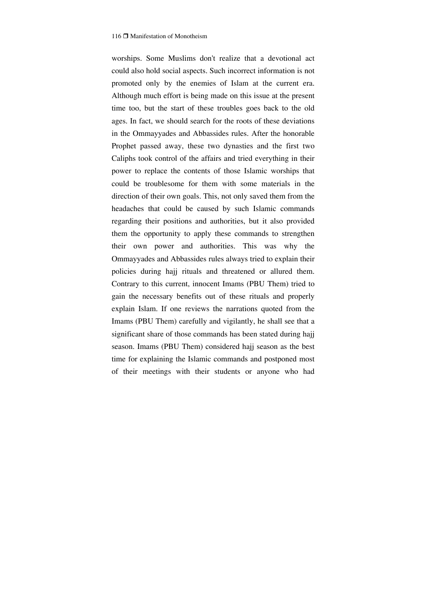worships. Some Muslims don't realize that a devotional act could also hold social aspects. Such incorrect information is not promoted only by the enemies of Islam at the current era. Although much effort is being made on this issue at the present time too, but the start of these troubles goes back to the old ages. In fact, we should search for the roots of these deviations in the Ommayyades and Abbassides rules. After the honorable Prophet passed away, these two dynasties and the first two Caliphs took control of the affairs and tried everything in their power to replace the contents of those Islamic worships that could be troublesome for them with some materials in the direction of their own goals. This, not only saved them from the headaches that could be caused by such Islamic commands regarding their positions and authorities, but it also provided them the opportunity to apply these commands to strengthen their own power and authorities. This was why the Ommayyades and Abbassides rules always tried to explain their policies during hajj rituals and threatened or allured them. Contrary to this current, innocent Imams (PBU Them) tried to gain the necessary benefits out of these rituals and properly explain Islam. If one reviews the narrations quoted from the Imams (PBU Them) carefully and vigilantly, he shall see that a significant share of those commands has been stated during hajj season. Imams (PBU Them) considered hajj season as the best time for explaining the Islamic commands and postponed most of their meetings with their students or anyone who had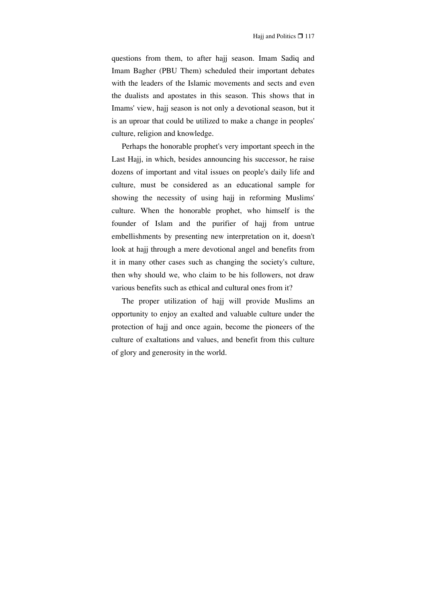questions from them, to after hajj season. Imam Sadiq and Imam Bagher (PBU Them) scheduled their important debates with the leaders of the Islamic movements and sects and even the dualists and apostates in this season. This shows that in Imams' view, hajj season is not only a devotional season, but it is an uproar that could be utilized to make a change in peoples' culture, religion and knowledge.

Perhaps the honorable prophet's very important speech in the Last Hajj, in which, besides announcing his successor, he raise dozens of important and vital issues on people's daily life and culture, must be considered as an educational sample for showing the necessity of using hajj in reforming Muslims' culture. When the honorable prophet, who himself is the founder of Islam and the purifier of hajj from untrue embellishments by presenting new interpretation on it, doesn't look at hajj through a mere devotional angel and benefits from it in many other cases such as changing the society's culture, then why should we, who claim to be his followers, not draw various benefits such as ethical and cultural ones from it?

The proper utilization of hajj will provide Muslims an opportunity to enjoy an exalted and valuable culture under the protection of hajj and once again, become the pioneers of the culture of exaltations and values, and benefit from this culture of glory and generosity in the world.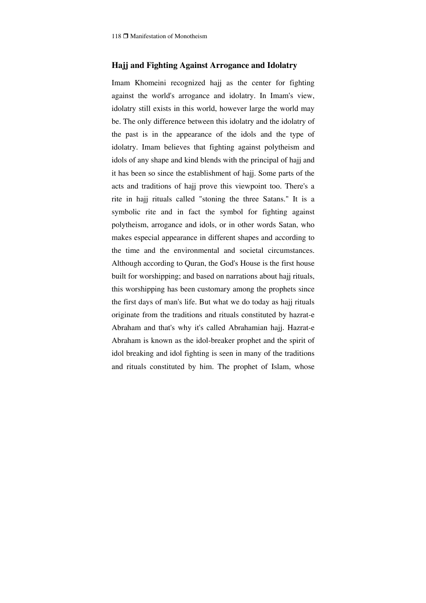### **Hajj and Fighting Against Arrogance and Idolatry**

Imam Khomeini recognized hajj as the center for fighting against the world's arrogance and idolatry. In Imam's view, idolatry still exists in this world, however large the world may be. The only difference between this idolatry and the idolatry of the past is in the appearance of the idols and the type of idolatry. Imam believes that fighting against polytheism and idols of any shape and kind blends with the principal of hajj and it has been so since the establishment of hajj. Some parts of the acts and traditions of hajj prove this viewpoint too. There's a rite in hajj rituals called "stoning the three Satans." It is a symbolic rite and in fact the symbol for fighting against polytheism, arrogance and idols, or in other words Satan, who makes especial appearance in different shapes and according to the time and the environmental and societal circumstances. Although according to Quran, the God's House is the first house built for worshipping; and based on narrations about hajj rituals, this worshipping has been customary among the prophets since the first days of man's life. But what we do today as hajj rituals originate from the traditions and rituals constituted by hazrat-e Abraham and that's why it's called Abrahamian hajj. Hazrat-e Abraham is known as the idol-breaker prophet and the spirit of idol breaking and idol fighting is seen in many of the traditions and rituals constituted by him. The prophet of Islam, whose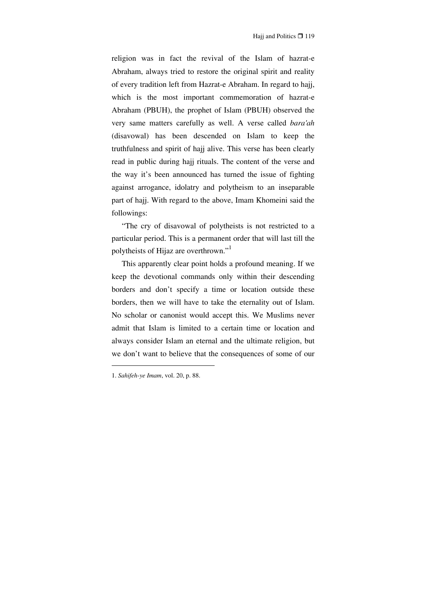religion was in fact the revival of the Islam of hazrat-e Abraham, always tried to restore the original spirit and reality of every tradition left from Hazrat-e Abraham. In regard to hajj, which is the most important commemoration of hazrat-e Abraham (PBUH), the prophet of Islam (PBUH) observed the very same matters carefully as well. A verse called *bara'ah* (disavowal) has been descended on Islam to keep the truthfulness and spirit of hajj alive. This verse has been clearly read in public during hajj rituals. The content of the verse and the way it's been announced has turned the issue of fighting against arrogance, idolatry and polytheism to an inseparable part of hajj. With regard to the above, Imam Khomeini said the followings:

"The cry of disavowal of polytheists is not restricted to a particular period. This is a permanent order that will last till the polytheists of Hijaz are overthrown."1

This apparently clear point holds a profound meaning. If we keep the devotional commands only within their descending borders and don't specify a time or location outside these borders, then we will have to take the eternality out of Islam. No scholar or canonist would accept this. We Muslims never admit that Islam is limited to a certain time or location and always consider Islam an eternal and the ultimate religion, but we don't want to believe that the consequences of some of our

<sup>1.</sup> *Sahifeh-ye Imam*, vol. 20, p. 88.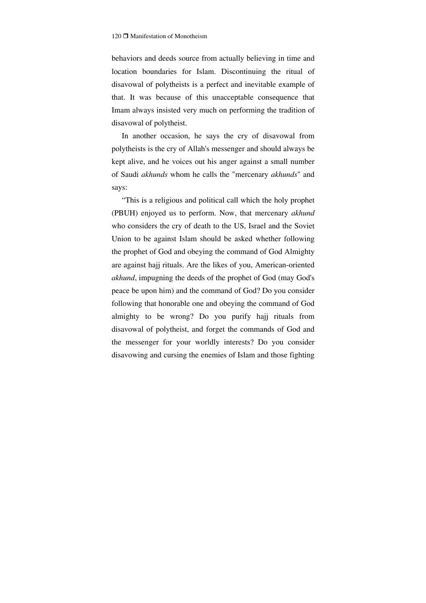behaviors and deeds source from actually believing in time and location boundaries for Islam. Discontinuing the ritual of disavowal of polytheists is a perfect and inevitable example of that. It was because of this unacceptable consequence that Imam always insisted very much on performing the tradition of disavowal of polytheist.

In another occasion, he says the cry of disavowal from polytheists is the cry of Allah's messenger and should always be kept alive, and he voices out his anger against a small number of Saudi *akhunds* whom he calls the "mercenary *akhunds*" and says:

"This is a religious and political call which the holy prophet (PBUH) enjoyed us to perform. Now, that mercenary *akhund* who considers the cry of death to the US, Israel and the Soviet Union to be against Islam should be asked whether following the prophet of God and obeying the command of God Almighty are against hajj rituals. Are the likes of you, American-oriented *akhund*, impugning the deeds of the prophet of God (may God's peace be upon him) and the command of God? Do you consider following that honorable one and obeying the command of God almighty to be wrong? Do you purify hajj rituals from disavowal of polytheist, and forget the commands of God and the messenger for your worldly interests? Do you consider disavowing and cursing the enemies of Islam and those fighting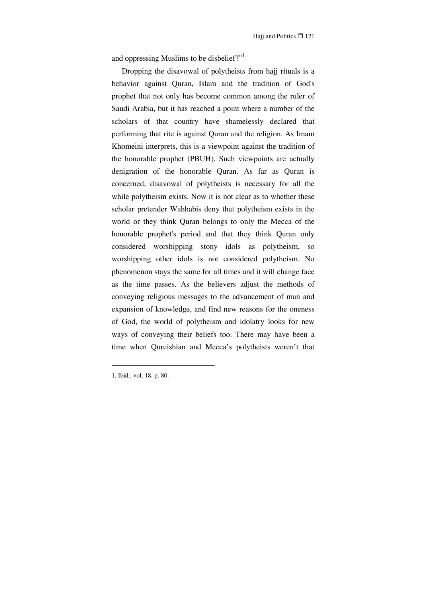and oppressing Muslims to be disbelief?"<sup>1</sup>

Dropping the disavowal of polytheists from hajj rituals is a behavior against Quran, Islam and the tradition of God's prophet that not only has become common among the ruler of Saudi Arabia, but it has reached a point where a number of the scholars of that country have shamelessly declared that performing that rite is against Quran and the religion. As Imam Khomeini interprets, this is a viewpoint against the tradition of the honorable prophet (PBUH). Such viewpoints are actually denigration of the honorable Quran. As far as Quran is concerned, disavowal of polytheists is necessary for all the while polytheism exists. Now it is not clear as to whether these scholar pretender Wahhabis deny that polytheism exists in the world or they think Quran belongs to only the Mecca of the honorable prophet's period and that they think Quran only considered worshipping stony idols as polytheism, so worshipping other idols is not considered polytheism. No phenomenon stays the same for all times and it will change face as the time passes. As the believers adjust the methods of conveying religious messages to the advancement of man and expansion of knowledge, and find new reasons for the oneness of God, the world of polytheism and idolatry looks for new ways of conveying their beliefs too. There may have been a time when Qureishian and Mecca's polytheists weren't that

<sup>1.</sup> Ibid., vol. 18, p. 80.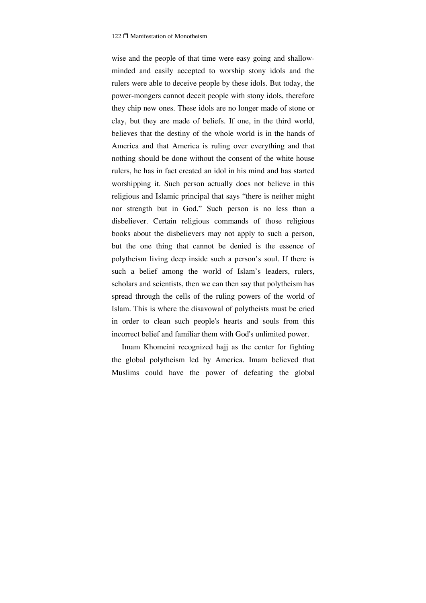wise and the people of that time were easy going and shallowminded and easily accepted to worship stony idols and the rulers were able to deceive people by these idols. But today, the power-mongers cannot deceit people with stony idols, therefore they chip new ones. These idols are no longer made of stone or clay, but they are made of beliefs. If one, in the third world, believes that the destiny of the whole world is in the hands of America and that America is ruling over everything and that nothing should be done without the consent of the white house rulers, he has in fact created an idol in his mind and has started worshipping it. Such person actually does not believe in this religious and Islamic principal that says "there is neither might nor strength but in God." Such person is no less than a disbeliever. Certain religious commands of those religious books about the disbelievers may not apply to such a person, but the one thing that cannot be denied is the essence of polytheism living deep inside such a person's soul. If there is such a belief among the world of Islam's leaders, rulers, scholars and scientists, then we can then say that polytheism has spread through the cells of the ruling powers of the world of Islam. This is where the disavowal of polytheists must be cried in order to clean such people's hearts and souls from this incorrect belief and familiar them with God's unlimited power.

Imam Khomeini recognized hajj as the center for fighting the global polytheism led by America. Imam believed that Muslims could have the power of defeating the global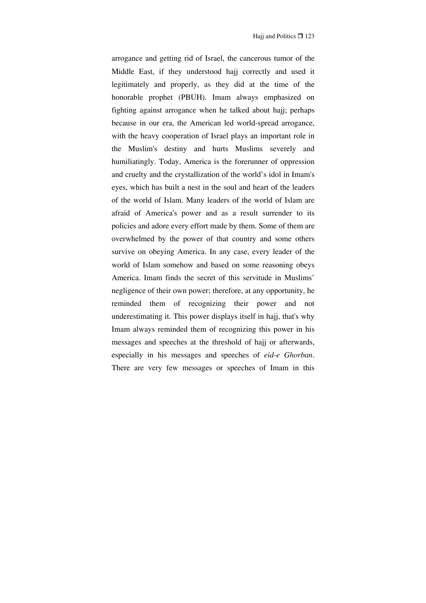arrogance and getting rid of Israel, the cancerous tumor of the Middle East, if they understood hajj correctly and used it legitimately and properly, as they did at the time of the honorable prophet (PBUH). Imam always emphasized on fighting against arrogance when he talked about hajj; perhaps because in our era, the American led world-spread arrogance, with the heavy cooperation of Israel plays an important role in the Muslim's destiny and hurts Muslims severely and humiliatingly. Today, America is the forerunner of oppression and cruelty and the crystallization of the world's idol in Imam's eyes, which has built a nest in the soul and heart of the leaders of the world of Islam. Many leaders of the world of Islam are afraid of America's power and as a result surrender to its policies and adore every effort made by them. Some of them are overwhelmed by the power of that country and some others survive on obeying America. In any case, every leader of the world of Islam somehow and based on some reasoning obeys America. Imam finds the secret of this servitude in Muslims' negligence of their own power; therefore, at any opportunity, he reminded them of recognizing their power and not underestimating it. This power displays itself in hajj, that's why Imam always reminded them of recognizing this power in his messages and speeches at the threshold of hajj or afterwards, especially in his messages and speeches of *eid-e Ghorban*. There are very few messages or speeches of Imam in this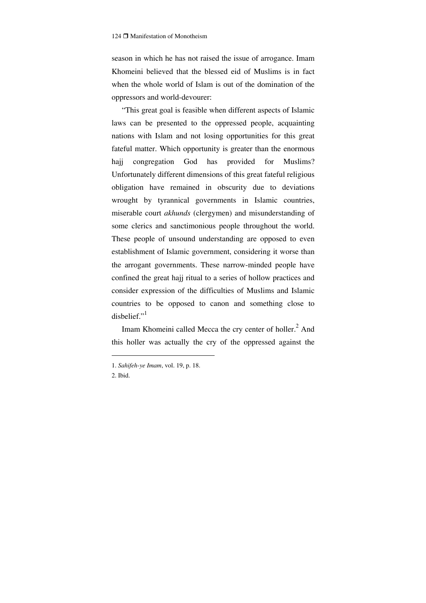season in which he has not raised the issue of arrogance. Imam Khomeini believed that the blessed eid of Muslims is in fact when the whole world of Islam is out of the domination of the oppressors and world-devourer:

"This great goal is feasible when different aspects of Islamic laws can be presented to the oppressed people, acquainting nations with Islam and not losing opportunities for this great fateful matter. Which opportunity is greater than the enormous hajj congregation God has provided for Muslims? Unfortunately different dimensions of this great fateful religious obligation have remained in obscurity due to deviations wrought by tyrannical governments in Islamic countries, miserable court *akhunds* (clergymen) and misunderstanding of some clerics and sanctimonious people throughout the world. These people of unsound understanding are opposed to even establishment of Islamic government, considering it worse than the arrogant governments. These narrow-minded people have confined the great hajj ritual to a series of hollow practices and consider expression of the difficulties of Muslims and Islamic countries to be opposed to canon and something close to disbelief."<sup>1</sup>

Imam Khomeini called Mecca the cry center of holler.<sup>2</sup> And this holler was actually the cry of the oppressed against the

<sup>1.</sup> *Sahifeh-ye Imam*, vol. 19, p. 18.

<sup>2.</sup> Ibid.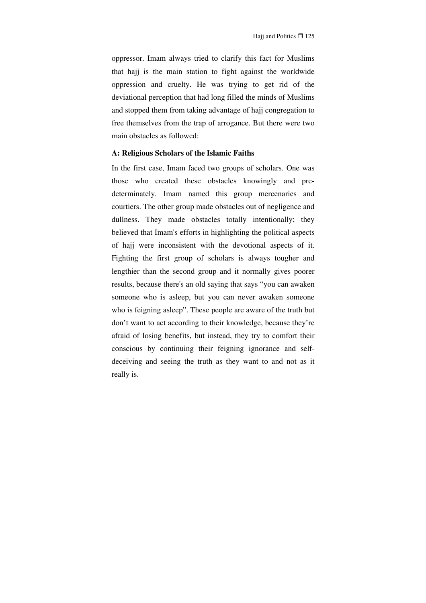oppressor. Imam always tried to clarify this fact for Muslims that hajj is the main station to fight against the worldwide oppression and cruelty. He was trying to get rid of the deviational perception that had long filled the minds of Muslims and stopped them from taking advantage of hajj congregation to free themselves from the trap of arrogance. But there were two main obstacles as followed:

### **A: Religious Scholars of the Islamic Faiths**

In the first case, Imam faced two groups of scholars. One was those who created these obstacles knowingly and predeterminately. Imam named this group mercenaries and courtiers. The other group made obstacles out of negligence and dullness. They made obstacles totally intentionally; they believed that Imam's efforts in highlighting the political aspects of hajj were inconsistent with the devotional aspects of it. Fighting the first group of scholars is always tougher and lengthier than the second group and it normally gives poorer results, because there's an old saying that says "you can awaken someone who is asleep, but you can never awaken someone who is feigning asleep". These people are aware of the truth but don't want to act according to their knowledge, because they're afraid of losing benefits, but instead, they try to comfort their conscious by continuing their feigning ignorance and selfdeceiving and seeing the truth as they want to and not as it really is.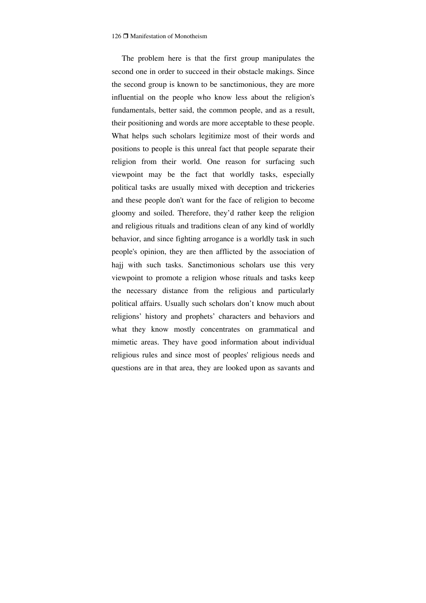The problem here is that the first group manipulates the second one in order to succeed in their obstacle makings. Since the second group is known to be sanctimonious, they are more influential on the people who know less about the religion's fundamentals, better said, the common people, and as a result, their positioning and words are more acceptable to these people. What helps such scholars legitimize most of their words and positions to people is this unreal fact that people separate their religion from their world. One reason for surfacing such viewpoint may be the fact that worldly tasks, especially political tasks are usually mixed with deception and trickeries and these people don't want for the face of religion to become gloomy and soiled. Therefore, they'd rather keep the religion and religious rituals and traditions clean of any kind of worldly behavior, and since fighting arrogance is a worldly task in such people's opinion, they are then afflicted by the association of hajj with such tasks. Sanctimonious scholars use this very viewpoint to promote a religion whose rituals and tasks keep the necessary distance from the religious and particularly political affairs. Usually such scholars don't know much about religions' history and prophets' characters and behaviors and what they know mostly concentrates on grammatical and mimetic areas. They have good information about individual religious rules and since most of peoples' religious needs and questions are in that area, they are looked upon as savants and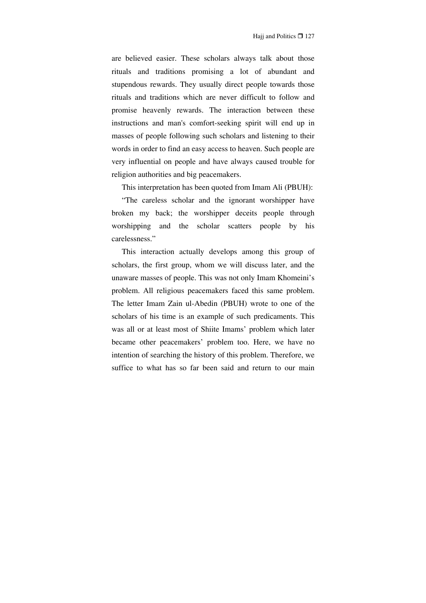are believed easier. These scholars always talk about those rituals and traditions promising a lot of abundant and stupendous rewards. They usually direct people towards those rituals and traditions which are never difficult to follow and promise heavenly rewards. The interaction between these instructions and man's comfort-seeking spirit will end up in masses of people following such scholars and listening to their words in order to find an easy access to heaven. Such people are very influential on people and have always caused trouble for religion authorities and big peacemakers.

This interpretation has been quoted from Imam Ali (PBUH):

"The careless scholar and the ignorant worshipper have broken my back; the worshipper deceits people through worshipping and the scholar scatters people by his carelessness."

This interaction actually develops among this group of scholars, the first group, whom we will discuss later, and the unaware masses of people. This was not only Imam Khomeini's problem. All religious peacemakers faced this same problem. The letter Imam Zain ul-Abedin (PBUH) wrote to one of the scholars of his time is an example of such predicaments. This was all or at least most of Shiite Imams' problem which later became other peacemakers' problem too. Here, we have no intention of searching the history of this problem. Therefore, we suffice to what has so far been said and return to our main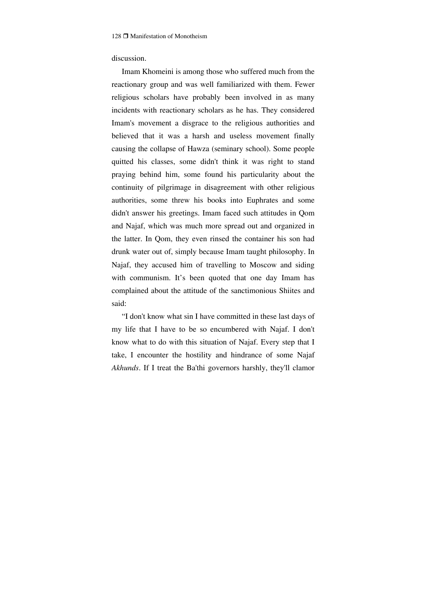## discussion.

Imam Khomeini is among those who suffered much from the reactionary group and was well familiarized with them. Fewer religious scholars have probably been involved in as many incidents with reactionary scholars as he has. They considered Imam's movement a disgrace to the religious authorities and believed that it was a harsh and useless movement finally causing the collapse of Hawza (seminary school). Some people quitted his classes, some didn't think it was right to stand praying behind him, some found his particularity about the continuity of pilgrimage in disagreement with other religious authorities, some threw his books into Euphrates and some didn't answer his greetings. Imam faced such attitudes in Qom and Najaf, which was much more spread out and organized in the latter. In Qom, they even rinsed the container his son had drunk water out of, simply because Imam taught philosophy. In Najaf, they accused him of travelling to Moscow and siding with communism. It's been quoted that one day Imam has complained about the attitude of the sanctimonious Shiites and said:

"I don't know what sin I have committed in these last days of my life that I have to be so encumbered with Najaf. I don't know what to do with this situation of Najaf. Every step that I take, I encounter the hostility and hindrance of some Najaf *Akhunds*. If I treat the Ba'thi governors harshly, they'll clamor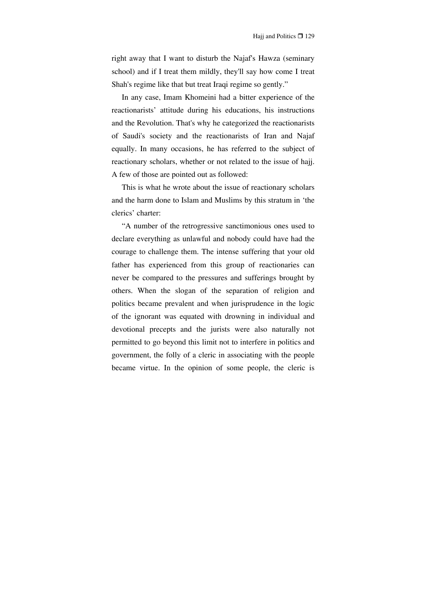right away that I want to disturb the Najaf's Hawza (seminary school) and if I treat them mildly, they'll say how come I treat Shah's regime like that but treat Iraqi regime so gently."

In any case, Imam Khomeini had a bitter experience of the reactionarists' attitude during his educations, his instructions and the Revolution. That's why he categorized the reactionarists of Saudi's society and the reactionarists of Iran and Najaf equally. In many occasions, he has referred to the subject of reactionary scholars, whether or not related to the issue of hajj. A few of those are pointed out as followed:

This is what he wrote about the issue of reactionary scholars and the harm done to Islam and Muslims by this stratum in 'the clerics' charter:

"A number of the retrogressive sanctimonious ones used to declare everything as unlawful and nobody could have had the courage to challenge them. The intense suffering that your old father has experienced from this group of reactionaries can never be compared to the pressures and sufferings brought by others. When the slogan of the separation of religion and politics became prevalent and when jurisprudence in the logic of the ignorant was equated with drowning in individual and devotional precepts and the jurists were also naturally not permitted to go beyond this limit not to interfere in politics and government, the folly of a cleric in associating with the people became virtue. In the opinion of some people, the cleric is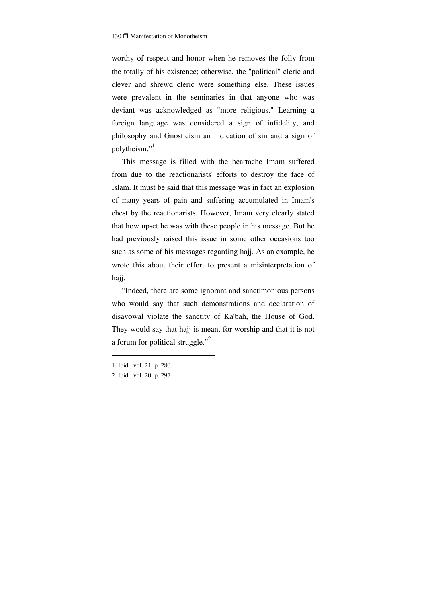worthy of respect and honor when he removes the folly from the totally of his existence; otherwise, the "political" cleric and clever and shrewd cleric were something else. These issues were prevalent in the seminaries in that anyone who was deviant was acknowledged as "more religious." Learning a foreign language was considered a sign of infidelity, and philosophy and Gnosticism an indication of sin and a sign of polytheism."<sup>1</sup>

This message is filled with the heartache Imam suffered from due to the reactionarists' efforts to destroy the face of Islam. It must be said that this message was in fact an explosion of many years of pain and suffering accumulated in Imam's chest by the reactionarists. However, Imam very clearly stated that how upset he was with these people in his message. But he had previously raised this issue in some other occasions too such as some of his messages regarding hajj. As an example, he wrote this about their effort to present a misinterpretation of hajj:

"Indeed, there are some ignorant and sanctimonious persons who would say that such demonstrations and declaration of disavowal violate the sanctity of Ka'bah, the House of God. They would say that hajj is meant for worship and that it is not a forum for political struggle."<sup>2</sup>

<sup>1.</sup> Ibid., vol. 21, p. 280.

<sup>2.</sup> Ibid., vol. 20, p. 297.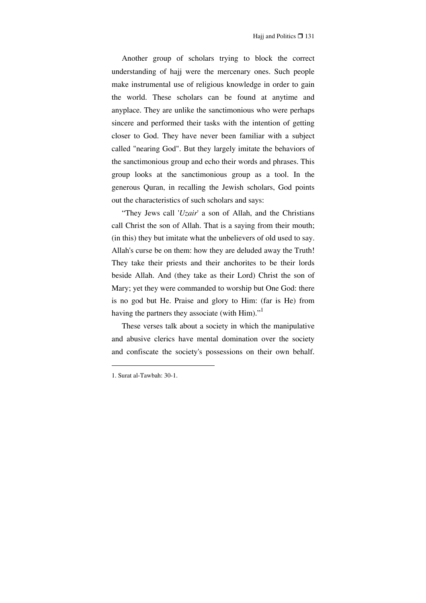Another group of scholars trying to block the correct understanding of hajj were the mercenary ones. Such people make instrumental use of religious knowledge in order to gain the world. These scholars can be found at anytime and anyplace. They are unlike the sanctimonious who were perhaps sincere and performed their tasks with the intention of getting closer to God. They have never been familiar with a subject called "nearing God". But they largely imitate the behaviors of the sanctimonious group and echo their words and phrases. This group looks at the sanctimonious group as a tool. In the generous Quran, in recalling the Jewish scholars, God points out the characteristics of such scholars and says:

"They Jews call '*Uzair*' a son of Allah, and the Christians call Christ the son of Allah. That is a saying from their mouth; (in this) they but imitate what the unbelievers of old used to say. Allah's curse be on them: how they are deluded away the Truth! They take their priests and their anchorites to be their lords beside Allah. And (they take as their Lord) Christ the son of Mary; yet they were commanded to worship but One God: there is no god but He. Praise and glory to Him: (far is He) from having the partners they associate (with Him)."<sup>1</sup>

These verses talk about a society in which the manipulative and abusive clerics have mental domination over the society and confiscate the society's possessions on their own behalf.

<sup>1.</sup> Surat al-Tawbah: 30-1.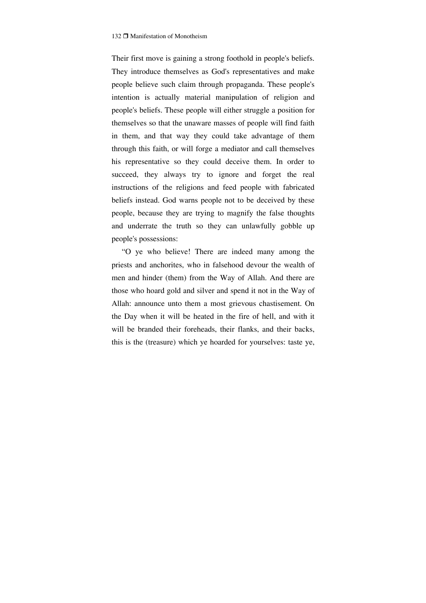Their first move is gaining a strong foothold in people's beliefs. They introduce themselves as God's representatives and make people believe such claim through propaganda. These people's intention is actually material manipulation of religion and people's beliefs. These people will either struggle a position for themselves so that the unaware masses of people will find faith in them, and that way they could take advantage of them through this faith, or will forge a mediator and call themselves his representative so they could deceive them. In order to succeed, they always try to ignore and forget the real instructions of the religions and feed people with fabricated beliefs instead. God warns people not to be deceived by these people, because they are trying to magnify the false thoughts and underrate the truth so they can unlawfully gobble up people's possessions:

"O ye who believe! There are indeed many among the priests and anchorites, who in falsehood devour the wealth of men and hinder (them) from the Way of Allah. And there are those who hoard gold and silver and spend it not in the Way of Allah: announce unto them a most grievous chastisement. On the Day when it will be heated in the fire of hell, and with it will be branded their foreheads, their flanks, and their backs, this is the (treasure) which ye hoarded for yourselves: taste ye,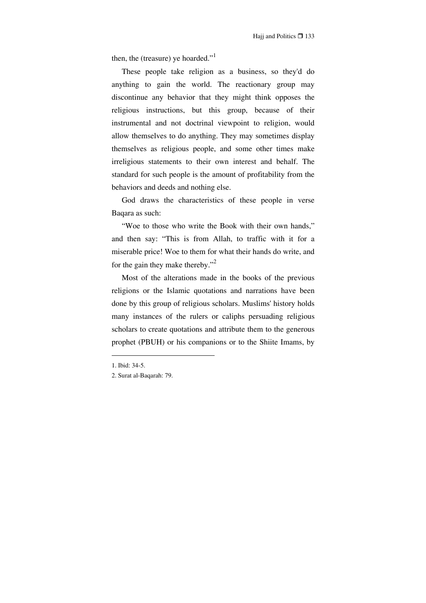then, the (treasure) ye hoarded."<sup>1</sup>

These people take religion as a business, so they'd do anything to gain the world. The reactionary group may discontinue any behavior that they might think opposes the religious instructions, but this group, because of their instrumental and not doctrinal viewpoint to religion, would allow themselves to do anything. They may sometimes display themselves as religious people, and some other times make irreligious statements to their own interest and behalf. The standard for such people is the amount of profitability from the behaviors and deeds and nothing else.

God draws the characteristics of these people in verse Baqara as such:

"Woe to those who write the Book with their own hands," and then say: "This is from Allah, to traffic with it for a miserable price! Woe to them for what their hands do write, and for the gain they make thereby."<sup>2</sup>

Most of the alterations made in the books of the previous religions or the Islamic quotations and narrations have been done by this group of religious scholars. Muslims' history holds many instances of the rulers or caliphs persuading religious scholars to create quotations and attribute them to the generous prophet (PBUH) or his companions or to the Shiite Imams, by

<sup>1.</sup> Ibid: 34-5.

<sup>2.</sup> Surat al-Baqarah: 79.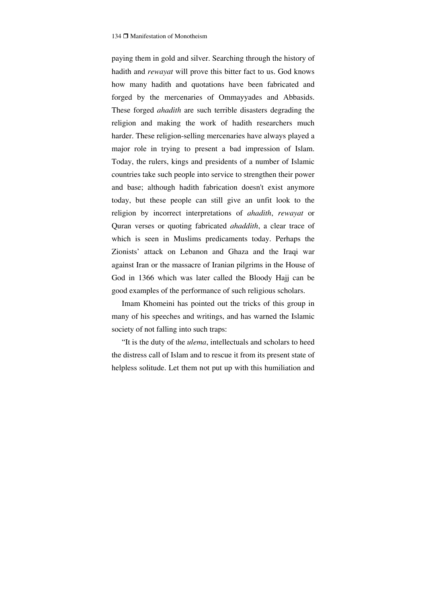paying them in gold and silver. Searching through the history of hadith and *rewayat* will prove this bitter fact to us. God knows how many hadith and quotations have been fabricated and forged by the mercenaries of Ommayyades and Abbasids. These forged *ahadith* are such terrible disasters degrading the religion and making the work of hadith researchers much harder. These religion-selling mercenaries have always played a major role in trying to present a bad impression of Islam. Today, the rulers, kings and presidents of a number of Islamic countries take such people into service to strengthen their power and base; although hadith fabrication doesn't exist anymore today, but these people can still give an unfit look to the religion by incorrect interpretations of *ahadith*, *rewayat* or Quran verses or quoting fabricated *ahaddith*, a clear trace of which is seen in Muslims predicaments today. Perhaps the Zionists' attack on Lebanon and Ghaza and the Iraqi war against Iran or the massacre of Iranian pilgrims in the House of God in 1366 which was later called the Bloody Hajj can be good examples of the performance of such religious scholars.

Imam Khomeini has pointed out the tricks of this group in many of his speeches and writings, and has warned the Islamic society of not falling into such traps:

"It is the duty of the *ulema*, intellectuals and scholars to heed the distress call of Islam and to rescue it from its present state of helpless solitude. Let them not put up with this humiliation and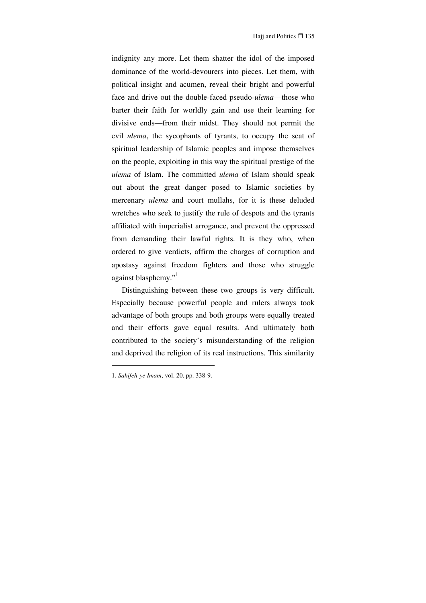indignity any more. Let them shatter the idol of the imposed dominance of the world-devourers into pieces. Let them, with political insight and acumen, reveal their bright and powerful face and drive out the double-faced pseudo-*ulema*—those who barter their faith for worldly gain and use their learning for divisive ends—from their midst. They should not permit the evil *ulema*, the sycophants of tyrants, to occupy the seat of spiritual leadership of Islamic peoples and impose themselves on the people, exploiting in this way the spiritual prestige of the *ulema* of Islam. The committed *ulema* of Islam should speak out about the great danger posed to Islamic societies by mercenary *ulema* and court mullahs, for it is these deluded wretches who seek to justify the rule of despots and the tyrants affiliated with imperialist arrogance, and prevent the oppressed from demanding their lawful rights. It is they who, when ordered to give verdicts, affirm the charges of corruption and apostasy against freedom fighters and those who struggle against blasphemy."

Distinguishing between these two groups is very difficult. Especially because powerful people and rulers always took advantage of both groups and both groups were equally treated and their efforts gave equal results. And ultimately both contributed to the society's misunderstanding of the religion and deprived the religion of its real instructions. This similarity

<sup>1.</sup> *Sahifeh-ye Imam*, vol. 20, pp. 338-9.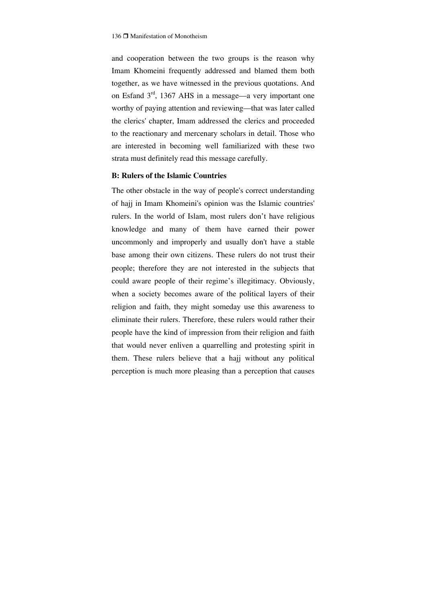and cooperation between the two groups is the reason why Imam Khomeini frequently addressed and blamed them both together, as we have witnessed in the previous quotations. And on Esfand 3rd, 1367 AHS in a message—a very important one worthy of paying attention and reviewing—that was later called the clerics' chapter, Imam addressed the clerics and proceeded to the reactionary and mercenary scholars in detail. Those who are interested in becoming well familiarized with these two strata must definitely read this message carefully.

### **B: Rulers of the Islamic Countries**

The other obstacle in the way of people's correct understanding of hajj in Imam Khomeini's opinion was the Islamic countries' rulers. In the world of Islam, most rulers don't have religious knowledge and many of them have earned their power uncommonly and improperly and usually don't have a stable base among their own citizens. These rulers do not trust their people; therefore they are not interested in the subjects that could aware people of their regime's illegitimacy. Obviously, when a society becomes aware of the political layers of their religion and faith, they might someday use this awareness to eliminate their rulers. Therefore, these rulers would rather their people have the kind of impression from their religion and faith that would never enliven a quarrelling and protesting spirit in them. These rulers believe that a hajj without any political perception is much more pleasing than a perception that causes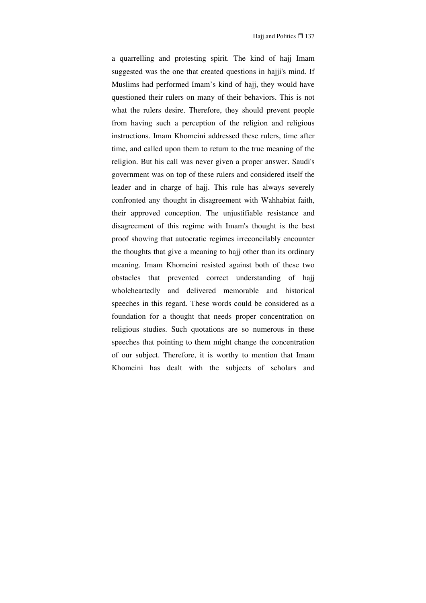a quarrelling and protesting spirit. The kind of hajj Imam suggested was the one that created questions in hajji's mind. If Muslims had performed Imam's kind of hajj, they would have questioned their rulers on many of their behaviors. This is not what the rulers desire. Therefore, they should prevent people from having such a perception of the religion and religious instructions. Imam Khomeini addressed these rulers, time after time, and called upon them to return to the true meaning of the religion. But his call was never given a proper answer. Saudi's government was on top of these rulers and considered itself the leader and in charge of hajj. This rule has always severely confronted any thought in disagreement with Wahhabiat faith, their approved conception. The unjustifiable resistance and disagreement of this regime with Imam's thought is the best proof showing that autocratic regimes irreconcilably encounter the thoughts that give a meaning to hajj other than its ordinary meaning. Imam Khomeini resisted against both of these two obstacles that prevented correct understanding of hajj wholeheartedly and delivered memorable and historical speeches in this regard. These words could be considered as a foundation for a thought that needs proper concentration on religious studies. Such quotations are so numerous in these speeches that pointing to them might change the concentration of our subject. Therefore, it is worthy to mention that Imam Khomeini has dealt with the subjects of scholars and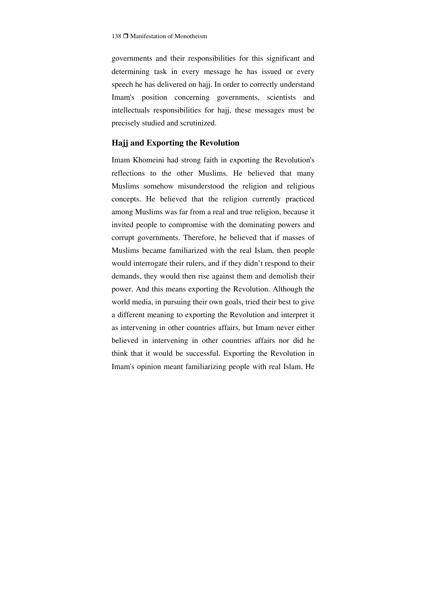governments and their responsibilities for this significant and determining task in every message he has issued or every speech he has delivered on hajj. In order to correctly understand Imam's position concerning governments, scientists and intellectuals responsibilities for hajj, these messages must be precisely studied and scrutinized.

#### **Hajj and Exporting the Revolution**

Imam Khomeini had strong faith in exporting the Revolution's reflections to the other Muslims. He believed that many Muslims somehow misunderstood the religion and religious concepts. He believed that the religion currently practiced among Muslims was far from a real and true religion, because it invited people to compromise with the dominating powers and corrupt governments. Therefore, he believed that if masses of Muslims became familiarized with the real Islam, then people would interrogate their rulers, and if they didn't respond to their demands, they would then rise against them and demolish their power. And this means exporting the Revolution. Although the world media, in pursuing their own goals, tried their best to give a different meaning to exporting the Revolution and interpret it as intervening in other countries affairs, but Imam never either believed in intervening in other countries affairs nor did he think that it would be successful. Exporting the Revolution in Imam's opinion meant familiarizing people with real Islam. He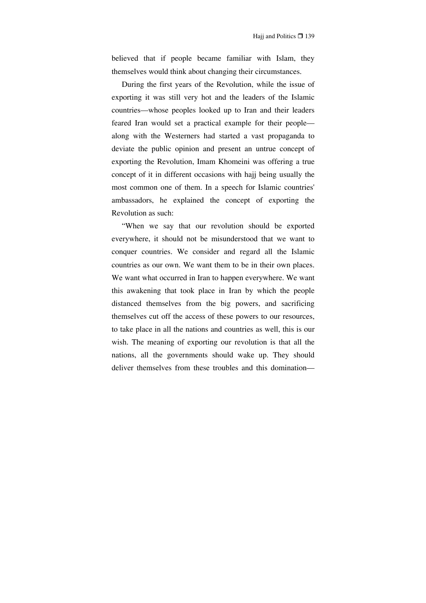believed that if people became familiar with Islam, they themselves would think about changing their circumstances.

During the first years of the Revolution, while the issue of exporting it was still very hot and the leaders of the Islamic countries—whose peoples looked up to Iran and their leaders feared Iran would set a practical example for their people along with the Westerners had started a vast propaganda to deviate the public opinion and present an untrue concept of exporting the Revolution, Imam Khomeini was offering a true concept of it in different occasions with hajj being usually the most common one of them. In a speech for Islamic countries' ambassadors, he explained the concept of exporting the Revolution as such:

"When we say that our revolution should be exported everywhere, it should not be misunderstood that we want to conquer countries. We consider and regard all the Islamic countries as our own. We want them to be in their own places. We want what occurred in Iran to happen everywhere. We want this awakening that took place in Iran by which the people distanced themselves from the big powers, and sacrificing themselves cut off the access of these powers to our resources, to take place in all the nations and countries as well, this is our wish. The meaning of exporting our revolution is that all the nations, all the governments should wake up. They should deliver themselves from these troubles and this domination—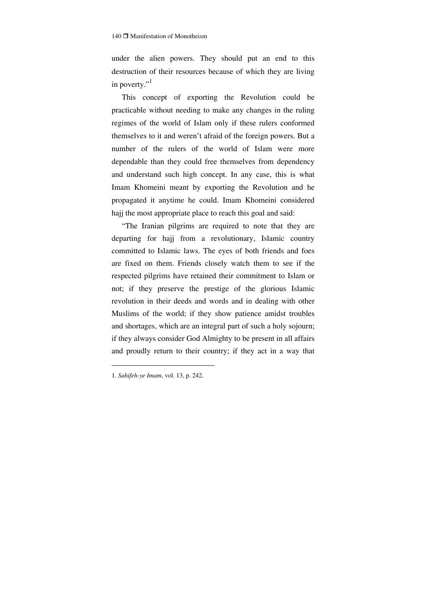under the alien powers. They should put an end to this destruction of their resources because of which they are living in poverty." $\cdot$ <sup>1</sup>

This concept of exporting the Revolution could be practicable without needing to make any changes in the ruling regimes of the world of Islam only if these rulers conformed themselves to it and weren't afraid of the foreign powers. But a number of the rulers of the world of Islam were more dependable than they could free themselves from dependency and understand such high concept. In any case, this is what Imam Khomeini meant by exporting the Revolution and he propagated it anytime he could. Imam Khomeini considered hajj the most appropriate place to reach this goal and said:

"The Iranian pilgrims are required to note that they are departing for hajj from a revolutionary, Islamic country committed to Islamic laws. The eyes of both friends and foes are fixed on them. Friends closely watch them to see if the respected pilgrims have retained their commitment to Islam or not; if they preserve the prestige of the glorious Islamic revolution in their deeds and words and in dealing with other Muslims of the world; if they show patience amidst troubles and shortages, which are an integral part of such a holy sojourn; if they always consider God Almighty to be present in all affairs and proudly return to their country; if they act in a way that

<sup>1.</sup> *Sahifeh-ye Imam*, vol. 13, p. 242.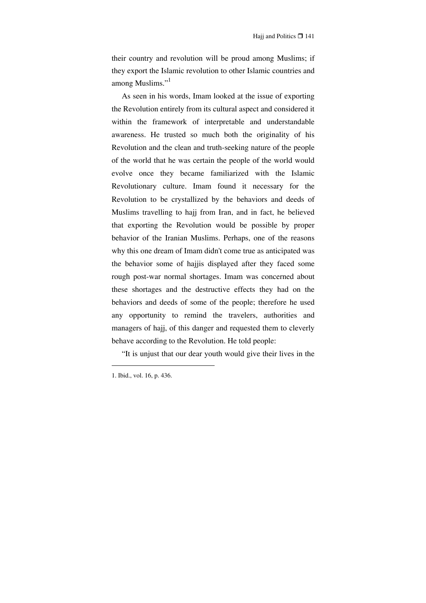their country and revolution will be proud among Muslims; if they export the Islamic revolution to other Islamic countries and among Muslims."<sup>1</sup>

As seen in his words, Imam looked at the issue of exporting the Revolution entirely from its cultural aspect and considered it within the framework of interpretable and understandable awareness. He trusted so much both the originality of his Revolution and the clean and truth-seeking nature of the people of the world that he was certain the people of the world would evolve once they became familiarized with the Islamic Revolutionary culture. Imam found it necessary for the Revolution to be crystallized by the behaviors and deeds of Muslims travelling to hajj from Iran, and in fact, he believed that exporting the Revolution would be possible by proper behavior of the Iranian Muslims. Perhaps, one of the reasons why this one dream of Imam didn't come true as anticipated was the behavior some of hajjis displayed after they faced some rough post-war normal shortages. Imam was concerned about these shortages and the destructive effects they had on the behaviors and deeds of some of the people; therefore he used any opportunity to remind the travelers, authorities and managers of hajj, of this danger and requested them to cleverly behave according to the Revolution. He told people:

"It is unjust that our dear youth would give their lives in the

<sup>1.</sup> Ibid., vol. 16, p. 436.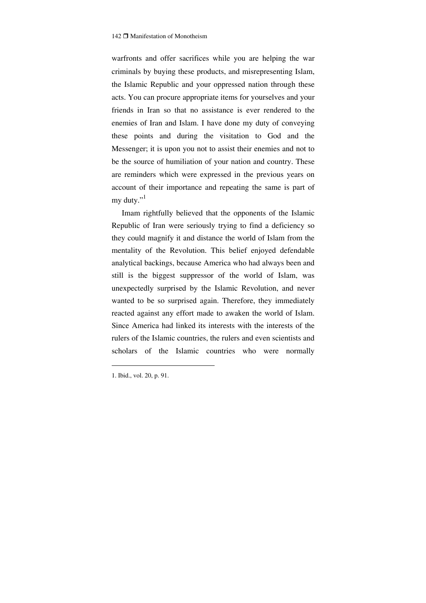warfronts and offer sacrifices while you are helping the war criminals by buying these products, and misrepresenting Islam, the Islamic Republic and your oppressed nation through these acts. You can procure appropriate items for yourselves and your friends in Iran so that no assistance is ever rendered to the enemies of Iran and Islam. I have done my duty of conveying these points and during the visitation to God and the Messenger; it is upon you not to assist their enemies and not to be the source of humiliation of your nation and country. These are reminders which were expressed in the previous years on account of their importance and repeating the same is part of my duty."<sup>1</sup>

Imam rightfully believed that the opponents of the Islamic Republic of Iran were seriously trying to find a deficiency so they could magnify it and distance the world of Islam from the mentality of the Revolution. This belief enjoyed defendable analytical backings, because America who had always been and still is the biggest suppressor of the world of Islam, was unexpectedly surprised by the Islamic Revolution, and never wanted to be so surprised again. Therefore, they immediately reacted against any effort made to awaken the world of Islam. Since America had linked its interests with the interests of the rulers of the Islamic countries, the rulers and even scientists and scholars of the Islamic countries who were normally

<sup>1.</sup> Ibid., vol. 20, p. 91.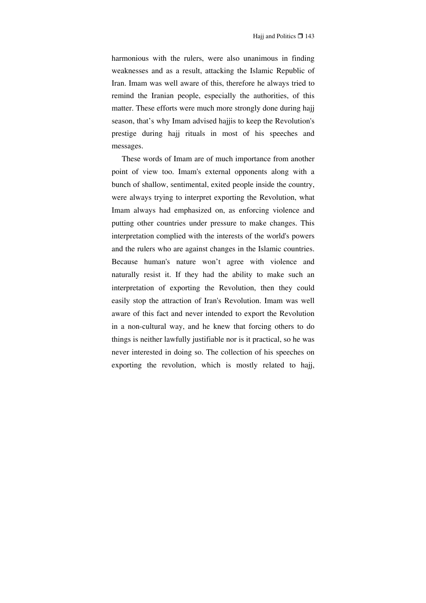harmonious with the rulers, were also unanimous in finding weaknesses and as a result, attacking the Islamic Republic of Iran. Imam was well aware of this, therefore he always tried to remind the Iranian people, especially the authorities, of this matter. These efforts were much more strongly done during hajj season, that's why Imam advised hajjis to keep the Revolution's prestige during hajj rituals in most of his speeches and messages.

These words of Imam are of much importance from another point of view too. Imam's external opponents along with a bunch of shallow, sentimental, exited people inside the country, were always trying to interpret exporting the Revolution, what Imam always had emphasized on, as enforcing violence and putting other countries under pressure to make changes. This interpretation complied with the interests of the world's powers and the rulers who are against changes in the Islamic countries. Because human's nature won't agree with violence and naturally resist it. If they had the ability to make such an interpretation of exporting the Revolution, then they could easily stop the attraction of Iran's Revolution. Imam was well aware of this fact and never intended to export the Revolution in a non-cultural way, and he knew that forcing others to do things is neither lawfully justifiable nor is it practical, so he was never interested in doing so. The collection of his speeches on exporting the revolution, which is mostly related to hajj,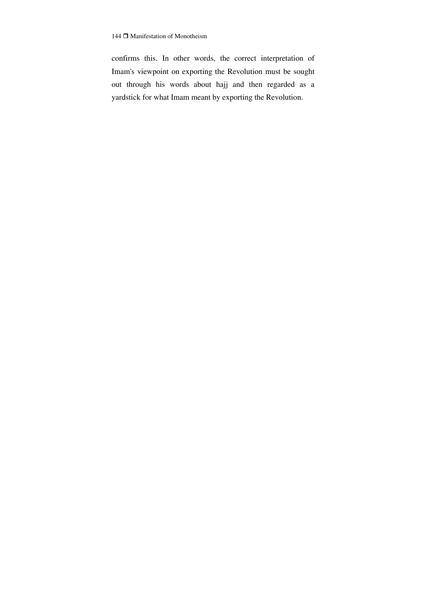confirms this. In other words, the correct interpretation of Imam's viewpoint on exporting the Revolution must be sought out through his words about hajj and then regarded as a yardstick for what Imam meant by exporting the Revolution.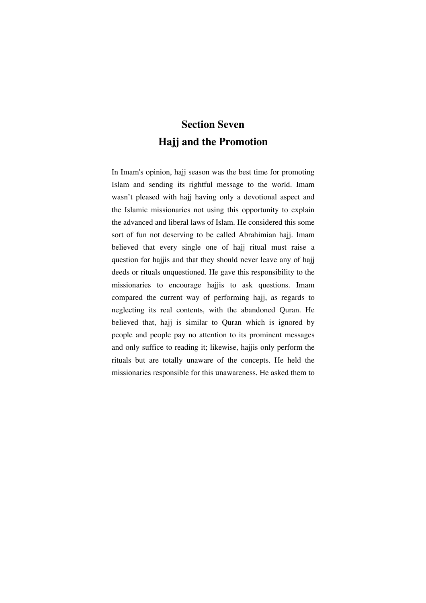## **Section Seven Hajj and the Promotion**

In Imam's opinion, hajj season was the best time for promoting Islam and sending its rightful message to the world. Imam wasn't pleased with hajj having only a devotional aspect and the Islamic missionaries not using this opportunity to explain the advanced and liberal laws of Islam. He considered this some sort of fun not deserving to be called Abrahimian hajj. Imam believed that every single one of hajj ritual must raise a question for hajjis and that they should never leave any of hajj deeds or rituals unquestioned. He gave this responsibility to the missionaries to encourage hajjis to ask questions. Imam compared the current way of performing hajj, as regards to neglecting its real contents, with the abandoned Quran. He believed that, hajj is similar to Quran which is ignored by people and people pay no attention to its prominent messages and only suffice to reading it; likewise, hajjis only perform the rituals but are totally unaware of the concepts. He held the missionaries responsible for this unawareness. He asked them to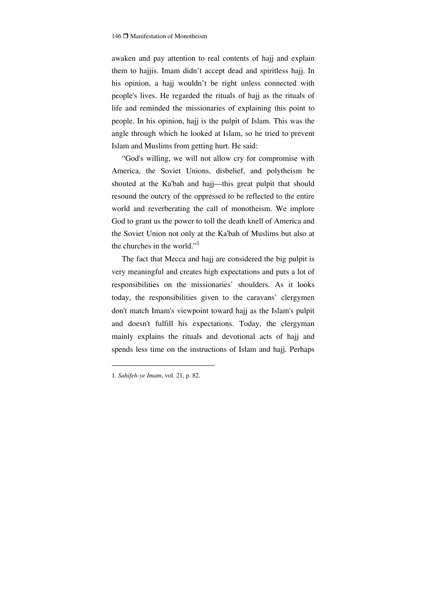awaken and pay attention to real contents of hajj and explain them to hajjis. Imam didn't accept dead and spiritless hajj. In his opinion, a hajj wouldn't be right unless connected with people's lives. He regarded the rituals of hajj as the rituals of life and reminded the missionaries of explaining this point to people. In his opinion, hajj is the pulpit of Islam. This was the angle through which he looked at Islam, so he tried to prevent Islam and Muslims from getting hurt. He said:

"God's willing, we will not allow cry for compromise with America, the Soviet Unions, disbelief, and polytheism be shouted at the Ka'bah and hajj—this great pulpit that should resound the outcry of the oppressed to be reflected to the entire world and reverberating the call of monotheism. We implore God to grant us the power to toll the death knell of America and the Soviet Union not only at the Ka'bah of Muslims but also at the churches in the world."<sup>1</sup>

The fact that Mecca and hajj are considered the big pulpit is very meaningful and creates high expectations and puts a lot of responsibilities on the missionaries' shoulders. As it looks today, the responsibilities given to the caravans' clergymen don't match Imam's viewpoint toward hajj as the Islam's pulpit and doesn't fulfill his expectations. Today, the clergyman mainly explains the rituals and devotional acts of hajj and spends less time on the instructions of Islam and hajj. Perhaps

<sup>1.</sup> *Sahifeh-ye Imam*, vol. 21, p. 82.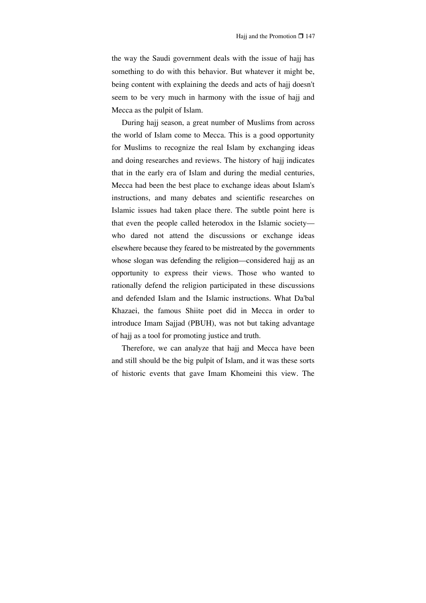the way the Saudi government deals with the issue of hajj has something to do with this behavior. But whatever it might be, being content with explaining the deeds and acts of hajj doesn't seem to be very much in harmony with the issue of hajj and Mecca as the pulpit of Islam.

During hajj season, a great number of Muslims from across the world of Islam come to Mecca. This is a good opportunity for Muslims to recognize the real Islam by exchanging ideas and doing researches and reviews. The history of hajj indicates that in the early era of Islam and during the medial centuries, Mecca had been the best place to exchange ideas about Islam's instructions, and many debates and scientific researches on Islamic issues had taken place there. The subtle point here is that even the people called heterodox in the Islamic society who dared not attend the discussions or exchange ideas elsewhere because they feared to be mistreated by the governments whose slogan was defending the religion—considered hajj as an opportunity to express their views. Those who wanted to rationally defend the religion participated in these discussions and defended Islam and the Islamic instructions. What Da'bal Khazaei, the famous Shiite poet did in Mecca in order to introduce Imam Sajjad (PBUH), was not but taking advantage of hajj as a tool for promoting justice and truth.

Therefore, we can analyze that hajj and Mecca have been and still should be the big pulpit of Islam, and it was these sorts of historic events that gave Imam Khomeini this view. The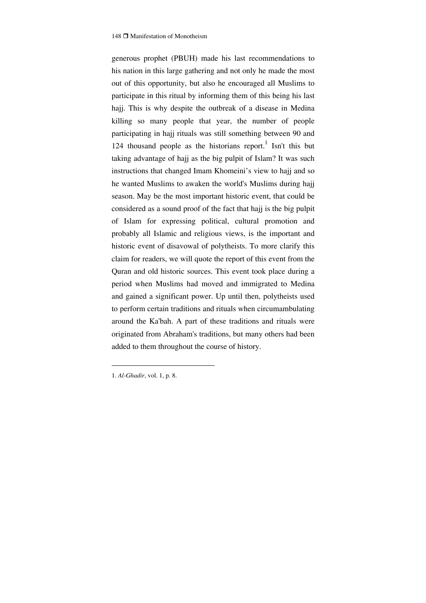generous prophet (PBUH) made his last recommendations to his nation in this large gathering and not only he made the most out of this opportunity, but also he encouraged all Muslims to participate in this ritual by informing them of this being his last hajj. This is why despite the outbreak of a disease in Medina killing so many people that year, the number of people participating in hajj rituals was still something between 90 and 124 thousand people as the historians report.<sup>1</sup> Isn't this but taking advantage of hajj as the big pulpit of Islam? It was such instructions that changed Imam Khomeini's view to hajj and so he wanted Muslims to awaken the world's Muslims during hajj season. May be the most important historic event, that could be considered as a sound proof of the fact that hajj is the big pulpit of Islam for expressing political, cultural promotion and probably all Islamic and religious views, is the important and historic event of disavowal of polytheists. To more clarify this claim for readers, we will quote the report of this event from the Quran and old historic sources. This event took place during a period when Muslims had moved and immigrated to Medina and gained a significant power. Up until then, polytheists used to perform certain traditions and rituals when circumambulating around the Ka'bah. A part of these traditions and rituals were originated from Abraham's traditions, but many others had been added to them throughout the course of history.

1. *Al-Ghadir*, vol. 1, p. 8.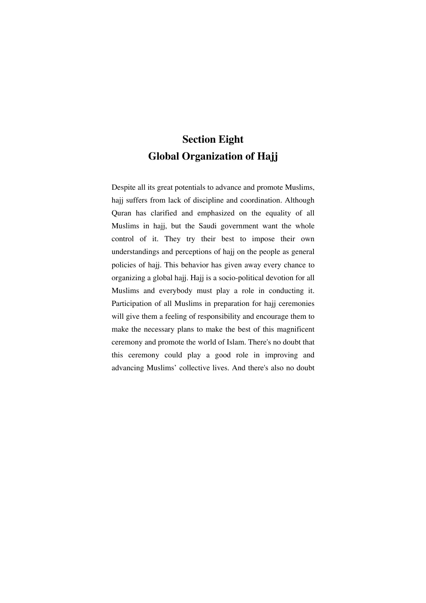# **Section Eight Global Organization of Hajj**

Despite all its great potentials to advance and promote Muslims, hajj suffers from lack of discipline and coordination. Although Quran has clarified and emphasized on the equality of all Muslims in hajj, but the Saudi government want the whole control of it. They try their best to impose their own understandings and perceptions of hajj on the people as general policies of hajj. This behavior has given away every chance to organizing a global hajj. Hajj is a socio-political devotion for all Muslims and everybody must play a role in conducting it. Participation of all Muslims in preparation for hajj ceremonies will give them a feeling of responsibility and encourage them to make the necessary plans to make the best of this magnificent ceremony and promote the world of Islam. There's no doubt that this ceremony could play a good role in improving and advancing Muslims' collective lives. And there's also no doubt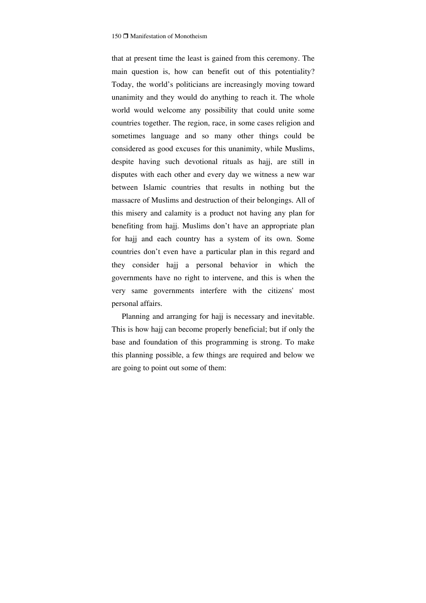that at present time the least is gained from this ceremony. The main question is, how can benefit out of this potentiality? Today, the world's politicians are increasingly moving toward unanimity and they would do anything to reach it. The whole world would welcome any possibility that could unite some countries together. The region, race, in some cases religion and sometimes language and so many other things could be considered as good excuses for this unanimity, while Muslims, despite having such devotional rituals as hajj, are still in disputes with each other and every day we witness a new war between Islamic countries that results in nothing but the massacre of Muslims and destruction of their belongings. All of this misery and calamity is a product not having any plan for benefiting from hajj. Muslims don't have an appropriate plan for hajj and each country has a system of its own. Some countries don't even have a particular plan in this regard and they consider hajj a personal behavior in which the governments have no right to intervene, and this is when the very same governments interfere with the citizens' most personal affairs.

Planning and arranging for hajj is necessary and inevitable. This is how hajj can become properly beneficial; but if only the base and foundation of this programming is strong. To make this planning possible, a few things are required and below we are going to point out some of them: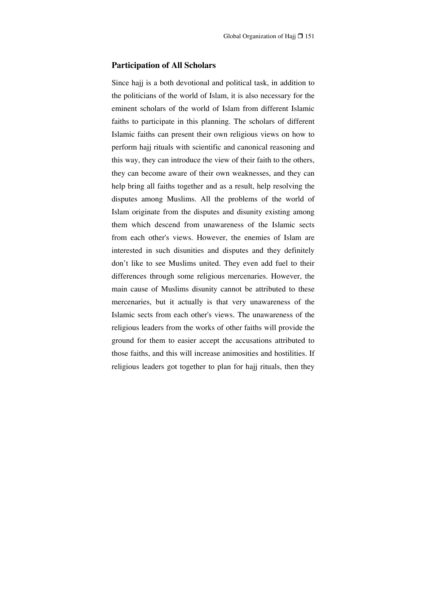#### **Participation of All Scholars**

Since hajj is a both devotional and political task, in addition to the politicians of the world of Islam, it is also necessary for the eminent scholars of the world of Islam from different Islamic faiths to participate in this planning. The scholars of different Islamic faiths can present their own religious views on how to perform hajj rituals with scientific and canonical reasoning and this way, they can introduce the view of their faith to the others, they can become aware of their own weaknesses, and they can help bring all faiths together and as a result, help resolving the disputes among Muslims. All the problems of the world of Islam originate from the disputes and disunity existing among them which descend from unawareness of the Islamic sects from each other's views. However, the enemies of Islam are interested in such disunities and disputes and they definitely don't like to see Muslims united. They even add fuel to their differences through some religious mercenaries. However, the main cause of Muslims disunity cannot be attributed to these mercenaries, but it actually is that very unawareness of the Islamic sects from each other's views. The unawareness of the religious leaders from the works of other faiths will provide the ground for them to easier accept the accusations attributed to those faiths, and this will increase animosities and hostilities. If religious leaders got together to plan for hajj rituals, then they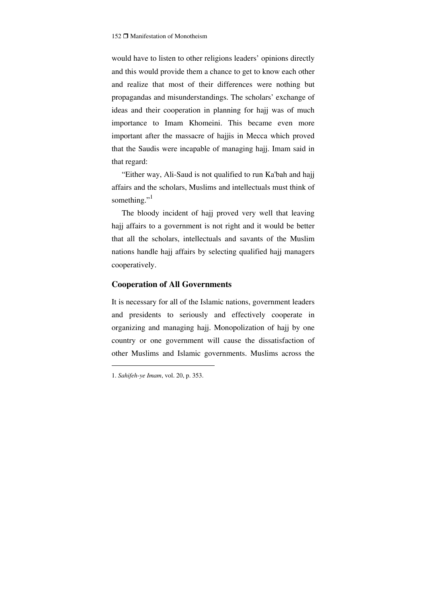would have to listen to other religions leaders' opinions directly and this would provide them a chance to get to know each other and realize that most of their differences were nothing but propagandas and misunderstandings. The scholars' exchange of ideas and their cooperation in planning for hajj was of much importance to Imam Khomeini. This became even more important after the massacre of hajjis in Mecca which proved that the Saudis were incapable of managing hajj. Imam said in that regard:

"Either way, Ali-Saud is not qualified to run Ka'bah and hajj affairs and the scholars, Muslims and intellectuals must think of something."

The bloody incident of hajj proved very well that leaving hajj affairs to a government is not right and it would be better that all the scholars, intellectuals and savants of the Muslim nations handle hajj affairs by selecting qualified hajj managers cooperatively.

#### **Cooperation of All Governments**

It is necessary for all of the Islamic nations, government leaders and presidents to seriously and effectively cooperate in organizing and managing hajj. Monopolization of hajj by one country or one government will cause the dissatisfaction of other Muslims and Islamic governments. Muslims across the

<sup>1.</sup> *Sahifeh-ye Imam*, vol. 20, p. 353.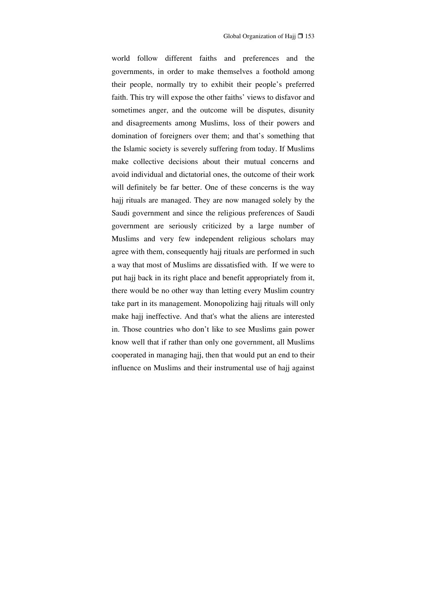world follow different faiths and preferences and the governments, in order to make themselves a foothold among their people, normally try to exhibit their people's preferred faith. This try will expose the other faiths' views to disfavor and sometimes anger, and the outcome will be disputes, disunity and disagreements among Muslims, loss of their powers and domination of foreigners over them; and that's something that the Islamic society is severely suffering from today. If Muslims make collective decisions about their mutual concerns and avoid individual and dictatorial ones, the outcome of their work will definitely be far better. One of these concerns is the way hajj rituals are managed. They are now managed solely by the Saudi government and since the religious preferences of Saudi government are seriously criticized by a large number of Muslims and very few independent religious scholars may agree with them, consequently hajj rituals are performed in such a way that most of Muslims are dissatisfied with. If we were to put hajj back in its right place and benefit appropriately from it, there would be no other way than letting every Muslim country take part in its management. Monopolizing hajj rituals will only make hajj ineffective. And that's what the aliens are interested in. Those countries who don't like to see Muslims gain power know well that if rather than only one government, all Muslims cooperated in managing hajj, then that would put an end to their influence on Muslims and their instrumental use of hajj against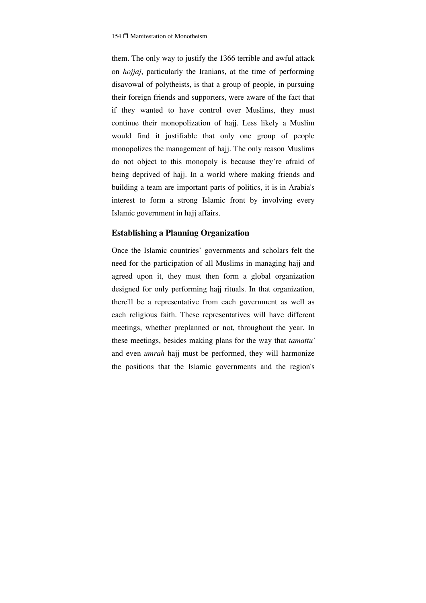them. The only way to justify the 1366 terrible and awful attack on *hojjaj*, particularly the Iranians, at the time of performing disavowal of polytheists, is that a group of people, in pursuing their foreign friends and supporters, were aware of the fact that if they wanted to have control over Muslims, they must continue their monopolization of hajj. Less likely a Muslim would find it justifiable that only one group of people monopolizes the management of hajj. The only reason Muslims do not object to this monopoly is because they're afraid of being deprived of hajj. In a world where making friends and building a team are important parts of politics, it is in Arabia's interest to form a strong Islamic front by involving every Islamic government in hajj affairs.

#### **Establishing a Planning Organization**

Once the Islamic countries' governments and scholars felt the need for the participation of all Muslims in managing hajj and agreed upon it, they must then form a global organization designed for only performing hajj rituals. In that organization, there'll be a representative from each government as well as each religious faith. These representatives will have different meetings, whether preplanned or not, throughout the year. In these meetings, besides making plans for the way that *tamattu'* and even *umrah* hajj must be performed, they will harmonize the positions that the Islamic governments and the region's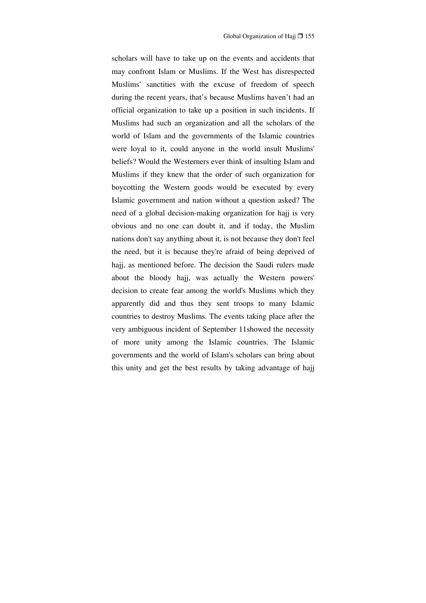scholars will have to take up on the events and accidents that may confront Islam or Muslims. If the West has disrespected Muslims' sanctities with the excuse of freedom of speech during the recent years, that's because Muslims haven't had an official organization to take up a position in such incidents. If Muslims had such an organization and all the scholars of the world of Islam and the governments of the Islamic countries were loyal to it, could anyone in the world insult Muslims' beliefs? Would the Westerners ever think of insulting Islam and Muslims if they knew that the order of such organization for boycotting the Western goods would be executed by every Islamic government and nation without a question asked? The need of a global decision-making organization for hajj is very obvious and no one can doubt it, and if today, the Muslim nations don't say anything about it, is not because they don't feel the need, but it is because they're afraid of being deprived of hajj, as mentioned before. The decision the Saudi rulers made about the bloody hajj, was actually the Western powers' decision to create fear among the world's Muslims which they apparently did and thus they sent troops to many Islamic countries to destroy Muslims. The events taking place after the very ambiguous incident of September 11showed the necessity of more unity among the Islamic countries. The Islamic governments and the world of Islam's scholars can bring about this unity and get the best results by taking advantage of hajj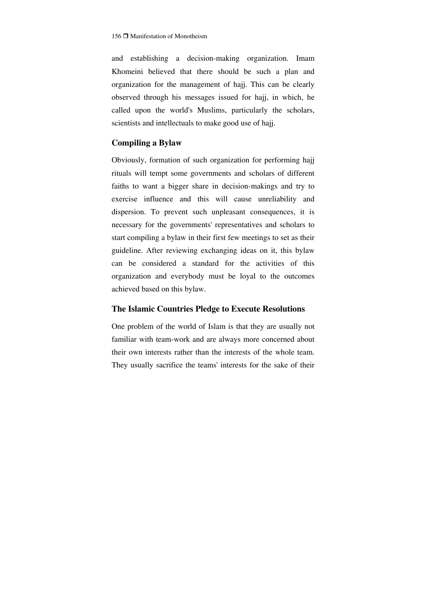and establishing a decision-making organization. Imam Khomeini believed that there should be such a plan and organization for the management of hajj. This can be clearly observed through his messages issued for hajj, in which, he called upon the world's Muslims, particularly the scholars, scientists and intellectuals to make good use of hajj.

#### **Compiling a Bylaw**

Obviously, formation of such organization for performing hajj rituals will tempt some governments and scholars of different faiths to want a bigger share in decision-makings and try to exercise influence and this will cause unreliability and dispersion. To prevent such unpleasant consequences, it is necessary for the governments' representatives and scholars to start compiling a bylaw in their first few meetings to set as their guideline. After reviewing exchanging ideas on it, this bylaw can be considered a standard for the activities of this organization and everybody must be loyal to the outcomes achieved based on this bylaw.

#### **The Islamic Countries Pledge to Execute Resolutions**

One problem of the world of Islam is that they are usually not familiar with team-work and are always more concerned about their own interests rather than the interests of the whole team. They usually sacrifice the teams' interests for the sake of their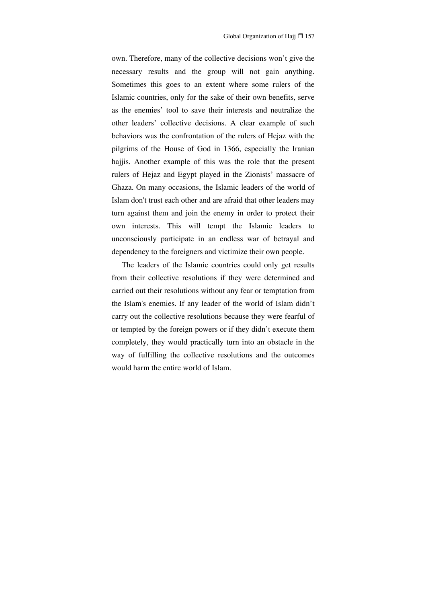own. Therefore, many of the collective decisions won't give the necessary results and the group will not gain anything. Sometimes this goes to an extent where some rulers of the Islamic countries, only for the sake of their own benefits, serve as the enemies' tool to save their interests and neutralize the other leaders' collective decisions. A clear example of such behaviors was the confrontation of the rulers of Hejaz with the pilgrims of the House of God in 1366, especially the Iranian hajjis. Another example of this was the role that the present rulers of Hejaz and Egypt played in the Zionists' massacre of Ghaza. On many occasions, the Islamic leaders of the world of Islam don't trust each other and are afraid that other leaders may turn against them and join the enemy in order to protect their own interests. This will tempt the Islamic leaders to unconsciously participate in an endless war of betrayal and dependency to the foreigners and victimize their own people.

The leaders of the Islamic countries could only get results from their collective resolutions if they were determined and carried out their resolutions without any fear or temptation from the Islam's enemies. If any leader of the world of Islam didn't carry out the collective resolutions because they were fearful of or tempted by the foreign powers or if they didn't execute them completely, they would practically turn into an obstacle in the way of fulfilling the collective resolutions and the outcomes would harm the entire world of Islam.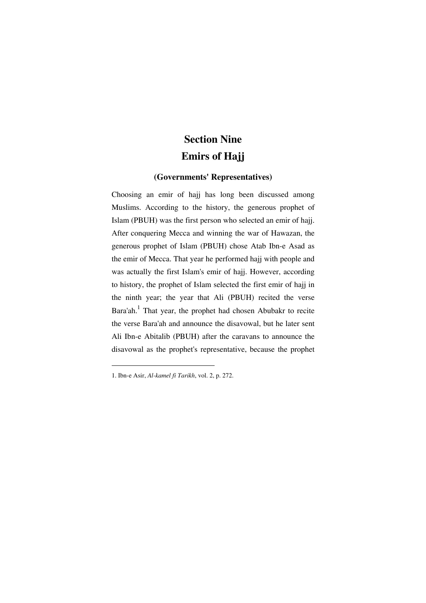# **Section Nine Emirs of Hajj**

### **(Governments' Representatives)**

Choosing an emir of hajj has long been discussed among Muslims. According to the history, the generous prophet of Islam (PBUH) was the first person who selected an emir of hajj. After conquering Mecca and winning the war of Hawazan, the generous prophet of Islam (PBUH) chose Atab Ibn-e Asad as the emir of Mecca. That year he performed hajj with people and was actually the first Islam's emir of hajj. However, according to history, the prophet of Islam selected the first emir of hajj in the ninth year; the year that Ali (PBUH) recited the verse Bara'ah.<sup>1</sup> That year, the prophet had chosen Abubakr to recite the verse Bara'ah and announce the disavowal, but he later sent Ali Ibn-e Abitalib (PBUH) after the caravans to announce the disavowal as the prophet's representative, because the prophet

<sup>1.</sup> Ibn-e Asir, *Al-kamel fi Tarikh*, vol. 2, p. 272.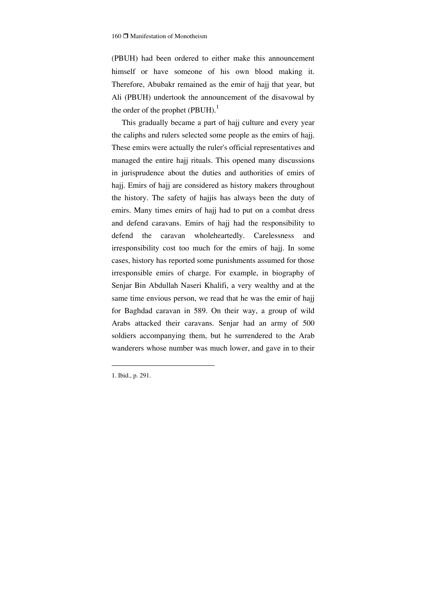(PBUH) had been ordered to either make this announcement himself or have someone of his own blood making it. Therefore, Abubakr remained as the emir of hajj that year, but Ali (PBUH) undertook the announcement of the disavowal by the order of the prophet  $(PBUH)<sup>1</sup>$ 

This gradually became a part of hajj culture and every year the caliphs and rulers selected some people as the emirs of hajj. These emirs were actually the ruler's official representatives and managed the entire hajj rituals. This opened many discussions in jurisprudence about the duties and authorities of emirs of hajj. Emirs of hajj are considered as history makers throughout the history. The safety of hajjis has always been the duty of emirs. Many times emirs of hajj had to put on a combat dress and defend caravans. Emirs of hajj had the responsibility to defend the caravan wholeheartedly. Carelessness and irresponsibility cost too much for the emirs of hajj. In some cases, history has reported some punishments assumed for those irresponsible emirs of charge. For example, in biography of Senjar Bin Abdullah Naseri Khalifi, a very wealthy and at the same time envious person, we read that he was the emir of hajj for Baghdad caravan in 589. On their way, a group of wild Arabs attacked their caravans. Senjar had an army of 500 soldiers accompanying them, but he surrendered to the Arab wanderers whose number was much lower, and gave in to their

1. Ibid., p. 291.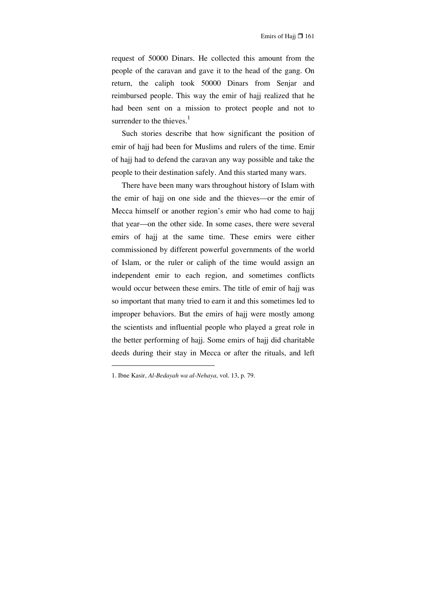request of 50000 Dinars. He collected this amount from the people of the caravan and gave it to the head of the gang. On return, the caliph took 50000 Dinars from Senjar and reimbursed people. This way the emir of hajj realized that he had been sent on a mission to protect people and not to surrender to the thieves. $<sup>1</sup>$ </sup>

Such stories describe that how significant the position of emir of hajj had been for Muslims and rulers of the time. Emir of hajj had to defend the caravan any way possible and take the people to their destination safely. And this started many wars.

There have been many wars throughout history of Islam with the emir of hajj on one side and the thieves—or the emir of Mecca himself or another region's emir who had come to hajj that year—on the other side. In some cases, there were several emirs of hajj at the same time. These emirs were either commissioned by different powerful governments of the world of Islam, or the ruler or caliph of the time would assign an independent emir to each region, and sometimes conflicts would occur between these emirs. The title of emir of hajj was so important that many tried to earn it and this sometimes led to improper behaviors. But the emirs of hajj were mostly among the scientists and influential people who played a great role in the better performing of hajj. Some emirs of hajj did charitable deeds during their stay in Mecca or after the rituals, and left

<sup>1.</sup> Ibne Kasir, *Al-Bedayah wa al-Nehaya*, vol. 13, p. 79.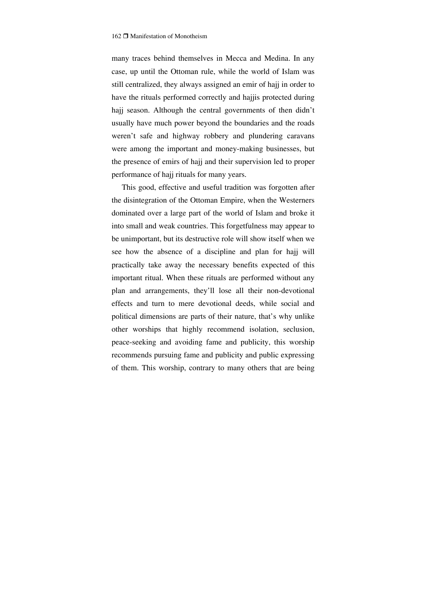many traces behind themselves in Mecca and Medina. In any case, up until the Ottoman rule, while the world of Islam was still centralized, they always assigned an emir of hajj in order to have the rituals performed correctly and hajjis protected during hajj season. Although the central governments of then didn't usually have much power beyond the boundaries and the roads weren't safe and highway robbery and plundering caravans were among the important and money-making businesses, but the presence of emirs of hajj and their supervision led to proper performance of hajj rituals for many years.

This good, effective and useful tradition was forgotten after the disintegration of the Ottoman Empire, when the Westerners dominated over a large part of the world of Islam and broke it into small and weak countries. This forgetfulness may appear to be unimportant, but its destructive role will show itself when we see how the absence of a discipline and plan for hajj will practically take away the necessary benefits expected of this important ritual. When these rituals are performed without any plan and arrangements, they'll lose all their non-devotional effects and turn to mere devotional deeds, while social and political dimensions are parts of their nature, that's why unlike other worships that highly recommend isolation, seclusion, peace-seeking and avoiding fame and publicity, this worship recommends pursuing fame and publicity and public expressing of them. This worship, contrary to many others that are being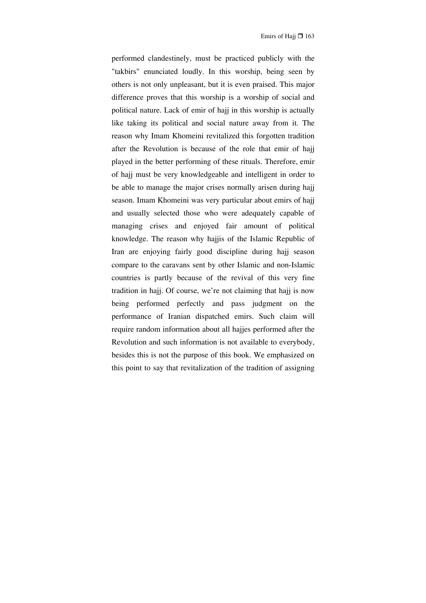performed clandestinely, must be practiced publicly with the "takbirs" enunciated loudly. In this worship, being seen by others is not only unpleasant, but it is even praised. This major difference proves that this worship is a worship of social and political nature. Lack of emir of hajj in this worship is actually like taking its political and social nature away from it. The reason why Imam Khomeini revitalized this forgotten tradition after the Revolution is because of the role that emir of hajj played in the better performing of these rituals. Therefore, emir of hajj must be very knowledgeable and intelligent in order to be able to manage the major crises normally arisen during hajj season. Imam Khomeini was very particular about emirs of hajj and usually selected those who were adequately capable of managing crises and enjoyed fair amount of political knowledge. The reason why hajjis of the Islamic Republic of Iran are enjoying fairly good discipline during hajj season compare to the caravans sent by other Islamic and non-Islamic countries is partly because of the revival of this very fine tradition in hajj. Of course, we're not claiming that hajj is now being performed perfectly and pass judgment on the performance of Iranian dispatched emirs. Such claim will require random information about all hajjes performed after the Revolution and such information is not available to everybody, besides this is not the purpose of this book. We emphasized on this point to say that revitalization of the tradition of assigning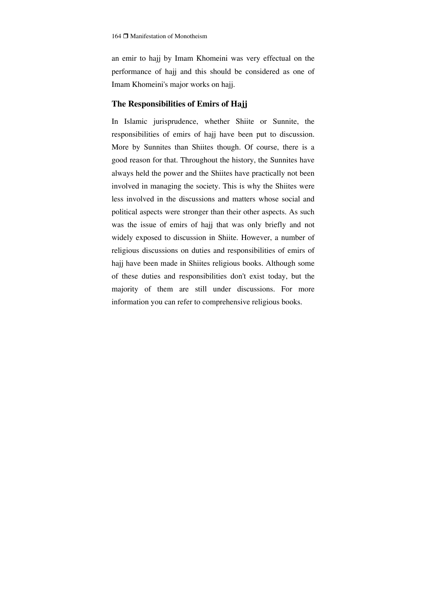an emir to hajj by Imam Khomeini was very effectual on the performance of hajj and this should be considered as one of Imam Khomeini's major works on hajj.

#### **The Responsibilities of Emirs of Hajj**

In Islamic jurisprudence, whether Shiite or Sunnite, the responsibilities of emirs of hajj have been put to discussion. More by Sunnites than Shiites though. Of course, there is a good reason for that. Throughout the history, the Sunnites have always held the power and the Shiites have practically not been involved in managing the society. This is why the Shiites were less involved in the discussions and matters whose social and political aspects were stronger than their other aspects. As such was the issue of emirs of hajj that was only briefly and not widely exposed to discussion in Shiite. However, a number of religious discussions on duties and responsibilities of emirs of hajj have been made in Shiites religious books. Although some of these duties and responsibilities don't exist today, but the majority of them are still under discussions. For more information you can refer to comprehensive religious books.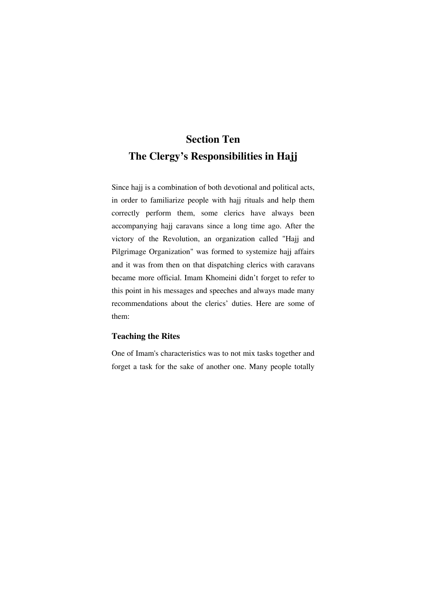# **Section Ten The Clergy's Responsibilities in Hajj**

Since hajj is a combination of both devotional and political acts, in order to familiarize people with hajj rituals and help them correctly perform them, some clerics have always been accompanying hajj caravans since a long time ago. After the victory of the Revolution, an organization called "Hajj and Pilgrimage Organization" was formed to systemize hajj affairs and it was from then on that dispatching clerics with caravans became more official. Imam Khomeini didn't forget to refer to this point in his messages and speeches and always made many recommendations about the clerics' duties. Here are some of them:

### **Teaching the Rites**

One of Imam's characteristics was to not mix tasks together and forget a task for the sake of another one. Many people totally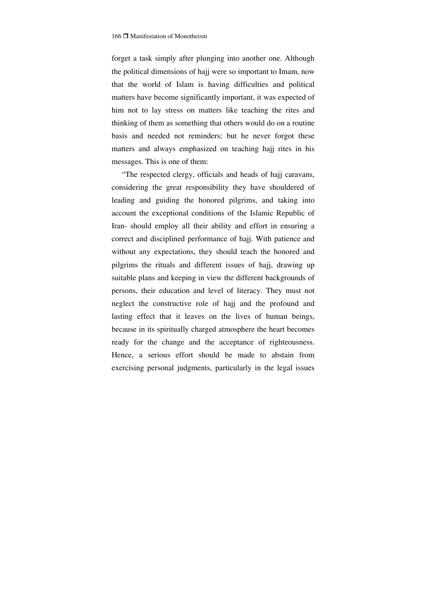forget a task simply after plunging into another one. Although the political dimensions of hajj were so important to Imam, now that the world of Islam is having difficulties and political matters have become significantly important, it was expected of him not to lay stress on matters like teaching the rites and thinking of them as something that others would do on a routine basis and needed not reminders; but he never forgot these matters and always emphasized on teaching hajj rites in his messages. This is one of them:

"The respected clergy, officials and heads of hajj caravans, considering the great responsibility they have shouldered of leading and guiding the honored pilgrims, and taking into account the exceptional conditions of the Islamic Republic of Iran- should employ all their ability and effort in ensuring a correct and disciplined performance of hajj. With patience and without any expectations, they should teach the honored and pilgrims the rituals and different issues of hajj, drawing up suitable plans and keeping in view the different backgrounds of persons, their education and level of literacy. They must not neglect the constructive role of hajj and the profound and lasting effect that it leaves on the lives of human beings, because in its spiritually charged atmosphere the heart becomes ready for the change and the acceptance of righteousness. Hence, a serious effort should be made to abstain from exercising personal judgments, particularly in the legal issues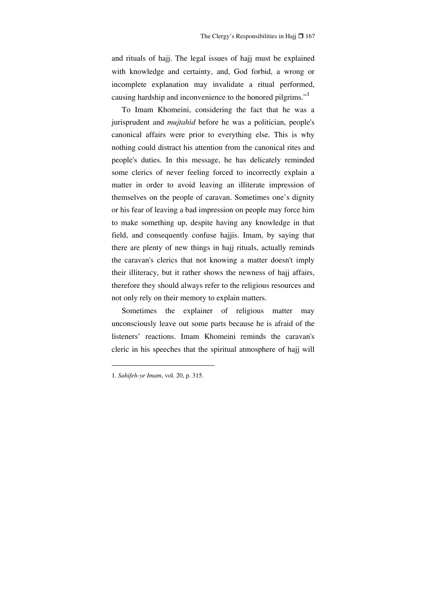and rituals of hajj. The legal issues of hajj must be explained with knowledge and certainty, and, God forbid, a wrong or incomplete explanation may invalidate a ritual performed, causing hardship and inconvenience to the honored pilgrims."

To Imam Khomeini, considering the fact that he was a jurisprudent and *mujtahid* before he was a politician, people's canonical affairs were prior to everything else. This is why nothing could distract his attention from the canonical rites and people's duties. In this message, he has delicately reminded some clerics of never feeling forced to incorrectly explain a matter in order to avoid leaving an illiterate impression of themselves on the people of caravan. Sometimes one's dignity or his fear of leaving a bad impression on people may force him to make something up, despite having any knowledge in that field, and consequently confuse hajjis. Imam, by saying that there are plenty of new things in hajj rituals, actually reminds the caravan's clerics that not knowing a matter doesn't imply their illiteracy, but it rather shows the newness of hajj affairs, therefore they should always refer to the religious resources and not only rely on their memory to explain matters.

Sometimes the explainer of religious matter may unconsciously leave out some parts because he is afraid of the listeners' reactions. Imam Khomeini reminds the caravan's cleric in his speeches that the spiritual atmosphere of hajj will

<sup>1.</sup> *Sahifeh-ye Imam*, vol. 20, p. 315.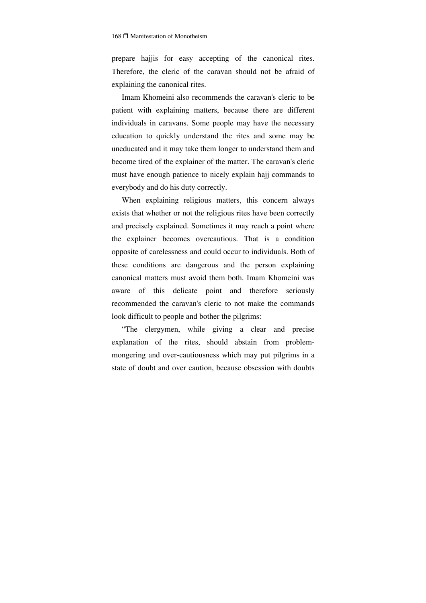prepare hajjis for easy accepting of the canonical rites. Therefore, the cleric of the caravan should not be afraid of explaining the canonical rites.

Imam Khomeini also recommends the caravan's cleric to be patient with explaining matters, because there are different individuals in caravans. Some people may have the necessary education to quickly understand the rites and some may be uneducated and it may take them longer to understand them and become tired of the explainer of the matter. The caravan's cleric must have enough patience to nicely explain hajj commands to everybody and do his duty correctly.

When explaining religious matters, this concern always exists that whether or not the religious rites have been correctly and precisely explained. Sometimes it may reach a point where the explainer becomes overcautious. That is a condition opposite of carelessness and could occur to individuals. Both of these conditions are dangerous and the person explaining canonical matters must avoid them both. Imam Khomeini was aware of this delicate point and therefore seriously recommended the caravan's cleric to not make the commands look difficult to people and bother the pilgrims:

"The clergymen, while giving a clear and precise explanation of the rites, should abstain from problemmongering and over-cautiousness which may put pilgrims in a state of doubt and over caution, because obsession with doubts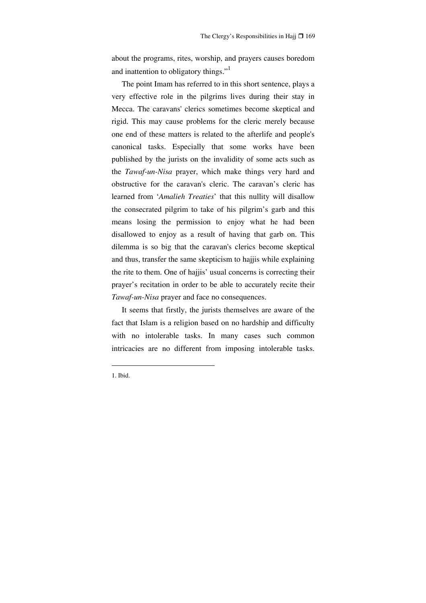about the programs, rites, worship, and prayers causes boredom and inattention to obligatory things."<sup>1</sup>

The point Imam has referred to in this short sentence, plays a very effective role in the pilgrims lives during their stay in Mecca. The caravans' clerics sometimes become skeptical and rigid. This may cause problems for the cleric merely because one end of these matters is related to the afterlife and people's canonical tasks. Especially that some works have been published by the jurists on the invalidity of some acts such as the *Tawaf-un-Nisa* prayer, which make things very hard and obstructive for the caravan's cleric. The caravan's cleric has learned from '*Amalieh Treaties*' that this nullity will disallow the consecrated pilgrim to take of his pilgrim's garb and this means losing the permission to enjoy what he had been disallowed to enjoy as a result of having that garb on. This dilemma is so big that the caravan's clerics become skeptical and thus, transfer the same skepticism to hajjis while explaining the rite to them. One of hajjis' usual concerns is correcting their prayer's recitation in order to be able to accurately recite their *Tawaf-un-Nisa* prayer and face no consequences.

It seems that firstly, the jurists themselves are aware of the fact that Islam is a religion based on no hardship and difficulty with no intolerable tasks. In many cases such common intricacies are no different from imposing intolerable tasks.

<sup>1.</sup> Ibid.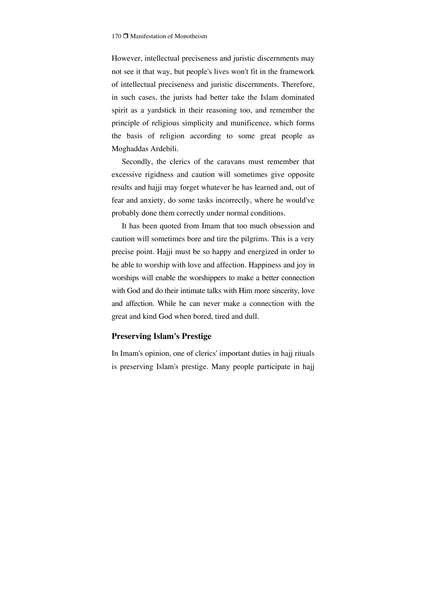However, intellectual preciseness and juristic discernments may not see it that way, but people's lives won't fit in the framework of intellectual preciseness and juristic discernments. Therefore, in such cases, the jurists had better take the Islam dominated spirit as a yardstick in their reasoning too, and remember the principle of religious simplicity and munificence, which forms the basis of religion according to some great people as Moghaddas Ardebili.

Secondly, the clerics of the caravans must remember that excessive rigidness and caution will sometimes give opposite results and hajji may forget whatever he has learned and, out of fear and anxiety, do some tasks incorrectly, where he would've probably done them correctly under normal conditions.

It has been quoted from Imam that too much obsession and caution will sometimes bore and tire the pilgrims. This is a very precise point. Hajji must be so happy and energized in order to be able to worship with love and affection. Happiness and joy in worships will enable the worshippers to make a better connection with God and do their intimate talks with Him more sincerity, love and affection. While he can never make a connection with the great and kind God when bored, tired and dull.

### **Preserving Islam's Prestige**

In Imam's opinion, one of clerics' important duties in hajj rituals is preserving Islam's prestige. Many people participate in hajj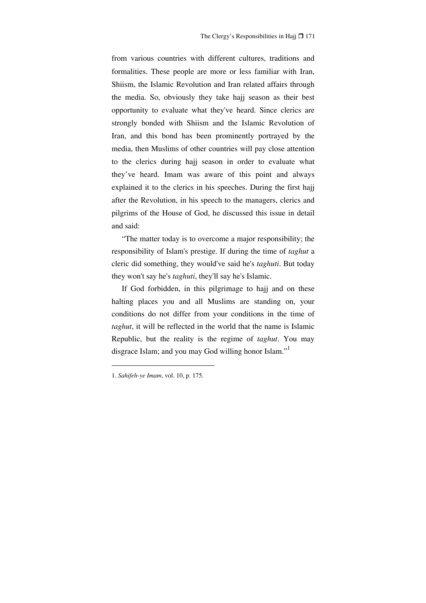from various countries with different cultures, traditions and formalities. These people are more or less familiar with Iran, Shiism, the Islamic Revolution and Iran related affairs through the media. So, obviously they take hajj season as their best opportunity to evaluate what they've heard. Since clerics are strongly bonded with Shiism and the Islamic Revolution of Iran, and this bond has been prominently portrayed by the media, then Muslims of other countries will pay close attention to the clerics during hajj season in order to evaluate what they've heard. Imam was aware of this point and always explained it to the clerics in his speeches. During the first hajj after the Revolution, in his speech to the managers, clerics and pilgrims of the House of God, he discussed this issue in detail and said:

"The matter today is to overcome a major responsibility; the responsibility of Islam's prestige. If during the time of *taghut* a cleric did something, they would've said he's *taghuti*. But today they won't say he's *taghuti*, they'll say he's Islamic.

If God forbidden, in this pilgrimage to hajj and on these halting places you and all Muslims are standing on, your conditions do not differ from your conditions in the time of *taghut*, it will be reflected in the world that the name is Islamic Republic, but the reality is the regime of *taghut*. You may disgrace Islam; and you may God willing honor Islam."

<sup>1.</sup> *Sahifeh-ye Imam*, vol. 10, p. 175.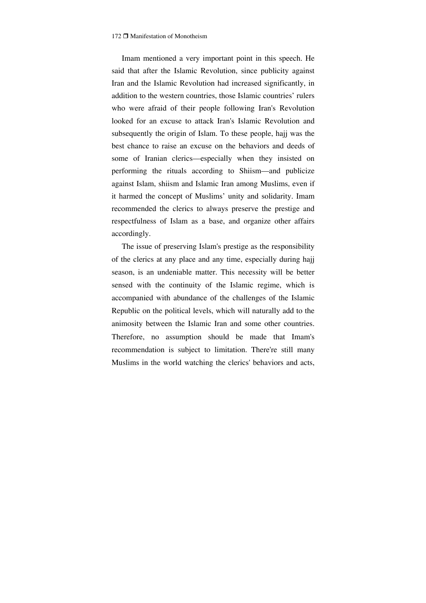Imam mentioned a very important point in this speech. He said that after the Islamic Revolution, since publicity against Iran and the Islamic Revolution had increased significantly, in addition to the western countries, those Islamic countries' rulers who were afraid of their people following Iran's Revolution looked for an excuse to attack Iran's Islamic Revolution and subsequently the origin of Islam. To these people, hajj was the best chance to raise an excuse on the behaviors and deeds of some of Iranian clerics—especially when they insisted on performing the rituals according to Shiism—and publicize against Islam, shiism and Islamic Iran among Muslims, even if it harmed the concept of Muslims' unity and solidarity. Imam recommended the clerics to always preserve the prestige and respectfulness of Islam as a base, and organize other affairs accordingly.

The issue of preserving Islam's prestige as the responsibility of the clerics at any place and any time, especially during hajj season, is an undeniable matter. This necessity will be better sensed with the continuity of the Islamic regime, which is accompanied with abundance of the challenges of the Islamic Republic on the political levels, which will naturally add to the animosity between the Islamic Iran and some other countries. Therefore, no assumption should be made that Imam's recommendation is subject to limitation. There're still many Muslims in the world watching the clerics' behaviors and acts,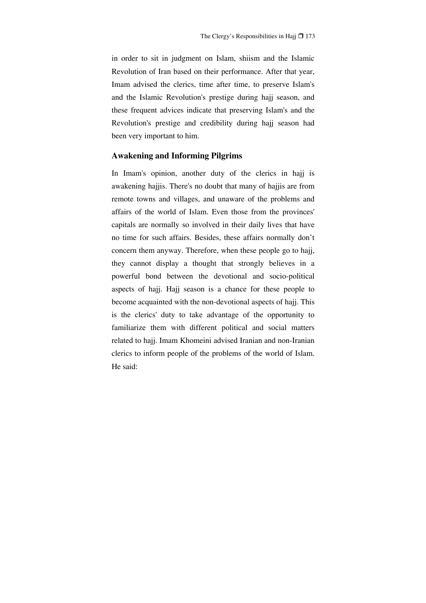in order to sit in judgment on Islam, shiism and the Islamic Revolution of Iran based on their performance. After that year, Imam advised the clerics, time after time, to preserve Islam's and the Islamic Revolution's prestige during hajj season, and these frequent advices indicate that preserving Islam's and the Revolution's prestige and credibility during hajj season had been very important to him.

## **Awakening and Informing Pilgrims**

In Imam's opinion, another duty of the clerics in hajj is awakening hajjis. There's no doubt that many of hajjis are from remote towns and villages, and unaware of the problems and affairs of the world of Islam. Even those from the provinces' capitals are normally so involved in their daily lives that have no time for such affairs. Besides, these affairs normally don't concern them anyway. Therefore, when these people go to hajj, they cannot display a thought that strongly believes in a powerful bond between the devotional and socio-political aspects of hajj. Hajj season is a chance for these people to become acquainted with the non-devotional aspects of hajj. This is the clerics' duty to take advantage of the opportunity to familiarize them with different political and social matters related to hajj. Imam Khomeini advised Iranian and non-Iranian clerics to inform people of the problems of the world of Islam. He said: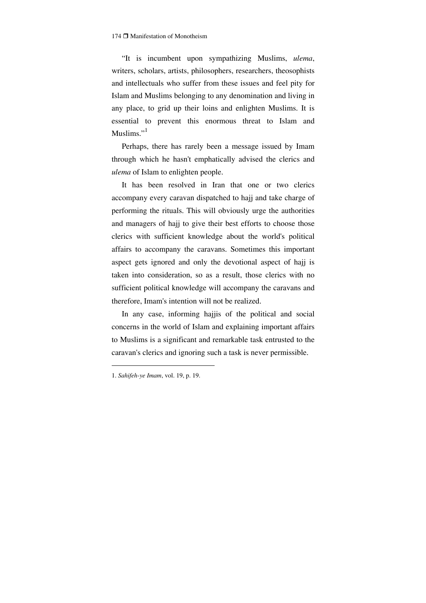"It is incumbent upon sympathizing Muslims, *ulema*, writers, scholars, artists, philosophers, researchers, theosophists and intellectuals who suffer from these issues and feel pity for Islam and Muslims belonging to any denomination and living in any place, to grid up their loins and enlighten Muslims. It is essential to prevent this enormous threat to Islam and Muslims $"$ <sup>1</sup>

Perhaps, there has rarely been a message issued by Imam through which he hasn't emphatically advised the clerics and *ulema* of Islam to enlighten people.

It has been resolved in Iran that one or two clerics accompany every caravan dispatched to hajj and take charge of performing the rituals. This will obviously urge the authorities and managers of hajj to give their best efforts to choose those clerics with sufficient knowledge about the world's political affairs to accompany the caravans. Sometimes this important aspect gets ignored and only the devotional aspect of hajj is taken into consideration, so as a result, those clerics with no sufficient political knowledge will accompany the caravans and therefore, Imam's intention will not be realized.

In any case, informing hajjis of the political and social concerns in the world of Islam and explaining important affairs to Muslims is a significant and remarkable task entrusted to the caravan's clerics and ignoring such a task is never permissible.

<sup>1.</sup> *Sahifeh-ye Imam*, vol. 19, p. 19.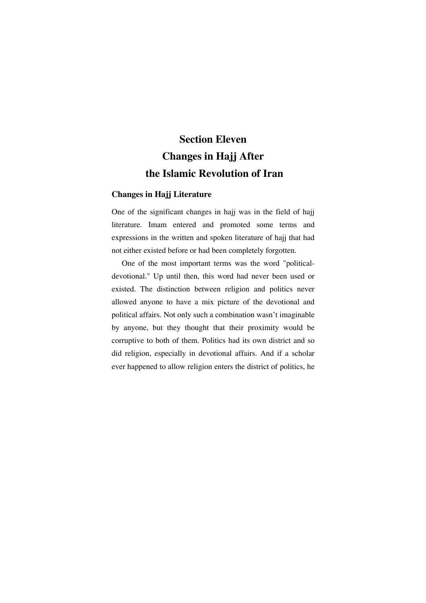# **Section Eleven Changes in Hajj After the Islamic Revolution of Iran**

### **Changes in Hajj Literature**

One of the significant changes in hajj was in the field of hajj literature. Imam entered and promoted some terms and expressions in the written and spoken literature of hajj that had not either existed before or had been completely forgotten.

One of the most important terms was the word "politicaldevotional." Up until then, this word had never been used or existed. The distinction between religion and politics never allowed anyone to have a mix picture of the devotional and political affairs. Not only such a combination wasn't imaginable by anyone, but they thought that their proximity would be corruptive to both of them. Politics had its own district and so did religion, especially in devotional affairs. And if a scholar ever happened to allow religion enters the district of politics, he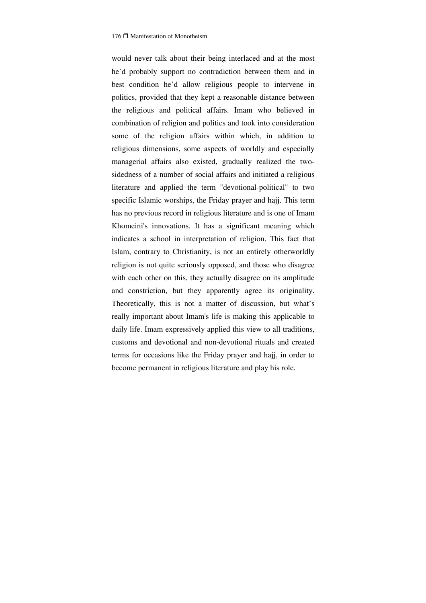would never talk about their being interlaced and at the most he'd probably support no contradiction between them and in best condition he'd allow religious people to intervene in politics, provided that they kept a reasonable distance between the religious and political affairs. Imam who believed in combination of religion and politics and took into consideration some of the religion affairs within which, in addition to religious dimensions, some aspects of worldly and especially managerial affairs also existed, gradually realized the twosidedness of a number of social affairs and initiated a religious literature and applied the term "devotional-political" to two specific Islamic worships, the Friday prayer and hajj. This term has no previous record in religious literature and is one of Imam Khomeini's innovations. It has a significant meaning which indicates a school in interpretation of religion. This fact that Islam, contrary to Christianity, is not an entirely otherworldly religion is not quite seriously opposed, and those who disagree with each other on this, they actually disagree on its amplitude and constriction, but they apparently agree its originality. Theoretically, this is not a matter of discussion, but what's really important about Imam's life is making this applicable to daily life. Imam expressively applied this view to all traditions, customs and devotional and non-devotional rituals and created terms for occasions like the Friday prayer and hajj, in order to become permanent in religious literature and play his role.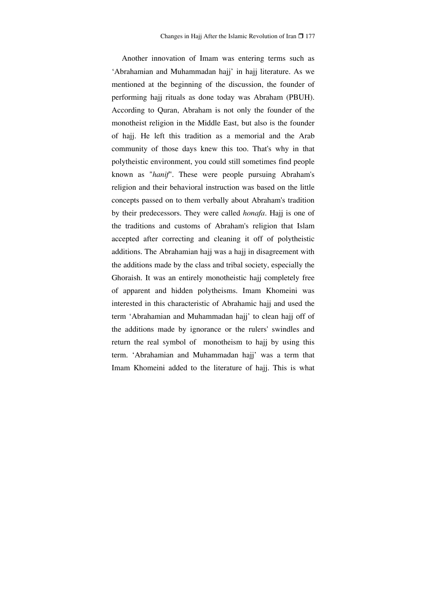Another innovation of Imam was entering terms such as 'Abrahamian and Muhammadan hajj' in hajj literature. As we mentioned at the beginning of the discussion, the founder of performing hajj rituals as done today was Abraham (PBUH). According to Quran, Abraham is not only the founder of the monotheist religion in the Middle East, but also is the founder of hajj. He left this tradition as a memorial and the Arab community of those days knew this too. That's why in that polytheistic environment, you could still sometimes find people known as "*hanif*". These were people pursuing Abraham's religion and their behavioral instruction was based on the little concepts passed on to them verbally about Abraham's tradition by their predecessors. They were called *honafa*. Hajj is one of the traditions and customs of Abraham's religion that Islam accepted after correcting and cleaning it off of polytheistic additions. The Abrahamian hajj was a hajj in disagreement with the additions made by the class and tribal society, especially the Ghoraish. It was an entirely monotheistic hajj completely free of apparent and hidden polytheisms. Imam Khomeini was interested in this characteristic of Abrahamic hajj and used the term 'Abrahamian and Muhammadan hajj' to clean hajj off of the additions made by ignorance or the rulers' swindles and return the real symbol of monotheism to hajj by using this term. 'Abrahamian and Muhammadan hajj' was a term that Imam Khomeini added to the literature of hajj. This is what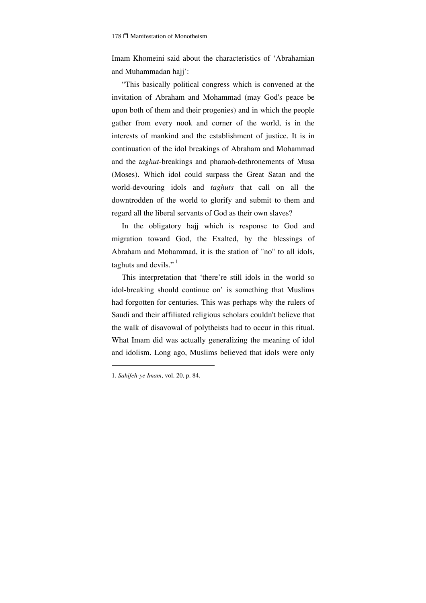Imam Khomeini said about the characteristics of 'Abrahamian and Muhammadan hajj':

"This basically political congress which is convened at the invitation of Abraham and Mohammad (may God's peace be upon both of them and their progenies) and in which the people gather from every nook and corner of the world, is in the interests of mankind and the establishment of justice. It is in continuation of the idol breakings of Abraham and Mohammad and the *taghut*-breakings and pharaoh-dethronements of Musa (Moses). Which idol could surpass the Great Satan and the world-devouring idols and *taghuts* that call on all the downtrodden of the world to glorify and submit to them and regard all the liberal servants of God as their own slaves?

In the obligatory hajj which is response to God and migration toward God, the Exalted, by the blessings of Abraham and Mohammad, it is the station of "no" to all idols, taghuts and devils." $<sup>1</sup>$ </sup>

This interpretation that 'there're still idols in the world so idol-breaking should continue on' is something that Muslims had forgotten for centuries. This was perhaps why the rulers of Saudi and their affiliated religious scholars couldn't believe that the walk of disavowal of polytheists had to occur in this ritual. What Imam did was actually generalizing the meaning of idol and idolism. Long ago, Muslims believed that idols were only

<sup>1.</sup> *Sahifeh-ye Imam*, vol. 20, p. 84.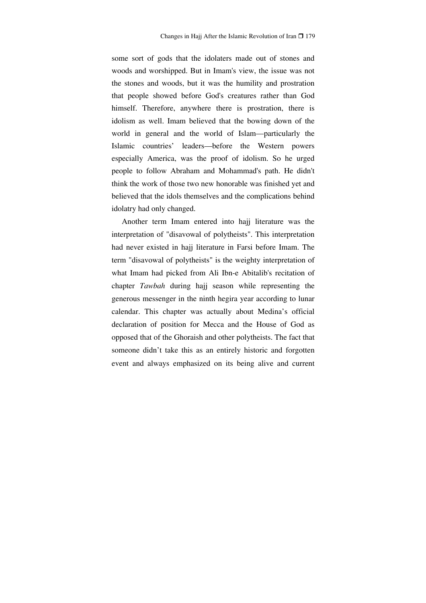some sort of gods that the idolaters made out of stones and woods and worshipped. But in Imam's view, the issue was not the stones and woods, but it was the humility and prostration that people showed before God's creatures rather than God himself. Therefore, anywhere there is prostration, there is idolism as well. Imam believed that the bowing down of the world in general and the world of Islam—particularly the Islamic countries' leaders—before the Western powers especially America, was the proof of idolism. So he urged people to follow Abraham and Mohammad's path. He didn't think the work of those two new honorable was finished yet and believed that the idols themselves and the complications behind idolatry had only changed.

Another term Imam entered into hajj literature was the interpretation of "disavowal of polytheists". This interpretation had never existed in hajj literature in Farsi before Imam. The term "disavowal of polytheists" is the weighty interpretation of what Imam had picked from Ali Ibn-e Abitalib's recitation of chapter *Tawbah* during hajj season while representing the generous messenger in the ninth hegira year according to lunar calendar. This chapter was actually about Medina's official declaration of position for Mecca and the House of God as opposed that of the Ghoraish and other polytheists. The fact that someone didn't take this as an entirely historic and forgotten event and always emphasized on its being alive and current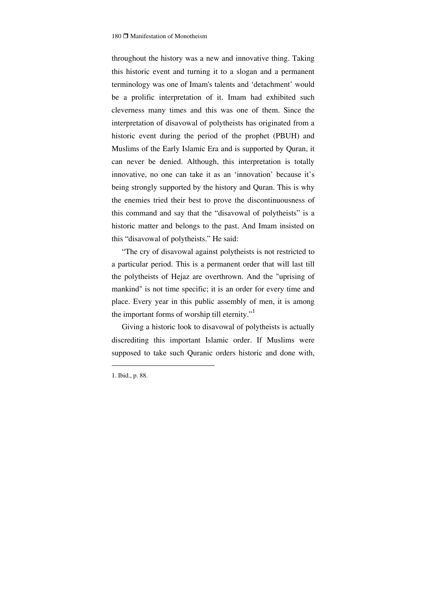throughout the history was a new and innovative thing. Taking this historic event and turning it to a slogan and a permanent terminology was one of Imam's talents and 'detachment' would be a prolific interpretation of it. Imam had exhibited such cleverness many times and this was one of them. Since the interpretation of disavowal of polytheists has originated from a historic event during the period of the prophet (PBUH) and Muslims of the Early Islamic Era and is supported by Quran, it can never be denied. Although, this interpretation is totally innovative, no one can take it as an 'innovation' because it's being strongly supported by the history and Quran. This is why the enemies tried their best to prove the discontinuousness of this command and say that the "disavowal of polytheists" is a historic matter and belongs to the past. And Imam insisted on this "disavowal of polytheists." He said:

"The cry of disavowal against polytheists is not restricted to a particular period. This is a permanent order that will last till the polytheists of Hejaz are overthrown. And the "uprising of mankind" is not time specific; it is an order for every time and place. Every year in this public assembly of men, it is among the important forms of worship till eternity."<sup>1</sup>

Giving a historic look to disavowal of polytheists is actually discrediting this important Islamic order. If Muslims were supposed to take such Quranic orders historic and done with,

<sup>1.</sup> Ibid., p. 88.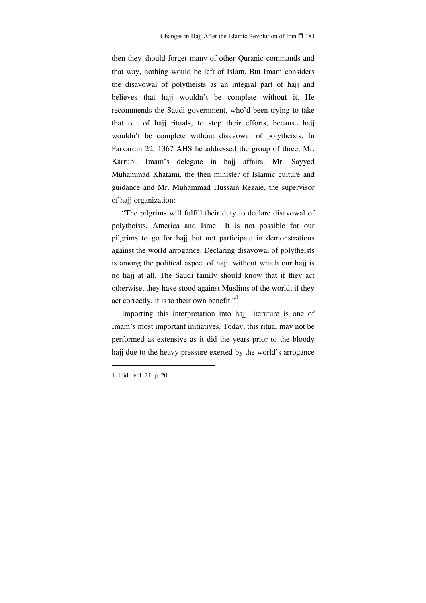then they should forget many of other Quranic commands and that way, nothing would be left of Islam. But Imam considers the disavowal of polytheists as an integral part of hajj and believes that hajj wouldn't be complete without it. He recommends the Saudi government, who'd been trying to take that out of hajj rituals, to stop their efforts, because hajj wouldn't be complete without disavowal of polytheists. In Farvardin 22, 1367 AHS he addressed the group of three, Mr. Karrubi, Imam's delegate in hajj affairs, Mr. Sayyed Muhammad Khatami, the then minister of Islamic culture and guidance and Mr. Muhammad Hussain Rezaie, the supervisor of hajj organization:

"The pilgrims will fulfill their duty to declare disavowal of polytheists, America and Israel. It is not possible for our pilgrims to go for hajj but not participate in demonstrations against the world arrogance. Declaring disavowal of polytheists is among the political aspect of hajj, without which our hajj is no hajj at all. The Saudi family should know that if they act otherwise, they have stood against Muslims of the world; if they act correctly, it is to their own benefit."<sup>1</sup>

Importing this interpretation into hajj literature is one of Imam's most important initiatives. Today, this ritual may not be performed as extensive as it did the years prior to the bloody hajj due to the heavy pressure exerted by the world's arrogance

<sup>1.</sup> Ibid., vol. 21, p. 20.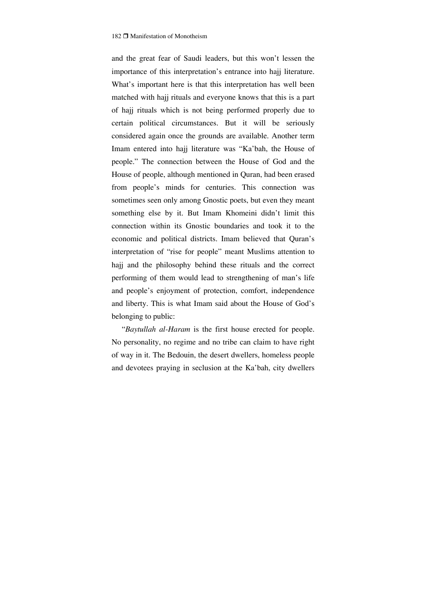and the great fear of Saudi leaders, but this won't lessen the importance of this interpretation's entrance into hajj literature. What's important here is that this interpretation has well been matched with hajj rituals and everyone knows that this is a part of hajj rituals which is not being performed properly due to certain political circumstances. But it will be seriously considered again once the grounds are available. Another term Imam entered into hajj literature was "Ka'bah, the House of people." The connection between the House of God and the House of people, although mentioned in Quran, had been erased from people's minds for centuries. This connection was sometimes seen only among Gnostic poets, but even they meant something else by it. But Imam Khomeini didn't limit this connection within its Gnostic boundaries and took it to the economic and political districts. Imam believed that Quran's interpretation of "rise for people" meant Muslims attention to hajj and the philosophy behind these rituals and the correct performing of them would lead to strengthening of man's life and people's enjoyment of protection, comfort, independence and liberty. This is what Imam said about the House of God's belonging to public:

"*Baytullah al-Haram* is the first house erected for people. No personality, no regime and no tribe can claim to have right of way in it. The Bedouin, the desert dwellers, homeless people and devotees praying in seclusion at the Ka'bah, city dwellers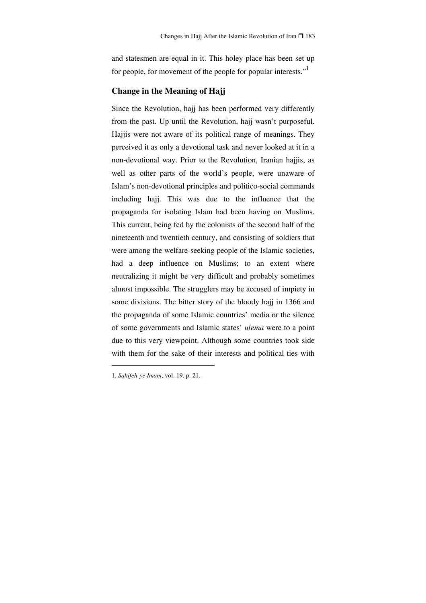and statesmen are equal in it. This holey place has been set up for people, for movement of the people for popular interests."<sup>1</sup>

## **Change in the Meaning of Hajj**

Since the Revolution, hajj has been performed very differently from the past. Up until the Revolution, hajj wasn't purposeful. Hajjis were not aware of its political range of meanings. They perceived it as only a devotional task and never looked at it in a non-devotional way. Prior to the Revolution, Iranian hajjis, as well as other parts of the world's people, were unaware of Islam's non-devotional principles and politico-social commands including hajj. This was due to the influence that the propaganda for isolating Islam had been having on Muslims. This current, being fed by the colonists of the second half of the nineteenth and twentieth century, and consisting of soldiers that were among the welfare-seeking people of the Islamic societies, had a deep influence on Muslims; to an extent where neutralizing it might be very difficult and probably sometimes almost impossible. The strugglers may be accused of impiety in some divisions. The bitter story of the bloody hajj in 1366 and the propaganda of some Islamic countries' media or the silence of some governments and Islamic states' *ulema* were to a point due to this very viewpoint. Although some countries took side with them for the sake of their interests and political ties with

<sup>1.</sup> *Sahifeh-ye Imam*, vol. 19, p. 21.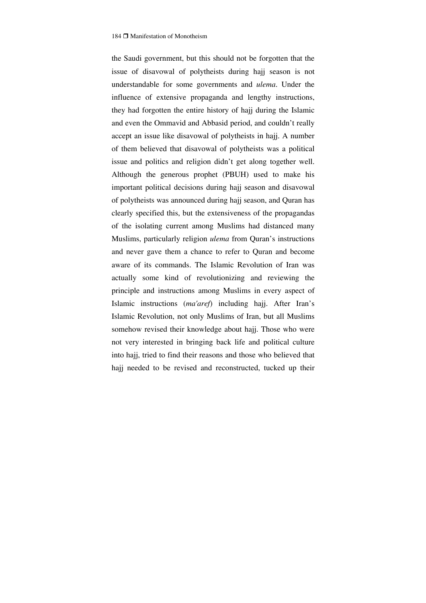the Saudi government, but this should not be forgotten that the issue of disavowal of polytheists during hajj season is not understandable for some governments and *ulema*. Under the influence of extensive propaganda and lengthy instructions, they had forgotten the entire history of hajj during the Islamic and even the Ommavid and Abbasid period, and couldn't really accept an issue like disavowal of polytheists in hajj. A number of them believed that disavowal of polytheists was a political issue and politics and religion didn't get along together well. Although the generous prophet (PBUH) used to make his important political decisions during hajj season and disavowal of polytheists was announced during hajj season, and Quran has clearly specified this, but the extensiveness of the propagandas of the isolating current among Muslims had distanced many Muslims, particularly religion *ulema* from Quran's instructions and never gave them a chance to refer to Quran and become aware of its commands. The Islamic Revolution of Iran was actually some kind of revolutionizing and reviewing the principle and instructions among Muslims in every aspect of Islamic instructions (*ma'aref*) including hajj. After Iran's Islamic Revolution, not only Muslims of Iran, but all Muslims somehow revised their knowledge about hajj. Those who were not very interested in bringing back life and political culture into hajj, tried to find their reasons and those who believed that hajj needed to be revised and reconstructed, tucked up their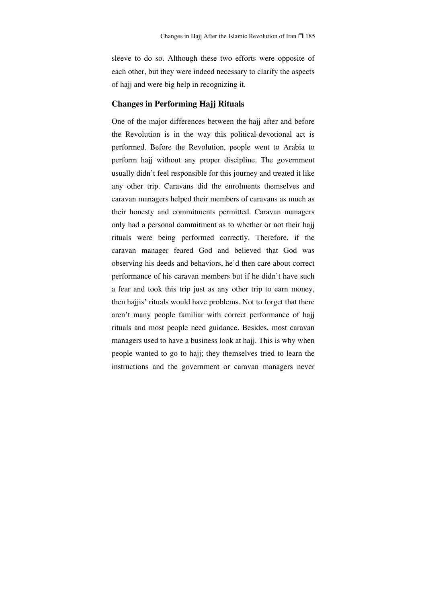sleeve to do so. Although these two efforts were opposite of each other, but they were indeed necessary to clarify the aspects of hajj and were big help in recognizing it.

### **Changes in Performing Hajj Rituals**

One of the major differences between the hajj after and before the Revolution is in the way this political-devotional act is performed. Before the Revolution, people went to Arabia to perform hajj without any proper discipline. The government usually didn't feel responsible for this journey and treated it like any other trip. Caravans did the enrolments themselves and caravan managers helped their members of caravans as much as their honesty and commitments permitted. Caravan managers only had a personal commitment as to whether or not their hajj rituals were being performed correctly. Therefore, if the caravan manager feared God and believed that God was observing his deeds and behaviors, he'd then care about correct performance of his caravan members but if he didn't have such a fear and took this trip just as any other trip to earn money, then hajjis' rituals would have problems. Not to forget that there aren't many people familiar with correct performance of hajj rituals and most people need guidance. Besides, most caravan managers used to have a business look at hajj. This is why when people wanted to go to hajj; they themselves tried to learn the instructions and the government or caravan managers never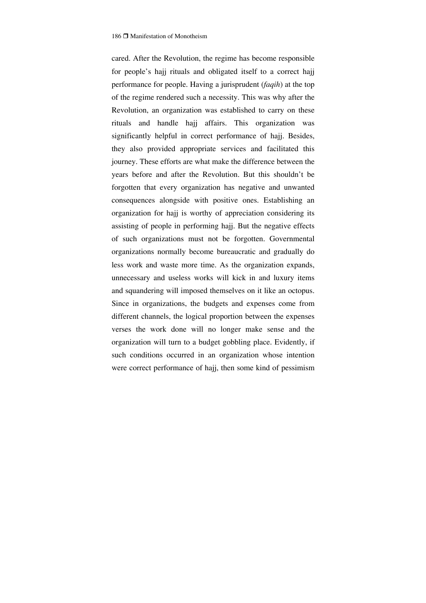cared. After the Revolution, the regime has become responsible for people's hajj rituals and obligated itself to a correct hajj performance for people. Having a jurisprudent (*faqih*) at the top of the regime rendered such a necessity. This was why after the Revolution, an organization was established to carry on these rituals and handle hajj affairs. This organization was significantly helpful in correct performance of hajj. Besides, they also provided appropriate services and facilitated this journey. These efforts are what make the difference between the years before and after the Revolution. But this shouldn't be forgotten that every organization has negative and unwanted consequences alongside with positive ones. Establishing an organization for hajj is worthy of appreciation considering its assisting of people in performing hajj. But the negative effects of such organizations must not be forgotten. Governmental organizations normally become bureaucratic and gradually do less work and waste more time. As the organization expands, unnecessary and useless works will kick in and luxury items and squandering will imposed themselves on it like an octopus. Since in organizations, the budgets and expenses come from different channels, the logical proportion between the expenses verses the work done will no longer make sense and the organization will turn to a budget gobbling place. Evidently, if such conditions occurred in an organization whose intention were correct performance of hajj, then some kind of pessimism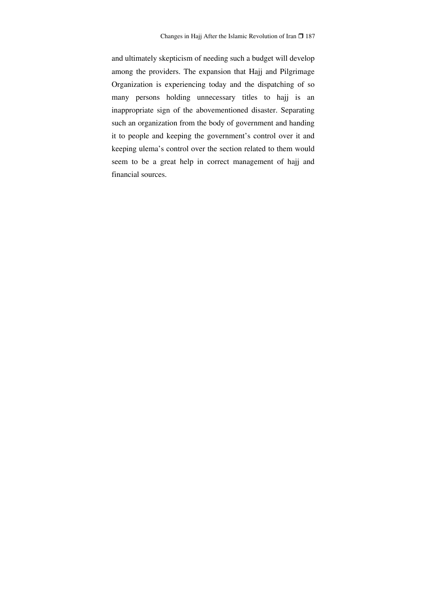and ultimately skepticism of needing such a budget will develop among the providers. The expansion that Hajj and Pilgrimage Organization is experiencing today and the dispatching of so many persons holding unnecessary titles to hajj is an inappropriate sign of the abovementioned disaster. Separating such an organization from the body of government and handing it to people and keeping the government's control over it and keeping ulema's control over the section related to them would seem to be a great help in correct management of hajj and financial sources.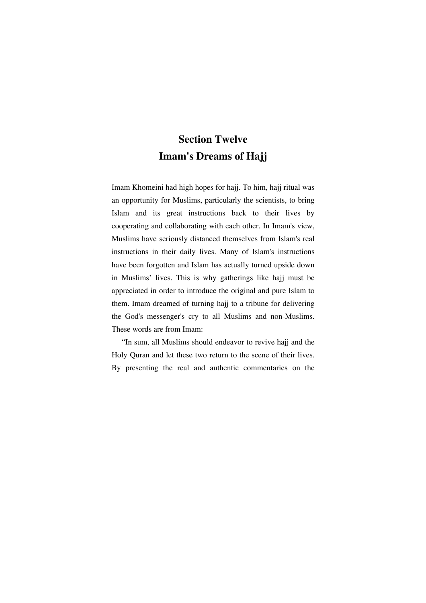# **Section Twelve Imam's Dreams of Hajj**

Imam Khomeini had high hopes for hajj. To him, hajj ritual was an opportunity for Muslims, particularly the scientists, to bring Islam and its great instructions back to their lives by cooperating and collaborating with each other. In Imam's view, Muslims have seriously distanced themselves from Islam's real instructions in their daily lives. Many of Islam's instructions have been forgotten and Islam has actually turned upside down in Muslims' lives. This is why gatherings like hajj must be appreciated in order to introduce the original and pure Islam to them. Imam dreamed of turning hajj to a tribune for delivering the God's messenger's cry to all Muslims and non-Muslims. These words are from Imam:

"In sum, all Muslims should endeavor to revive hajj and the Holy Quran and let these two return to the scene of their lives. By presenting the real and authentic commentaries on the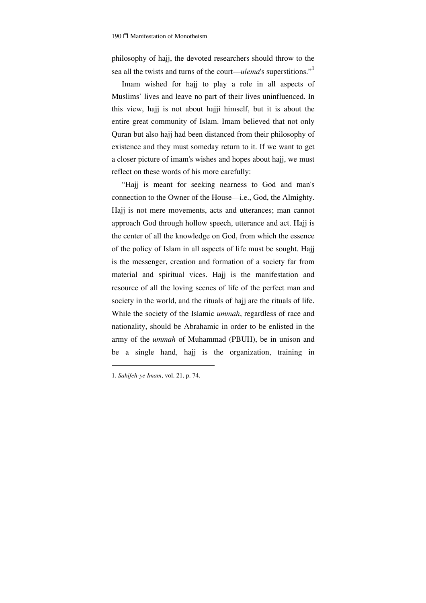philosophy of hajj, the devoted researchers should throw to the sea all the twists and turns of the court—*ulema*'s superstitions."1

Imam wished for hajj to play a role in all aspects of Muslims' lives and leave no part of their lives uninfluenced. In this view, hajj is not about hajji himself, but it is about the entire great community of Islam. Imam believed that not only Quran but also hajj had been distanced from their philosophy of existence and they must someday return to it. If we want to get a closer picture of imam's wishes and hopes about hajj, we must reflect on these words of his more carefully:

"Hajj is meant for seeking nearness to God and man's connection to the Owner of the House—i.e., God, the Almighty. Hajj is not mere movements, acts and utterances; man cannot approach God through hollow speech, utterance and act. Hajj is the center of all the knowledge on God, from which the essence of the policy of Islam in all aspects of life must be sought. Hajj is the messenger, creation and formation of a society far from material and spiritual vices. Hajj is the manifestation and resource of all the loving scenes of life of the perfect man and society in the world, and the rituals of hajj are the rituals of life. While the society of the Islamic *ummah*, regardless of race and nationality, should be Abrahamic in order to be enlisted in the army of the *ummah* of Muhammad (PBUH), be in unison and be a single hand, hajj is the organization, training in

<sup>1.</sup> *Sahifeh-ye Imam*, vol. 21, p. 74.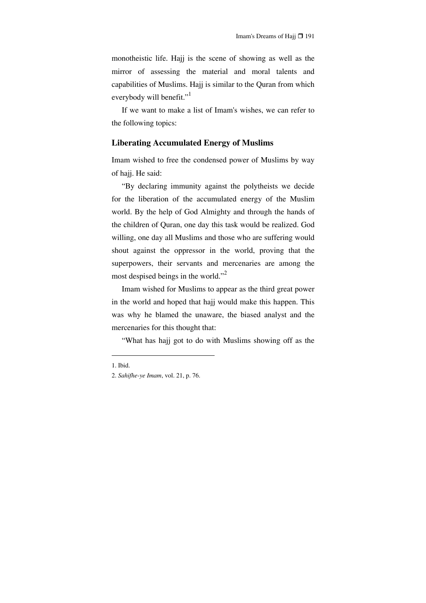monotheistic life. Hajj is the scene of showing as well as the mirror of assessing the material and moral talents and capabilities of Muslims. Hajj is similar to the Quran from which everybody will benefit."<sup>1</sup>

If we want to make a list of Imam's wishes, we can refer to the following topics:

#### **Liberating Accumulated Energy of Muslims**

Imam wished to free the condensed power of Muslims by way of hajj. He said:

"By declaring immunity against the polytheists we decide for the liberation of the accumulated energy of the Muslim world. By the help of God Almighty and through the hands of the children of Quran, one day this task would be realized. God willing, one day all Muslims and those who are suffering would shout against the oppressor in the world, proving that the superpowers, their servants and mercenaries are among the most despised beings in the world."<sup>2</sup>

Imam wished for Muslims to appear as the third great power in the world and hoped that hajj would make this happen. This was why he blamed the unaware, the biased analyst and the mercenaries for this thought that:

"What has hajj got to do with Muslims showing off as the

<sup>1.</sup> Ibid.

<sup>2.</sup> *Sahifhe-ye Imam*, vol. 21, p. 76.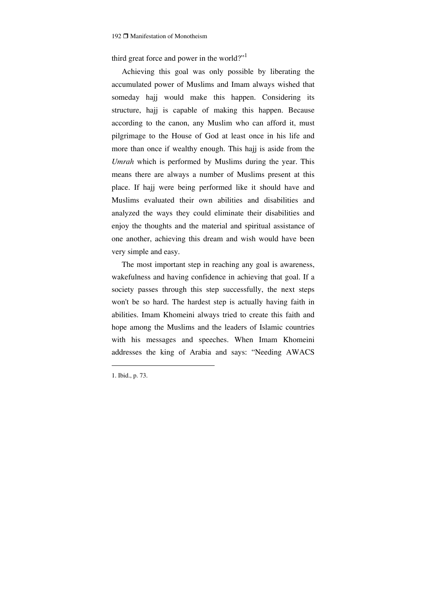third great force and power in the world?"<sup>1</sup>

Achieving this goal was only possible by liberating the accumulated power of Muslims and Imam always wished that someday hajj would make this happen. Considering its structure, hajj is capable of making this happen. Because according to the canon, any Muslim who can afford it, must pilgrimage to the House of God at least once in his life and more than once if wealthy enough. This hajj is aside from the *Umrah* which is performed by Muslims during the year. This means there are always a number of Muslims present at this place. If hajj were being performed like it should have and Muslims evaluated their own abilities and disabilities and analyzed the ways they could eliminate their disabilities and enjoy the thoughts and the material and spiritual assistance of one another, achieving this dream and wish would have been very simple and easy.

The most important step in reaching any goal is awareness, wakefulness and having confidence in achieving that goal. If a society passes through this step successfully, the next steps won't be so hard. The hardest step is actually having faith in abilities. Imam Khomeini always tried to create this faith and hope among the Muslims and the leaders of Islamic countries with his messages and speeches. When Imam Khomeini addresses the king of Arabia and says: "Needing AWACS

<sup>1.</sup> Ibid., p. 73.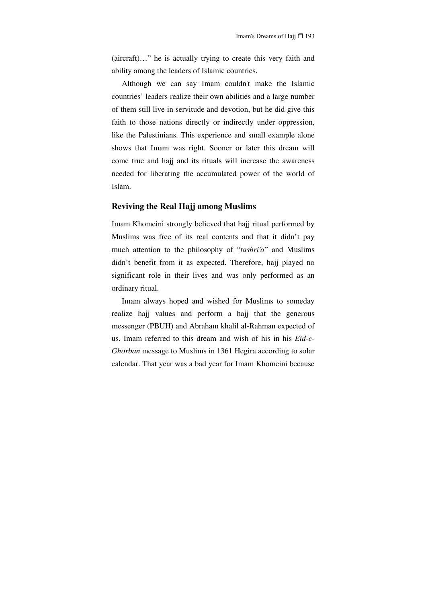(aircraft)…" he is actually trying to create this very faith and ability among the leaders of Islamic countries.

Although we can say Imam couldn't make the Islamic countries' leaders realize their own abilities and a large number of them still live in servitude and devotion, but he did give this faith to those nations directly or indirectly under oppression, like the Palestinians. This experience and small example alone shows that Imam was right. Sooner or later this dream will come true and hajj and its rituals will increase the awareness needed for liberating the accumulated power of the world of Islam.

### **Reviving the Real Hajj among Muslims**

Imam Khomeini strongly believed that hajj ritual performed by Muslims was free of its real contents and that it didn't pay much attention to the philosophy of "*tashri'a*" and Muslims didn't benefit from it as expected. Therefore, hajj played no significant role in their lives and was only performed as an ordinary ritual.

Imam always hoped and wished for Muslims to someday realize hajj values and perform a hajj that the generous messenger (PBUH) and Abraham khalil al-Rahman expected of us. Imam referred to this dream and wish of his in his *Eid-e-Ghorban* message to Muslims in 1361 Hegira according to solar calendar. That year was a bad year for Imam Khomeini because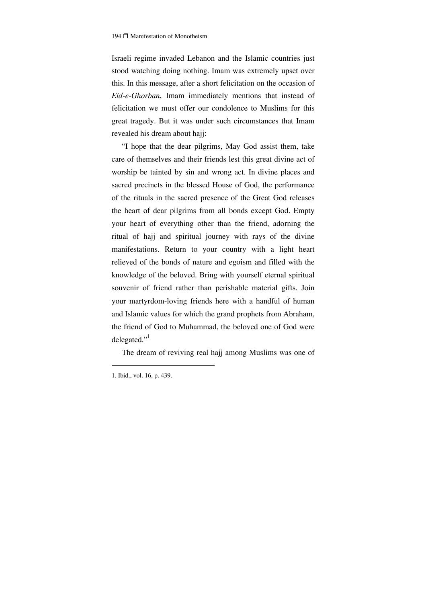Israeli regime invaded Lebanon and the Islamic countries just stood watching doing nothing. Imam was extremely upset over this. In this message, after a short felicitation on the occasion of *Eid-e-Ghorban*, Imam immediately mentions that instead of felicitation we must offer our condolence to Muslims for this great tragedy. But it was under such circumstances that Imam revealed his dream about hajj:

"I hope that the dear pilgrims, May God assist them, take care of themselves and their friends lest this great divine act of worship be tainted by sin and wrong act. In divine places and sacred precincts in the blessed House of God, the performance of the rituals in the sacred presence of the Great God releases the heart of dear pilgrims from all bonds except God. Empty your heart of everything other than the friend, adorning the ritual of hajj and spiritual journey with rays of the divine manifestations. Return to your country with a light heart relieved of the bonds of nature and egoism and filled with the knowledge of the beloved. Bring with yourself eternal spiritual souvenir of friend rather than perishable material gifts. Join your martyrdom-loving friends here with a handful of human and Islamic values for which the grand prophets from Abraham, the friend of God to Muhammad, the beloved one of God were delegated."

The dream of reviving real hajj among Muslims was one of

<sup>1.</sup> Ibid., vol. 16, p. 439.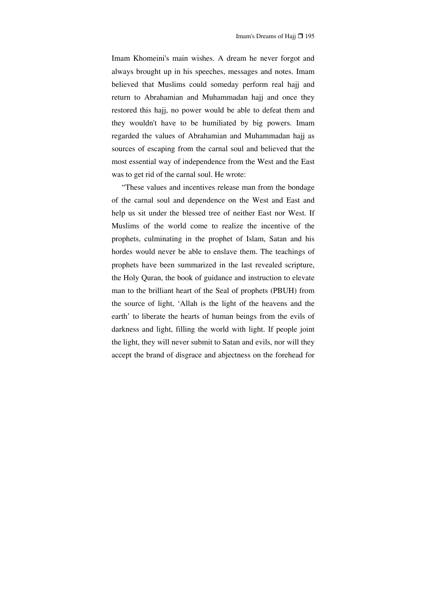Imam Khomeini's main wishes. A dream he never forgot and always brought up in his speeches, messages and notes. Imam believed that Muslims could someday perform real hajj and return to Abrahamian and Muhammadan hajj and once they restored this hajj, no power would be able to defeat them and they wouldn't have to be humiliated by big powers. Imam regarded the values of Abrahamian and Muhammadan hajj as sources of escaping from the carnal soul and believed that the most essential way of independence from the West and the East was to get rid of the carnal soul. He wrote:

"These values and incentives release man from the bondage of the carnal soul and dependence on the West and East and help us sit under the blessed tree of neither East nor West. If Muslims of the world come to realize the incentive of the prophets, culminating in the prophet of Islam, Satan and his hordes would never be able to enslave them. The teachings of prophets have been summarized in the last revealed scripture, the Holy Quran, the book of guidance and instruction to elevate man to the brilliant heart of the Seal of prophets (PBUH) from the source of light, 'Allah is the light of the heavens and the earth' to liberate the hearts of human beings from the evils of darkness and light, filling the world with light. If people joint the light, they will never submit to Satan and evils, nor will they accept the brand of disgrace and abjectness on the forehead for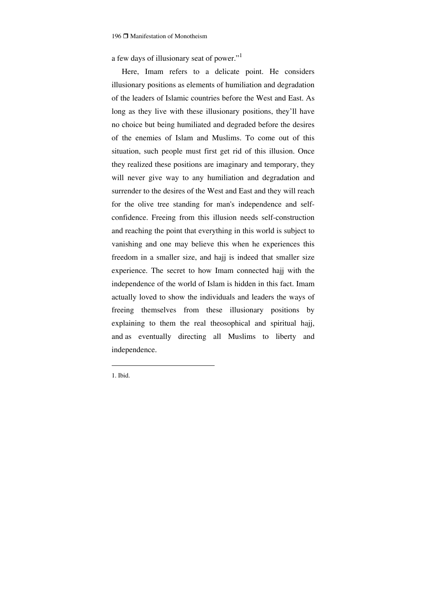a few days of illusionary seat of power."<sup>1</sup>

Here, Imam refers to a delicate point. He considers illusionary positions as elements of humiliation and degradation of the leaders of Islamic countries before the West and East. As long as they live with these illusionary positions, they'll have no choice but being humiliated and degraded before the desires of the enemies of Islam and Muslims. To come out of this situation, such people must first get rid of this illusion. Once they realized these positions are imaginary and temporary, they will never give way to any humiliation and degradation and surrender to the desires of the West and East and they will reach for the olive tree standing for man's independence and selfconfidence. Freeing from this illusion needs self-construction and reaching the point that everything in this world is subject to vanishing and one may believe this when he experiences this freedom in a smaller size, and hajj is indeed that smaller size experience. The secret to how Imam connected hajj with the independence of the world of Islam is hidden in this fact. Imam actually loved to show the individuals and leaders the ways of freeing themselves from these illusionary positions by explaining to them the real theosophical and spiritual hajj, and as eventually directing all Muslims to liberty and independence.

1. Ibid.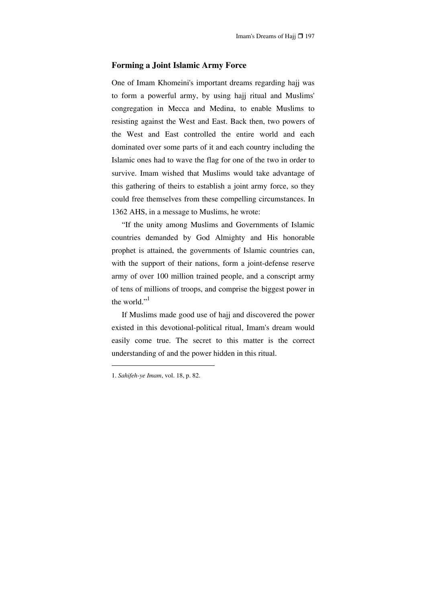### **Forming a Joint Islamic Army Force**

One of Imam Khomeini's important dreams regarding hajj was to form a powerful army, by using hajj ritual and Muslims' congregation in Mecca and Medina, to enable Muslims to resisting against the West and East. Back then, two powers of the West and East controlled the entire world and each dominated over some parts of it and each country including the Islamic ones had to wave the flag for one of the two in order to survive. Imam wished that Muslims would take advantage of this gathering of theirs to establish a joint army force, so they could free themselves from these compelling circumstances. In 1362 AHS, in a message to Muslims, he wrote:

"If the unity among Muslims and Governments of Islamic countries demanded by God Almighty and His honorable prophet is attained, the governments of Islamic countries can, with the support of their nations, form a joint-defense reserve army of over 100 million trained people, and a conscript army of tens of millions of troops, and comprise the biggest power in the world." $<sup>1</sup>$ </sup>

If Muslims made good use of hajj and discovered the power existed in this devotional-political ritual, Imam's dream would easily come true. The secret to this matter is the correct understanding of and the power hidden in this ritual.

<sup>1.</sup> *Sahifeh-ye Imam*, vol. 18, p. 82.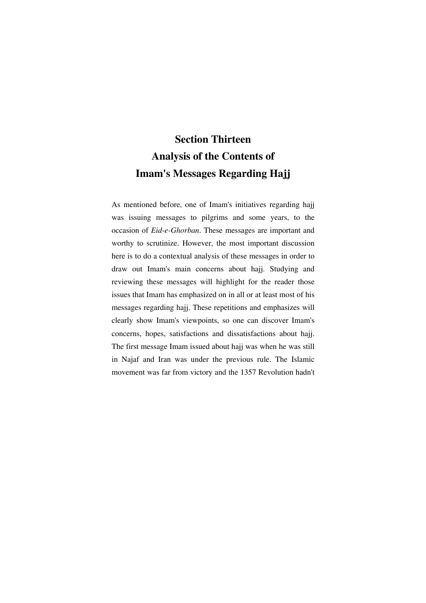# **Section Thirteen Analysis of the Contents of Imam's Messages Regarding Hajj**

As mentioned before, one of Imam's initiatives regarding hajj was issuing messages to pilgrims and some years, to the occasion of *Eid-e-Ghorban*. These messages are important and worthy to scrutinize. However, the most important discussion here is to do a contextual analysis of these messages in order to draw out Imam's main concerns about hajj. Studying and reviewing these messages will highlight for the reader those issues that Imam has emphasized on in all or at least most of his messages regarding hajj. These repetitions and emphasizes will clearly show Imam's viewpoints, so one can discover Imam's concerns, hopes, satisfactions and dissatisfactions about hajj. The first message Imam issued about hajj was when he was still in Najaf and Iran was under the previous rule. The Islamic movement was far from victory and the 1357 Revolution hadn't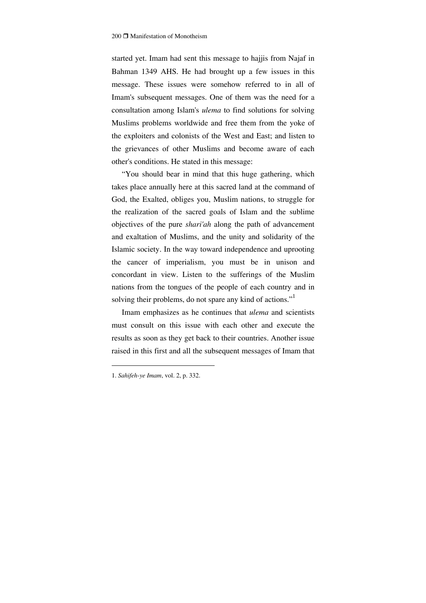started yet. Imam had sent this message to hajjis from Najaf in Bahman 1349 AHS. He had brought up a few issues in this message. These issues were somehow referred to in all of Imam's subsequent messages. One of them was the need for a consultation among Islam's *ulema* to find solutions for solving Muslims problems worldwide and free them from the yoke of the exploiters and colonists of the West and East; and listen to the grievances of other Muslims and become aware of each other's conditions. He stated in this message:

"You should bear in mind that this huge gathering, which takes place annually here at this sacred land at the command of God, the Exalted, obliges you, Muslim nations, to struggle for the realization of the sacred goals of Islam and the sublime objectives of the pure *shari'ah* along the path of advancement and exaltation of Muslims, and the unity and solidarity of the Islamic society. In the way toward independence and uprooting the cancer of imperialism, you must be in unison and concordant in view. Listen to the sufferings of the Muslim nations from the tongues of the people of each country and in solving their problems, do not spare any kind of actions."

Imam emphasizes as he continues that *ulema* and scientists must consult on this issue with each other and execute the results as soon as they get back to their countries. Another issue raised in this first and all the subsequent messages of Imam that

<sup>1.</sup> *Sahifeh-ye Imam*, vol. 2, p. 332.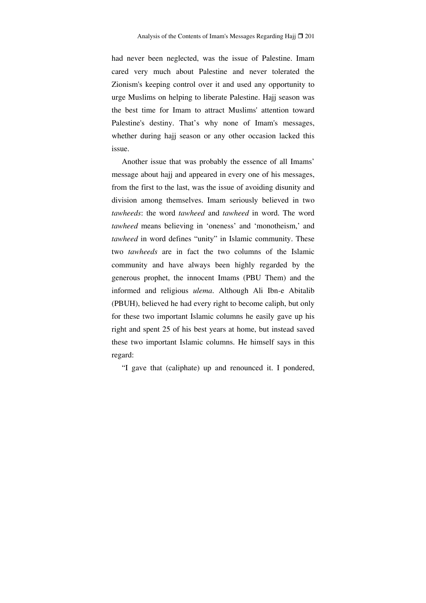had never been neglected, was the issue of Palestine. Imam cared very much about Palestine and never tolerated the Zionism's keeping control over it and used any opportunity to urge Muslims on helping to liberate Palestine. Hajj season was the best time for Imam to attract Muslims' attention toward Palestine's destiny. That's why none of Imam's messages, whether during hajj season or any other occasion lacked this issue.

Another issue that was probably the essence of all Imams' message about hajj and appeared in every one of his messages, from the first to the last, was the issue of avoiding disunity and division among themselves. Imam seriously believed in two *tawheeds*: the word *tawheed* and *tawheed* in word. The word *tawheed* means believing in 'oneness' and 'monotheism,' and *tawheed* in word defines "unity" in Islamic community. These two *tawheeds* are in fact the two columns of the Islamic community and have always been highly regarded by the generous prophet, the innocent Imams (PBU Them) and the informed and religious *ulema*. Although Ali Ibn-e Abitalib (PBUH), believed he had every right to become caliph, but only for these two important Islamic columns he easily gave up his right and spent 25 of his best years at home, but instead saved these two important Islamic columns. He himself says in this regard:

"I gave that (caliphate) up and renounced it. I pondered,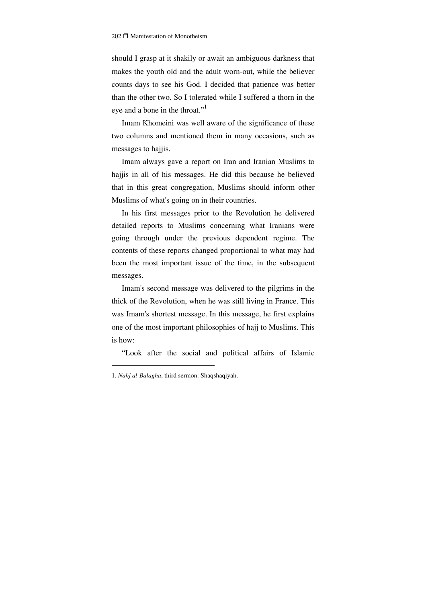should I grasp at it shakily or await an ambiguous darkness that makes the youth old and the adult worn-out, while the believer counts days to see his God. I decided that patience was better than the other two. So I tolerated while I suffered a thorn in the eye and a bone in the throat."<sup>1</sup>

Imam Khomeini was well aware of the significance of these two columns and mentioned them in many occasions, such as messages to hajjis.

Imam always gave a report on Iran and Iranian Muslims to hajjis in all of his messages. He did this because he believed that in this great congregation, Muslims should inform other Muslims of what's going on in their countries.

In his first messages prior to the Revolution he delivered detailed reports to Muslims concerning what Iranians were going through under the previous dependent regime. The contents of these reports changed proportional to what may had been the most important issue of the time, in the subsequent messages.

Imam's second message was delivered to the pilgrims in the thick of the Revolution, when he was still living in France. This was Imam's shortest message. In this message, he first explains one of the most important philosophies of hajj to Muslims. This is how:

"Look after the social and political affairs of Islamic

<sup>1.</sup> *Nahj al-Balagha*, third sermon: Shaqshaqiyah.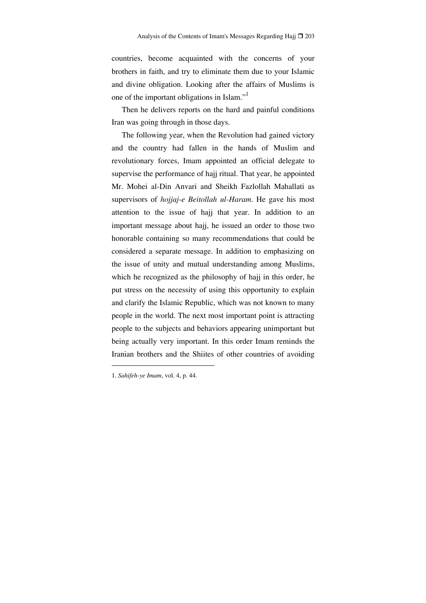countries, become acquainted with the concerns of your brothers in faith, and try to eliminate them due to your Islamic and divine obligation. Looking after the affairs of Muslims is one of the important obligations in Islam."1

Then he delivers reports on the hard and painful conditions Iran was going through in those days.

The following year, when the Revolution had gained victory and the country had fallen in the hands of Muslim and revolutionary forces, Imam appointed an official delegate to supervise the performance of hajj ritual. That year, he appointed Mr. Mohei al-Din Anvari and Sheikh Fazlollah Mahallati as supervisors of *hojjaj-e Beitollah ul-Haram*. He gave his most attention to the issue of hajj that year. In addition to an important message about hajj, he issued an order to those two honorable containing so many recommendations that could be considered a separate message. In addition to emphasizing on the issue of unity and mutual understanding among Muslims, which he recognized as the philosophy of hajj in this order, he put stress on the necessity of using this opportunity to explain and clarify the Islamic Republic, which was not known to many people in the world. The next most important point is attracting people to the subjects and behaviors appearing unimportant but being actually very important. In this order Imam reminds the Iranian brothers and the Shiites of other countries of avoiding

<sup>1.</sup> *Sahifeh-ye Imam*, vol. 4, p. 44.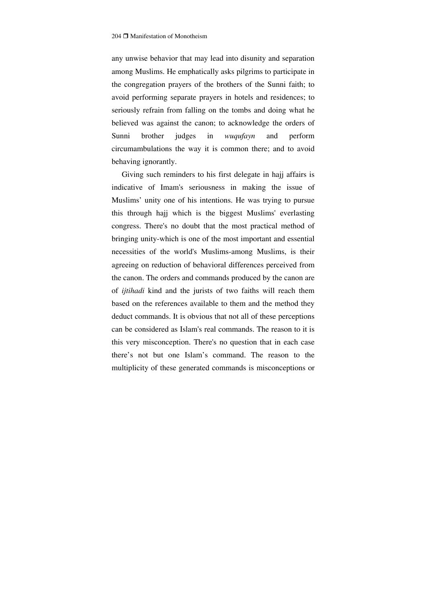any unwise behavior that may lead into disunity and separation among Muslims. He emphatically asks pilgrims to participate in the congregation prayers of the brothers of the Sunni faith; to avoid performing separate prayers in hotels and residences; to seriously refrain from falling on the tombs and doing what he believed was against the canon; to acknowledge the orders of Sunni brother judges in *wuqufayn* and perform circumambulations the way it is common there; and to avoid behaving ignorantly.

Giving such reminders to his first delegate in hajj affairs is indicative of Imam's seriousness in making the issue of Muslims' unity one of his intentions. He was trying to pursue this through hajj which is the biggest Muslims' everlasting congress. There's no doubt that the most practical method of bringing unity-which is one of the most important and essential necessities of the world's Muslims-among Muslims, is their agreeing on reduction of behavioral differences perceived from the canon. The orders and commands produced by the canon are of *ijtihadi* kind and the jurists of two faiths will reach them based on the references available to them and the method they deduct commands. It is obvious that not all of these perceptions can be considered as Islam's real commands. The reason to it is this very misconception. There's no question that in each case there's not but one Islam's command. The reason to the multiplicity of these generated commands is misconceptions or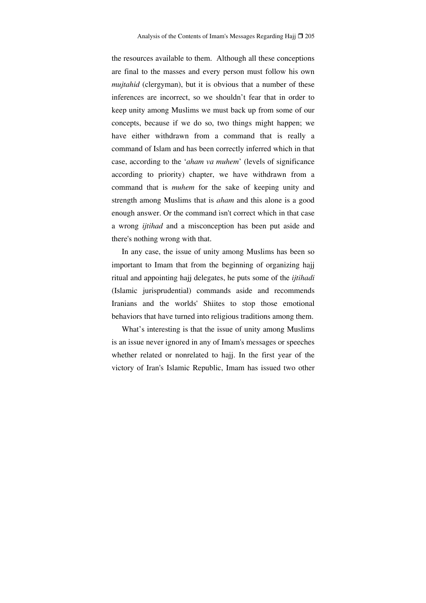the resources available to them. Although all these conceptions are final to the masses and every person must follow his own *mujtahid* (clergyman), but it is obvious that a number of these inferences are incorrect, so we shouldn't fear that in order to keep unity among Muslims we must back up from some of our concepts, because if we do so, two things might happen; we have either withdrawn from a command that is really a command of Islam and has been correctly inferred which in that case, according to the '*aham va muhem*' (levels of significance according to priority) chapter, we have withdrawn from a command that is *muhem* for the sake of keeping unity and strength among Muslims that is *aham* and this alone is a good enough answer. Or the command isn't correct which in that case a wrong *ijtihad* and a misconception has been put aside and there's nothing wrong with that.

In any case, the issue of unity among Muslims has been so important to Imam that from the beginning of organizing hajj ritual and appointing hajj delegates, he puts some of the *ijtihadi* (Islamic jurisprudential) commands aside and recommends Iranians and the worlds' Shiites to stop those emotional behaviors that have turned into religious traditions among them.

What's interesting is that the issue of unity among Muslims is an issue never ignored in any of Imam's messages or speeches whether related or nonrelated to hajj. In the first year of the victory of Iran's Islamic Republic, Imam has issued two other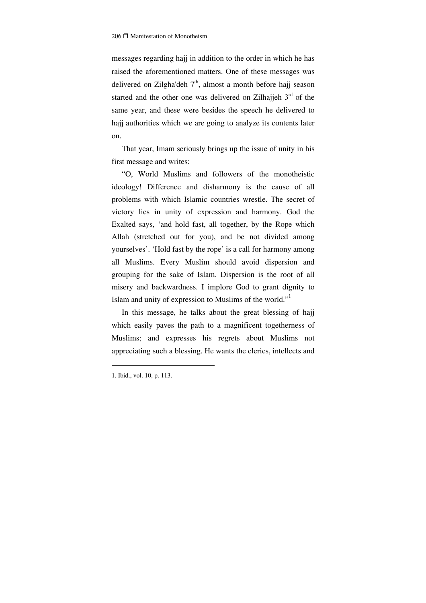messages regarding hajj in addition to the order in which he has raised the aforementioned matters. One of these messages was delivered on Zilgha'deh  $7<sup>th</sup>$ , almost a month before hajj season started and the other one was delivered on Zilhajjeh  $3<sup>rd</sup>$  of the same year, and these were besides the speech he delivered to hajj authorities which we are going to analyze its contents later on.

That year, Imam seriously brings up the issue of unity in his first message and writes:

"O, World Muslims and followers of the monotheistic ideology! Difference and disharmony is the cause of all problems with which Islamic countries wrestle. The secret of victory lies in unity of expression and harmony. God the Exalted says, 'and hold fast, all together, by the Rope which Allah (stretched out for you), and be not divided among yourselves'. 'Hold fast by the rope' is a call for harmony among all Muslims. Every Muslim should avoid dispersion and grouping for the sake of Islam. Dispersion is the root of all misery and backwardness. I implore God to grant dignity to Islam and unity of expression to Muslims of the world."<sup>1</sup>

In this message, he talks about the great blessing of hajj which easily paves the path to a magnificent togetherness of Muslims; and expresses his regrets about Muslims not appreciating such a blessing. He wants the clerics, intellects and

<sup>1.</sup> Ibid., vol. 10, p. 113.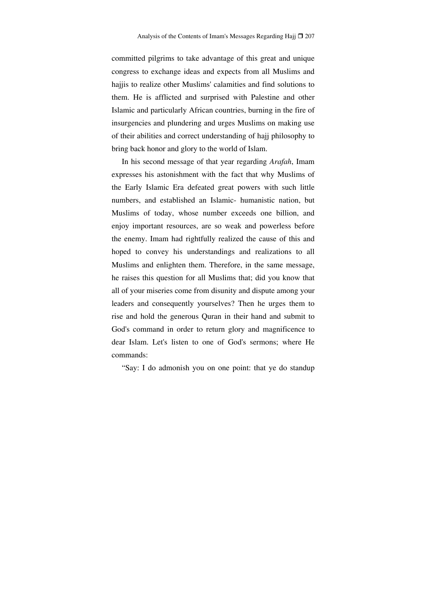committed pilgrims to take advantage of this great and unique congress to exchange ideas and expects from all Muslims and hajjis to realize other Muslims' calamities and find solutions to them. He is afflicted and surprised with Palestine and other Islamic and particularly African countries, burning in the fire of insurgencies and plundering and urges Muslims on making use of their abilities and correct understanding of hajj philosophy to bring back honor and glory to the world of Islam.

In his second message of that year regarding *Arafah*, Imam expresses his astonishment with the fact that why Muslims of the Early Islamic Era defeated great powers with such little numbers, and established an Islamic- humanistic nation, but Muslims of today, whose number exceeds one billion, and enjoy important resources, are so weak and powerless before the enemy. Imam had rightfully realized the cause of this and hoped to convey his understandings and realizations to all Muslims and enlighten them. Therefore, in the same message, he raises this question for all Muslims that; did you know that all of your miseries come from disunity and dispute among your leaders and consequently yourselves? Then he urges them to rise and hold the generous Quran in their hand and submit to God's command in order to return glory and magnificence to dear Islam. Let's listen to one of God's sermons; where He commands:

"Say: I do admonish you on one point: that ye do standup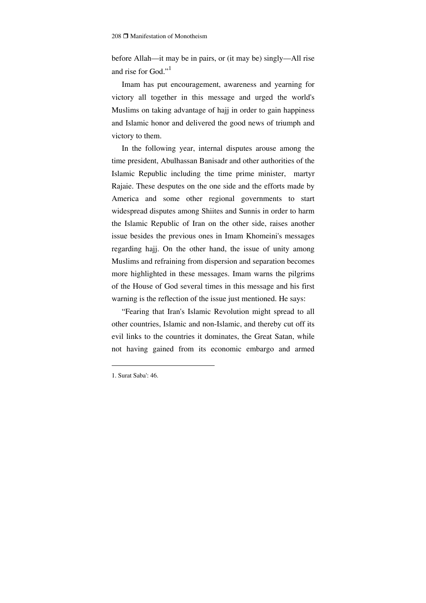before Allah—it may be in pairs, or (it may be) singly—All rise and rise for God."<sup>1</sup>

Imam has put encouragement, awareness and yearning for victory all together in this message and urged the world's Muslims on taking advantage of hajj in order to gain happiness and Islamic honor and delivered the good news of triumph and victory to them.

In the following year, internal disputes arouse among the time president, Abulhassan Banisadr and other authorities of the Islamic Republic including the time prime minister, martyr Rajaie. These desputes on the one side and the efforts made by America and some other regional governments to start widespread disputes among Shiites and Sunnis in order to harm the Islamic Republic of Iran on the other side, raises another issue besides the previous ones in Imam Khomeini's messages regarding hajj. On the other hand, the issue of unity among Muslims and refraining from dispersion and separation becomes more highlighted in these messages. Imam warns the pilgrims of the House of God several times in this message and his first warning is the reflection of the issue just mentioned. He says:

"Fearing that Iran's Islamic Revolution might spread to all other countries, Islamic and non-Islamic, and thereby cut off its evil links to the countries it dominates, the Great Satan, while not having gained from its economic embargo and armed

<sup>1.</sup> Surat Saba': 46.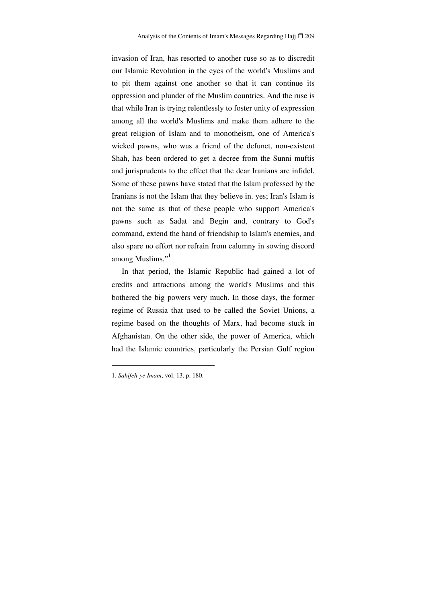invasion of Iran, has resorted to another ruse so as to discredit our Islamic Revolution in the eyes of the world's Muslims and to pit them against one another so that it can continue its oppression and plunder of the Muslim countries. And the ruse is that while Iran is trying relentlessly to foster unity of expression among all the world's Muslims and make them adhere to the great religion of Islam and to monotheism, one of America's wicked pawns, who was a friend of the defunct, non-existent Shah, has been ordered to get a decree from the Sunni muftis and jurisprudents to the effect that the dear Iranians are infidel. Some of these pawns have stated that the Islam professed by the Iranians is not the Islam that they believe in. yes; Iran's Islam is not the same as that of these people who support America's pawns such as Sadat and Begin and, contrary to God's command, extend the hand of friendship to Islam's enemies, and also spare no effort nor refrain from calumny in sowing discord among Muslims."<sup>1</sup>

In that period, the Islamic Republic had gained a lot of credits and attractions among the world's Muslims and this bothered the big powers very much. In those days, the former regime of Russia that used to be called the Soviet Unions, a regime based on the thoughts of Marx, had become stuck in Afghanistan. On the other side, the power of America, which had the Islamic countries, particularly the Persian Gulf region

<sup>1.</sup> *Sahifeh-ye Imam*, vol. 13, p. 180.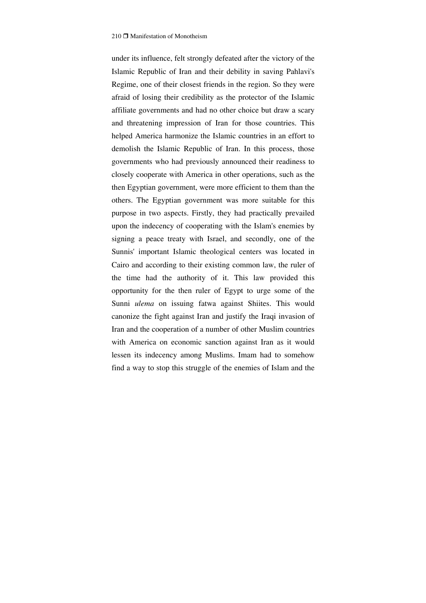under its influence, felt strongly defeated after the victory of the Islamic Republic of Iran and their debility in saving Pahlavi's Regime, one of their closest friends in the region. So they were afraid of losing their credibility as the protector of the Islamic affiliate governments and had no other choice but draw a scary and threatening impression of Iran for those countries. This helped America harmonize the Islamic countries in an effort to demolish the Islamic Republic of Iran. In this process, those governments who had previously announced their readiness to closely cooperate with America in other operations, such as the then Egyptian government, were more efficient to them than the others. The Egyptian government was more suitable for this purpose in two aspects. Firstly, they had practically prevailed upon the indecency of cooperating with the Islam's enemies by signing a peace treaty with Israel, and secondly, one of the Sunnis' important Islamic theological centers was located in Cairo and according to their existing common law, the ruler of the time had the authority of it. This law provided this opportunity for the then ruler of Egypt to urge some of the Sunni *ulema* on issuing fatwa against Shiites. This would canonize the fight against Iran and justify the Iraqi invasion of Iran and the cooperation of a number of other Muslim countries with America on economic sanction against Iran as it would lessen its indecency among Muslims. Imam had to somehow find a way to stop this struggle of the enemies of Islam and the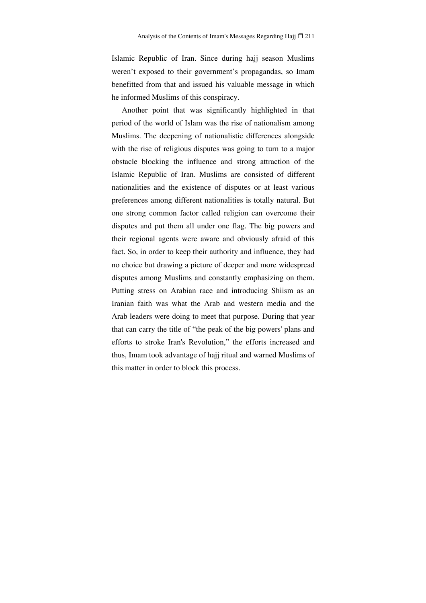Islamic Republic of Iran. Since during hajj season Muslims weren't exposed to their government's propagandas, so Imam benefitted from that and issued his valuable message in which he informed Muslims of this conspiracy.

Another point that was significantly highlighted in that period of the world of Islam was the rise of nationalism among Muslims. The deepening of nationalistic differences alongside with the rise of religious disputes was going to turn to a major obstacle blocking the influence and strong attraction of the Islamic Republic of Iran. Muslims are consisted of different nationalities and the existence of disputes or at least various preferences among different nationalities is totally natural. But one strong common factor called religion can overcome their disputes and put them all under one flag. The big powers and their regional agents were aware and obviously afraid of this fact. So, in order to keep their authority and influence, they had no choice but drawing a picture of deeper and more widespread disputes among Muslims and constantly emphasizing on them. Putting stress on Arabian race and introducing Shiism as an Iranian faith was what the Arab and western media and the Arab leaders were doing to meet that purpose. During that year that can carry the title of "the peak of the big powers' plans and efforts to stroke Iran's Revolution," the efforts increased and thus, Imam took advantage of hajj ritual and warned Muslims of this matter in order to block this process.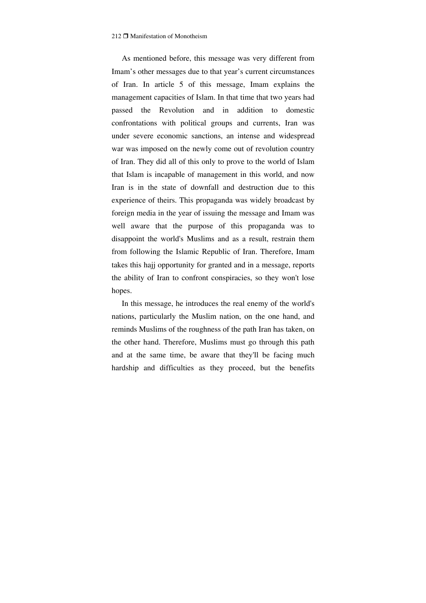As mentioned before, this message was very different from Imam's other messages due to that year's current circumstances of Iran. In article 5 of this message, Imam explains the management capacities of Islam. In that time that two years had passed the Revolution and in addition to domestic confrontations with political groups and currents, Iran was under severe economic sanctions, an intense and widespread war was imposed on the newly come out of revolution country of Iran. They did all of this only to prove to the world of Islam that Islam is incapable of management in this world, and now Iran is in the state of downfall and destruction due to this experience of theirs. This propaganda was widely broadcast by foreign media in the year of issuing the message and Imam was well aware that the purpose of this propaganda was to disappoint the world's Muslims and as a result, restrain them from following the Islamic Republic of Iran. Therefore, Imam takes this hajj opportunity for granted and in a message, reports the ability of Iran to confront conspiracies, so they won't lose hopes.

In this message, he introduces the real enemy of the world's nations, particularly the Muslim nation, on the one hand, and reminds Muslims of the roughness of the path Iran has taken, on the other hand. Therefore, Muslims must go through this path and at the same time, be aware that they'll be facing much hardship and difficulties as they proceed, but the benefits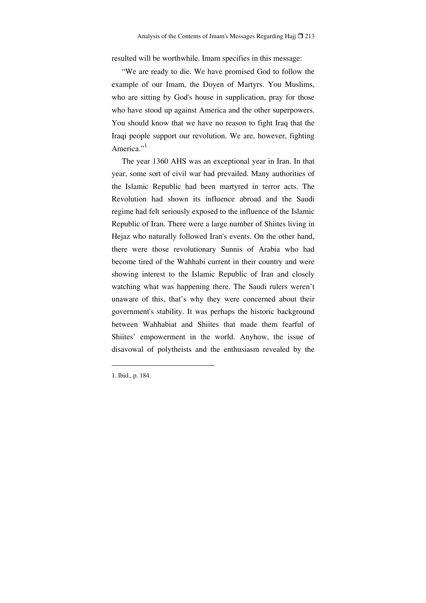resulted will be worthwhile. Imam specifies in this message:

"We are ready to die. We have promised God to follow the example of our Imam, the Doyen of Martyrs. You Muslims, who are sitting by God's house in supplication, pray for those who have stood up against America and the other superpowers. You should know that we have no reason to fight Iraq that the Iraqi people support our revolution. We are, however, fighting America."<sup>1</sup>

The year 1360 AHS was an exceptional year in Iran. In that year, some sort of civil war had prevailed. Many authorities of the Islamic Republic had been martyred in terror acts. The Revolution had shown its influence abroad and the Saudi regime had felt seriously exposed to the influence of the Islamic Republic of Iran. There were a large number of Shiites living in Hejaz who naturally followed Iran's events. On the other hand, there were those revolutionary Sunnis of Arabia who had become tired of the Wahhabi current in their country and were showing interest to the Islamic Republic of Iran and closely watching what was happening there. The Saudi rulers weren't unaware of this, that's why they were concerned about their government's stability. It was perhaps the historic background between Wahhabiat and Shiites that made them fearful of Shiites' empowerment in the world. Anyhow, the issue of disavowal of polytheists and the enthusiasm revealed by the

<sup>1.</sup> Ibid., p. 184.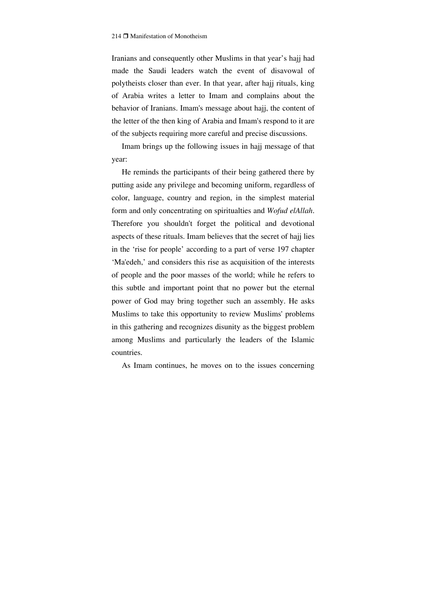Iranians and consequently other Muslims in that year's hajj had made the Saudi leaders watch the event of disavowal of polytheists closer than ever. In that year, after hajj rituals, king of Arabia writes a letter to Imam and complains about the behavior of Iranians. Imam's message about hajj, the content of the letter of the then king of Arabia and Imam's respond to it are of the subjects requiring more careful and precise discussions.

Imam brings up the following issues in hajj message of that year:

He reminds the participants of their being gathered there by putting aside any privilege and becoming uniform, regardless of color, language, country and region, in the simplest material form and only concentrating on spiritualties and *Wofud elAllah*. Therefore you shouldn't forget the political and devotional aspects of these rituals. Imam believes that the secret of hajj lies in the 'rise for people' according to a part of verse 197 chapter 'Ma'edeh,' and considers this rise as acquisition of the interests of people and the poor masses of the world; while he refers to this subtle and important point that no power but the eternal power of God may bring together such an assembly. He asks Muslims to take this opportunity to review Muslims' problems in this gathering and recognizes disunity as the biggest problem among Muslims and particularly the leaders of the Islamic countries.

As Imam continues, he moves on to the issues concerning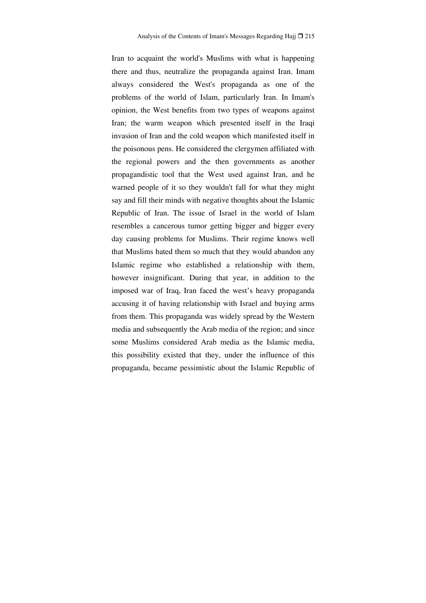Iran to acquaint the world's Muslims with what is happening there and thus, neutralize the propaganda against Iran. Imam always considered the West's propaganda as one of the problems of the world of Islam, particularly Iran. In Imam's opinion, the West benefits from two types of weapons against Iran; the warm weapon which presented itself in the Iraqi invasion of Iran and the cold weapon which manifested itself in the poisonous pens. He considered the clergymen affiliated with the regional powers and the then governments as another propagandistic tool that the West used against Iran, and he warned people of it so they wouldn't fall for what they might say and fill their minds with negative thoughts about the Islamic Republic of Iran. The issue of Israel in the world of Islam resembles a cancerous tumor getting bigger and bigger every day causing problems for Muslims. Their regime knows well that Muslims hated them so much that they would abandon any Islamic regime who established a relationship with them, however insignificant. During that year, in addition to the imposed war of Iraq, Iran faced the west's heavy propaganda accusing it of having relationship with Israel and buying arms from them. This propaganda was widely spread by the Western media and subsequently the Arab media of the region; and since some Muslims considered Arab media as the Islamic media, this possibility existed that they, under the influence of this propaganda, became pessimistic about the Islamic Republic of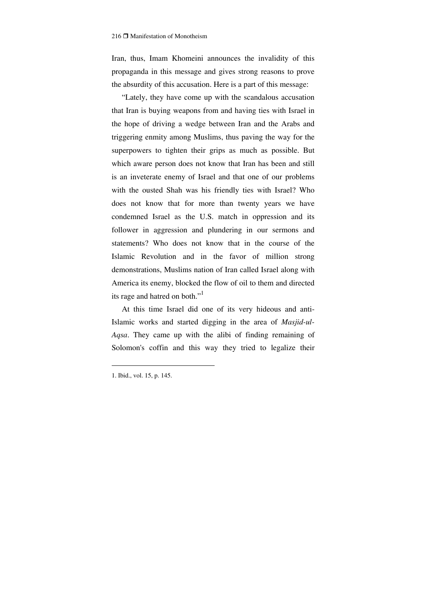Iran, thus, Imam Khomeini announces the invalidity of this propaganda in this message and gives strong reasons to prove the absurdity of this accusation. Here is a part of this message:

"Lately, they have come up with the scandalous accusation that Iran is buying weapons from and having ties with Israel in the hope of driving a wedge between Iran and the Arabs and triggering enmity among Muslims, thus paving the way for the superpowers to tighten their grips as much as possible. But which aware person does not know that Iran has been and still is an inveterate enemy of Israel and that one of our problems with the ousted Shah was his friendly ties with Israel? Who does not know that for more than twenty years we have condemned Israel as the U.S. match in oppression and its follower in aggression and plundering in our sermons and statements? Who does not know that in the course of the Islamic Revolution and in the favor of million strong demonstrations, Muslims nation of Iran called Israel along with America its enemy, blocked the flow of oil to them and directed its rage and hatred on both."<sup>1</sup>

At this time Israel did one of its very hideous and anti-Islamic works and started digging in the area of *Masjid-ul-Aqsa*. They came up with the alibi of finding remaining of Solomon's coffin and this way they tried to legalize their

<sup>1.</sup> Ibid., vol. 15, p. 145.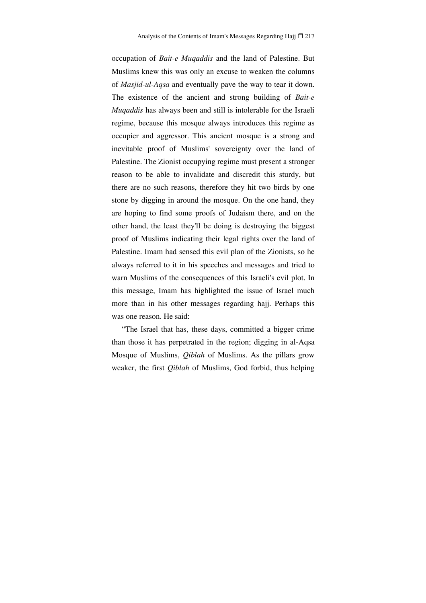occupation of *Bait-e Muqaddis* and the land of Palestine. But Muslims knew this was only an excuse to weaken the columns of *Masjid-ul-Aqsa* and eventually pave the way to tear it down. The existence of the ancient and strong building of *Bait-e Muqaddis* has always been and still is intolerable for the Israeli regime, because this mosque always introduces this regime as occupier and aggressor. This ancient mosque is a strong and inevitable proof of Muslims' sovereignty over the land of Palestine. The Zionist occupying regime must present a stronger reason to be able to invalidate and discredit this sturdy, but there are no such reasons, therefore they hit two birds by one stone by digging in around the mosque. On the one hand, they are hoping to find some proofs of Judaism there, and on the other hand, the least they'll be doing is destroying the biggest proof of Muslims indicating their legal rights over the land of Palestine. Imam had sensed this evil plan of the Zionists, so he always referred to it in his speeches and messages and tried to warn Muslims of the consequences of this Israeli's evil plot. In this message, Imam has highlighted the issue of Israel much more than in his other messages regarding hajj. Perhaps this was one reason. He said:

"The Israel that has, these days, committed a bigger crime than those it has perpetrated in the region; digging in al-Aqsa Mosque of Muslims, *Qiblah* of Muslims. As the pillars grow weaker, the first *Qiblah* of Muslims, God forbid, thus helping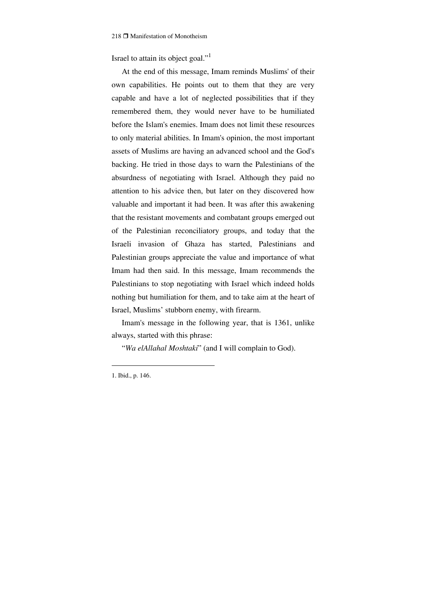Israel to attain its object goal."<sup>1</sup>

At the end of this message, Imam reminds Muslims' of their own capabilities. He points out to them that they are very capable and have a lot of neglected possibilities that if they remembered them, they would never have to be humiliated before the Islam's enemies. Imam does not limit these resources to only material abilities. In Imam's opinion, the most important assets of Muslims are having an advanced school and the God's backing. He tried in those days to warn the Palestinians of the absurdness of negotiating with Israel. Although they paid no attention to his advice then, but later on they discovered how valuable and important it had been. It was after this awakening that the resistant movements and combatant groups emerged out of the Palestinian reconciliatory groups, and today that the Israeli invasion of Ghaza has started, Palestinians and Palestinian groups appreciate the value and importance of what Imam had then said. In this message, Imam recommends the Palestinians to stop negotiating with Israel which indeed holds nothing but humiliation for them, and to take aim at the heart of Israel, Muslims' stubborn enemy, with firearm.

Imam's message in the following year, that is 1361, unlike always, started with this phrase:

"*Wa elAllahal Moshtaki*" (and I will complain to God).

<sup>1.</sup> Ibid., p. 146.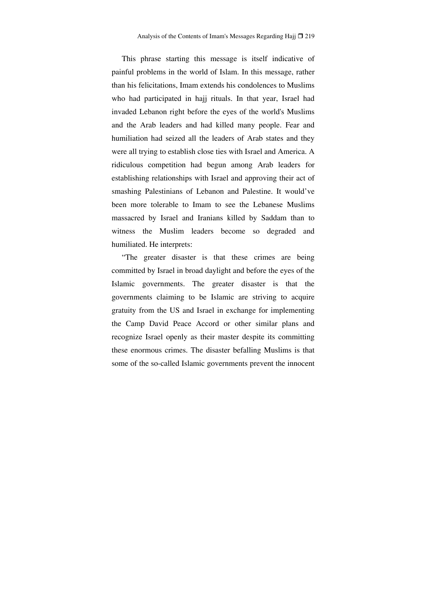This phrase starting this message is itself indicative of painful problems in the world of Islam. In this message, rather than his felicitations, Imam extends his condolences to Muslims who had participated in hajj rituals. In that year, Israel had invaded Lebanon right before the eyes of the world's Muslims and the Arab leaders and had killed many people. Fear and humiliation had seized all the leaders of Arab states and they were all trying to establish close ties with Israel and America. A ridiculous competition had begun among Arab leaders for establishing relationships with Israel and approving their act of smashing Palestinians of Lebanon and Palestine. It would've been more tolerable to Imam to see the Lebanese Muslims massacred by Israel and Iranians killed by Saddam than to witness the Muslim leaders become so degraded and humiliated. He interprets:

"The greater disaster is that these crimes are being committed by Israel in broad daylight and before the eyes of the Islamic governments. The greater disaster is that the governments claiming to be Islamic are striving to acquire gratuity from the US and Israel in exchange for implementing the Camp David Peace Accord or other similar plans and recognize Israel openly as their master despite its committing these enormous crimes. The disaster befalling Muslims is that some of the so-called Islamic governments prevent the innocent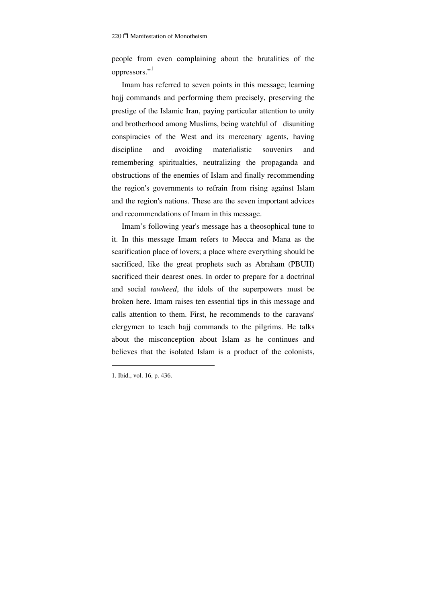people from even complaining about the brutalities of the oppressors."

Imam has referred to seven points in this message; learning hajj commands and performing them precisely, preserving the prestige of the Islamic Iran, paying particular attention to unity and brotherhood among Muslims, being watchful of disuniting conspiracies of the West and its mercenary agents, having discipline and avoiding materialistic souvenirs and remembering spiritualties, neutralizing the propaganda and obstructions of the enemies of Islam and finally recommending the region's governments to refrain from rising against Islam and the region's nations. These are the seven important advices and recommendations of Imam in this message.

Imam's following year's message has a theosophical tune to it. In this message Imam refers to Mecca and Mana as the scarification place of lovers; a place where everything should be sacrificed, like the great prophets such as Abraham (PBUH) sacrificed their dearest ones. In order to prepare for a doctrinal and social *tawheed*, the idols of the superpowers must be broken here. Imam raises ten essential tips in this message and calls attention to them. First, he recommends to the caravans' clergymen to teach hajj commands to the pilgrims. He talks about the misconception about Islam as he continues and believes that the isolated Islam is a product of the colonists,

<sup>1.</sup> Ibid., vol. 16, p. 436.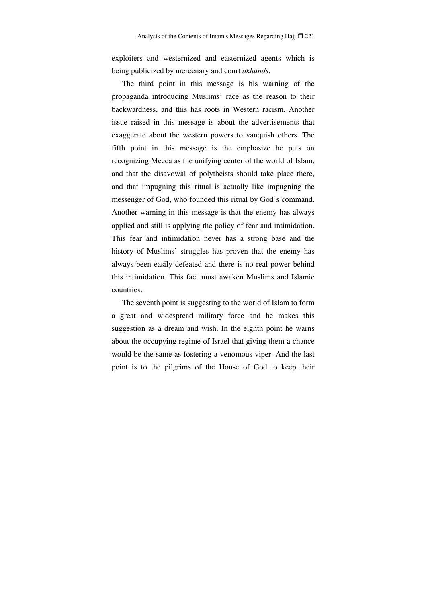exploiters and westernized and easternized agents which is being publicized by mercenary and court *akhunds*.

The third point in this message is his warning of the propaganda introducing Muslims' race as the reason to their backwardness, and this has roots in Western racism. Another issue raised in this message is about the advertisements that exaggerate about the western powers to vanquish others. The fifth point in this message is the emphasize he puts on recognizing Mecca as the unifying center of the world of Islam, and that the disavowal of polytheists should take place there, and that impugning this ritual is actually like impugning the messenger of God, who founded this ritual by God's command. Another warning in this message is that the enemy has always applied and still is applying the policy of fear and intimidation. This fear and intimidation never has a strong base and the history of Muslims' struggles has proven that the enemy has always been easily defeated and there is no real power behind this intimidation. This fact must awaken Muslims and Islamic countries.

The seventh point is suggesting to the world of Islam to form a great and widespread military force and he makes this suggestion as a dream and wish. In the eighth point he warns about the occupying regime of Israel that giving them a chance would be the same as fostering a venomous viper. And the last point is to the pilgrims of the House of God to keep their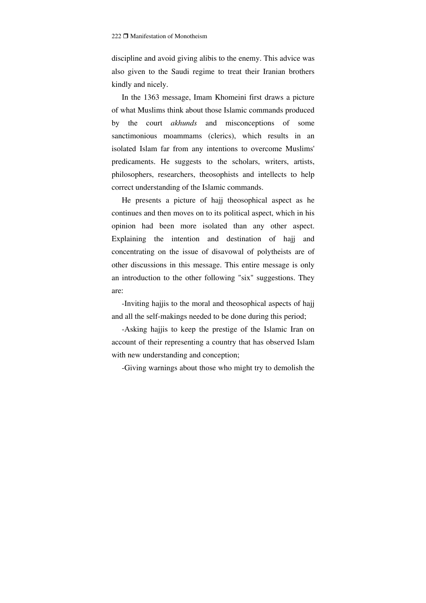discipline and avoid giving alibis to the enemy. This advice was also given to the Saudi regime to treat their Iranian brothers kindly and nicely.

In the 1363 message, Imam Khomeini first draws a picture of what Muslims think about those Islamic commands produced by the court *akhunds* and misconceptions of some sanctimonious moammams (clerics), which results in an isolated Islam far from any intentions to overcome Muslims' predicaments. He suggests to the scholars, writers, artists, philosophers, researchers, theosophists and intellects to help correct understanding of the Islamic commands.

He presents a picture of hajj theosophical aspect as he continues and then moves on to its political aspect, which in his opinion had been more isolated than any other aspect. Explaining the intention and destination of hajj and concentrating on the issue of disavowal of polytheists are of other discussions in this message. This entire message is only an introduction to the other following "six" suggestions. They are:

-Inviting hajjis to the moral and theosophical aspects of hajj and all the self-makings needed to be done during this period;

-Asking hajjis to keep the prestige of the Islamic Iran on account of their representing a country that has observed Islam with new understanding and conception;

-Giving warnings about those who might try to demolish the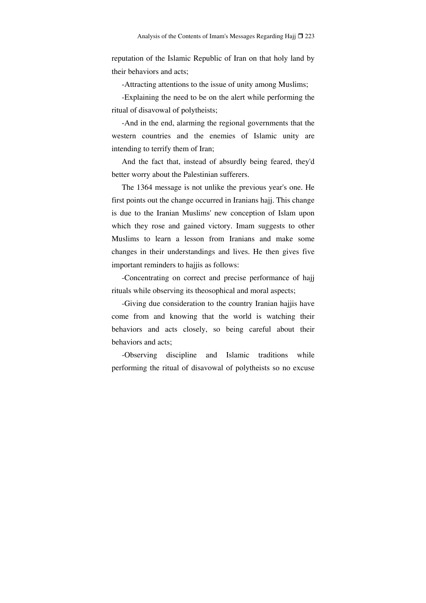reputation of the Islamic Republic of Iran on that holy land by their behaviors and acts;

-Attracting attentions to the issue of unity among Muslims;

-Explaining the need to be on the alert while performing the ritual of disavowal of polytheists;

-And in the end, alarming the regional governments that the western countries and the enemies of Islamic unity are intending to terrify them of Iran;

And the fact that, instead of absurdly being feared, they'd better worry about the Palestinian sufferers.

The 1364 message is not unlike the previous year's one. He first points out the change occurred in Iranians hajj. This change is due to the Iranian Muslims' new conception of Islam upon which they rose and gained victory. Imam suggests to other Muslims to learn a lesson from Iranians and make some changes in their understandings and lives. He then gives five important reminders to hajjis as follows:

-Concentrating on correct and precise performance of hajj rituals while observing its theosophical and moral aspects;

-Giving due consideration to the country Iranian hajjis have come from and knowing that the world is watching their behaviors and acts closely, so being careful about their behaviors and acts;

-Observing discipline and Islamic traditions while performing the ritual of disavowal of polytheists so no excuse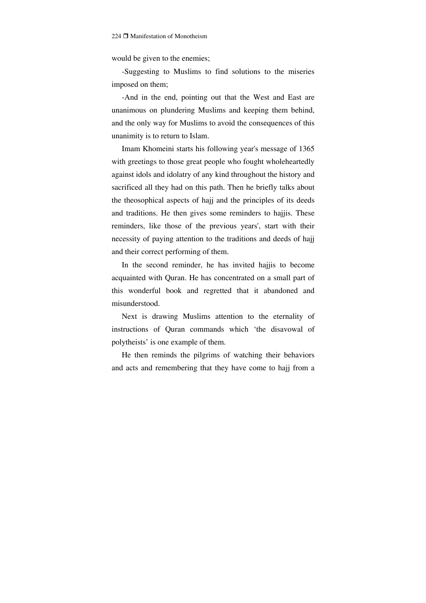would be given to the enemies;

-Suggesting to Muslims to find solutions to the miseries imposed on them;

-And in the end, pointing out that the West and East are unanimous on plundering Muslims and keeping them behind, and the only way for Muslims to avoid the consequences of this unanimity is to return to Islam.

Imam Khomeini starts his following year's message of 1365 with greetings to those great people who fought wholeheartedly against idols and idolatry of any kind throughout the history and sacrificed all they had on this path. Then he briefly talks about the theosophical aspects of hajj and the principles of its deeds and traditions. He then gives some reminders to hajjis. These reminders, like those of the previous years', start with their necessity of paying attention to the traditions and deeds of hajj and their correct performing of them.

In the second reminder, he has invited hajjis to become acquainted with Quran. He has concentrated on a small part of this wonderful book and regretted that it abandoned and misunderstood.

Next is drawing Muslims attention to the eternality of instructions of Quran commands which 'the disavowal of polytheists' is one example of them.

He then reminds the pilgrims of watching their behaviors and acts and remembering that they have come to hajj from a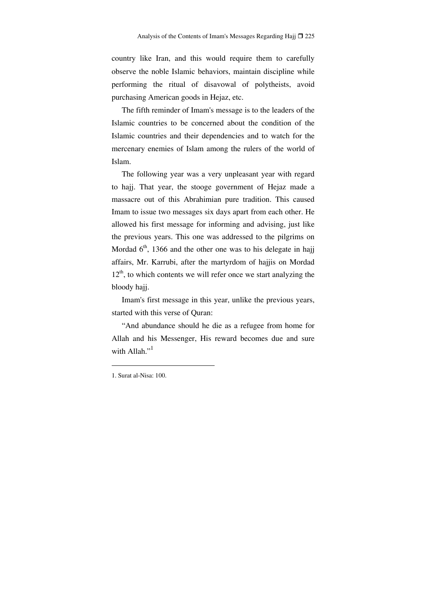country like Iran, and this would require them to carefully observe the noble Islamic behaviors, maintain discipline while performing the ritual of disavowal of polytheists, avoid purchasing American goods in Hejaz, etc.

The fifth reminder of Imam's message is to the leaders of the Islamic countries to be concerned about the condition of the Islamic countries and their dependencies and to watch for the mercenary enemies of Islam among the rulers of the world of Islam.

The following year was a very unpleasant year with regard to hajj. That year, the stooge government of Hejaz made a massacre out of this Abrahimian pure tradition. This caused Imam to issue two messages six days apart from each other. He allowed his first message for informing and advising, just like the previous years. This one was addressed to the pilgrims on Mordad  $6<sup>th</sup>$ , 1366 and the other one was to his delegate in hajj affairs, Mr. Karrubi, after the martyrdom of hajjis on Mordad  $12<sup>th</sup>$ , to which contents we will refer once we start analyzing the bloody hajj.

Imam's first message in this year, unlike the previous years, started with this verse of Quran:

"And abundance should he die as a refugee from home for Allah and his Messenger, His reward becomes due and sure with Allah." $<sup>1</sup>$ </sup>

<sup>1.</sup> Surat al-Nisa: 100.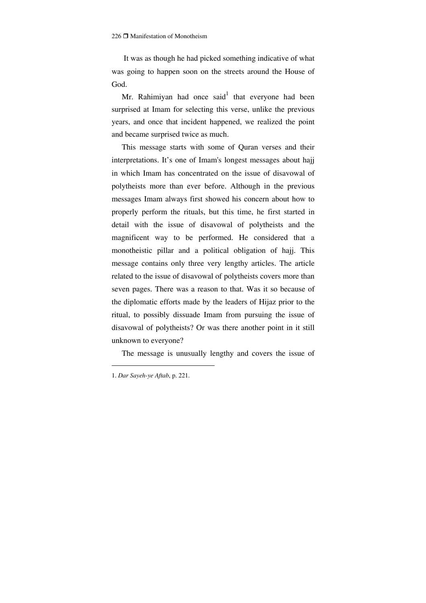It was as though he had picked something indicative of what was going to happen soon on the streets around the House of God.

Mr. Rahimiyan had once said that everyone had been surprised at Imam for selecting this verse, unlike the previous years, and once that incident happened, we realized the point and became surprised twice as much.

This message starts with some of Quran verses and their interpretations. It's one of Imam's longest messages about hajj in which Imam has concentrated on the issue of disavowal of polytheists more than ever before. Although in the previous messages Imam always first showed his concern about how to properly perform the rituals, but this time, he first started in detail with the issue of disavowal of polytheists and the magnificent way to be performed. He considered that a monotheistic pillar and a political obligation of hajj. This message contains only three very lengthy articles. The article related to the issue of disavowal of polytheists covers more than seven pages. There was a reason to that. Was it so because of the diplomatic efforts made by the leaders of Hijaz prior to the ritual, to possibly dissuade Imam from pursuing the issue of disavowal of polytheists? Or was there another point in it still unknown to everyone?

The message is unusually lengthy and covers the issue of

<sup>1.</sup> *Dar Sayeh-ye Aftab*, p. 221.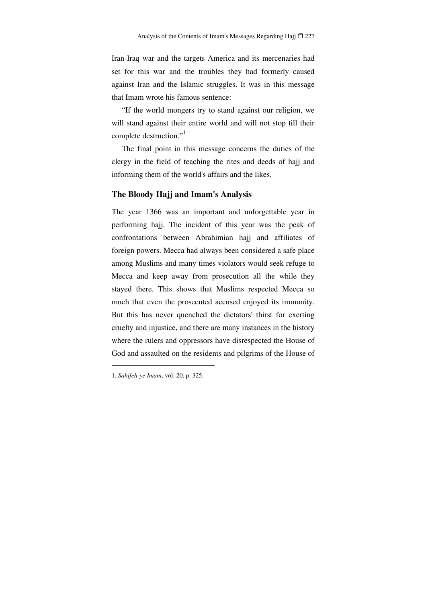Iran-Iraq war and the targets America and its mercenaries had set for this war and the troubles they had formerly caused against Iran and the Islamic struggles. It was in this message that Imam wrote his famous sentence:

"If the world mongers try to stand against our religion, we will stand against their entire world and will not stop till their complete destruction."<sup>1</sup>

The final point in this message concerns the duties of the clergy in the field of teaching the rites and deeds of hajj and informing them of the world's affairs and the likes.

## **The Bloody Hajj and Imam's Analysis**

The year 1366 was an important and unforgettable year in performing hajj. The incident of this year was the peak of confrontations between Abrahimian hajj and affiliates of foreign powers. Mecca had always been considered a safe place among Muslims and many times violators would seek refuge to Mecca and keep away from prosecution all the while they stayed there. This shows that Muslims respected Mecca so much that even the prosecuted accused enjoyed its immunity. But this has never quenched the dictators' thirst for exerting cruelty and injustice, and there are many instances in the history where the rulers and oppressors have disrespected the House of God and assaulted on the residents and pilgrims of the House of

<sup>1.</sup> *Sahifeh-ye Imam*, vol. 20, p. 325.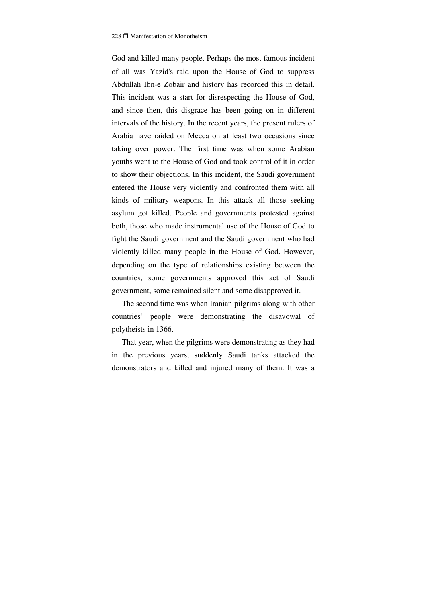God and killed many people. Perhaps the most famous incident of all was Yazid's raid upon the House of God to suppress Abdullah Ibn-e Zobair and history has recorded this in detail. This incident was a start for disrespecting the House of God, and since then, this disgrace has been going on in different intervals of the history. In the recent years, the present rulers of Arabia have raided on Mecca on at least two occasions since taking over power. The first time was when some Arabian youths went to the House of God and took control of it in order to show their objections. In this incident, the Saudi government entered the House very violently and confronted them with all kinds of military weapons. In this attack all those seeking asylum got killed. People and governments protested against both, those who made instrumental use of the House of God to fight the Saudi government and the Saudi government who had violently killed many people in the House of God. However, depending on the type of relationships existing between the countries, some governments approved this act of Saudi government, some remained silent and some disapproved it.

The second time was when Iranian pilgrims along with other countries' people were demonstrating the disavowal of polytheists in 1366.

That year, when the pilgrims were demonstrating as they had in the previous years, suddenly Saudi tanks attacked the demonstrators and killed and injured many of them. It was a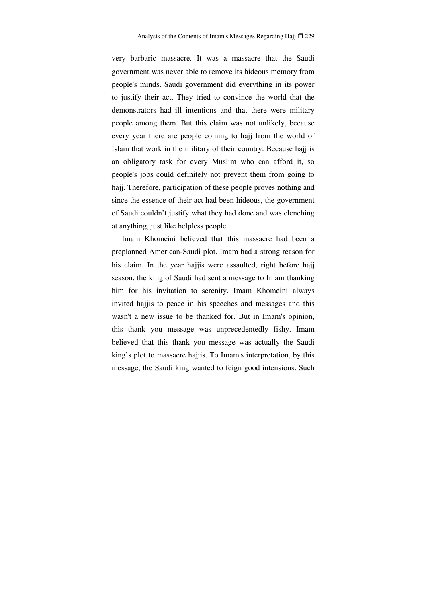very barbaric massacre. It was a massacre that the Saudi government was never able to remove its hideous memory from people's minds. Saudi government did everything in its power to justify their act. They tried to convince the world that the demonstrators had ill intentions and that there were military people among them. But this claim was not unlikely, because every year there are people coming to hajj from the world of Islam that work in the military of their country. Because hajj is an obligatory task for every Muslim who can afford it, so people's jobs could definitely not prevent them from going to hajj. Therefore, participation of these people proves nothing and since the essence of their act had been hideous, the government of Saudi couldn't justify what they had done and was clenching at anything, just like helpless people.

Imam Khomeini believed that this massacre had been a preplanned American-Saudi plot. Imam had a strong reason for his claim. In the year hajjis were assaulted, right before hajj season, the king of Saudi had sent a message to Imam thanking him for his invitation to serenity. Imam Khomeini always invited hajjis to peace in his speeches and messages and this wasn't a new issue to be thanked for. But in Imam's opinion, this thank you message was unprecedentedly fishy. Imam believed that this thank you message was actually the Saudi king's plot to massacre hajjis. To Imam's interpretation, by this message, the Saudi king wanted to feign good intensions. Such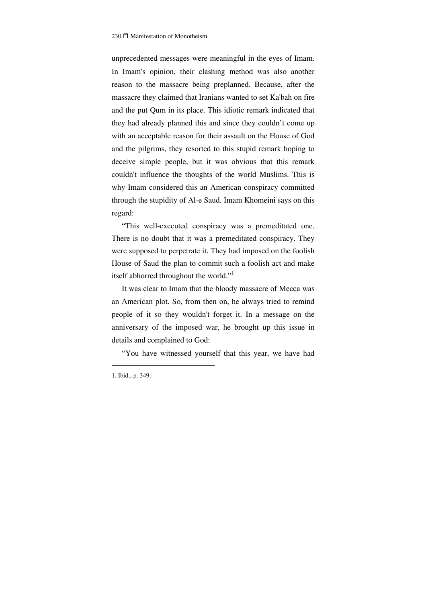unprecedented messages were meaningful in the eyes of Imam. In Imam's opinion, their clashing method was also another reason to the massacre being preplanned. Because, after the massacre they claimed that Iranians wanted to set Ka'bah on fire and the put Qum in its place. This idiotic remark indicated that they had already planned this and since they couldn't come up with an acceptable reason for their assault on the House of God and the pilgrims, they resorted to this stupid remark hoping to deceive simple people, but it was obvious that this remark couldn't influence the thoughts of the world Muslims. This is why Imam considered this an American conspiracy committed through the stupidity of Al-e Saud. Imam Khomeini says on this regard:

"This well-executed conspiracy was a premeditated one. There is no doubt that it was a premeditated conspiracy. They were supposed to perpetrate it. They had imposed on the foolish House of Saud the plan to commit such a foolish act and make itself abhorred throughout the world."<sup>1</sup>

It was clear to Imam that the bloody massacre of Mecca was an American plot. So, from then on, he always tried to remind people of it so they wouldn't forget it. In a message on the anniversary of the imposed war, he brought up this issue in details and complained to God:

"You have witnessed yourself that this year, we have had

<sup>1.</sup> Ibid., p. 349.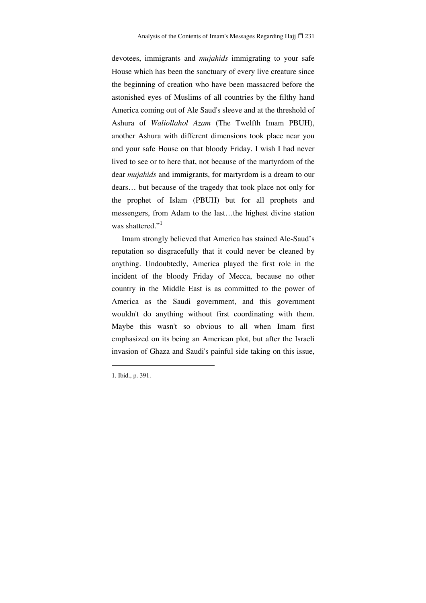devotees, immigrants and *mujahids* immigrating to your safe House which has been the sanctuary of every live creature since the beginning of creation who have been massacred before the astonished eyes of Muslims of all countries by the filthy hand America coming out of Ale Saud's sleeve and at the threshold of Ashura of *Waliollahol Azam* (The Twelfth Imam PBUH), another Ashura with different dimensions took place near you and your safe House on that bloody Friday. I wish I had never lived to see or to here that, not because of the martyrdom of the dear *mujahids* and immigrants, for martyrdom is a dream to our dears… but because of the tragedy that took place not only for the prophet of Islam (PBUH) but for all prophets and messengers, from Adam to the last…the highest divine station was shattered."<sup>1</sup>

Imam strongly believed that America has stained Ale-Saud's reputation so disgracefully that it could never be cleaned by anything. Undoubtedly, America played the first role in the incident of the bloody Friday of Mecca, because no other country in the Middle East is as committed to the power of America as the Saudi government, and this government wouldn't do anything without first coordinating with them. Maybe this wasn't so obvious to all when Imam first emphasized on its being an American plot, but after the Israeli invasion of Ghaza and Saudi's painful side taking on this issue,

1. Ibid., p. 391.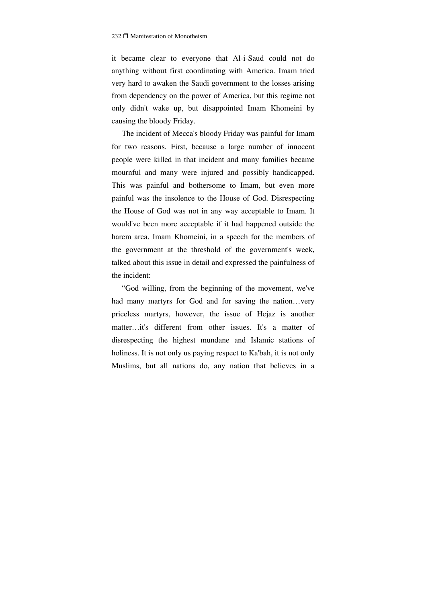it became clear to everyone that Al-i-Saud could not do anything without first coordinating with America. Imam tried very hard to awaken the Saudi government to the losses arising from dependency on the power of America, but this regime not only didn't wake up, but disappointed Imam Khomeini by causing the bloody Friday.

The incident of Mecca's bloody Friday was painful for Imam for two reasons. First, because a large number of innocent people were killed in that incident and many families became mournful and many were injured and possibly handicapped. This was painful and bothersome to Imam, but even more painful was the insolence to the House of God. Disrespecting the House of God was not in any way acceptable to Imam. It would've been more acceptable if it had happened outside the harem area. Imam Khomeini, in a speech for the members of the government at the threshold of the government's week, talked about this issue in detail and expressed the painfulness of the incident:

"God willing, from the beginning of the movement, we've had many martyrs for God and for saving the nation...very priceless martyrs, however, the issue of Hejaz is another matter…it's different from other issues. It's a matter of disrespecting the highest mundane and Islamic stations of holiness. It is not only us paying respect to Ka'bah, it is not only Muslims, but all nations do, any nation that believes in a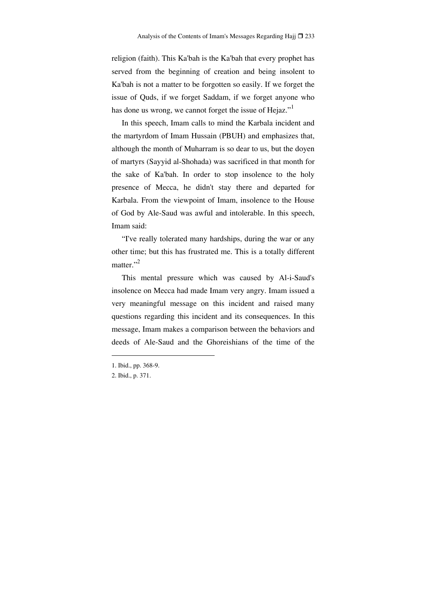religion (faith). This Ka'bah is the Ka'bah that every prophet has served from the beginning of creation and being insolent to Ka'bah is not a matter to be forgotten so easily. If we forget the issue of Quds, if we forget Saddam, if we forget anyone who has done us wrong, we cannot forget the issue of Hejaz."

In this speech, Imam calls to mind the Karbala incident and the martyrdom of Imam Hussain (PBUH) and emphasizes that, although the month of Muharram is so dear to us, but the doyen of martyrs (Sayyid al-Shohada) was sacrificed in that month for the sake of Ka'bah. In order to stop insolence to the holy presence of Mecca, he didn't stay there and departed for Karbala. From the viewpoint of Imam, insolence to the House of God by Ale-Saud was awful and intolerable. In this speech, Imam said:

"I've really tolerated many hardships, during the war or any other time; but this has frustrated me. This is a totally different matter." $^2$ 

This mental pressure which was caused by Al-i-Saud's insolence on Mecca had made Imam very angry. Imam issued a very meaningful message on this incident and raised many questions regarding this incident and its consequences. In this message, Imam makes a comparison between the behaviors and deeds of Ale-Saud and the Ghoreishians of the time of the

<sup>1.</sup> Ibid., pp. 368-9.

<sup>2.</sup> Ibid., p. 371.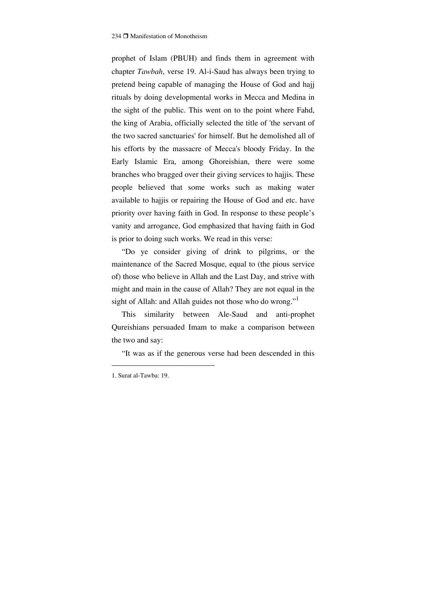prophet of Islam (PBUH) and finds them in agreement with chapter *Tawbah*, verse 19. Al-i-Saud has always been trying to pretend being capable of managing the House of God and hajj rituals by doing developmental works in Mecca and Medina in the sight of the public. This went on to the point where Fahd, the king of Arabia, officially selected the title of 'the servant of the two sacred sanctuaries' for himself. But he demolished all of his efforts by the massacre of Mecca's bloody Friday. In the Early Islamic Era, among Ghoreishian, there were some branches who bragged over their giving services to hajjis. These people believed that some works such as making water available to hajjis or repairing the House of God and etc. have priority over having faith in God. In response to these people's vanity and arrogance, God emphasized that having faith in God is prior to doing such works. We read in this verse:

"Do ye consider giving of drink to pilgrims, or the maintenance of the Sacred Mosque, equal to (the pious service of) those who believe in Allah and the Last Day, and strive with might and main in the cause of Allah? They are not equal in the sight of Allah: and Allah guides not those who do wrong."<sup>1</sup>

This similarity between Ale-Saud and anti-prophet Qureishians persuaded Imam to make a comparison between the two and say:

"It was as if the generous verse had been descended in this

<sup>1.</sup> Surat al-Tawba: 19.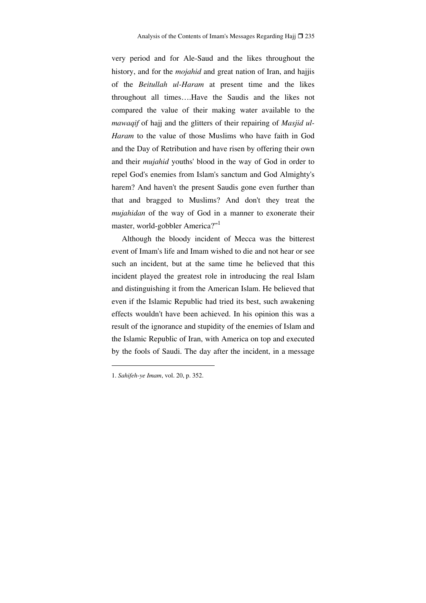very period and for Ale-Saud and the likes throughout the history, and for the *mojahid* and great nation of Iran, and hajjis of the *Beitullah ul-Haram* at present time and the likes throughout all times….Have the Saudis and the likes not compared the value of their making water available to the *mawaqif* of hajj and the glitters of their repairing of *Masjid ul-Haram* to the value of those Muslims who have faith in God and the Day of Retribution and have risen by offering their own and their *mujahid* youths' blood in the way of God in order to repel God's enemies from Islam's sanctum and God Almighty's harem? And haven't the present Saudis gone even further than that and bragged to Muslims? And don't they treat the *mujahidan* of the way of God in a manner to exonerate their master, world-gobbler America?"<sup>1</sup>

Although the bloody incident of Mecca was the bitterest event of Imam's life and Imam wished to die and not hear or see such an incident, but at the same time he believed that this incident played the greatest role in introducing the real Islam and distinguishing it from the American Islam. He believed that even if the Islamic Republic had tried its best, such awakening effects wouldn't have been achieved. In his opinion this was a result of the ignorance and stupidity of the enemies of Islam and the Islamic Republic of Iran, with America on top and executed by the fools of Saudi. The day after the incident, in a message

<sup>1.</sup> *Sahifeh-ye Imam*, vol. 20, p. 352.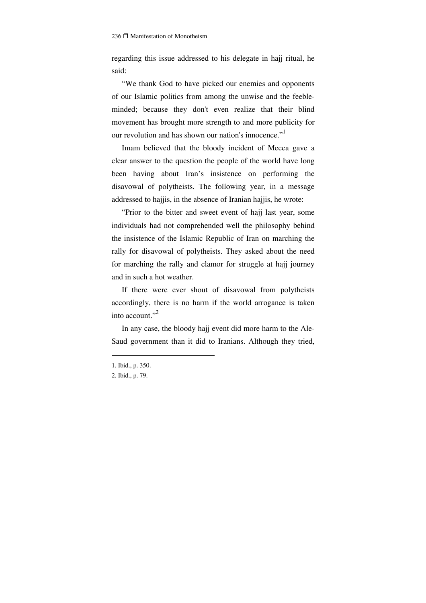regarding this issue addressed to his delegate in hajj ritual, he said:

"We thank God to have picked our enemies and opponents of our Islamic politics from among the unwise and the feebleminded; because they don't even realize that their blind movement has brought more strength to and more publicity for our revolution and has shown our nation's innocence."<sup>1</sup>

Imam believed that the bloody incident of Mecca gave a clear answer to the question the people of the world have long been having about Iran's insistence on performing the disavowal of polytheists. The following year, in a message addressed to hajjis, in the absence of Iranian hajjis, he wrote:

"Prior to the bitter and sweet event of hajj last year, some individuals had not comprehended well the philosophy behind the insistence of the Islamic Republic of Iran on marching the rally for disavowal of polytheists. They asked about the need for marching the rally and clamor for struggle at hajj journey and in such a hot weather.

If there were ever shout of disavowal from polytheists accordingly, there is no harm if the world arrogance is taken into account."2

In any case, the bloody hajj event did more harm to the Ale-Saud government than it did to Iranians. Although they tried,

<sup>1.</sup> Ibid., p. 350.

<sup>2.</sup> Ibid., p. 79.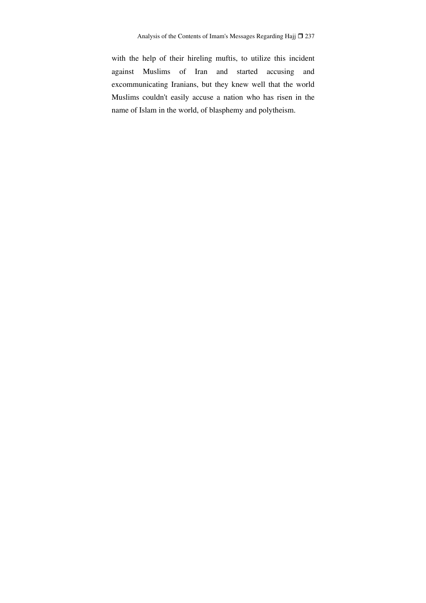with the help of their hireling muftis, to utilize this incident against Muslims of Iran and started accusing and excommunicating Iranians, but they knew well that the world Muslims couldn't easily accuse a nation who has risen in the name of Islam in the world, of blasphemy and polytheism.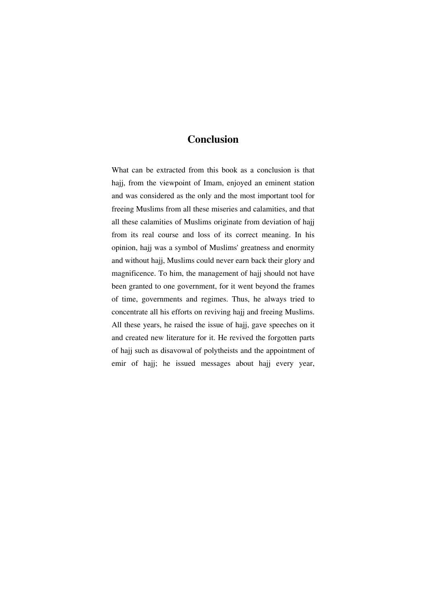## **Conclusion**

What can be extracted from this book as a conclusion is that hajj, from the viewpoint of Imam, enjoyed an eminent station and was considered as the only and the most important tool for freeing Muslims from all these miseries and calamities, and that all these calamities of Muslims originate from deviation of hajj from its real course and loss of its correct meaning. In his opinion, hajj was a symbol of Muslims' greatness and enormity and without hajj, Muslims could never earn back their glory and magnificence. To him, the management of hajj should not have been granted to one government, for it went beyond the frames of time, governments and regimes. Thus, he always tried to concentrate all his efforts on reviving hajj and freeing Muslims. All these years, he raised the issue of hajj, gave speeches on it and created new literature for it. He revived the forgotten parts of hajj such as disavowal of polytheists and the appointment of emir of hajj; he issued messages about hajj every year,